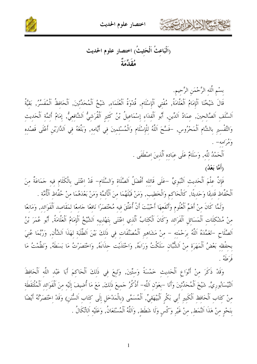

اختصار علوم الحديث



بسْم الَّله الرَّحْمَنِ الرَّحِيمِ.

قَالَ شَيْخُنَا اَلْإِمَامُ اَلْعَلَّامَةُ, مُفْتي اَلْإِسْلَام, قُدْوَةُ اَلْعُلَمَاء, شَيْخُ اَلْمُحَدِّثينَ, اَلْحَافظُ اَلْمُفَسِّرُ, بَقيَّةُ اَلسَّلَفِ اَلصَّالِحِينَ, عِمَادُ اَلدِّينِ, أَبُو اَلْفِدَاءِ إِسْمَاعِيلُ بْنُ كَثِيرِ اَلْقُرَشِيُّ اَلشَّافِعِيُّ, إِمَامُ أَئِمَّةِ اَلْحَدِيثِ وَالتَّفْسِيرِ بِالشَّامِ اَلْمَحْرُوسِ, –فَسَّحَ اَللَّهُ لِلْإِسْلَامِ وَالْمُسْلِمِينَ فِي أَيَّامِهِ, وَبَلَّغَهُ فِي اَلدَّارَيْنِ أَعْلَى قَصْدِهِ وَمَرَامِهِ —

اَلْحَمْدُ للَّه, وَسَلَامٌ عَلَى عِبَاده اَلَّذِينَ اصْطَفَى .

(أَمَّا بَعْدُ)

فَإِنَّ عِلْمَ اَلْحَديثِ اَلنَّبَوِيِّ –عَلَى قَائِله أَفْضَلُ اَلصَّلَاةِ وَالسَّلَامِ– قَدْ اِعْتَنَى بِالْكَلَامِ فِيهِ حَمَاعَةٌ مِنَ ٱلْحُفَّاظِ قَدِيمًا وَحَدِيثًا, كَالْحَاكِمِ وَالْخَطِيبِ, وَمَنْ قَبْلَهُمَا مِنَ ٱلْأَثِمَّة وَمَنْ بَعْدَهُمَا منْ حُفَّاظ ٱلْأُمَّة .

وَلَمَّا كَانَ منْ أَهَمِّ الْعُلُوم وَأَنْفَعهَا أَحْبَبْتَ أَنْ أُعَلِّقَ فيه مُخْتَصَرًا نَافعًا جَامعًا لمَقَاصد اَلْفَوَائد, وَمَانعًا منْ مُشْكَلَات اَلْمَسَائلِ اَلْفَرَائد وَكَانَ اَلْكَتَابُ اَلَّذي اِعْتَنَى بِتَهْذِيبِهِ اَلشَّيْخُ اَلْإِمَامُ اَلْعَلَّامَةُ, أَبُو عُمَرَ بْنُ اَلصَّلَاحِ –تَغَمَّدَهُ اَللَّهُ بِرَحْمَتِهِ – مِنْ مَشَاهِيرِ اَلْمُصَنَّفَاتِ فِي ذَلِكَ بَيْنَ اَلطَّلَبَةِ لِهَذَا اَلشَّأْنِ, وَرُبَّمَا عُنِيَ بحفْظِهِ بَعْضُ اَلْمَهَرَةِ مِنْ اَلشُّبَّانِ سَلَكْتُ وَرَاءَهُ, وَاحْتَذَيْت حذاءَهُ, وَاخْتَصَرْتُ مَا بَسَطَهُ, وَنَظَّمْتُ مَا فَرَطَهُ .

وَقَدْ ذَكَرَ مِنْ أَنْوَاعِ الْحَدِيثِ حَمْسَةً وَسِتِّينَ, وَتَبِعَ فِي ذَلِكَ الْحَاكِمَ أَبَا عَبْدِ اللّهِ الْحَافِظَ اَلنَّيْسَاَبُوريَّ, شَيْخَ اَلْمُحَدِّثينَ وَأَنَا –بعَوْن اَللَّه– أَذْكُرُ حَميعَ ذَلِكَ, مَعَ مَا أُضِيفَ إِلَيْهِ مِنَ اَلْفَوَائِدِ اَلْمُلْتَقَطَةِ منْ كتَاب اَلْحَافِظِ اَلْكَبِيرِ أَبِي بَكْرِ اَلْبَيْهَقِيٍّ, اَلْمُسَمَّى (بِالْمَدْخَلِ إِلَى كِتَابِ اَلسُّننِ) وَقَدْ اخْتَصَرْتُهُ أَيْضًا بِنَحْوٍ مِنْ هَذَا اَلنَّمَطِ, مِنْ غَيْرِ وَكْسٍ وَلَا شَطَطٍ, وَاَللَّهُ اَلْمُسْتَعَانُ, وَعَلَيْه اَلاتِّكَالُ .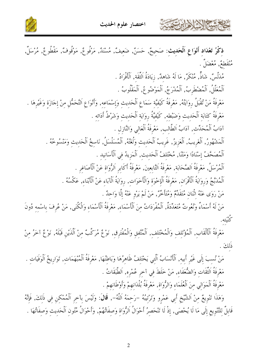





ذِكْرُ تَعْلَادِ أَنْوَاعِ اَلْحَدِيثِ: صَحِيحٌ, حَسَنٌ, ضَعيفٌ, مُسْنَدٌ, مَرْفُوعٌ, مَوْقُوفٌ, مَقْطُوعٌ, مُرْسَلٌ, مْنْقَطِعٌ, مُعْضَلٌ .

مُلزَّلَسٌ, شَاذٌّ, مُنْكَرٌ, مَا لَهُ شَاهِدٌ, زِيَادَةُ اَلثَّقَة, اَلْأَفْرَادُ . اَلْمُعَلَّلُ, اَلْمُضْطَرِبُ, اَلْمُدْرَجُ, اَلْمَوْضُوعُ, اَلْمَقْلُوبُ . مَعْرِفَةُ مَنْ تُقْبَلُ رِوَايَتُهُ, مَعْرِفَةُ كَيْفيَّة سَمَاع اَلْحَديث وَإسْمَاعه, وَأَنْوَاع اَلتَّحَمُّلِ مِنْ إجَازَة وَغَيْرِهَا . مَعْرِفَةُ كِتَابَةِ اَلْحَدِيثِ وَضَبْطِهِ, كَيْفَيَّةُ رِوَايَةِ اَلْحَدِيثِ وَشَرْطُ أَدَائه . آدَابُ اَلْمُحَدِّث, آدَابُ اَلطَّالب, مَعْرفَةُ اَلْعَالِي وَالنَّازِلِ . اَلْمَشْهُورُ, اَلْغَريبُ, اَلْعَزِيزُ, غَريبُ اَلْحَديث وَلَعَتُهُ, اَلْمُسَلْسَلُ, نَاسخُ اَلْحَديث وَمَنْسُوخُهُ . اَلْمُصَحَّفُ إِسْنَادًا وَمَتْنًا, مُخْتَلفُ اَلْحَديث, اَلْمَزيدُ في اَلْأَسَانيد . ٱلْمُرْسَلُ, مَعْرِفَةُ اَلصَّحَابَة, مَعْرِفَةُ التَّابعينَ, مَعْرِفَةُ أَكَابِرِ اَلرُّوَاةِ عَنْ اَلْأَصَاغِرِ . اَلْمُدَبَّجُ وَروَايَةُ اَلْأَقْرَانِ, مَعْرِفَةُ اَلْإِخْوَةِ وَالْأَخَوَاتِ, رِوَايَةُ اَلْآبَاءِ عَنْ الْأَبْناءِ, عَكْسُهُ . مَنْ رَوَى عَنْهُ اثْنَانِ مُتَقَلِّمٌ وَمُتَأَخَّرٌ, مَنْ لَمْ يَرْوِ عَنْهُ إِلَّا وَاحِدٌ .

مَنْ لَهُ أَسْمَاءٌ وَنُعُوتٌ مُتَعَدِّدَةٌ, اَلْمُفْرَدَاتُ مِنَ اَلْأَسْمَاءِ, مَعْرِفَةُ اَلْأَسْمَاءِ وَالْكُنَى, مَنْ عُرِفَ بِاسْمِهِ دُونَ

مَعْرِفَةُ ٱلْأَلْقَابِ, ٱلْمُؤْتَلِفِ وَالْمُخْتَلِفِ, ٱلْمُتَّفِقِ وَالْمُفْتَرِقِ, نَوْعٌ مُرَكَّبٌ مِنْ ٱلَّذَيْنِ قَبْلَهُ, نَوْعٌ آخَرُ مِنْ ذَلكَ .

مَنْ نُسِبَ إِلَى غَيْرِ أَبِيهِ, اَلْأَنْسَابُ اَلَّتِي يَخْتَلِفُ ظَاهِرُهَا وَبَاطِنُهَا, مَعْرِفَةُ اَلْمُبْهَمَاتِ, تَوَارِيخُ اَلْوَفَيَاتِ . مَعْرِفَةُ الثِّقَات وَالضُّعَفَاء, مَنْ خَلَطَ في آخر عُمْره, اَلطَّبَقَاتُ . مَعْرِفَةُ اَلْمَوَالي منَ اَلْعُلَمَاء وَالرُّوَاة, مَعْرِفَةُ بُلْدَانهمْ وَأَوْطَانهمْ .

وَهَذَا تَنْوِيعٌ مِنْ اَلشَّيْخِ أَبِي عَمْرِو وَتَرْتِيبُهُ –رَحِمَهُ اَللَّهُ–, قَالَ: وَلَيْسَ بآخر اَلْمُمْكن في ذَلكَ, فَإِنَّهُ قَابِلٌ لِلتَّنْوِيعِ إِلَى مَا لَا يُحْصَى, إِذْ لَا تَنْحَصِرُ أَحْوَالُ اَلرُّوَاةِ وَصِفَاتُهُمْ, وَأَحْوَالُ مُتُونِ اَلْحَدِيثِ وَصِفَاتُهَا .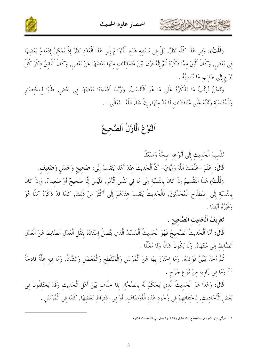



(قُلْتُ): وَفِي هَذَا كُلِّهِ نَظَرٌْ, بَلْ فِي بَسْطِهِ هَذِهِ اَلْأَنْوَاعَ إِلَى هَذَا اَلْعَدَدِ نَظَرٌ إِذْ يُمْكِنُ إِدْمَاجُ بَعْضِهَا فِي بَعْضٍ, وَكَانَ أَلْيَقَ مِمَّا ذَكَرَهُ ثُمَّ إِنَّهُ فَرَّقَ بَيْنَ مُتَمَاثِلَاتٍ مِنْهَا بَعْضَهَا عَنْ بَعْضٍ, وَكَانَ اَللَّائِقُ ذِكْرَ كُلِّ نَوْعٍ إِلَى حَانبٍ مَا يُنَاسِبُهُ .

وَنَحْنُ نُرَتِّبُ مَا نَذْكُرُهُ عَلَى مَا هُوَ اَلْأَنْسَبُ, وَرُبَّمَا أَدْمَجْنَا بَعْضَهَا فِي بَعْضٍ, طَلَبًا لِلاخْتِصَارِ وَالْمُنَاسَبَةِ وَنُنبَهُ عَلَى مُنَاقَشَاتِ لَا بُدَّ مِنْهَا, إِنْ شَاءَ اَللَّهُ –تَعَالَى– .

### اَلنَّوْغُ اَلْأَوَّلُ اَلصَّحِيحُ

تَقْسِيمُ اَلْحَديثِ إِلَى أَنْوَاعه صحَّةً وَضَعْفًا

تشكي الأخاريت

قَالَ: اعْلَمْ –عَلَّمَكَ اَللَّهُ وَإِيَّايَ– أَنَّ الْحَديثَ عِنْدَ أَهْله يَنْقَسمُ إِلَى: صَحيح وَحَسَن وَضَعيف.

(قُلْتُ) هَذَا اَلتَّقْسيمُ إنْ كَانَ بالنِّسْبَة إِلَى مَا في نَفْس اَلْأَمْرِ, فَلَيْسَ إِلَّا صَحيحٌ أَوْ ضَعيفٌ, وَإنْ كَانَ بِالنِّسْبَةِ إِلَى اصْطِلَاحِ اَلْمُحَلِّثِينَ, فَالْحَدِيثُ يَنْقَسِمُ عِنْدَهُمْ إِلَى أَكْثَرَ مِنْ ذَلِكَ, كَمَا قَدْ ذَكَرَهُ آنِفًا هُوَ وَ يَرْدُدُ وَ أَيْضًا .

تَعْرِيفُ اَلْحَديث اَلصَّحيح .

قَالَ: أَمَّا اَلْحَديثُ اَلصَّحيحُ فَهُوَ اَلْحَديثُ اَلْمُسْنَدُ اَلَّذِي يَتَّصِلُ إِسْنَادُهُ بِنَقْلِ اَلْعَدْلِ الضَّابِطِ عَنْ اَلْعَدْلِ اَلضَّابط إِلَى مُنْتَهَاهُ, وَلَا يَكُونَ شَاذًّا وَلَا مُعَلَّلًا .

ثُمَّ أَخَذَ يُبَيِّنُ فَوَائِدَهُ, وَمَا اِحْتَرَزَ بِهَا عَنْ اَلْمُرْسَلِ وَالْمُنْقَطِعِ وَالْمُعْضَلِ وَالشَّاذّ, وَمَا فِيهِ عِلَّةٌ قَادِحَةٌ <sup>(۱)</sup> وَمَا في رَاوِيه منْ نَوْعِ جَرْحٍ .

قَالَ: وَهَذَا هُوَ اَلْحَدِيثُ اَلَّذِي يُحْكَمُ لَهُ بِالصِّحَّةِ, بِلَا خِلَافٍ بَيْنَ أَهْلِ اَلْحَدِيثِ وَقَدْ يَخْتَلِفُونَ فِي بَعْضِ الْأَحَادِيثِ, لِاخْتِلَافِهِمْ فِي وُجُودِ هَذِهِ اَلْأَوْصَافِ, أَوْ فِي اشْتِرَاطِ بَعْضِهَا, كَمَا فِي الْمُرْسَلِ .

١ – سيأتـى ذكر المرسل والمنقطع والمعضل والشاذ والمعلل في الصفحات النالية.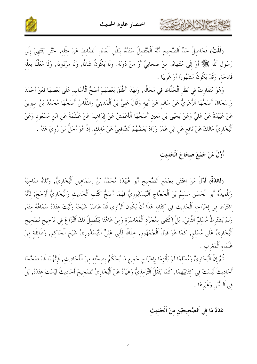



(قُلْتُ) فَحَاصِلُ حَدِّ اَلصَّحِيحِ أَنَّهُ اَلْمُتَّصِلُ سَنَدُهُ بِنَقْلِ اَلْعَدْلِ اَلضَّابِطِ عَنْ مِثْلهِ, حَتَّى يَنْتَهِيَ إِلَى رَسُولِ اَللَّهِ ﷺ أَوْ إِلَى مُنْتَهَاهُ, مِنْ صَحَابِيٍّ أَوْ مَنْ دُونَهُ, وَلَا يَكُونُ شَاذًّا, وَلَا مَرْدُودًا, وَلَا مُعَلَّلًا بِعِلَّةِ قَادحَة, وَقَدْ يَكُونُ مَشْهُورًا أَوْ غَرِيبًا .

وَهُوَ مُتَفَاوِتٌ فِي نَظَرِ اَلْحُفَّاظِ فِي مَحَالِّهِ, وَلِهَذَا أَطْلَقَ بَعْضُهُمْ أَصَحَّ اَلْأَسَانيد عَلَى بَعْضهَا فَعَنْ أَحْمَدَ وَإِسْحَاقَ أَصَحُّهَا اَلزُّهْرِيُّ عَنْ سَالِمٍ عَنْ أَبِيهِ وَقَالَ عَلِيُّ بْنُ اَلْمَدِينِيِّ والفَلَّاسُ أَصَحُّهَا مُحَمَّدُ بْنُ سيرِينَ عَنْ عُبَيْدَةَ عَنْ عَلِيٍّ وَعَنْ يَحْيَى بْنِ مَعِينِ أَصَحُّهَا اَلْأَعْمَشُ عَنْ إِبْرَاهِيمَ عَنْ عَلْقَمَةَ عَنِ ابْنِ مَسْعُودٍ وَعَنْ اَلْبُخَارِيِّ مَالِكٌ عَنْ نَافِعٍ عَنِ ابْنِ عُمَرَ وَزَادَ بَعْضُهُمْ اَلشَّافِعِيُّ عَنْ مَالِكٍ, إِذْ هُوَ أَجَلُّ مَنْ رُوِيَ عَنْهُ .

أَوَّلُ مَنْ جَمَعَ صحَاحَ اَلْحَديث

كالحشج الشاهايرتون

(فَائِدَةٌ) أَوَّلُ مَنْ اِعْتَنَى بِجَمْعِ اَلصَّحِيحِ أَبُو عُبَيْدَةَ مُحَمَّدُ بْنُ إِسْمَاعِيلَ اَلْبُخَارِيُّ, وَتَلَاهُ صَاحَبُهُ وَتلْميذُهُ أَبُو اَلْحَسَنِ مُسْلَمُ بْنُ اَلْحَجَّاجِ اَلنَّيْسَابُوريُّ فَهُمَا أَصَحُّ كُتُب اَلْحَديث وَالْبُخَاريُّ أَرْجَحُ; لأَنَّهُ اشْتَرَطَ في إخْرَاحه اَلْحَديثَ في كتَابه هَذَا أَنْ يَكُونَ اَلرَّاوي قَدْ عَاصَرَ شَيْخَهُ وَثَبَتَ عنْدَهُ سَمَاعُهُ منْهُ, وَلَمْ يَشْتَرِطْ مُسْلِمٌ اَلثَّانِيَ, بَلْ اكْتَفَى بِمُجَرَّدِ اَلْمُعَاصَرَةِ وَمِنْ هَاهُنَا يَنْفَصِلُ لَكَ اَلتّزَاعُ فِي تَرْجِيحِ تَصْحِيحِ ٱلْبُخَارِيِّ عَلَى مُسْلِمٍ, كَمَا هُوَ قَوْلُ ٱلْجُمْهُورِ, خِلَافًا لِأَبِي عَلِيٍّ اَلنَّيْسَابُورِيٍّ شَيْخِ اَلْحَاكِمِ, وَطَائِفَةِ مِنْ عُلَمَاءِ اَلْمَغْرِبِ .

تُمَّ إِنَّ اَلْبُخَارِيَّ وَمُسْلِمًا لَمْ يَلْتَزِمَا بِإِخْرَاجِ حَمِيعِ مَا يُحْكَمُ بِصِحَّتِهِ مِنَ اَلْأَحَادِيثِ, فَإِنَّهُمَا قَدْ صَحَّحَا أَحَادِيتَ لَيْسَتْ فِي كِتَابَيْهِمَا, كَمَا يَنْقُلُ التِّرْمِذِيُّ وَغَيْرُهُ عَنْ اَلْبُخَارِيِّ تَصْحِيحَ أَحَادِيتَ لَيْسَتْ عِنْدَهُ, بَلْ في اَلسُّنَن وَغَيْرِهَا .

عَدَدُ مَا فِي اَلصَّحِيحَيْنِ مِنَ اَلْحَديث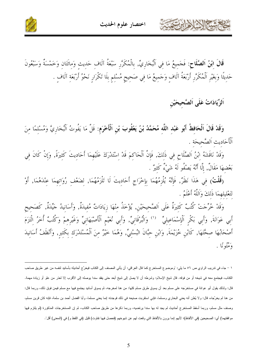

**قَالَ ابْنُ اَلصَّلَاحِ**: فَجَمِيعُ مَا فِي اَلْبُخَارِيِّ, بِالْمُكَرَّرِ سَبْعَةُ آلَاف حَديث وَمِائَتَان وَخَمْسَةٌ وَسَبْعُونَ<br>حَدِيثًا وَبِغَيْرِ اَلْمُكَرَّرِ أَرْبَعَةُ آلَافٍ وَجَمِيعُ مَا فِي صَحِيحٍ مُسْلِمٍ بِ

اَلزِّيَادَاتُ عَلَى اَلصَّحِيحَيْنِ

كالحشيج الشاهايرت

وَقَدْ قَالَ اَلْحَافِظُ أَبُو عَبْدِ اللَّهِ مُحَمَّدُ بْنُ يَعْقُوبَ بْنِ اَلْأَخْرَمِ: قَلَّ مَا يَفُوتُ اَلْبُخَارِيَّ وَمُسْلِمًا مِنَ اَلْأَحَاديث اَلصَّحيحَة .

وَقَدْ نَاقَشَهُ إِبْنُ اَلصَّلَاحِ فِي ذَلِكَ, فَإِنَّ اَلْحَاكِمَ قَدْ إسْتَدْرَكَ عَلَيْهِمَا أَحَادِيتَ كَثِيرَةً, وَإِنْ كَانَ فِي بَعْضهَا مَقَالٌ, إِلَّا أَنَّهُ يَصْفُو لَهُ شَيْءٌ كَثيرٌ .

(قُلْتُ) فِي هَذَا نَظَرٌ, فَإِنَّهُ يُلْزِمُهُمَا بِإِحْرَاجِ أَحَادِيتَ لَا تَلْزَمُهُمَا, لِضَعْفِ رُوَاتِهِمَا عِنْدَهُمَا, أَوْ لتَعْلَيلهِمَا ذَلكَ وَاَللَّهُ أَعْلَمُ .

َ وَقَدْ خُرِّجَتْ كُتُبٌ كَثِيرَةٌ عَلَى اَلصَّحِيحَيْنِ, يُؤْخَذُ مِنْهَا زِيَادَاتٌ مُفِيدَةٌ, وَأَسَانِيدُ جَيِّدَةٌ, كَصَحِيحِ<br>أَبِي عَوَانَةَ, وَأَبِي بَكْرٍ اَلْإِسْمَاعِيلِيٍّ <sup>(١)</sup> وَالْبُرْقَانِيِّ, وَأَبِي نُعَ وَمُثْوِنًا .

١ – جاء في ندريب الراوي ص ٥٦ ما يلي: "وموضوع المستخرج كما قال العرِ اقي: أن يأتي المصنف إلى الكتاب فيخرِّج أحاديثه بأسانيد لنفسه من غير طريق صاحب الكتاب، فيجتمع معه في شيخه أو من فوقه. قال شيخ الإسلام: وشرطه أن لا يصل إلى شيخ أبعد حتى يفقد سندا يوصله إلى الأقرب إلا لعذر من علو أو زيادة مهمة. قال: ولذلك يقول أبو عوانة في مستخرَجه على مسلم بعد أن يسوق طرق مسلم كلها: من هنا لمخرجه، ثم يسوق أسانيد يجتمع فيها مع مسلم فيمن فوق ذلك، وربما قال: من هنا لم يخرِّجاه، قال: ولا يُظن أنه يعني البخاري ومسلما، فإني استقربت صنيعه في ذلك فوجدته إنما يعني مسلما، وأبا الفضل أحمد بن سلمة، فإنه كان قرين مسلم، وصنف مثل مسلم، وربما أسقط المستخرج أحاديث لم يجد له بها سندا برتضيه، وربما ذكرها من طريق صاحب الكتاب، ثم إن المستخرجات المذكورة (لم يلتزم فيها موافقتهما) أي: الصحيحين (في الألفاظ)؛ لأنهم إنما يرون بالألفاظ التي وقعت لهم عن شيوخهم (فحصل فيها تفاوت) قليل (في اللفظ و) في (المعنى) أقل".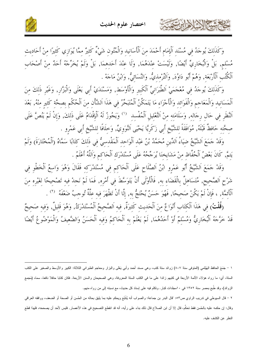

حمشا الأخلاءاين



وَكَذَلِكَ يُوجَدُ فِي مُسْنَدِ الْإِمَامِ أَحْمَدَ مِنَ الْأَسَانِيدِ وَالْمُتُونِ شَيْءٌ كَثِيرٌ مِمَّا يُوَازِي كَثِيرًا مِنْ أَحَادِيثِ مُسْلِم, بَلْ وَالْبُخَارِيِّ أَيْضًا, وَلَيْسَتْ عِنْدَهُمَا, وَلَا عِنْدَ أَحَدِهِمَا, بَلْ وَلَمْ يُخَرِّجْهُ أَحَدٌ مِنْ أَصْحَابِ ٱلْكُنُبِ ٱلْأَرْبَعَة, وَهُمْ أَبُو دَاوُدَ, وَاَلتِّرْمذيُّ, وَالنَّسَائيُّ, وَابْنُ مَاجَهْ .

وَكَذَلِكَ يُوحَدُ فِي مُعْجَمَيْ اَلطَّبَرَانِيِّ اَلْكَبِيرِ وَالْأَوْسَطِ, وَمَسْنَدَيْ أَبِي يَعْلَى وَالْبَزّارِ, وَغَيْرِ ذَلِكَ مِنَ اَلْمَسَانيد وَالْمَعَاجم وَالْفَوَائد وَالْأَجْزَاء مَا يَتَمَكَّنُ اَلْمُتَبَحِّرُ في هَذَا اَلشَّأْن منَ اَلْحُكْم بصحَّة كَثير منْهُ, بَعْدَ اَلنَّظَرِ فِي حَالٍ رِجَالِهِ, وَسَلَامَتِهِ مِنْ اَلتَّعْلِيلِ اَلْمُفْسِدِ ۚ (') وَيَجُوزُ لَهُ اَلْإِقْدَامُ عَلَى ذَلِكَ, وَإِنْ لَمْ يَنُصَّ عَلَى صحَّته حَافظٌ قَبْلَهُ, مُوَافَقَةً للشَّيْخِ أَبِي زَكَرِيَّا يَحْيَى اَلنَّوَوِيِّ, وَخلَافًا للشَّيْخ أبي عَمْرو .

وَقَدْ حَمَعَ الشَّيْخُ ضِيَاءُ اَلدِّينِ مُحَمَّدُ بْنُ عَبْدِ اَلْوَاحِدِ اَلْمَقْدسيُّ في ذَلكَ كتَابًا سَمَّاهُ (اَلْمُخْتَارَةَ) وَلَمْ يَتِمَّ, كَانَ بَعْضُ اَلْحُفَّاظِ مِنْ مَشَايِخِنَا يُرَجِّحُهُ عَلَى مُسْتَدْرَكِ اَلْحَاكِمِ وَاَللَّهُ أَعْلَمُ .

وَقَدْ جَمَعَ اَلشَّيْخُ أَبُو عَمْرو ابْنُ اَلصَّلَاحٍ عَلَى اَلْحَاكم في مُسْتَدْرَكه فَقَالَ وَهُوَ وَاسعُ اَلْخَطْو في شَرْحِ اَلصَّحيح, مُتَسَاهلٌ بالْقَضَاء به, فَالْأَوْلَى أَنْ يَتَوَسَّطَ في أَمْرِه, فَمَا لَمْ نَجِدْ فيه تَصْحيحًا لغَيْره منَ اَلْأَئِمَّةِ, ، فَإِنْ لَمْ يَكُنْ صَحِيحًا, فَهُوَ حَسَنٌ يُحْتَجُّ به, إِلَّا أَنْ تَظْهَرَ فِيه عِلَّةٌ تُوجِبُ ضَعْفَهُ  $^{(7)}$  .

(قُلْتُ) في هَذَا اَلْكتَاب أَنْوَاعٌ منَ اَلْحَديث كَثيرَةٌ, فيه اَلصَّحيحُ اَلْمُسْتَدْرَكُ, وَهُوَ قَليلٌ, وَفيه صَحيحٌ قَدْ خَرَّجَهُ ٱلْبُخَارِيُّ وَمُسْلَمٌ أَوْ أَحَدُهُمَا, لَمْ يَعْلَمْ به اَلْحَاكمُ وَفيه اَلْحَسَنُ وَالضَّعيفُ وَالْمَوْضُوعُ أَيْضًا

١ – جَمَعَ الحافظ الهَيْثمي (العنوفى سنة ٨٠٧) زوائد سنة كتب، وهي مسند أحمد وأبي يَعْلى والبزار ومعاجم الطبراني الثلاثة: الكبير والأوسط والصغير على الكتب الستة، أي: ما رواه هؤلاء الأئمة الأربعة في كتبهم زائدا على ما في الكتب الستة المعروفة، وهي الصحيحان والسنن الأربعة. فكان كتابا حافلا نافعا، سماه (مَجمع الزرائد)، وقد طُبع بمصر سنة ١٣٥٢ في ١٠مجلدات كبار . ونكلم فيه على إسناد كل حديث، مع نسبته إلى من رواه منهم.

٢ – قال السيوطي في ندريب الراوي ص٥٣: "قال البدر بن جماعة: والصواب أنه يُتَتَبع ويحكم عليه بما يليق بحاله من الحُسن أو الصحة أو الضعف، ووافقه العراقي .<br>وقال: إن حكمه عليه بالحُسن فقط تحكُّم، قال إلا أن ابن الصلاح قال ذلك بناء على رأيه، أنه قد انقصحيح في هذه الأعصار , فليس لأحد أن يصححه، فلهذا قطع النظر عن الكشف عليه.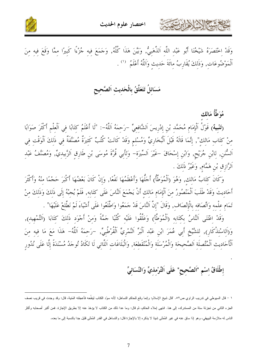



وَقَدْ اِحْتَصَرَهُ شَيْخُنَا أَبُو عَبْدِ اللَّهِ اَلذَّهَبِيُّ, وَبَيَّنَ هَذَا كُلَّهُ, وَحَمَعَ فيهِ جُزْءًا كَبِيرًا مِمَّا وَقَعَ فِيهِ مِنَ اَلْمَوْضُوعَاتِ, وَذَلِكَ يُقَارِبُ مِائَةَ حَدِيثِ وَاَللَّهُ أَعْلَمُ  $\hspace{.05cm}$  .

مَسَائلُ تَتَعَلَّقُ بِالْحَدِيثِ اَلصَّحِيح

مُوَطَّأُ مَالك

(تَنْبِيهُ) قَوْلُ اَلْإِمَامِ مُحَمَّدِ بْنِ إِدْرِيسَ اَلشَّافِعِيٍّ –رَحِمَهُ اَللَّهُ–: "لَا أَعْلَمُ كِتَابًا فِي اَلْعِلْمِ أَكْثَرَ صَوَابًا مِنْ كِتَابٍ مَالِكٍ", إِنَّمَا قَالَهُ قَبْلَ اَلْبُخَارِيٍّ وَمُسْلِمٍ وَقَدْ كَانَتْ كُتُبٌ كَثيرَةٌ مُصَنَّفَةٌ في ذَلكَ اَلْوَقْت في اَلسُّنَنِ, لِابْنِ جُرَيْحٍ, وَابْنِ إِسْحَاقَ –غَيْرَ اَلسِّيرَةِ– وَلِأَبِي قُرَّةَ مُوسَى بْنِ طَارِقٍ اَلزَّبِيدِيِّ, وَمُصَنَّفُ عَبْدِ اَلرَّازِقِ بْنِ هَمَّامٍ, وَغَيْرُ ذَلِكَ .

وَكَانَ كِتَابُ مَالِكٍ, وَهُوَ (اَلْمُوَطَّأُ) أَحَلُّهَا وَأَعْظَمُهَا نَفْعًا, وَإِنْ كَانَ بَعْضُهَا أَكْبَرَ حَجْمًا منْهُ وَأَكْثَرَ أَحَاديثَ وَقَدْ طَلَبَ اَلْمَنْصُورُ منَ اَلْإِمَام مَالك أَنْ يَجْمَعَ النَّاسَ عَلَى كتَابه, فَلَمْ يُجبْهُ إلَى ذَلكَ وَذَلكَ منْ تَمَامٍ عِلْمِهِ وَاتِّصَافِهِ بِالْإِنْصَافِ, وَقَالَ "إِنَّ اَلنَّاسَ قَدْ جَمَعُوا وَاطَّلَعُوا عَلَى أشْيَاءَ لَمْ نَطَّلعْ عَلَيْهَا" .

وَقَدْ اعْتَنَى اَلنَّاسُ بِكَتَابِهِ (اَلْمُوَطَّأْ) وَعَلَّقُوا عَلَيْهِ كُنُبًا جَمَّةً وَمِنْ أَجْوَد ذَلكَ كَتَابَا (التَّمْهيد), وَ(اَلاسْتِذْكَارِ), لِلشَّيْخِ أَبِي عُمَرَ ابْنِ عَبْدِ اَلْبَرِّ اَلنَّمْرِيِّ اَلْقُرْطُبِيِّ, –رَحِمَهُ اَللَّهُ– هَذَا مَعَ مَا فِيهِ مِنَ ٱلْأَحَادِيثِ ٱلْمُتَّصِلَةِ اَلصَّحِيحَةِ وَالْمُرْسَلَةِ وَالْمُنْقَطِعَةِ, وَالْبَلَاغَاتِ اَللَّاتِي لَا تَكَادُ تُوجَدُ مُسْنَدَةً إِلَّا عَلَى نُدُورِ

إطْلَاقُ اسْمِ "اَلصَّحِيحِ" عَلَى اَلتِّرْمذيِّ وَالنَّسَائِيِّ

١ – قال السيوطي في ندريب الراوي ص٥٢. "قال شيخ الإسلام: وإنما وقع للحاكم التساهل؛ لأنه سوّد الكتاب لينقَّحه فأعجلته المَنية، قال: وقد وجدت في قريب نصف الجزء الثاني من تجزئة ستة من المستدرك، إلى هنا. انتهى إملاء الحاكم، ثم قال: وما عدا ذلك من الكتاب لا يؤخذ عنه إلا بطريق الإجازة. فمن أكبر أصحابه وأكثر الناس له ملازمة البيهقي، وهو إذا ساق عنه في غير المُمْلي شيئا لا يذكره إلا بالإجازة قال: والتساهل في القدر المُمْلي قليل جدا بالنسبة إلى ما بعده.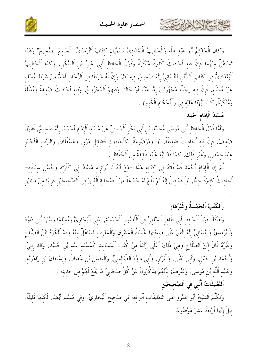



وَكَانَ اَلْحَاكِمُ أَبُو عَبْدِ اللَّهِ وَالْخَطِيبُ اَلْبَغْدَادِيُّ يُسَمِّيَانِ كِتَابَ اَلتِّرْمذيِّ "اَلْجَامِعَ اَلصَّحِيحَ" وَهَذَا تَسَاهُلٌ منْهُمَا فَإِنَّ فيه أَحَاديتَ كَثيرَةً مُنْكَرَةً وَقَوْلُ اَلْحَافظِ أَبِي عَلِيٍّ بْنِ اَلسَّكَنِ, وَكَذَا اَلْخَطِيبُ اَلْبَغْدَادِيُّ فِي كِتَابِ اَلسُّنَنِ لِلنَّسَائِيِّ إِنَّهُ صَحِيحٌ, فِيهِ نَظَرٌ وَإِنَّ لَهُ شَرْطًا فِي اَلرِّجَالِ أَشَدُّ مِنْ شَرْطٍ مُسْلِمٍ غَيْرَ مُسَلَّم, فَإِنَّ فيه رِجَالًا مَجْهُولينَ إِمَّا عَيْنًا أَوْ حَالًا, وَفِيهِمْ اَلْمَجْرُوحُ, وَفِيهِ أَحَادِيثُ ضَعِيفَةٌ وَمُعَلَّلَةٌ وَمُنْكَرَةٌ, كَمَا نَبَّهْنَا عَلَيْه في (اَلْأَحْكَام اَلْكَبِير) .

مُسْنَدُ اَلْإِمَامِ أَحْمَدَ

كالحشيم الأخراء بتعدي

وَأَمَّا قَوْلُ اَلْحَافظ أَبي مُوسَى مُحَمَّد بْنِ أَبي بَكْرِ اَلْمَدِينِيِّ عَنْ مُسْنَد اَلْإِمَام أَحْمَدَ: إنَّهُ صَحِيحٌ, فَقَوْلٌ ضَعيفٌ, فَإِنَّ فيه أَحَاديثَ ضَعيفَةً, بَلْ وَمَوْضُوعَةً, كَأَحَادِيثِ فَضَائِلِ مَرْوٍ, وَعَسْقَلَانَ, وَالْبَرْثِ اَلْأَحْمَرِ عِنْدَ حِمْصٍ, وَغَيْرِ ذَلِكَ, كَمَا قَدْ نَبَّهَ عَلَيْهِ طَائِفَةٌ مِنَ اَلْحُفَّاظِ .

نُّمَّ إِنَّ اَلْإِمَامَ أَحْمَدَ قَدْ فَاتَهُ فِي كِتَابِهِ هَذَا –مَعَ أَنَّهُ لَا يُوَازِيهِ مُسْنَدٌ فِي كَثْرَته وَحُسْنِ سِيَاقَته– أَحَادِيتُ كَثِيرَةٌ حِدًّا, بَلْ قَدْ قِيلَ إِنَّهُ لَمْ يَقَعْ لَهُ حَمَاعَةٌ مِنْ اَلصَّحَابَةِ اَلّذِينَ فِي اَلصَّحِيحَيْنِ قَرِيبًا مِنْ مِائَتَيْنِ

(اَلْكُتُبُ اَلْخَمْسَةُ وَغَيْرُهَا)

وَهَكَذَا قَوْلُ اَلْحَافظ أَبي طَاهرِ اَلسَّلَفيِّ في اَلْأُصُولِ اَلْخَمْسَةِ, يَعْنِي اَلْبُخَارِيَّ وَمُسْلِمًا وَسُنَنَ أَبي دَاوُدَ وَالتِّرْمذيِّ وَالنَّسَائيِّ إنَّهُ اتَّفَقَ عَلَى صحَّتهَا عُلَمَاءُ اَلْمَشْرِق وَالْمَغْرِب تَسَاهُلٌ منْهُ وَقَدْ أَنْكَرَهُ ابْنُ اَلصَّلَاحِ وَغَيْرُهُ قَالَ ابْنُ اَلصَّلَاحٍ وَهِيَ ذَلِكَ أَعْلَى رُتْبَةً مِنْ كُتُبِ اَلْمَسَانِيد كَمُسْنَد عَبْد بْنِ حُمَيْد, وَالدَّارِمِيّ, وَأَحْمَدَ بْنِ حَنْبَلٍ, وَأَبِي يَعْلَى, وَالْبَزَّارِ, وَأَبِي دَاوُدَ اَلطَّيَالسيٍّ, وَالْحَسَنِ بْنِ سُفْيَانَ, وَإسْحَاقَ بْن رَاهْوَيْه, وَعُبَيْد اَللَّه بْنِ مُوسَى, وَغَيْرِهمْ; لأَنَّهُمْ يَذْكُرُونَ عَنْ كُلِّ صَحَابِيٍّ مَا يَقَعُ لَهُمْ مِنْ حَديثه .

اَلتَّعْليقَاتُ اَلَّتى فى اَلصَّحيحَيْن

وَتَكَلَّمَ اَلشَّيْخُ أَبُو عَمْرِو عَلَى اَلتَّعْلِيقَاتِ اَلْوَاقِعَةِ فِي صَحِيحِ اَلْبُخَارِيِّ, وَفِي مُسْلِمٍ أَيْضًا, لَكِنَّهَا قَلِيلَةٌ, قيلَ إِنَّهَا أَرْبَعَةَ عَشَرَ مَوْضُوعًا .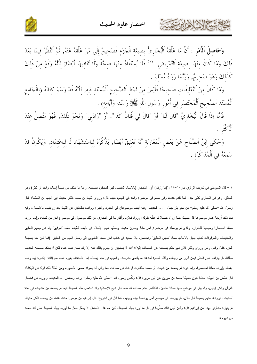

وَحَاصِلُ اَلْأَهْرِ : أَنَّ مَا عَلَّقَهُ اَلْبُخَارِيُّ بِصِيغَةِ اَلْجَزْمِ فَصَحِيحٌ إِلَى مَنْ عَلَّقَهُ عَنْهُ, ثُمَّ النَّظَرُ فِيمَا بَعْدَ ذَلِكَ وَمَا كَانَ مِنْهَا بِصِيغَةِ اَلتَّمْرِيضِ <sup>(١)</sup> فَلَا يُسْتَفَادُ مِنْهَا صِحَّةٌ وَلَا تُنَافِيهَا أَيْضًا; لِأَنَّهُ وَقَعَ مِنْ ذَلِكَ كَذَلكَ وَهُوَ صَحيحٌ, وَرُبَّمَا رَوَاهُ مُسْلَمٌ .

وَمَا كَانَ مِنْ التَّعْلِيقَاتِ صَحِيحًا فَلَيْسَ مِنْ نَمَطِ اَلصَّحِيحِ اَلْمُسْنَدِ فِيهِ, لِأَنَّهُ قَدْ وَسَمَ كِتَابَهُ (بِالْجَامِعِ ٱلْمُسْنَدِ اَلصَّحِيحِ اَلْمُخْتَصَرِ فِي أُمُورِ رَسُولِ اَللَّهِ ﷺ وَسُنَنِهِ وَأَيَّامِهِ) .

فَأَمَّا إِذَا قَالَ اَلْبُخَارِيُّ "قَالَ لَنَا" أَوْ "قَالَ لِي فُلَانٌ كَذَا", أَوْ "زَادَنِي" وَنَحْوَ ذَلِكَ, فَهُوَ مُتَّصِلٌ عِنْدَ ٱلْأَكْثَرِ .

وَحَكَى إِبْنُ اَلصَّلَاحِ عَنْ بَعْضٍ اَلْمَغَارِبَةِ أَنَّهُ تَعْلِيقٌ أَيْضًا, يَذْكُرُهُ لِلاسْتشْهَاد لَا للاعْتمَاد, وَيَكُونُ قَدْ سَمعَهُ في اَلْمُذَاكَرَة .

١ – قال السيوطي في تدريب الراوي ص٦٠–٦١: "(ما رَوَيَاه) أي: الشيخان (بالإسناد المتصل فهو المحكوم بصحته، وأما ما حذف من مبتدأ إسناده واحد أو أكثر) وهو المعلق، وهو في البخاري كثير جدا، كما نقدم عدده، وفي مسلم في موضوع واحد في التيمم، حيث قال: وروى الليث بن سعد، فذكر حديث أبي الجهم بن الصِّمة: أقبل رسول الله حملي الله عليه وسلم– من نحو بئر جمل … …الحديث. وفيه أيضا موضوعان في الحدود والبيوع رواهما بالتعليق عن الليث بعد روايتهما بالاتصال، وفيه بعد ذلك أربعة عشر موضوعا كل حديث منها رواه متصلا ثم عقّبه بقوله: ورواه فلان. وأكثر ما في البخاري من ذلك موصول في موضوع آخر من كتابه، وإنما أورده معلقا اختصارا ومجانبة للنكرار، والذي لم يوصله في موضوع أخر مائة وستون حديثا، وصلها شيخ الإسلام في تأليف لطيف سمّاه "التوفيق" وله في جميع التعليق والمتابعات والموقوفات كتاب جليل بالأسانيد سماه "تعليق التعليق" واختصره بلا أسانيد في كتاب أخر سماه "التثمويق إلى وصل الممهم من التعليق" (فما كان منه بصيغة الجزم كقال وفعل وأمر وروى وذكر فلان فهو حكم بصحته عن المضاف إليه)؛ لأنه لا يستجيز أن يجزم بذلك عنه إلا وقد صح عنده عنه، لكن لا يحكم بصحته الحديث مطلقا، بل يتوقف على النظر فيمن أبرز من رجاله، وذلك أقسام: أحدها: ما يلتحق بشرطه، والسبب في عدم إيصاله إما الاستغناء بغيره عنه، مع إفادة الإشارة إليه وعدم إهماله بإيراده معلقا اختصارا، وإما كونه لم يسمعه من شيخه، أو سمعه مذاكرة، أو شك في سماعه، فما رأى أنه يسوقه مساق الأصول، ومن أمثلة ذلك قوله في الوكالة: قال عثمان بن الهيثم: حدثنا عون حديثنا محمد بن سيرين عن أبي هريرة قال: وكَلني رسول الله حملـى الله عليه وسلم– بزكاة رمضـان. …الحديث، وأورده في فضـائل القرآن وذكر اپليس، ولم يقل في موضع منها حدثنا عثمان، فالظاهر عدم سماعه له منه. قال شيخ الإسلام: وقد استعمل هذه الصيغة فيما لم يسمعه من مشايخه في عدة أحاديث، فيوردها منهم بصيغة قال فلان، ثم يوردها في موضع آخر بواسطة بينه وبينهم، كما قال في التاريخ: قال إبراهيم بن موسى: حدثنا هشام بن يوسف فذكر حديثا، ثم يقول: حنثونى بهذا عن إبراهيم قال: ولكن ليس ذلك مطَّردا في كل ما أورد بهذه الصيغة، لكن مع هذا الاحتمال لا يجمُل حمل ما أورده بهذه الصيغة على أنه سمعه من شيوخه".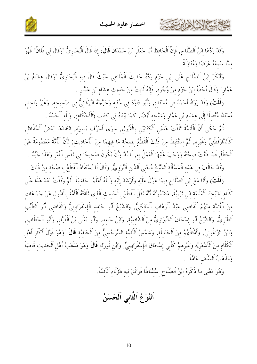EHN NROZE



وَقَدْ رَدَّهَا ابْنُ اَلصَّلَاح, فَإِنَّ اَلْحَافظَ أَبَا حَعْفَرِ بْنَ حَمْدَانَ قَالَ: إِذَا قَالَ اَلْبُخَارِيُّ "وَقَالَ لِي فُلَانٌ" فَهُوَ ممَّا سَمعَهُ عَرَضًا وَمُنَاوَلَةً .

وَأَنْكُرَ ابْنُ اَلصَّلَاحٍ عَلَى ابْنِ حَرْمٍ رَدَّهُ حَدِيتَ اَلْمَلَاهِي حَيْتُ قَالَ فِيهِ اَلْبُخَارِيٌّ "وَقَالَ هِشَامُ بْنُ عَمَّارِ" وَقَالَ أَحْطَأَ ابْنُ حَزْمٍ مِنْ وُجُوهِ, فَإِنَّهُ ثَابِتٌ مِنْ حَدِيثٍ هِشَامٍ بْنِ عَمَّارٍ .

(قُلْتُ) وَقَدْ رَوَاهُ أَحْمَدُ فِي مُسْنَدِهِ, وَأَبُو دَاوُدَ فِي سُنَنِهِ وَخَرَّجَهُ البُرْقَانِيُّ فِي صَحيحهِ, وَغَيْرُ وَاحِدِ, مُسْنَدًا مُتَّصِلًا إِلَى هِشَامٍ بْنِ عَمَّارٍ وَشَيْخِهِ أَيْضًا, كَمَا بَيّْنَاهُ فِي كِتَابٍ (اَلْأَحْكَامٖ), وَلِلَّهِ اَلْحَمْدُ .

نُمَّ حَكَى أَنَّ الْأَئمَّةَ تَلَقَّتْ هَذَيْنِ اَلْكَتَابَيْنِ بِالْقَبُولِ, سوَى أَحْرُف يَسيرَة, انْتَقَدَهَا بَعْضُ اَلْحُفَّاظِ, كَالدَّارَقُطْنِيٍّ وَغَيْرِهِ, ثُمَّ اسْتُنْبطَ منْ ذَلكَ الْقَطْعُ بصحَّة مَا فيهمَا مِنَ اَلْأَحَادِيث; لأَنَّ الْأُمَّةَ مَعْصُومَةٌ عَنْ اَلْخَطَأَ, فَمَا ظَنَّتْ صحَّتُهُ وَوَجَبَ عَلَيْهَا اَلْعَمَلُ به, لَا بُدَّ وَأَنْ يَكُونَ صَحيحًا في نَفْس الْأَمْر وَهَذَا جَيِّدٌ .

وَقَدْ خَالَفَ في هَذه اَلْمَسْأَلَة اَلشَّيْخُ مُحْيي اَلدِّين اَلنَّوَويُّ, وَقَالَ لَا يُسْتَفَادُ اَلْقَطْعُ بالصِّحَّة منْ ذَلكَ .

(قُلْتُ) وَأَنَا مَعَ ابْنِ اَلصَّلَاحِ فيمَا عَوَّلَ عَلَيْه وَأَرْشَدَ إِلَيْه وَاَللَّهُ أَعْلَمُ "حَاشيَةٌ" ثُمَّ وَقَفْتُ بَعْدَ هَذَا عَلَى كَلَام لشَيْخنَا اَلْعَلَّامَة ابْن تَيْميَّةَ, مَضْمُونُهُ أَنَّهُ نَقَلَ اَلْقَطْعَ بِالْحَديث اَلَّذي تَلَقَّنْهُ اَلْأُمَّةُ بِالْقَبُول عَنْ حَمَاعَات منَ الْأَئمَّة منْهُمْ الْقَاضي عَبْدُ اَلْوَهَّاب اَلْمَالكيُّ, وَالشَّيْخُ أَبُو حَامد الْإِسْفَرَايينيُّ وَالْقَاضي أَبُو اَلطَّيِّب اَلطَّبَرِيُّ, وَالشَّيْخُ أَبُو إِسْحَاقَ اَلشِّيرَازِيُّ مِنْ اَلشَّافعيَّة, وَابْنُ حَامِد, وَأَبُو يَعْلَى بْنُ اَلْفَرَّاء, وَأَبُو اَلْخَطَّاب, وَابْنُ الزَّاغُونيِّ, وَأَمْثَالُهُمْ منَ اَلْحَنَابِلَة, وَشَمْسُ اَلْأَئمَّة السَّرَخْسيُّ منَ اَلْحَنَفيَّة قَالَ "وَهُوَ قَوْلُ أَكْثَر أَهْل اَلْكَلَامِ مِنَ اَلْأَشْعَرِيَّةِ وَغَيْرِهِمْ كَأَبِي إِسْحَاقَ الْإِسْفَرَايِينِيٍّ, وَابْنِ فُورَكِ **قَالَ** وَهُوَ مَذْهَبُ أَهْلِ اَلْحَدِيثِ قَاطِبَةً وَمَذْهَبُ اَلسَّلَف عَامَّةً" .

وَهُوَ مَعْنَى مَا ذَكَرَهُ ابْنُ اَلصَّلَاحِ اسْتنْبَاطًا فَوَافَقَ فيه هَؤُلَاء اَلْأَئمَّةُ.

اَلنَّوْعُ اَلثَّاني اَلْحَسَنُ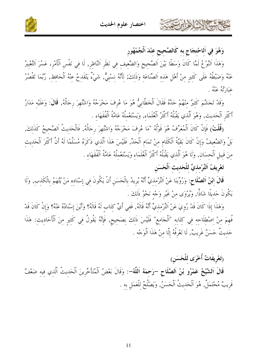

وَهُوَ فِي اَلِاحْتجَاج به كَالصَّحيح عنْدَ اَلْجُمْهُور

كالحمشة الأوابرت

وَهَذَا اَلنَّوْعُ لَمَّا كَانَ وَسَطًا بَيْنَ اَلصَّحِيحِ وَالضَّعِيفِ فِي نَظَرِ اَلنَّاظِرِ, لَا فِي نَفْسِ اَلْأَمْرِ، عَسُرَ اَلتَّعْبِيرُ عَنْهُ وَضَبْطُهُ عَلَى كَثِيرٍ مِنْ أَهْلِ هَذِهِ اَلصِّنَاعَةِ وَذَلِكَ; لِأَنَّهُ نِسْبِيٌّ, شَيْءٌ يَنْقَدِحُ عِنْهُ اَلْحَافِظِ, رُبَّمَا تَقْصُرُ عَبَارَيْهُ عَنْهُ .

وَقَدْ تَجَشَّمَ كَثيرٌ منْهُمْ حَدَّهُ فَقَالَ اَلْخَطَّابِيُّ هُوَ مَا عُرِفَ مَخْرَجُهُ وَاشْتُهِرَ رِجَالُهُ, قَالَ: وَعَلَيْهِ مَدَارُ أَكْثَرِ اَلْحَديث, وَهُوَ اَلَّذي يَقْبَلُهُ أَكْثَرُ اَلْعُلَمَاء, وَيَسْتَعْملُهُ عَامَّةُ الْفُقَهَاء .

(قُلْتُ) فَإِنْ كَانَ اَلْمُعَرِّفُ هُوَ قَوْلُهُ "مَا عُرِفَ مَخْرَجُهُ وَاشْتُهِرَ رِجَالُهُ, فَالْحَديثُ اَلصَّحيحُ كَذَلكَ, بَلْ وَالضَّعِيفُ وَإِنْ كَانَ بَقيَّةُ اَلْكَلَامِ منْ تَمَامِ اَلْحَدٍّ, فَلَيْسَ هَذَا اَلَّذي ذَكَرَهُ مُسَلَّمًا لَهُ أَنَّ أَكْثَرَ اَلْحَديث منَ قَبيلِ الْحسَانِ, وَلَا هُوَ اَلَّذي يَقْبَلُهُ أَكْثَرُ الْعُلَمَاءِ وَيَسْتَعْمَلُهُ عَامَّةُ الْفُقَهَاء .

تَعْرِيفُ التِّرْمذيِّ للْحَديث اَلْحَسَن

قَالَ ابْنُ اَلصَّلَاحٍ: وَرُوِّينَا عَنْ التِّرْمِذِيِّ أَنَّهُ يُرِيدُ بِالْحَسَنِ أَنْ يَكُونَ فِي إِسْنَادِهِ مَنْ يُتَّهَمُ بِالْكَذِبِ, وَلَا يَكُونَ حَدِيثًا شَاذًّا, وَيُرْوَى مِنْ غَيْرِ وَجْهِ نَحْوُ ذَلكَ .

وَهَذَا إِذَا كَانَ قَدْ رُوِيَ عَنْ التِّرْمِذِيِّ أَنَّهُ قَالَهُ, فَفِي أَيِّ كِتَابٍ لَهُ قَالَهُ؟ وَأَيْنَ إِسْنَادُهُ عَنْهُ؟ وَإِنْ كَانَ قَدْ فُهِمَ مِنْ اصْطِلَاحِهِ فِي كِتَابِهِ "اَلْجَامِعِ" فَلَيْسَ ذَلِكَ بِصَحِيحٍ, فَإِنَّهُ يَقُولُ فِي كَثيرٍ مِنَ اَلْأَحَادِيثِ: هَذَا حَديثٌ حَسَنٌ غَريبٌ, لَا نَعْرِفُهُ إِلَّا منْ هَذَا اَلْوَجْه .

(تَعْرِيفَاتٌ أُخْرَى للْحَسَنِ)

قَالَ اَلشَّيْخُ عَمْرُو بْنُ اَلصَّلَاحِ –رَحِمَهُ اَللَّهُ–: وَقَالَ بَعْضُ اَلْمُتَأَخِّرِينَ اَلْحَديثُ اَلّذي فيه ضَعْفٌ قَريبٌ مُحْتَمَلٌ, هُوَ اَلْحَديثُ اَلْحَسَنُ, وَيَصْلُحُ للْعَمَلِ به .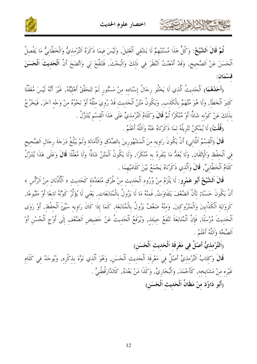

تُمَّ قَالَ اَلشَّيْخُ: وَكُلُّ هَذَا مُسْتَبْهِمٌ لَا يَشْفي اَلْغَليلَ, وَلَيْسَ فيمَا ذَكَرَهُ التِّرْمذيُّ وَالْخَطَّابيُّ مَا يَفْصلُ اَلْحَسَنَ عَنْ اَلصَّحِيحِ, وَقَدْ أَمْعَنْتُ اَلنَّظَرَ فِي ذَلِكَ وَالْبَحْثَ, فَتَنَقَّحَ لِي وَاتَّضَحَ أَنَّ الْحَليثَ اَلْحَسَنَ قسْمَان:

(أَحَمُهُمَا) اَلْحَدِيتُ اَلَّذِي لَا يَخْلُو رِجَالُ إِسْنَاده منْ مَسْتُورِ لَمْ تَتَحَقَّقْ أَهْلَيَّتُه, غَيْرَ أَنَّهُ لَيْسَ مُغَفَّلًا كَثِيرَ الْخَطَأَ, وَلَا هُوَ مُتَّهَمٌّ بِالْكَذِب, وَيَكُونُ مَتْنُ اَلْحَدِيث قَدْ رُوِيَ مِثْلُهُ أَوْ نَحْوُهُ مِنْ وَجْهِ آخَرَ, فَيَخْرُجُ بذَلكَ عَنْ كَوْنه شَاذًّا أَوْ مُنْكَرًا ثُمَّ قَالَ وَكَلَامُ اَلتِّرْمذيِّ عَلَى هَذَا اَلْقسْم يُتَنَزَّلُ .

(قُلْتُ) لَا يُمْكنُ تَنْزِيلُهُ لمَا ذَكَرْنَاهُ عَنْهُ وَاَللَّهُ أَعْلَمُ .

كالحمشة الأوارت

قَالَ (اَلْقسْمُ اَلثَّاني) أَنْ يَكُونَ رَاوِيه منَ اَلْمَشْهُورِينَ بالصِّدْق وَالْأَمَانَة وَلَمْ يَبْلُغْ دَرَجَةَ رِجَالِ اَلصَّحِيح فِي اَلْحفْظِ وَالْإِتْقَانِ, وَلَا يُعَدُّ مَا يَنْفَرِدُ بِهِ مُنْكَرًا, وَلَا يَكُونُ اَلْمَتْنُ شَاذًا وَلَا مُعَلَّلًا قَالَ وَعَلَى هَذَا يُتَنَزَّلُ كَلَامُ اَلْخَطَّابِيٍّ, قَالَ وَاَلَّذي ذَكَرْنَاهُ يَجْمَعُ بَيْنَ كَلَامَيْهِمَا .

قَالَ اَلشَّيْخُ أَبُو عَمْرو: لَا يَلْزَمُ منْ وُرُود اَلْحَديث منْ طُرُق مُتَعَدِّدَة كَحَديث ﴿ اَلْأَذُنَان منْ الرَّأْس ﴾ أَنْ يَكُونَ حَسَنًا; لأَنَّ الضَّعْفَ يَتَفَاوَتُ, فَمنْهُ مَا لَا يَزُولُ بِالْمُتَابَعَات, يَعْني لَا يُؤَثّر كَوْنُهُ تَابعًا أَوْ مَتْبُوعًا, كَروَايَة اَلْكَذَّابِينَ وَالْمَتْرُوكينَ, وَمنْهُ ضَعْفٌ يَزُولُ بِالْمُتَابَعَة, كَمَا إذَا كَانَ رَاويه سَيّئَ اَلْحفْظ, أَوْ رَوَى اَلْحَدِيتَ مُرْسَلًا, فَإِنَّ اَلْمُتَابَعَةَ تَنْفَعُ حِينَئذٍ, وَيُرْفَعُ اَلْحَدِيتُ عَنْ حَضِيضٍ اَلضَّعْفِ إِلَى أَوْجِ اَلْحُسْنِ أَوْ اَلصِّحَّة وَاَللَّهُ أَعْلَمُ .

رَالتِّرْمذيُّ أَصْلٌ في مَعْرفَة اَلْحَديث اَلْحَسَن)

قَالَ وَكتَابُ اَلتِّرْمذيٍّ أَصْلٌ في مَعْرفَة اَلْحَديث اَلْحَسَن, وَهُوَ اَلَّذي نَوَّهَ بذكْره, وَيُوحَدُ في كَلَام غَيْره منْ مَشَايخه, كَأَحْمَدَ, وَالْبُخَارِيِّ, وَكَذَا مَنْ بَعْدَهُ, كَاَلدَّارَقُطْنيٍّ . (أَبُو دَاوُدَ منْ مَظَانٍّ اَلْحَديث اَلْحَسَن)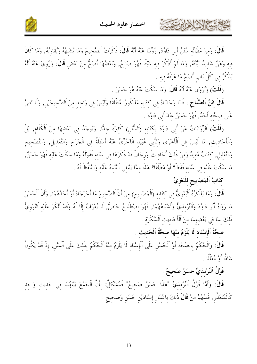



قَالَ: وَمنْ مَظَانِّه سُنَنُ أَبي دَاوُدَ, رُوِّينَا عَنْهُ أَنَّهُ قَالَ: ذَكَرْتُ اَلصَّحِيحَ وَمَا يُشْبهُهُ وَيُقَارِبُهُ, وَمَا كَانَ فيه وَهَنٌ شَديدٌ بَيَّنتُهُ, وَمَا لَمْ أَذْكُرْ فيه شَيْئًا فَهُوَ صَالِحٌ, وَبَعْضُهَا أَصَحُّ مِنْ بَعْضِ قَالَ: وَرُوِيَ عَنْهُ أَنَّهُ يَذْكُرُ في كُلِّ بَاب أَصَحَّ مَا عَرَفَهُ فيه .

(قُلْتُ) وَيُرْوَى عَنْهُ أَنَّهُ قَالَ: وَمَا سَكَتَ عَنْهُ هُوَ حَسَنٌ .

قَالَ ابْنُ اَلصَّلَاحٍ : فَمَا وَجَدْنَاهُ فِي كِتَابِهِ مَذْكُورًا مُطْلَقًا وَلَيْسَ فِي وَاحِدٍ مِنْ اَلصَّحِيحَيْنِ, وَلَا نَصَّ عَلَى صحَّته أَحَلٌ, فَهُوَ حَسَنٌ عِنْدَ أَبِي دَاوُدَ .

(قُلْتُ) اَلرِّوَايَاتُ عَنْ أَبِي دَاوُدَ بِكِتَابِهِ (اَلسُّنَنِ) كَثِيرَةٌ جِدًّا, وَيُوجَدُ فِي بَعْضهَا مِنَ اَلْكَلَامِ, بَلْ وَالْأَحَادِيثِ, مَا لَيْسَ فِي اَلْأُخْرَى وَلِأَبِي عُبَيْدِ الْآجُرِّيِّ عَنْهُ أَسْئِلَةٌ فِي اَلْجَرْح وَالتَّعْديلِ, وَالتَّصْحِيح وَالتَّعْلِيلِ, كِتَابٌ مُفيدٌ وَمنْ ذَلِكَ أَحَادِيثُ وَرِجَالٌ قَدْ ذَكَرَهَا فِي سُنَنِه فَقَوْلُهُ وَمَا سَكَتَ عَلَيْه فَهُوَ حَسَنٌ, مَا سَكَتَ عَلَيْه في سُنَنه فَقَطْ؟ أَوْ مُطْلَقًا؟ هَذَا ممَّا يَنْبَغي اَلتَّنْبِيهُ عَلَيْهِ وَالتَّيَقُّطُ لَهُ .

كتَابُ اَلْمَصَابِيحِ لِلْبَغَوِيِّ

كالحشم الشلاطارتون

قَالَ: وَمَا يَذْكُرُهُ اَلْبَغَوِيُّ فِي كِتَابِهِ (اَلْمَصَابِيحِ) مِنْ أَنَّ اَلصَّحِيحَ مَا أَخْرَجَاهُ أَوْ أَحَدُهُمَا, وَأَنَّ اَلْحَسَنَ مَا رَوَاهُ أَبُو دَاوُدَ وَاَلتِّرْمذيُّ وَأَشْبَاهُهُمَا, فَهُوَ اصْطلَاحٌ خَاصٌّ, لَا يُعْرَفُ إلَّا لَهُ وَقَدْ أَنْكَرَ عَلَيْه اَلنَّوَويُّ ذَلِكَ لِمَا فِي بَعْضِهِمَا مِنَ اَلْأَحَادِيثِ اَلْمُنْكَرَةِ .

صحَّةُ اَلْإِسْنَاد لَا يَلْزَمُ منْهَا صحَّةُ اَلْحَديث .

قَالَ: وَالْحُكْمُ بِالصِّحَّةِ أَوْ اَلْحُسْنِ عَلَى اَلْإِسْنَادِ لَا يَلْزَمُ مِنْهُ اَلْحُكْمُ بِذَلِكَ عَلَى اَلْمَتْنِ, إِذْ قَدْ يَكُونُ شَاذًّا أَوْ مُعَلَّلًا .

قَوْلُ اَلتِّرْمذيِّ حَسَنٌ صَحِيحٌ .

قَالَ: وَأَمَّا قَوْلُ اَلتِّرْمذيِّ "هَذَا حَسَنٌ صَحِيحٌ" فَمُشْكِلٌ; لِأَنَّ اَلْجَمْعَ بَيْنَهُمَا فِي حَديث وَاحِد كَالْمُتَعَذِّرِ, فَمِنْهُمْ مَنْ قَالَ ذَلِكَ بِاعْتِبَارِ إِسْنَادَيْنِ حَسَنٍ وَصَحِيحٍ .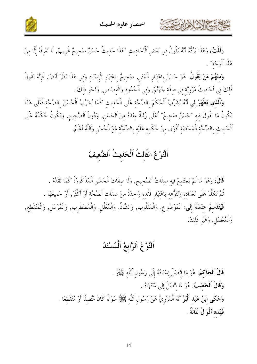حمشا الأخلاءا المتعق



(قُلْتُ) وَهَذَا يَرُدُّهُ أَنَّهُ يَقُولُ فِي بَعْضِ اَلْأَحَادِيثِ "هَذَا حَدِيثٌ حَسَنٌ صَحِيحٌ غَرِيبٌ, لَا نَعْرِفُهُ إِلَّا مِنْ هَذَا اَلْوَجْه" .

وَمِنْهُمْ مَنْ يَقُولُ: هُوَ حَسَنٌ بِاعْتِبَارِ اَلْمَتْنِ, صَحيحٌ بِاعْتِبَارِ الْإِسْنَادِ وَفِي هَذَا نَظَرٌ أَيْضًا, فَإِنَّهُ يَقُولُ ذَلِكَ فِي أَحَادِيتَ مَرْوِيَّةٍ فِي صِفَةٍ حَهَنَّمَ, وَفِي اَلْحُدُودِ وَالْقِصَاصِ, وَنَحْوِ ذَلِكَ .

وَاَلَّذي يَظْهَرُ لي أَنَّهُ يُشَرِّبُ اَلْحُكْمَ بالصِّحَّة عَلَى اَلْحَديث كَمَا يُشَرِّبُ اَلْحُسْنَ بالصِّحَّة فَعَلَى هَذَا يَكُونُ مَا يَقُولُ فِيهِ "حَسَنٌ صَحِيحٌ" أَعْلَى رُتْبَةً عِنْدَهُ مِنَ اَلْحَسَنِ, وَدُونَ اَلصَّحِيح, وَيَكُونُ حُكْمُهُ عَلَى اَلْحَدِيتِ بِالصِّحَّةِ اَلْمَحْضَةِ أَقْوَى مِنْ حُكْمِهِ عَلَيْهِ بِالصِّحَّةِ مَعَ اَلْحُسْنِ وَاَللَّهُ أَعْلَمُ.

## اَلنَّوْعُ الثَّالثُ اَلْحَديثُ اَلضَّعيفُ

قَالَ: وَهُوَ مَا لَمْ يَجْتَمعْ فيه صفَاتُ اَلصَّحيح, وَلَا صفَاتُ اَلْحَسَنِ اَلْمَذْكُورَةُ كَمَا تَقَدَّمَ . نُمَّ تَكَلَّمَ عَلَى تَعْدَاده وَتَنَوُّعه باعْتبَار فَقْده وَاحدَةً منْ صفَات اَلصِّحَّة أَوْ أَكْثَرَ, أَوْ جَميعَهَا . فَيَنْقَسِمُ جِنْسُهُ إِلَى: اَلْمَوْضُوعِ, وَالْمَقْلُوبِ, وَالشَّاذِّ, وَالْمُعَلَّلِ, وَالْمُضْطَرِبِ, وَالْمُرْسَلِ, وَالْمُنْقَطِعِ, وَالْمُعْضَلِ, وَغَيْرِ ذَلكَ.

#### اَلنَّوْعُ اَلرَّابِعُ اَلْمُسْنَدُ

قَالَ اَلْحَاكُمُ: هُوَ مَا اتَّصَلَ إسْنَادُهُ إِلَى رَسُول اَللَّه ﷺ. وَقَالَ اَلْخَطِيبُ: هُوَ مَا اتَّصَلَ إلَى مُنْتَهَاهُ . وَحَكَى ابْنُ عَبْد اَلْبَرِّ أَنَّهُ اَلْمَرْوِيُّ عَنْ رَسُول اَللَّه ﷺ سَوَاءٌ كَانَ مُتَّصلًا أَوْ مُنْقَطعًا . فَهَذه أَقْوَالٌ ثَلَاثَةٌ .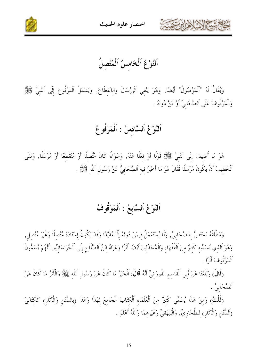

اختصار علوم الحديث



اَلنَّوْغُ اَلْخَامسُ اَلْمُتَّصلُ

وَيُقَالُ لَهُ "اَلْمَوْصُولُ" أَيْضًا, وَهُوَ يَنْفِي اَلْإِرْسَالَ وَالِانْقِطَاعَ, وَيَشْمَلُ اَلْمَرْفُوعَ إِلَى اَلنَّبِيٍّ ݣَالِي وَالْمَوْقُوفَ عَلَى اَلصَّحَابِيِّ أَوْ مَنْ دُونَهُ .

## اَلنَّوْغُ اَلسَّادسُ : اَلْمَرْفُوعُ

هُوَ مَا أُضِيفَ إِلَى اَلنَّبِيِّ ﷺ قَوْلًا أَوْ فِعْلًا عَنْهُ, وَسَوَاءٌ كَانَ مُتَّصِلًا أَوْ مُنْقَطعًا أَوْ مُرْسَلًا, وَنَفَى ٱلْخَطِيبُ أَنْ يَكُونَ مُرْسَلًا فَقَالَ هُوَ مَا أَخْبَرَ فِيهِ اَلصَّحَابِيُّ عَنْ رَسُولِ اَللَّهِ ﷺ .

#### اَلنَّوْغُ اَلسَّابِعُ : اَلْمَوْقُوفُ

وَمُطْلَقُهُ يَحْتَصُّ بِالصَّحَابِيِّ, وَلَا يُسْتَعْمَلُ فِيمَنْ دُونَهُ إِلَّا مُقَيَّدًا وَقَدْ يَكُونُ إِسْنَادُهُ مُتَّصِلًا وَغَيْرَ مُتَّصِلٍ, وَهُوَ اَلَّذي يُسَمِّيه كَثيرٌ منَ اَلْفُقَهَاءِ وَالْمُحَدِّثِينَ أَيْضًا أَثَرًا وَعَزَاهُ اِبْنُ الصَّلَاحِ إِلَى اَلْخُرَاسَانِيِّينَ أَنَّهُمْ يُسَمُّونَ أَلْمَوْقُوفَ أَنْرًا .

(قَالَ) وَبَلَغَنَا عَنْ أَبِي اَلْقَاسِمِ الفُورَانِيِّ أَنَّهُ قَالَ: اَلْخَبَرُ مَا كَانَ عَنْ رَسُولِ اَللَّه ﷺ وَالْأَثَرُ مَا كَانَ عَنْ اَلصَّحَابِيِّ .

(قُلْتُ) وَمنْ هَذَا يُسَمِّي كَثيرٌ منَ الْعُلَمَاء اَلْكتَابَ اَلْجَامعَ لهَذَا وَهَذَا (بالسُّنَن وَالْآثَار) كَكتَابَيْ (اَلسُّنَنِ وَالْآثَارِ) لِلطَّحَاوِيِّ, وَالْبَيْهَقيِّ وَغَيْرِهمَا وَاَللَّهُ أَعْلَمُ .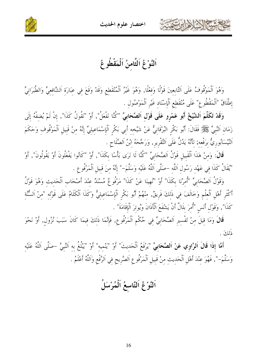



اَلنَّوْ عُ اَلثَّامنُ اَلْمَقْطُو عُ

 $\sqrt{|\sum_{i} z_i|}$ 

وَهُوَ اَلْمَوْقُوفُ عَلَى اَلتَّابِعِينَ قَوْلًا وَفِعْلًا, وَهُوَ غَيْرُ اَلْمُنْقَطِعِ وَقَدْ وَقَعَ فِي عِبَارَةِ اَلشَّافِعِيِّ وَالطَّبَرَانِيِّ إطْلَاقُ "اَلْمَقْطُوعِ" عَلَى مُنْقَطعِ اَلْإِسْنَاد غَيْرِ اَلْمَوْصُول .

وَقَدْ تَكَلَّمَ اَلشَّيْخُ أَبُو عَمْرِو عَلَى قَوْلِ اَلصَّحَابِيِّ "كُنَّا نَفْعَلُ", أَوْ "نَقُولُ كَذَا", إِنْ لَمْ يُضِفْهُ إِلَى زَمَان اَلنَّبِيِّ ﷺ فَقَالَ: أَبُو بَكْرِ البُرْقَانِيُّ عَنْ شَيْخِهِ أَبِي بَكْرِ اَلْإِسْمَاعِيلِيِّ إِنَّهُ مِنْ قَبِيلِ اَلْمَوْقُوفِ وَحَكَمَ اَلنَّيْسَابُوريُّ برَفْعه; لأَنَّهُ يَدُلُّ عَلَى اَلتَّقْرير, وَرَجَّحَهُ ابْنُ اَلصَّلَاح .

قَالَ: وَمنْ هَذَا اَلْقَبِيل قَوْلُ اَلصَّحَابِيِّ "كُنَّا لَا نَرَى بَأْسًا بِكَذَا", أَوْ "كَانُوا يَفْعَلُونَ أَوْ يَقُولُونَ", أَوْ "يُقَالُ كَذَا في عَهْد رَسُول اَللَّه –صَلَّى اَللَّهُ عَلَيْه وَسَلَّمَ–" إنَّهُ منَ قَبيل اَلْمَرْفُوع .

وَقَوْلُ اَلصَّحَابِيِّ "أُمِرْنَا بِكَذَا" أَوْ "نُهِينَا عَنْ كَذَا" مَرْفُوعٌ مُسْنَدٌ عنْدَ أَصْحَاب اَلْحَديث وَهُوَ قَوْلُ أَكْثَر أَهْلِ الْعلْمِ وَخَالَفَ في ذَلكَ فَرِيقٌ, منْهُمْ أَبُو بَكْرِ اَلْإِسْمَاعِيلِيُّ وَكَذَا اَلْكَلَامُ عَلَى قَوْله "منْ اَلسُّنَّة كَذَا", وَقَوْلِ أَنَسِ "أُمرَ بِلَالٌ أَنْ يَشْفَعَ الْأَذَانَ وَيُوترَ الْإِقَامَةَ" .

قَالَ وَمَا قِيلَ منْ تَفْسيرِ اَلصَّحَابِيٍّ فِي حُكْمِ اَلْمَرْفُوعِ, فَإِنَّمَا ذَلِكَ فِيمَا كَانَ سَبَبَ نُزُولٍ, أَوْ نَحْوَ ذَلكَ

أَمَّا إِذَا قَالَ اَلرَّاوِي عَنْ اَلصَّحَابِيِّ "يَرْفَعُ اَلْحَديتَ" أَوْ "يَنْميه" أَوْ "يَبْلُغُ به اَلنَّبيَّ –صَلَّى اَللَّهُ عَلَيْه وَسَلَّمَ-", فَهُوَ عِنْدَ أَهْلِ اَلْحَدِيثِ مِنْ قَبِيلِ اَلْمَرْفُوعِ اَلصَّرِيحِ فِي اَلرَّفْعِ وَاللَّهُ أَعْلَمُ .

اَلنَّوْعُ اَلتَّاسعُ اَلْمُرْسَلُ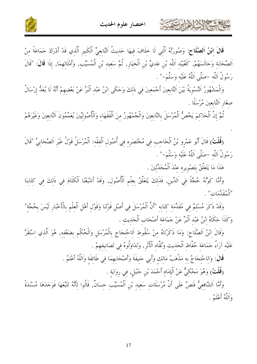



قَالَ اِبْنُ اَلصَّلَاحِ: وَصُورَتُهُ اَلَّتِي لَا حِلَافَ فِيهَا حَديثُ اَلتَّابِعيِّ اَلْكَبِيرِ اَلَّذي قَدْ أَدْرَكَ حَمَاعَةً منْ اَلصَّحَابَةِ وَجَالَسَهُمْ, كَعُبَيْدِ اَللَّهِ بْنِ عَدِيٍّ بْنِ اَلْخِيَارِ, ثُمَّ سَعِيدِ بْنِ اَلْمُسَيَّبِ, وَأَمْثَالِهِمَا, إِذَا قَالَ: "قَالَ رَسُولُ اَللَّه –صَلَّى اَللَّهُ عَلَيْه وَسَلَّمَ–" .

وَالْمَشْهُورُ اَلتَّسْوِيَةُ بَيْنَ اَلتَّابِعِينَ أَجْمَعِينَ فِي ذَلِكَ وَحَكَى اِبْنُ عَبْدِ اَلْبَرِّ عَنْ بَعْضِهِمْ أَنَّهُ لَا يُعَدُّ إِرْسَالُ صغَار اَلتَّابعينَ مُرْسَلًا .

تُمَّ إِنَّ اَلْحَاكِمَ يَخُصُّ اَلْمُرْسَلَ بِالتَّابِعِينَ وَالْجُمْهُورُ مِنَ اَلْفُقَهَاءِ وَالْأُصُولِيِّينَ يُعَمِّمُونَ اَلتَّابِعِينَ وَغَيْرَهُمْ

(قُلْتُ) قَالَ أَبُو عَمْرِو بْنُ اَلْحَاجِبِ فِي مُخْتَصَرِهِ فِي أُصُولِ اَلْفِقْهِ: اَلْمُرْسَلُ قَوْلُ غَيْرِ الصَّحَابِيِّ "قَالَ رَسُولُ اَللَّه –صَلَّى اَللَّهُ عَلَيْه وَسَلَّمَ–" .

هَذَا مَا يَتَعَلَّقُ بتَصْويره عنْدَ اَلْمُحَدِّثَينَ .

كالحشيم الأخالات

وَأَمَّا كَوْنُهُ حُجَّةً فِي اَلدِّينِ, فَذَلِكَ يَتَعَلَّقُ بِعِلْمِ اَلْأُصُولِ, وَقَدْ أَشْبَعْنَا اَلْكَلَامَ فِي ذَلِكَ فِي كِتَابِنَا "اَلْمُقَدِّمَاتِ" .

وَقَدْ ذَكَرَ مُسْلِمٌ فِي مُقَدِّمَةٍ كَتَابِهِ "أَنَّ الْمُرْسَلَ فِي أَصْلِ قَوْلِنَا وَقَوْلِ أَهْلِ الْعِلْم بالْأَخْبَارِ لَيْسَ بِحُجَّة" وَكَذَا حَكَاهُ ابْنُ عَبْد اَلْبَرِّ عَنْ حَمَاعَة أَصْحَاب اَلْحَديث .

وَقَالَ ابْنُ اَلصَّلَاحٍ: وَمَا ذَكَرْنَاهُ مِنْ سُقُوطِ اَلِاحْتِجَاجِ بِالْمُرْسَلِ وَالْحُكْمِ بضَعْفهِ, هُوَ اَلَّذِي اِسْتَقَرَّ عَلَيْهِ آرَاءُ حَمَاعَةِ حُفَّاظِ اَلْحَديثِ وَنُقَّادِ اَلْأَثَرِ, وَتَدَاوَلُوهُ فِي تَصَانِفِهِمْ .

قَالَ: وَاللحْتجَاجُ به مَذْهَبُ مَالك وَأَبي حَنيفَةَ وَأَصْحَابهمَا في طَائفَة وَاللَّهُ أَعْلَمُ .

(قُلْتُ) وَهُوَ مَحْكِيٌّ عَنْ اَلْإِمَامِ أَحْمَدَ بْنِ حَنْبَلٍ, فِي رِوَايَةِ .

وَأَمَّا اَلشَّافِعيُّ فَنَصَّ عَلَى أَنَّ مُرْسَلَاتِ سَعِيد بْنِ اَلْمُسَيَّبِ حِسَانٌ, قَالُوا لِأَنَّهُ تَتَّعَهَا فَوَجَدَهَا مُسْنَدَةً وَاَللَّهُ أَعْلَمُ .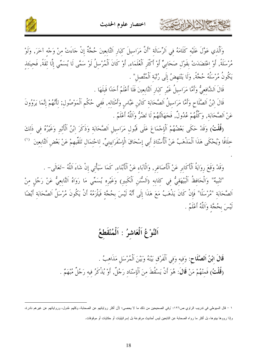



وَاَلَّذِي عَوَّلَ عَلَيْهِ كَلَامَهُ فِي اَلرِّسَالَةِ "أَنَّ مَرَاسِيلَ كِبَارِ التَّابِعِينَ حُجَّةٌ إِنْ جَاءَتْ مِنْ وَجْهِ آخَرَ, وَلَوْ مُرْسَلَةً, أَوْ اِعْتَضَدَتْ بِقَوْلِ صَحَابِيٍّ أَوْ أَكْثَرِ اَلْعُلَمَاءِ, أَوْ كَانَ اَلْمُرْسِلُ لَوْ سَمَّى لَا يُسَمِّي إِلَّا ثِقَةً, فَحِينَئذ يَكُونُ مُرْسَلُهُ حُجَّةً, وَلَا يَنْتَهِضُ إِلَى رُبَّبَة اَلْمُتَّصِلٍ" .

قَالَ الشَّافعيُّ وَأَمَّا مَرَاسيلُ غَيْرِ كبَارِ التَّابعينَ فَلَا أَعْلَمُ أَحَدًا قَبلَهَا .

حشيهم الأخرابرت

قَالَ ابْنُ اَلصَّلَاحٍ وَأَمَّا مَرَاسِيلُ اَلصَّحَابَةِ كَابْنِ عَبَّاسٍ وَأَمْثَالِهِ, فَفِي حُكْمِ اَلْمَوْصُولِ; لِأَنَّهُمْ إِنَّمَا يَرْوُونَ عَنْ اَلصَّحَابَة, وَكُلُّهُمْ عُدُولٌ, فَجَهَالَنُهُمْ لَا تَضُرُّ وَاللَّهُ أَعْلَمُ .

(قُلْتُ) وَقَدْ حَكَى بَعْضُهُمْ اَلْإِجْمَاعَ عَلَى قَبُولِ مَرَاسِيلِ اَلصَّحَابَةِ وَذَكَرَ إِبْنُ اَلْأَثِيرِ وَغَيْرُهُ فِي ذَلِكَ حلَافًا وَيُحْكَى هَذَا اَلْمَذْهَبُ عَنْ اَلْأُسْتَاذِ أَبِي إِسْحَاقَ الْإِسْفَرَايِينِيٍّ, لِاحْتِمَالِ تَلَقِّيهِمْ عَنْ بَعْضِ اَلتَّابِعِينَ  $\,$   $\,$ 

وَقَدْ وَقَعَ رِوَايَةُ ٱلْأَكَابِرِ عَنْ ٱلْأَصَاغِرِ, وَالْآبَاءِ عَنْ ٱلْأَبْنَاءِ, كَمَا سَيَأْتِي إِنْ شَاءَ اللَّهُ –تَعَالَى– .

"تَنْبِيهُ" وَالْحَافِظُ اَلْبَيْهَقِيُّ فِي كِتَابِهِ (اَلسُّنَنِ اَلْكَبِيرِ) وَغَيْرِهِ يُسَمِّي مَا رَوَاهُ التَّابِعِيُّ عَنْ رَجُلٍ مِنْ اَلصَّحَابَةِ "مُرْسَلًا" فَإِنْ كَانَ يَذْهَبُ مَعَ هَذَا إِلَى أَنَّهُ لَيْسَ بِحُجَّةٍ فَيَلْزَمُهُ أَنْ يَكُونَ مُرْسَلُ اَلصَّحَابَةِ أَيْضًا لَيْسَ بِحُجَّةٍ وَاَللَّهُ أَعْلَمُ .

## اَلنَّوْعُ اَلْعَاشِرُ : اَلْمُنْقَطِعُ

قَالَ ابْنُ اَلصَّلَاحِ: وَفِيهِ وَفِي اَلْفَرْقِ بَيْنَهُ وَبَيْنَ اَلْمُرْسَلِ مَذَاهِبُ . (قُلْتُ) فَمِنْهُمْ مَنْ قَالَ: هُوَ أَنْ يَسْقُطَ مِنَ اَلْإِسْنَادِ رَجُلٌ, أَوْ يُذْكَرُ فِيهِ رَجُلٌ مُبْهَمٌ .

١ – قال السيوطي في ندريب الراوي ص١٢٦: "وفي الصحيحين من ذلك ما لا يحصى؛ لأن أكثر رواياتهم عن الصحابة، وكلهم عُدول، ورواياتهم عن غيرهم نادرة، وإذا رووها بينوها، بل أكثر ما رواه الصحابة عن التابعين ليس أحاديث مرفوعة بل إسرائيليات أو حكايات أو موقوفات.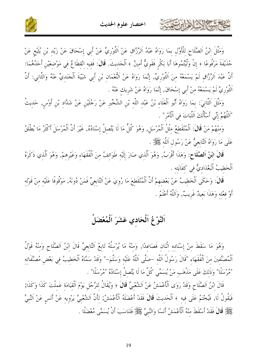

كالحشيم الأخالات



وَمَثَّلَ إِبْنُ اَلصَّلَاحِ لِلْأَوَّلِ بِمَا رَوَاهُ عَبْدُ اَلرَّزَّاقِ عَنْ اَلثَّوْرِيِّ عَنْ أَبِي إِسْحَاقَ عَنْ زَيْدِ بْنِ يُثَيْعِ عَنْ حُذَيْفَةَ مَرْفُوعًا ﴿ إِنْ وَلَّيْتُمُوهَا أَبَا بَكْرٍ فَقَوئٍ ۗ أَمينٌ ﴾ اَلْحَديثَ. قَالَ: فَفيه انْقطَاعٌ في مَوْضعَيْن أَحَدُهُمَا: أَنَّ عَبْدَ اَلرَّزَّاقِ لَمْ يَسْمَعْهُ مِنَ اَلثَّوْرِيِّ, إِنَّمَا رَوَاهُ عَنْ اَلْنُعْمَانِ بْنِ أَبِي شَيْبَةَ اَلْجَنَدِيِّ عَنْهُ وَالثَّانِي: أَنَّ اَلتَّوْرِيَّ لَمْ يَسْمَعْهُ منْ أَبي إسْحَاقَ, إنَّمَا رَوَاهُ عَنْ شَرِيك عَنْهُ .

وَمَثَّلَ اَلثَّانِيَ: بمَا رَوَاهُ أَبُو اَلْعَلَاءِ بْنُ عَبْدِ اللَّهِ بْنِ الشِّخِّيرِ عَنْ رَجُلَيْنِ عَنْ شَدَّادِ بْنِ أَوْسٍ, حَدِيثُ "اَللَّهُمَّ إِنِّي أَسْأَلُكَ الثَّبَاتَ في الْأَمْرِ" .

وَمِنْهُمْ مَنْ قَالَ: اَلْمُنْقَطِعُ مِثْلُ اَلْمُرْسَلِ, وَهُوَ كُلُّ مَا لَا يَتَّصِلُ إِسْنَادُهُ, غَيْرَ أَنَّ اَلْمُرْسَلَ أَكْثَرُ مَا يُطْلَقُ عَلَى مَا رَوَاهُ اَلتَّابِعيُّ عَنْ رَسُول اَللَّه ﷺ.

قَالَ ابْنُ اَلصَّلَاحٍ: وَهَذَا أَقْرَبُ, وَهُوَ اَلَّذِي صَارَ إِلَيْهِ طَوَائِفُ مِنَ اَلْفُقَهَاءِ وَغَيْرِهِمْ, وَهُوَ اَلَّذِي ذَكَرَهُ اَلْخَطِيبُ اَلْبَغْدَاديٌّ في كفَايَته .

قَالَ: وَحَكَى اَلْخَطِيبُ عَنْ بَعْضِهِمْ أَنَّ اَلْمُنْقَطِعَ مَا رُوِيَ عَنْ اَلتَّابِعِيِّ فَمَنْ دُونَهُ, مَوْقُوفًا عَلَيْهِ مِنْ قَوْلِه أَوْ فِعْلِهِ وَهَذَا بَعِيدٌ غَرِيبٌ, وَاَللَّهُ أَعْلَمُ .

#### اَلنَّوْ عُ اَلْحَادي عَشَرَ اَلْمُعْضَلُ

وَهُوَ مَا سَقَطَ منْ إسْنَاده اثْنَان فَصَاعدًا, وَمنْهُ مَا يُرْسلُهُ تَابِعُ اَلتَّابِعيِّ قَالَ ابْنُ اَلصَّلَاح وَمنْهُ قَوْلُ اَلْمُصَنِّفينَ منَ اَلْفُقَهَاء "قَالَ رَسُولُ اَللَّه –صَلَّى اَللَّهُ عَلَيْه وَسَلَّمَ–" وَقَدْ سَمَّاهُ اَلْخَطيبُ في بَعْض مُصَنَّفَاته "مُرْسَلًا" وَذَلكَ عَلَى مَذْهَبٍ مَنْ يُسَمِّي كُلَّ مَا لَا يَتَّصلُ إِسْنَادُهُ "مُرْسَلًا" .

قَالَ ابْنُ اَلصَّلَاحِ وَقَدْ رَوَى اَلْأَعْمَشُ عَنْ اَلشَّعْبيِّ قَالَ ﴿ وَيُقَالُ للرَّجُلِ يَوْمَ اَلْقيَامَة عَملْتَ كَذَا وَكَذَا; فَيَقُولُ لَا, فَيُخْتَمُ عَلَى فيه ﴾ اَلْحَديثَ قَالَ فَقَدْ أَعْضَلَهُ اَلْأَعْمَشُ; لأَنَّ اَلشَّعْبيَّ يَرْويه عَنْ أَنَس عَنْ اَلنَّبيِّ عَلِيٌّ قَالَ فَقَدْ أَسْقَطَ منْهُ اَلْأَعْمَشُ أَنَسًا وَالنَّبِيَّ كَيْتَلَا فَتَنَاسَبَ أَنْ يُسَمَّى مُعْضَلًا .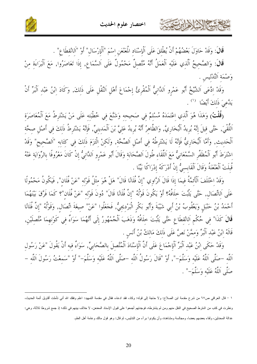



قَالَ: وَقَدْ حَاوَلَ بَعْضُهُمْ أَنْ يُطْلِقَ عَلَى اَلْإِسْنَادِ الْمَعْنْعَنِ اسْمَ "اَلْإِرْسَالِ" أَوْ "اَلِانْقِطَاعِ" .

قَالَ: وَالصَّحِيحُ اَلَّذِي عَلَيْهِ اَلْعَمَلُ أَنَّهُ مُتَّصِلٌ مَحْمُولٌ عَلَى اَلسَّمَاعِ, إِذَا تَعَاصَرُوا, مَعَ اَلْبَرَاءَةِ مِنْ وَصْمَة اَلتَّدْليس .

وَقَدْ ادَّعَى اَلشَّيْخُ أَبُو عَمْرِو اَلدَّانِيُّ اَلْمُقْرِئُ إِجْمَاعَ أَهْلِ اَلنَّقْلِ عَلَى ذَلِكَ, وَكَادَ ابْنُ عَبْدِ اَلْبَرِّ أَنْ يَدَّعىَ ذَلكَ أَيْضًا (').

(قُلْتُ) وَهَذَا هُوَ اَلَّذِي اِعْتَمَدَهُ مُسْلِمٌ فِي صَحِيحِهِ وَشَنَّعَ فِي خُطْبَته عَلَى مَنْ يَشْتَرطُ مَعَ اَلْمُعَاصَرَة اَللَّقْيَ, حَتَّى قِيلَ إِنَّهُ يُرِيدُ اَلْبُخَارِيَّ, وَالظَّاهِرُ أَنَّهُ يُرِيدُ عَلِيَّ بْنَ الْمَدينيِّ, فَإِنَّهُ يَشْتَرطُ ذَلكَ فِي أَصْلِ صحَّة اَلْحَديثِ, وَأَمَّا اَلْبُخَارِيُّ فَإِنَّهُ لَا يَشْتَرِطُهُ فِي أَصْلِ اَلصِّحَّةِ, وَلَكِنْ الْتَزَمَ ذَلكَ فِي كتَابِه "اَلصَّحِيح" وَقَدْ اشْتَرَطَ أَبُو اَلْمُظَفَّرِ السَّمْعَانِيُّ مَعَ اَللِّقَاءِ طُولَ اَلصَّحَابَةِ وَقَالَ أَبُو عَمْرِو اَلدَّانِيُّ إِنْ كَانَ مَعْرُوفًا بِالرِّوَايَةِ عَنْهُ قُبلَتْ اَلْعَنْعَنَةُ وَقَالَ اَلْقَابِسيُّ إِنْ أَدْرَكَهُ إِدْرَاكًا بَيِّنًا .

وَقَدْ اِحْتَلَفَ اَلْأَئِمَّةُ فِيمَا إِذَا قَالَ اَلرَّاوِي "إِنَّ فُلَانًا قَالَ" هَلْ هُوَ مثْلُ قَوْله "عَنْ فُلَان", فَيَكُونُ مَحْمُولًا عَلَى اَلاتِّصَالِ, حَتَّى يَثْبُتَ حِلَافُهُ؟ أَوْ يَكُونَ قَوْلُهُ "إِنَّ فُلَانًا قَالَ" دُونَ قَوْله "عَنْ فُلَان"؟ كَمَا فَرَّقَ بَيْنَهُمَا أَحْمَدُ بْنُ حَنْبَلِ وَيَعْقُوبُ بْنُ أَبِي شَيْبَةَ وَأَبُو بَكْرِ الْبَرْدِيجِيُّ, فَجَعَلُوا "عَنْ" صِيغَةَ إتِّصَالِ, وَقَوْلُهُ "إِنَّ فُلَانًا قَالَ كَذَا" في حُكْم اَلانْقطَاع حَتَّى يَثْبُتَ حلَافُهُ وَذَهَبَ اَلْجُمْهُورُ إِلَى أَنَّهُمَا سَوَاءٌ فِي كَوْنِهِمَا مُتَّصِلَيْنِ, قَالَهُ ابْنُ عَبْد اَلْبَرِّ وَممَّنْ نَصَّ عَلَى ذَلِكَ مَالِكُ بْنُ أَنَسٍ .

وَقَدْ حَكَى ابْنُ عَبْد اَلْبَرِّ اَلْإِجْمَاعَ عَلَى أَنَّ اَلْإِسْنَادَ اَلْمُتَّصلَ بالصَّحَابيِّ, سَوَاءٌ فيه أَنْ يَقُولَ "عَنْ رَسُول اَللَّه –صَلَّى اَللَّهُ عَلَيْه وَسَلَّمَ–", أَوْ "قَالَ رَسُولُ اَللَّه –صَلَّى اَللَّهُ عَلَيْه وَسَلَّمَ–" أَوْ "سَمعْتُ رَسُولَ اَللَّه – صَلَّى اَللَّهُ عَلَيْه وَسَلَّمَ-" .

١ – قال العراقي ص٦٧ من شرح مقدمة ابن الصلاح: ولا حاجة إلى قوله: وكاد، فقد ادعاه، فقال في مقدمة التمهيد: اعلم وفقك الله أني نأملت أقاويل أئمة الحديث، ونظرت في كتب من اشترط الصحيح في النقل منهم ومن لم يشترطه، فوجدتهم أجمعوا على قبول الإسناد المعنعن، لا خلاف بينهم في ذلك؛ إذ جمع شروطا ثلاثة، وهي: عدالة المحدثين، ولقاء بعضمه بعضا، ومجالسة ومشاهدة، وأن يكونوا برآء من التدليس، ثم قال: وهو قول مالك وعامة أهل العلم.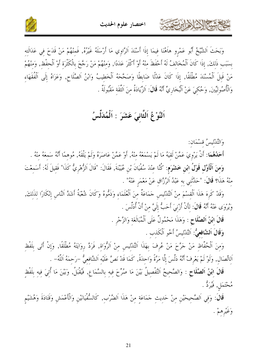



وَبَحَتْ اَلشَّيخُ أَبُو عَمْرِو هاَهُنَا فِيمَا إِذَا أَسْنَدَ اَلرَّاوِي مَا أَرْسَلَهُ غَيْرُهُ, فَمِنْهُمْ مَنْ قَدَحَ فِي عَدَالَتِهِ بسَبَب ذَلكَ, إذَا كَانَ اَلْمُخَالفُ لَهُ أَحْفَظَ منْهُ أَوْ أَكْثَرَ عَدَدًا, وَمنْهُمْ مَنْ رَجَّحَ بالْكَثْرَة أَوْ اَلْحفْظ, وَمنْهُمْ مَنْ قَبِلَ اَلْمُسْنَدَ مُطْلَقًا, إذَا كَانَ عَدْلًا ضَابطًا وَصَحَّحَهُ اَلْخَطِيبُ وَابْنُ اَلصَّلَاح, وَعَزَاهُ إِلَى اَلْفُقَهَاءِ وَالْأُصُولِيِّينَ, وَحُكِيَ عَنْ اَلْبُخَارِيِّ أَنَّهُ **قَالَ**: اَلزِّيَادَةُ منَ اَلثَّقَة مَقْبُولَةٌ .

## اَلنَّوْعُ اَلثَّانيَ عَشَرَ : اَلْمُدَلِّسُ

وَالتَّدْليسُ قَسْمَان:

كالحمشة الأثار أنزلت

أَحَلُهُمَا: أَنْ يَرْوِيَ عَمَّنْ لَقِيَهُ مَا لَمْ يَسْمَعْهُ منْهُ, أَوْ عَمَّنْ عَاصَرَهُ وَلَمْ يَلْقَهُ, مُوهمًا أَنَّهُ سَمعَهُ منْهُ . وَمنَ الْأَوَّلِ قَوْلُ ابْنِ خَشْرَم: كُنَّا عنْدَ سُفْيَانَ بْنِ عُيَيْنَةَ, فَقَالَ: "قَالَ اَلزُّهْرِيُّ كَذَا" فَقيلَ لَهُ: أَسَمعْتَ منْهُ هَذَا؟ قَالَ: "حَدَّثْني به عَبْدُ اَلرَّزَّاق عَنْ مَعْمَر عَنْهُ" .

وَقَدْ كَرهَ هَذَا اَلْقسْمَ منْ اَلتَّدْليس حَمَاعَةٌ منَ اَلْعُلَمَاء وَذَهُّوهُ وَكَانَ شُعْبَةُ أَشَدَّ النَّاس إنْكَارًا لذَلكَ, وَيُرْوَى عَنْهُ أَنَّهُ قَالَ: لأَنْ أَرْنِيَ أَحَبُّ إِلَيَّ منْ أَنْ أُدَلِّسَ .

قَالَ ابْنُ اَلصَّلَاحٍ : وَهَذَا مَحْمُولٌ عَلَى اَلْمُبَالَغَة وَالزَّجْرِ .

وَقَالَ اَلشَّافعيُّ: اَلتَّدْليسُ أَخُو اَلْكَذب .

وَمنَ اَلْحُفَّاظ مَنْ حَرَّحَ مَنْ عُرِفَ بِهَذَا اَلتَّدْليس منْ اَلرُّوَاة, فَرَدَّ روَايَتَهُ مُطْلَقًا, وَإِنْ أَتَى بلَفْظ اَلِاتِّصَالِ, وَلَوْ لَمْ يَعْرِفْ أَنَّهُ دَلَّسَ إِلَّا مَرَّةً وَاحِدَةً, كَمَا قَدْ نَصَّ عَلَيْهِ اَلشَّافِعِيُّ –رَحِمَهُ اَللَّهُ– .

قَالَ ابْنُ اَلصَّلَاحِ : وَالصَّحِيحُ اَلتَّفْصِيلُ بَيْنَ مَا صُرِّحَ فِيهِ بِالسَّمَاعِ, فَيُقْبَلُ, وَبَيْنَ مَا أُتِيَ فِيهِ بِلَفْظِ مُحْتَمَل, فَيُرَدُّ .

قَالَ: وَفِي اَلصَّحِيحَيْنِ مِنْ حَدِيثِ حَمَاعَةٍ مِنْ هَذَا اَلضَّرْبِ, كَالسُّفْيَانَيْنِ وَالْأَعْمَشِ وَقَتَادَةَ وَهُشَيْمِ وَغَيْرِهِمْ .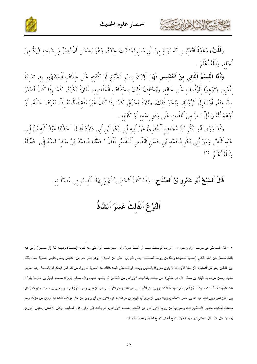

**(قُلْتُ)** وَغَايَةُ اَلتَّدْلِيسِ أَنَّهُ نَوْعٌ مِنَ اَلْإِرْسَالِ لِمَا ثَبَتَ عِنْدَهُ, وَهُوَ يَخْشَى أَنْ يُصَرِّحَ بِشَيْخِهِ فَيُرَدُّ مِنْ أَجْله, وَاَللَّهُ أَعْلَمُ .

وَأَمَّا اَلْقِسْمُ اَلثَّانِي مِنْ اَلتَّدْلِيسِ فَهُوَ اَلْإِتْيَانُ بِاسْمِ اَلشَّيْخِ أَوْ كُنْيَته عَلَى خلَاف اَلْمَشْهُور به, تَعْميَةً لِأَمْرِهِ, وَتَوْعِيرًا لِلْوُقُوفِ عَلَى حَالِهِ, وَيَخْتَلِفُ ذَلِكَ بِاخْتِلَافِ اَلْمَقَاصِدِ, فَتَارَةً يُكْرَهُ, كَمَا إذَا كَانَ أَصْغَرَ سِنًّا مِنْهُ, أَوْ نَازِلَ اَلرِّوَايَةِ, وَنَحْوَ ذَلِكَ, وَتَارَةً يَحْرُمُ, كَمَا إِذَا كَانَ غَيْرَ ثقَة فَدَلَّسَهُ لِئَلَّا يُعْرَفَ حَالُهُ, أَوْ أَوْهَمَ أَنَّهُ رَجُلٌ آخَرُ مِنَ اَلثَّقَاتِ عَلَى وَفْقِ اسْمه أَوْ كُنْيَته .

وَقَدْ رَوَى أَبُو بَكْرٍ بْنُ مُجَاهِدٍ اَلْمُقْرِئُ عَنْ أَبِيهِ أَبِي بَكْرٍ بْنِ أَبِي دَاوُدَ فَقَالَ "حَدَّتَنَا عَبْدُ اَللَّه بْنُ أَبِي عَبْدِ اَللَّهِ", وَعَنْ أَبِي بَكْرٍ مُحَمَّدٍ بْنِ حَسَنٍ اَلتَّقَّاشِ اَلْمُفَسِّرِ فَقَالَ "حَلَّتْنَا مُحَمَّدُ بْنُ سَنَد" نَسَبُهُ إِلَى حَلٍّ لَهُ وَاَلِلَّهُ أَعْلَمُ  $\hspace{0.1 cm}$ .

قَالَ اَلشَّيْخُ أَبُو عَمْرِو بْنُ اَلصَّلَاحِ : وَقَدْ كَانَ اَلْخَطِيبُ لَهَجَ بِهَذَا اَلْقِسْمِ فِي مُصَنَّفَاتِهِ.

اَلنَّوْغُ اَلثَّالتُ عَشَرَ اَلشَّاذُّ

١ – قال السيوطي في ندريب الراوي ص١٤٠ "(وربما لم يسقط شيخه أو أسقط غيره)، أي: شيخ شيخه أو أعلى منه لكونه (ضعيفا) وشيخه ثقة (أو صغيرا) وأتى فيه بلفظ محتمل عن الثقة الثاني (تحسينا للحديث) وهذا من زوائد المصنف –يعني النووي– على ابن الصلاح، وهو قسم آخر من التدليس بسمى تدليس التسوية سماه بذلك ابن القطان وهو شر أقسامه؛ لأن الثقة الأول قد لا يكون معروفا بالتدليس ويجده الواقف على السند كذلك بعد التسوية قد رواه عن ثقة آخر فيحكم له بالصحة، وفيه نغرير شديد. وممن عرف به الوليد بن مسلم، قال أبو مُسْهر: كان يحدث بأحاديث الأوزاعي من الكذابين ثم يدلسها عنهم، وقال صالح جزرة: سمعت الهيثم بن خارجة يقول: قلت للوليد: قد أفسدت حديث الأوزاعي، قال: كيف؟ قلت: تروي عن الأوزاعي عن نافع وعن الأوزاعي عن الأوراع عن الأوزاعي عن يحيى بن سعيد، وغيرك يُدخل بين الأوزاعي وبين نافع عبد الله بن عامر الأسلمي، وبينه وبين الزهري أبا الهيثم بن مرة قال: أنيل الاوزاعي أن يروي عن مثل هؤلاء. قلت: فإذا روى عن هؤلاء وهم ضعفاء أحاديث مناكير فأسقطتهم أنت وصيرتها من رواية الأوزاعي عن الثقات، ضعف الأوزاعي، فلم يتلفت إلى قولي. قال الخطيب: وكان الأعمش وسفيان الثوري يفعلون مثل هذا، قال العلائـي: وبالـجملة فـهذا النوع أفـحش أنواع التدليس مطلقا وشرها".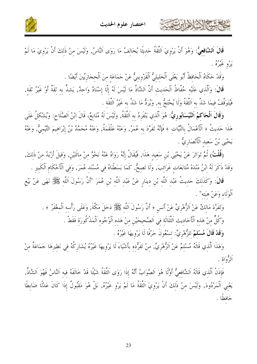

**قَالَ اَلشَّافعيُّ:** وَهُوَ أَنْ يَرْوِيَ اَلثَّقَةُ حَدِيثًا يُخَالِفُ مَا رَوَى اَلنَّاسُ, وَلَيْسَ مِنْ ذَلِكَ أَنْ يَرْوِيَ مَا لَمْ پرو غیره .<br>یرو غیره .

وَقَدْ حَكَاهُ اَلْحَافظُ أَبُو يَعْلَى اَلْخَليليُّ اَلْقَزْوِينيُّ عَنْ حَمَاعَة منَ اَلْحجَازِيِّينَ أَيْضًا .

كالحشيم الأخالات

قَالَ: وَاَلَّذي عَلَيْه حُفَّاظُ اَلْحَديث أَنَّ اَلشَّاذَّ مَا لَيْسَ لَهُ إِلَّا إِسْنَادٌ وَاحِدٌ, يَشِذُّ بِهِ ثِقَةٌ أَوْ غَيْرُ ثِقَةٍ, فَيُتَوَقَّفُ فيمَا شَذَّ به اَلتِّفَةُ وَلَا يُحْتَجُّ به, وَيُرَدُّ مَا شَذَّ به غَيْرُ اَلتِّفَة .

وَقَالَ اَلْحَاكمُ اَلنَّيْسَابُوريُّ: هُوَ اَلَّذي يَنْفَرهُ به اَلثَّقَةُ, وَلَيْسَ لَهُ مُتَابعٌ، قَالَ ابْنُ الصَّلَاح: وَيُشْكلُ عَلَى هَذَا حَديثُ ﴿ اَلْأَعْمَالُ بِالنِّيَّاتِ ﴾ فَإِنَّهُ تَفَرَّدَ بِهِ عُمَرُ, وَعَنْهُ عَلْقَمَةُ, وَعَنْهُ مُحَمَّدُ بْنُ إِبْرَاهِيمَ التَّيْمِيُّ, وَعَنْهُ يَحْيَى بْنُ سَعيد اَلْأَنْصَارِيٌّ .

(قُلْتُ) ثُمَّ تَوَاتَرَ عَنْ يَحْيَى بْنِ سَعِيدِ هَذَا, فَيُقَالُ إِنَّهُ رَوَاهُ عَنْهُ نَحْوٌ منْ مائَتَيْنِ, وَقيلَ أَرْيَدُ منْ ذَلكَ, وَقَدْ ذَكَرَ لَهُ ابْنُ مَنْدَهْ مُتَابَعَاتٍ غَرَائِبَ, وَلَا تَصِحُّ, كَمَا بَسَطْنَاهُ فِي مُسْنَدِ عُمَرَ, وَفِي اَلْأَحْكَامِ اَلْكَبِيرِ .

قَالَ: وَكَذَلِكَ حَدِيثُ عَبْدِ اَللَّهِ بْنِ دِينَارِ عَنْ عَبْدِ اَللَّهِ بْنِ عُمَرَ "أَنَّ رَسُولَ اَللَّهِ ﷺ نَهَى عَنْ بَيْعِ أَلْوَلَاءِ وَعَنْ هبَته" .

وَتَفَرَّدَ مَالِكٌ عَنْ اَلزُّهْرِيِّ عَنْ أَنَسٍ ﴿ أَنَّ رَسُولَ اَللَّهِ ﷺ دَخَلَ مَكَّةَ, وَعَلَى رَأْسه الْمغْفَرُ ﴾ .

وَكُلٌّ مِنْ هَذِهِ اَلْأَحَادِيثِ اَلثَّلَاثَةِ فِي اَلصَّحِيحَيْنِ مِنْ هَذِهِ اَلْوُجُوهِ اَلْمَذْكُورَة فَقَطْ .

وَقَدْ قَالَ مُسْلَمٌ للزُّهْرِيِّ: تسْعُونَ حَرْفًا لَا يَرْوِيهَا غَيْرُهُ .

وَهَذَا اَلَّذِي قَالَهُ مُسْلِمٌ عَنْ اَلزُّهْرِيِّ, مِنْ تَفَرُّدِهِ بِأَشْيَاءَ لَا يَرْوِيهَا غَيْرُهُ يُشَارِكُهُ فِي نَظِيرِهَا حَمَاعَةٌ مِنْ ألرثواة .

فَإِذَنْ اَلَّذِي قَالَهُ اَلشَّافِعيُّ أَوَّلًا هُوَ اَلصَّوَابُ أَنَّهُ إِذَا رَوَى اَلثَّقَةُ شَيْئًا قَدْ خَالَفَهُ فيه اَلنَّاسُ فَهُوَ اَلشَّاذُّ, يَعْنِي اَلْمَرْدُودَ, وَلَيْسَ مِنْ ذَلِكَ أَنْ يَرْوِيَ اَلتَّقَةُ مَا لَمْ يَرْوِ غَيْرُهُ, بَلْ هُوَ مَقْبُولٌ إِذَا كَانَ عَدْلًا ضَابِطًا حَافظًا .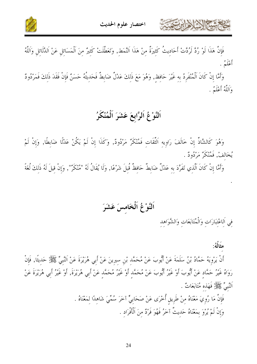



فإن هَذا لوْ رُدّْ لرُدَّتْ أَحَادِيث كثيرَة مِنْ هَذا النَّمَطِ, وَتَعَطلتْ كثيرٌ مِنَ المَسَائِلِ عَنْ الدُّلائلِ وَاللهُ --أَعْلَمُ .

وَأَمَّا إِن كان المُنْفرِدُ بِهِ غَيْرَ حَافِظٍ, وَهُوَ مَعَ ذَلِكَ عَدْل ضَابِط فحَدِيثهُ حَسَنٌ فإِن فقدَ ذلكَ فمَرْدُودٌ وَاَللَّهُ أَعْلَمُ .

#### النَّوْ عُ الرَّابِعَ عَشَرَ المُنْكَرُ

وَهُوَ كالشَّاذ إن خَالفَ رَاوِيهِ الثقاتِ فَمُنْكِرٌ مَرْدُودٌ, وَكذا إن لمْ يَكنْ عَدْلا ضَابطا, وَإن لمْ يُخَالِفْ, فَمُنْكَرٌ مَرْدُودٌ .

وَأَمَّا إِن كان الذي تَفرَّدَ به عَدْل ضَابط حَافظ قبل شَرْعًا, وَلا يُقال لهُ "مُنْكرٌ", وَإِن قِيل لهُ ذلكَ لغَة

النَّوْغُ الخَامِسَ عَشَرَ

في الاعْتبَارَات وَالمُتَابَعَات وَالشَّوَاهِد

.

مثَالُهُ: أَنْ يَرْوِيَهُ حَمَّادُ بْنُ سَلَمَةَ عَنْ أَيُّوبَ عَنْ مُحَمَّد بْنِ سيرينَ عَنْ أَبِي هُرَيْرَةَ عَنْ اَلنَّبِيِّ ﷺ حَديثًا, فَإِنْ رَوَاهُ غَيْرُ حَمَّادٍ عَنْ أَيُّوبَ أَوْ غَيْرُ أَيُّوبَ عَنْ مُحَمَّدٍ أَوْ غَيْرُ مُحَمَّدٍ عَنْ أَبِي هُرَيْرَة, أَوْ غَيْرُ أَبِي هُرَيْرَة عَنْ اَلنَّبِيٍّ ﷺ فَهَذِهِ مُتَابَعَاتٌ . فإِن مَا رُوِيَ مَعْنَاهُ مِنْ طَرِيقِ أَخْرَى عَنْ صَحَابِيٍّ آخَرَ سُمِّيَ شَاهِدًا لِمَعْنَاهُ . -وَإِن لَمْ يُرْوَ بِمَعْنَاهُ حَدِيث آخَرُ فَهُوَ فَرْدٌ مِنَ الْأَفْرَادِ . -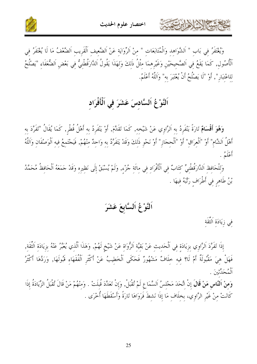

وَيُغْتَفَرُ فِي بَابِ " اَلشَّوَاهِدِ وَالْمُتَابَعَاتِ " مِنْ اَلرِّوَايَةِ عَنْ اَلضَّعِيفِ اَلْقَرِيبِ اَلضَّعْفُ مَا لَا يُغْتَفَرُ فِي ٱلْأُصُولِ, كَمَا يَقَعُ فِي اَلصَّحِيحَيْنِ وَغَيْرِهِمَا مِثْلُ ذَلِكَ وَلِهَذَا يَقُولُ اَلدَّارَقُطْنِيٌّ فِي بَعْضِ اَلضُّعَفَاءِ "يَصْلُحُ للاعْتبَار", أَوْ "لَا يَصْلُحُ أَنْ يُعْتَبَرَ بِه" وَاَللَّهُ أَعْلَمُ.

### اَلنَّوْعُ اَلسَّادِسَ عَشَرَ فِي اَلْأَفْرَادِ

وَهُوَ أَقْسَامٌ تَارَةً يَنْفَرِدُ بِهِ اَلرَّاوِي عَنْ شَيْخِهِ, كَمَا تَقَلَّمَ, أَوْ يَنْفَرِدُ بِهِ أَهْلُ قُطْرِ, كَمَا يُقَالُ "تَفَرَّدَ بِهِ أَهْلُ الشَّامِ" أَوْ "اَلْعِرَاقِ" أَوْ "اَلْحِجَازِ" أَوْ نَحْوِ ذَلِكَ وَقَدْ يَتَفَرَّدُ بِهِ وَاحِدٌ مِنْهُمْ, فَيَجْتَمِعُ فِيهِ اَلْوَصْفَانِ وَاللَّهُ أَعْلَمُ .

وَلِلْحَافِظِ اَلدَّارَقُطْنِيٍّ كِتَابٌ فِي اَلْأَفْرَادِ فِي مِائَةِ جُزْءٍ, وَلَمْ يُسْبَقْ إِلَى نَظِيرِهِ وَقَدْ جَمَعَهُ اَلْحَافِظُ مُحَمَّدُ بْنُ طَاهِرٍ فِي أَطْرَافٍ رَتَّبَهُ فِيهَا .

## اَلنَّوْعُ اَلسَّابِعَ عَشَرَ

فِي زِيَادَةِ اَلثِّقَةِ

كالحشم الأزادا بتعديد

إِذَا تَفَرَّدَ اَلرَّاوِي بِزِيَادَةٍ فِي اَلْحَدِيثِ عَنْ بَقِيَّةِ اَلرُّواةِ عَنْ شَيْخٍ لَهُمْ, وَهَذَا اَلَّذِي يُعَبَّرُ عَنْهُ بِزِيَادَةِ اَلثَّقَةِ, فَهَلْ هِيَ مَقْبُولَةٌ أَمْ لَا؟ فِيهِ خِلَافٌ مَشْهُورٌ فَحَكَى اَلْخَطِيبُ عَنْ أَكْثَرِ اَلْفُقَهَاءِ قَبُولَهَا, وَرَدَّهَا أَكْثَرُ أ<sup>ه</sup> مرتبني گر

وَمِنْ اَلنَّاسِ مَنْ قَالَ إِنْ اتَّحَدَ مَجْلِسُ اَلسَّمَاعِ لَمْ تُقْبَلْ, وَإِنْ تَعَدَّدَ قُبلَتْ . وَمنْهُمْ مَنْ قَالَ تُقْبَلُ الزِّيَادَةُ إِذَا كَانَتْ مِنْ غَيْرِ الرَّاوِي، بِخِلَافٍ مَا إِذَا نَشِطَ فَرَوَاهَا تَارَةً وَأَسْقَطَهَا أُخْرَى .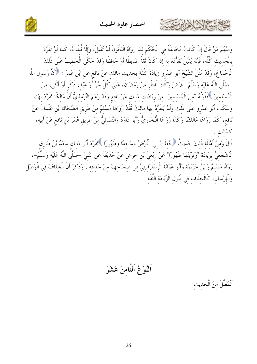

وَمنْهُمْ مَنْ قَالَ إنْ كَانَتْ مُخَالفَةً في الْحُكْمِ لمَا رَوَاهُ الْبَاقُونَ لَمْ تُقْبَلْ، وَإلَّا قُبلَتْ، كَمَا لَوْ تَفَرَّدَ بِالْحَديثِ كُلِّهِ، فَإِنَّهُ يُقْبَلُ تَفَرُّدُهُ به إذَا كَانَ ثقَةً ضَابطًا أَوْ حَافظًا وَقَدْ حَكَى الْخَطيبُ عَلَى ذَلكَ الْإِجْمَاعَ، وَقَدْ مَثَّلَ الشَّيْخُ أَبُو عَمْرِو زِيَادَةَ الثِّقَة بحَديث مَالكِ عَنْ نَافِع عَنِ ابْنِ عُمَرَ : ﴿أَنَّ رَسُولَ اللَّه –صَلَّى اللَّهُ عَلَيْهِ وَسَلَّمَ– فَرَضَ زَكَاةَ الْفِطْرِ مِنْ رَمَضَانَ، عَلَى كُلِّ حُرٍّ أَوْ عَبْدِ، ذَكَرِ أَوْ أُنْثَى، مِنَ الْمُسْلمينَ ﴾ فَقَوْلُهُ "منَ الْمُسْلمينَ" منْ زِيَادَاتِ مَالِكِ عَنْ نَافِعٍ وَقَدْ زَعَمَ التِّرْمِذِيُّ أَنَّ مَالِكًا تَفَرَّدَ بِهَا، وَسَكَتَ أَبُو عَمْرٍو عَلَى ذَلِكَ وَلَمْ يَتَفَرَّدْ بِهَا مَالِكٌ فَقَدْ رَوَاهَا مُسْلِمٌ مِنْ طَرِيقِ الضَّحَّاك بْنِ عُثْمَانَ عَنْ نَافِع، كَمَا رَوَاهَا مَالكُ، وَكَذَا رَوَاهَا الْبُخَارِيُّ وَأَبُو دَاوُدَ وَالنَّسَائِيُّ مِنْ طَرِيقِ عُمَرَ بْنِ نَافِعٍ عَنْ أَبِيهِ،

قَالَ وَمِنْ أَمْثِلَةِ ذَلِكَ حَدِيثُ ﴿ جُعلَتْ لِيَ الْأَرْضُ مَسْجِدًا وَطَهُورًا ﴾ تَفَرَّدَ أَبُو مَالك سَعْدُ بْنُ طَارِق الْأَشْجَعِيُّ بِزِيَادَةِ "وَثُرْبَتُهَا طَهُورًا" عَنْ رِبْعِيٍّ بْنِ حِرَاشٍ عَنْ حُذَيْفَةَ عَنِ النَّبِيِّ –صَلَّى اللَّهُ عَلَيْه وَسَلَّمَ–، رَوَاهُ مُسْلِمٌ وَابْنُ خُزَيْمَةَ وَأَبُو عَوَانَةَ الْإِسْفَرَايِينِيٌّ فِي صِحَاحِهِمْ مِنْ حَديثِهِ . وَذَكَرَ أَنَّ الْخِلَافَ فِي الْوَصْلِ وَالْإِرْسَالِ، كَالْخلَاف في قَبُول الْزِّيَادَة الثَّقَة

اَلنَّوْعُ اَلثَّامنَ عَشَرَ

اَلْمُعَلَّلُ منَ اَلْحَدِيتْ

حمشاه الأخرابيت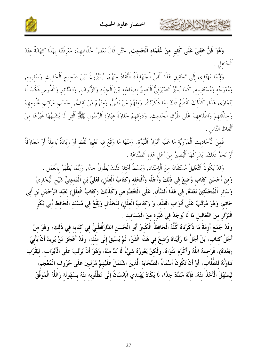كالحشيم الأزاداني



وَهُوَ فَنٌّ خَفيَ عَلَى كَثيرٍ منْ عُلَمَاء اَلْحَديث, حَتَّى قَالَ بَعْضُ حُفَّاظِهِمْ: مَعْرِفَتُنَا بِهَذَا كِهَانَةٌ عِنْدَ اَلْجَاهلِ .

وَإِنَّمَا يَهْتَدي إِلَى تَحْقِيقِ هَذَا اَلْفَنِّ اَلْجَهَابِذَةُ اَلنُّقَّادُ مِنْهُمْ, يُمَيِّرُونَ بَيْنَ صَحِيحِ اَلْحَدِيثِ وَسَقِيمِهِ, وَمُعْوَجِّهِ وَمُسْتَقِيمِهِ, كَمَا يُمَيِّزُ اَلصَّيْرَفِيُّ اَلْبَصِيرُ بصنَاعَتِهِ بَيْنَ اَلْجِيَادِ وَالزُّيوفِ, وَالدَّنَانِيرِ وَالْفُلُوسِ فَكَمَا لَا يَتَمَارَى هَذَا, كَذَلِكَ يَقْطَعُ ذَاكَ بِمَا ذَكَرْنَاهُ, وَمِنْهُمْ مَنْ يَظُنُّ, وَمِنْهُمْ مَنْ يَقِفُ, بحَسَب مَرَاتِب عُلُومِهِمْ وَحِذْقَتِهِمْ وَاطِّلَاعِهِمْ عَلَى طُرُقٍ اَلْحَدِيثِ, وَذَوْقِهِمْ حَلَاوَةَ عِبَارَةِ اَلرَّسُولِ ﷺ اَلَّتِي لَا يُشْبِهُهَا غَيْرُهَا مِنْ أَلْفَاظ اَلنَّاس .

فَمنَ اَلْأَحَادِيثِ اَلْمَرْوِيَّةِ مَا عَلَيْهِ أَنْوَارُ اَلنُّبُوَّة, وَمِنْهَا مَا وَقَعَ فِيهِ تَغْييرُ لَفْظ أَوْ زِيَادَةٌ بَاطِلَةٌ أَوْ مُجَازَفَةٌ أَوْ نَحْوُ ذَلكَ, يُدْرِكُهَا اَلْبَصِيرُ منْ أَهْلِ هَذِهِ اَلصِّنَاعَةِ .

وَقَدْ يَكُونُ اَلتَّعْلِيلُ مُسْتَفَادًا مِنَ اَلْإِسْنَاد, وَبَسْطُ أَمْثِلَة ذَلكَ يَطُولُ جلًّا, وَإنَّمَا يَظْهَرُ بالْعَمَل . وَمِنْ أَحْسَنِ كِتَابٍ وُضِعَ فِي ذَلِكَ وَأَجَلُّهِ وَأَفْحَلِهِ (كِتَابُ اَلْعِلَلِ) لِعَلِيِّ بْنِ اَلْمَدينِيّ شَيْخِ اَلْبُخَارِيّ وَسَائرِ اَلْمُحَلِّثينَ بَعْدَهُ, في هَذَا اَلشَّأْن. عَلَى الْخُصُوص وَكَذَلكَ (كتَابُ الْعلَل) لعَبْد الرَّحْمَن بْن أَبي حَاتم، وَهُوَ مُرَتَّبٌ عَلَى أَبْوَاب الْفقْه، وَ (كِتَابُ الْعِلَلِ) لِلْخَلَّالِ وَيَقَعُ فِي مُسْنَد الْحَافظ أَبِي بَكْرٍ الْبَزَّارِ منَ التَّعَاليلِ مَا لَا يُوجَدُ في غَيْرِه منَ الْمَسَانيد .

وَقَدْ جَمَعَ أَزِمَّةَ مَا ذَكَرْنَاهُ كُلَّهُ الْحَافظُ الْكَبِيرُ أَبُو الْحَسَنِ الدَّارَقُطْنيُّ في كتَابه في ذَلكَ، وَهُوَ منْ أَجَلٌّ كتَاب، بَلْ أَجَلُّ مَا رَأَيْنَاهُ وُضعَ في هَذَا الْفَنِّ، لَمْ يُسْبَقْ إلَى مثْله، وَقَدْ أَعْجَزَ مَنْ يُريدُ أَنْ يَأْتِيَ (بَعْدَهُ)، فَرَحمَهُ اللَّهُ وَأَكْرَمَ مَثْوَاهُ، وَلَكنْ يَعُوزُهُ شَيْءٌ لَا بُدَّ منْهُ، وَهُوَ أَنْ يُرَتَّبَ عَلَى الْأَبْوَاب، ليَقْرُبَ تَنَاوُلُهُ للطُّلَّابِ، أَوْ أَنْ تَكُونَ أَسْمَاءُ الصَّحَابَة الَّذينَ اشْتَمَلَ عَلَيْهِمْ مُرَتَّبينَ عَلَى حُرُوف الْمُعْجَمِ، ليَسْهُلَ الْأَحْذُ منْهُ، فَإِنَّهُ مُبَدَّدٌ جلًّا، لَا يَكَادُ يَهْتَدي الْإِنْسَانُ إلَى مَطْلُوبه منْهُ بسُهُولَة وَاللَّهُ الْمُوَفَّقُ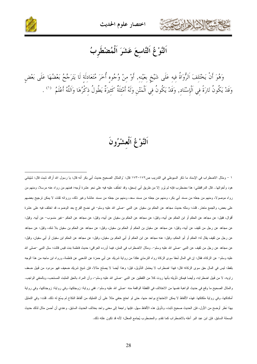





## اَلنَّوْعُ اَلتَّاسعَ عَشَرَ اَلْمُضْطَرِبُ

وَهُوَ أَنْ يَخْتَلِفَ اَلرُّوَاةُ فِيهِ عَلَى شَيْخٍ بِعَيْنِهِ, أَوْ مِنْ وُجُوهِ أُخَرَ مُتَعَادِلَةٍ لَا يَتَرَجَّحُ بَعْضُهَا عَلَى بَعْضٍ وَقَدْ يَكُونُ تَارَةً فِي اَلْإِسْنَادِ, وَقَدْ يَكُونُ فِي اَلْمَتْنِ وَلَهُ أَمْثِلَةٌ كَثِيرَةٌ يَطُولُ ذِكْرُهَا وَاَللَّهُ أَعْلَمُ  $\,$  ` .

اَلنَّوْ عُ اَلْعشْرُونَ

١ – ومثال الاضطراب في الإسناد ما ذكر السيوطي في التدريب ص١٧٢–١٧٣ قال: "والمثال الصحيح حديث أبي بكر. أنه قال: يا رسول الله أراك شبت قال: شيِّبتني هود وأخواتها… قال الدراقطني: هذا مضطرب فإنه لم يُرو إلا من طريق أبي إسحق، وقد اختُلف عليه فيه علي نحو عشرة أوجه: فمنهم من رواه عنه مرسلا، ومنهم من رواه موصولا، ومنهم من جعله من مسند أبي بكر، ومنهم من جعله من مسند سعد، ومنهم من جعله من مسند عائشة وغير ذلك، ورواته ثقات لا يمكن ترجيح بعضهم على بعض، والجمع متعذر. قلت: ومثله حديث مجاهد عن الحكم بن سفيان عن النبي حسلي الله عليه وسلم– في نضح الفرج بعد الوضوء، قد اختلف فيه على عشرة أقوال، فقيل: عن مجاهد عن الحكم أو ابن الحكم عن أبيه، وقيل: عن مجاهد عن الحكم بن سفيان عن أبيه، وقيل: عن مجاهد عن الحكم –غير منسوب– عن أبيه. وقيل: عن مجاهد عن رجل من ثقيف عن أبيه، وقيل: عن مجاهد عن سفيان بن الحكم أو الحكم بن سفيان، وقيل: عن مجاهد عن الحكم بن سفيان بلا شك، وقيل: عن مجاهد عن رجل من ثقيف يقال له: الحكم أو أبو الحكم، وقيل: عنه مجاهد عن ابن الحكم أو أبي الحكم بن سفيان، وقيل: عن مجاهد عن الحكم ابن سفيان أو أبي سفيان، وقيل: عن مجاهد عن رجل من ثقيف عن النبي –صلى الله عليه وسلم–. ومثال الاضطراب في المتن، فيما أورده العراقي: حديث فاطمة بنت قيس قالت: سئل النبي –صلى الله عليه وسلم= عن الزكاة، فقال: إن في المال لُحقا سوى الزكاة رواه النزمذي هكذا من رواية شريك عن أبي حمزة عن الشعبي عن فاطمة، ورواه ابن ماجه من هذا الوجه بلفظ: ليس في المال حق سوى الزكاة؛ قال: فهذا اضطراب لا يحتمل التأويل، قيل: وهذا أيضا لا يصلح مثالا، فإن شيخ شريك ضعيف فهو مردود من قَبيل ضعف راويه، لا من قَبيل اضطرابه، وأيضا فيمكن تأويله بأنها روت كلا من اللفظين عن النبي حملي الله عليه وسلم-، وأن المراد بالحق المثبت المستحب، وبالمنفي الواجب. والمثال الصحيح ما وقع في حديث الواهبة نفسها من الاختلاف في اللفظة الواقعة منه –صلى الله عليه وسلم–. ففي رواية: زوجتكها، وفي رواية: زوجناكها، وفي رواية أمكناكها، وفي رواية ملكتكها. فهذه الألفاظ لا يمكن الاحتجاج بواحد منها، حتى لو احتج حنفي مثلا على أن التمليك من ألفاظ النكاح لم يسُغ له ذلك. فلت: وفي التمثيل بهذا نَظر أوضح من الأول، فإن الحديث صحيح ثابت، وتأويل هذه الألفاظ سهل. فإنها راجعة إلى معنى واحد بخلاف الحديث السابق. وعندي أن أحسن مثال لذلك حديث البسملة السابق. فإن ابن عبد البر أعله بالاضطراب كما تقدم. والمضطرب يُجامع المعلل؛ لأنه قد تكون علته ذلك.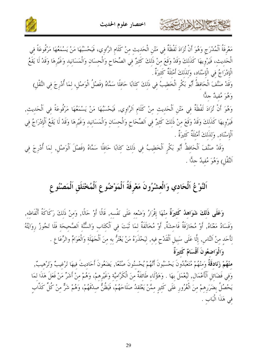

حمشيخ المشاهداين تتفتته



مَعْرِفَةُ اَلْمُدْرَجِ وَهُوَ أَنْ تُزَادَ لَفْظَةٌ فِي مَتْنِ الْحَدِيثِ مِنْ كَلَامِ الرَّاوِي، فَيَحْسَبُهَا مَنْ يَسْمَعُهَا مَرْفُوعَةً فِي الْحَدِيثِ، فَيَرْوِيهَا كَذَلِكَ وَقَدْ وَقَعَ مِنْ ذَلِكَ كَثِيرٌ فِي الصِّحَاحِ وَالْحِسَانِ وَالْمَسَانِيدِ وَغَيْرِهَا وَقَدْ لَا يَقَعُ الْإِدْرَاجُ فِي الْإِسْنَادِ، وَللذَلكَ أَمْثَلَةٌ كَثيرَةٌ .

وَقَدْ صَنَّفَ الْحَافِظُ أَبُو بَكْرٍ الْخَطِيبُ فِي ذَلِكَ كِتَابًا حَافِلًا سَمَّاهُ (فَصْلُ الْوَصْلِ، لِمَا أُدْرِجَ فِي النَّقْلِ) وَهُوَ مُفيدٌ جدًّا

وَهُوَ أَنْ تُزَادَ لَفْظَةٌ فِي مَتْنِ اَلْحَدِيثِ مِنْ كَلَامِ اَلرَّاوِي, فَيَحْسَبُهَا مَنْ يَسْمَعُهَا مَرْفُوعَةً فِي اَلْحَديث, فَيَرْوِيهَا كَذَلِكَ وَقَدْ وَقَعَ مِنْ ذَلِكَ كَثِيرٌ فِي اَلصِّحَاحِ وَالْحِسَانِ وَالْمَسَانِيدِ وَغَيْرِهَا وَقَدْ لَا يَقَعُ اَلْإِدْرَاجُ فِي اَلْإِسْنَادِ, وَلذَلكَ أَمْثَلَةٌ كَثِيرَةٌ .

وَقَدْ صَنَّفَ اَلْحَافِظُ أَبُو بَكْرٍ اَلْخَطِيبُ فِي ذَلِكَ كِتَابًا حَافِلًا سَمَّاهُ (فَصْلَ اَلْوَصْلِ, لِمَا أُدْرِجَ فِي اَلنَّقْلِ) وَهُوَ مُفيدٌ جلًّا .

## اَلنَّوْعُ اَلْحَادِي وَالْعِشْرُونَ مَعْرِفَةُ اَلْمَوْضُوعِ اَلْمُخْتَلَقِ اَلْمَصْنُوعِ

وَعَلَى ذَلِكَ شَوَاهِدُ كَثِيرَةٌ مِنْهَا إِقْرَارُ وَضْعِهِ عَلَى نَفْسِهِ, قَالًا أَوْ حَالًا, وَمنْ ذَلكَ رَكَاكَةُ أَلْفَاظه, وَفَسَادُ مَعْنَاهُ, أَوْ مُجَازَفَةٌ فَاحِشَةٌ, أَوْ مُخَالَفَةٌ لِمَا تَبَتَ فِي اَلْكِتَابِ وَالسُّنَّةِ اَلصَّحِيحَةِ فَلَا تَجُوزُ رِوَايَتُهُ لِأَحَدِ مِنْ اَلنَّاسِ, إِلَّا عَلَى سَبِيلِ الْقَدْحِ فِيهِ, لِيَحْذَرَهُ مَنْ يَغْتَرُّ بِهِ مِنَ الْجَهَلَةِ وَالْعَوَامِّ والرِّعَاعِ . وَالْوَاضِعُونَ أَقْسَامٌ كَثيرَةٌ

منْهُمْ زَنَادقَةٌ وَمنْهُمْ مُتَعَبِّدُونَ يَحْسَبُونَ أَنَّهُمْ يُحْسِنُونَ صُنْعًا, يَضَعُونَ أَحَادِيتَ فِيهَا تَرْغِيبٌ وَتَرْهِيبٌ, وَفِي فَضَائِلِ اَلْأَعْمَالِ, لِيُعْمَلَ بِهَا . وَهَؤُلَاءِ طَائِفَةٌ مِنَ الْكَرَّامِيَّةِ وَغَيْرِهِمْ، وَهُمْ مِنْ أَشَرِّ مَنْ فَعَلَ هَذَا لِمَا يَحْصُلُ بِضَرَرِهِمْ مِنَ الْغُرُورِ عَلَى كَثِيرٍ مِمَّنْ يَعْتَقِدُ صَلَاحَهُمْ، فَيَظُنُّ صِدْقَهُمْ، وَهُمْ شَرٌّ مِنْ كُلِّ كَذَّاب في هَذَا الْبَاب .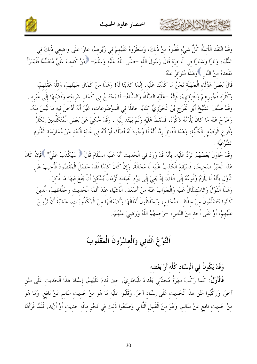

وَقَدْ انْتَقَدَ الْأَئِمَّةُ كُلَّ شَيْءٍ فَعَلُوهُ مِنْ ذَلِكَ، وَسَطَرُوهُ عَلَيْهِمْ فِي زُبُرِهِمْ، عَارًا عَلَى وَاضِعِي ذَلِكَ فِي الدُّنْيَا، وَنَارًا وَشَنَارًا في الْآخرَة قَالَ رَسُولُ اللَّه –صَلَّى اللَّهُ عَلَيْه وَسَلَّمَ– فمَنْ كَذبَ عَلَيَّ مُتَعَمِّدًا فَلْيَتَبَوَّأْ مَقْعَدَهُ منْ النَّارِ ﴾وَهَذَا مُتَوَاترٌ عَنْهُ .

قَالَ بَعْضُ هَؤُلَاء الْجَهَلَة نَحْنُ مَا كَذَبْنَا عَلَيْه، إِنَّمَا كَذَبْنَا لَهُ! وَهَذَا مِنْ كَمَالِ جَهْلهِمْ، وَقِلَّة عَقْلهِمْ، وَكَثْرَة فُجُورهمْ وَافْترَائهمْ، فَإِنَّهُ –عَلَيْه الصَّلَاةُ وَالسَّلَامُ– لَا يَحْتَاجُ في كَمَال شَريعَته وَفَضْلهَا إلَى غَيْره . وَقَدْ صَنَّفَ الشَّيْخُ أَبُو الْفَرَجِ بْنُ الْجَوْزِيِّ كَتَابًا حَافلًا في الْمَوْضُوعَات، غَيْرَ أَنَّهُ أَدْخَلَ فيه مَا لَيْسَ منْهُ، وَخَرَجَ عَنْهُ مَا كَانَ يَلْزَمُهُ ذكْرُهُ، فَسَقَطَ عَلَيْه وَلَمْ يَهْتَد إِلَيْه . وَقَدْ حُكيَ عَنْ بَعْض الْمُتَكَلِّمِينَ إِنْكَارُ وُقُوعِ الْوَضْعِ بِالْكُلِّيَّةِ، وَهَذَا الْقَائِلُ إِمَّا أَنَّهُ لَا وُجُودَ لَهُ أَصْلًا، أَوْ أَنَّهُ فِي غَايَةِ الْبُعْدِ عَنْ مُمَارَسَةِ الْعُلُومِ الشَّرْعيَّة .

وَقَدْ حَاوَلَ بَعْضُهُمْ الرَّدَّ عَلَيْهِ، بِأَنَّهُ قَدْ وَرَدَ فِي الْحَديثِ أَنَّهُ عَلَيْه السَّلَامُ قَالَ ﴿"سَيُكْذَبُ عَلَيَّ" ﴾فَإِنْ كَانَ هَذَا الْخَبَرُ صَحيحًا، فَسَيَقَعُ الْكَذبُ عَلَيْه لَا مَحَالَةَ، وَإِنْ كَانَ كَذبًا فَقَدْ حَصَلَ الْمَقْصُودُ فَأُجيبَ عَن الْأَوَّل بأَنَّهُ لَا يَلْزَمُ وُقُوعُهُ إِلَى الْآنَ; إذْ بَقيَ إِلَى يَوْمِ الْقيَامَة أَزْمَانٌ يُمْكنُ أَنْ يَقَعَ فيهَا مَا ذُكرَ . وَهَذَا الْقَوْلُ وَالاسْتلْلَالُ عَلَيْه وَالْجَوَابَ عَنْهُ منْ أَضْعَف الْأَشْيَاء عنْدَ أَئمَّة الْحَديث وحُفَّاظهمْ، الَّذينَ كَانُوا يَتَضَلَّعُونَ منْ حفْظ الصِّحَاح، وَيَحْفَظُونَ أَمْثَالَهَا وَأَضْعَافَهَا منَ الْمَكْذُوبَات، خَشْيَةَ أَنْ تَرُوجَ عَلَيْهِمْ، أَوْ عَلَى أَحَدٍ مِنَ النَّاسِ، –رَحِمَهُمْ اللَّهُ وَرَضِيَ عَنْهُمْ-.

# اَلنَّوْغُ اَلثَّانِي وَالْعشْرُونَ اَلْمَقْلُوبُ

#### وَقَدْ يَكُونُ في اَلْإِسْنَاد كُلِّه أَوْ بَعْضه

حمشاه الخلافان تتمك

فَالْأَوَّلُ: كَمَا رَكَّبَ مَهَرَةُ مُحَدِّثْي بَغْدَادَ لِلْبُخَارِيِّ, حِينَ قَدِمَ عَلَيْهِمْ, إِسْنَادَ هَذَا اَلْحَدِيثِ عَلَى مَتْنِ آخَرَ, وَرَكَّبُوا مَتْنَ هَذَا اَلْحَدِيثِ عَلَى إِسْنَادِ آخَرَ, وَقَلَبُوا عَلَيْهِ مَا هُوَ مِنْ حَدِيث سَالم عَنْ نَافِع, وَمَا هُوَ مِنْ حَدِيثِ نَافِعٍ عَنْ سَالِمٍ, وَهُوَ مِنَ الْقَبِيلِ الثَّانِي وَصَنَعُوا ذَلِكَ فِي نَحْوِ مِائَةِ حَدِيثِ أَوْ أَزْيَدَ, فَلَمَّا قَرَأَهَا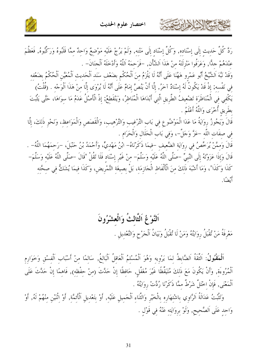حمشا الأوادات



رَدَّ كُلَّ حَدِيثٍ إِلَى إِسْنَادِهِ, وَكُلَّ إِسْنَادٍ إِلَى مَتْنِهِ, وَلَمْ يَرُجْ عَلَيْهِ مَوْضِعٌ وَاحِدٌ مِمَّا قَلَبُوهُ وَرَكّبُوهُ, فَعَظُمَ عنْدَهُمْ جلًّا, وَعَرَفُوا مَنْزِلَتَهُ منْ هَذَا اَلشَّأْن, –فَرَحمَهُ اَللَّهُ وَأَدْخَلَهُ اَلْجنَانَ– . وَقَدْ نَبَّهَ اَلشَّيْخُ أَبُو عَمْرو هَهُنَا عَلَى أَنَّهُ لَا يَلْزَمُ منَ اَلْحُكْم بضَعْف سَنَد اَلْحَديث اَلْمُعَيَّن اَلْحُكْمُ بضَعْفه في نَفْسه; إذْ قَدْ يَكُونُ لَهُ إسْنَادٌ آخَرُ, إلَّا أَنْ يَنُصَّ إمَامٌ عَلَى أَنَّهُ لَا يُرْوَى إلَّا منْ هَذَا اَلْوَجْه . (قُلْتُ) يَكْفي في الْمُنَاظَرَة تَضْعيفُ الطَّريقِ الَّتي أَبْدَاهَا الْمُنَاظِرُ، وَيَنْقَطِعُ; إِذْ الْأَصْلُ عَدَمُ مَا سوَاهَا، حَتَّى يَثْبُتَ بطَرِيقِ أُخْرَى وَاللَّهُ أَعْلَمُ . قَالَ وَيَجُوزُ رِوَايَةُ مَا عَدَا الْمَوْضُوعِ فِي بَابِ التَّرْغِيبِ وَالتَّرْهِيبِ، وَالْقَصَصِ وَالْمَوَاعِظِ، وَنَحْوِ ذَلِكَ، إِلَّا في صفَات اللَّه -عَزَّ وَجَلَّ-، وَفي بَابِ الْحَلَالِ وَالْحَرَامِ . قَالَ وَممَّنْ يُرَخِّصُ في روَايَة الضَّعيف –فيمَا ذَكَرْنَاهُ– ابْنُ مَهْديٍّ، وَأَحْمَدُ بْنُ حَنْبَلَ، –رَحمَهُمَا اللَّهُ– . قَالَ وَإِذَا عَزَوْتَهُ إِلَى النَّبِيِّ –صَلَّى اللَّهُ عَلَيْهِ وَسَلَّمَ– مِنْ غَيْرِ إِسْنَادِ فَلَا تَقُلْ "قَالَ –صَلَّى اللَّهُ عَلَيْهِ وَسَلَّمَ– كَذَا وَكَذَا"، وَمَا أَشْبَهَ ذَلِكَ مِنَ الْأَلْفَاظِ الْجَازِمَةِ، بَلْ بِصِيغَةِ التَّمْرِيضِ، وَكَذَا فِيمَا يُشَكُّ فِي صِحَّتِهِ أُبْضًا.

## اَلنَّوْغُ اَلثَّالتُٰ وَالْعشْرُونَ مَعْرِفَةُ مَنْ تُقْبَلُ رِوَايَتُهُ وَمَنْ لَا تُقْبَلُ وَبَيَانُ اَلْجَرْحِ وَالتَّعْدِيلِ .

اَلْمَقْبُولُ: اَلتَّقَةُ اَلضَّابِطُ لِمَا يَرْوِيهِ وَهُوَ اَلْمُسْلِمُ اَلْعَاقِلُ اَلْبَالِغُ, سَالِمًا مِنْ أَسْبَابِ اَلْفِسْقِ وَخَوَارِمِ ٱلْمُرُوءَة, وَأَنْ يَكُونَ مَعَ ذَلِكَ مُتَيَقِّظًا غَيْرَ مُغَفَّلٍ, حَافِظًا إِنْ حَدَّثَ (مِنْ حِفْظِهِ), فَاهِمًا إِنْ حَدَّثَ عَلَى اَلْمَعْنَى, فَإِنْ اخْتَلَّ شَرْطٌ ممَّا ذَكَرْنَا رُدَّتْ رِوَايَتُهُ .

وَتَثْبُتُ عَدَالَةُ اَلرَّاوِي بِاشْتِهَارِهِ بِالْخَيْرِ وَالثَّنَاءِ اَلْجَمِيلِ عَلَيْهِ, أَوْ بتَعْدِيلِ اَلْأَئمَّةِ, أَوْ اثْنَيْنِ مِنْهُمْ لَهُ, أَوْ وَاحِدٍ عَلَى اَلصَّحِيحٍ, وَلَوْ بِرِوَايَتِهِ عَنْهُ فِي قَوْلِ .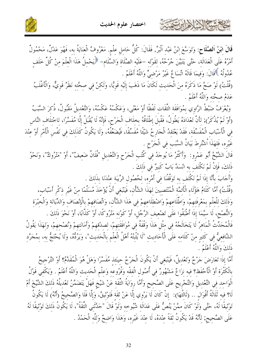

قَالَ ابْنُ اَلصَّلَاحٍ: وَتَوَسَّعَ ابْنُ عَبْدِ اَلْبَرِّ, فَقَالَ: كُلُّ حَامِلِ عِلْمٍ. مَعْرُوفٌ الْعِنَايَةُ به، فَهُوَ عَدْلٌ، مَحْمُولٌ أَمْرُهُ عَلَى الْعَدَالَة، حَتَّى يَتَبَيَّنَ جُرْحُهُ، لقَوْله –عَلَيْه الصَّلَاة وَالسَّلَام– ﴿يَحْملُ هَذَا الْعلْمَ منْ كُلِّ خَلَف عُدُولُهُ ۚ قَالَ: وَفيمَا قَالَهُ اتِّسَاعٌ غَيْرُ مَرْضيٍّ وَاللَّهُ أَعْلَمُ .

(قُلْتُ) لَوْ صَحَّ مَا ذَكَرَهُ مِنَ الْحَدِيثِ لَكَانَ مَا ذَهَبَ إِلَيْهِ قَوِيًّا، وَلَكِنْ فِي صحَّته نَظَرٌ قَوِيٌّ، وَالْأَغْلَبُ عَدَمُ صحَّته وَاللَّهُ أَعْلَمُ .

وَيُعْرَفُ ضَبْطُ الرَّاوِي بِمُوَافَقَة التِّقَات لَفْظًا أَوْ مَعْنًى، وَعَكْسُهُ عَكْسُهُ، وَالتَّعْديلُ مَقْبُولٌ، ذُكرَ السَّبَبُ (أَوْ لَمْ يُذْكَرْ); لأَنَّ تَعْدَادَهُ يَطُولُ، فَقُبلَ إطْلَاقُهُ بخلَاف الْجَرْحِ، فَإِنَّهُ لَا يُقْبَلُ إلَّا مُفَسَّرًا، لاخْتلَاف النَّاس في الْأَسْبَاب الْمُفَسِّقَة، فَقَدْ يَعْتَقدُ الْجَارِحُ شَيْئًا مُفَسِّقًا، فَيُضَعِّفُهُ، وَلَا يَكُونُ كَذَلِكَ فِي نَفْسِ الْأَمْرِ أَوْ عِنْدَ غَيْرِه، فَلهَذَا ٱشْتُرِطَ بَيَانُ السَّبَبِ في الْجَرْحِ .

قَالَ الشَّيْخُ أَبُو عَمْرو: ۚ وَأَكْثَرُ مَا يُوجَدُ فِي كُتُبِ الْجَرْحِ وَالتَّعْدِيلِ "فُلَانٌ ضَعِيفٌ"، أَوْ "مَتْرُوكٌ"، وَنَحْوُ ذَلكَ، فَإِنْ لَمْ نَكْتَف به انْسَدَّ بَابٌ كَبِيرٌ في ذَلكَ .

وَأَجَابَ بِأَنَّا إِذَا لَمْ نَكْتَف به تَوَقَّفْنَا في أَمْرِه، لحُصُول الرِّيبَة عنْدَنَا بذَلكَ .

كالحشيخ الأثالا ابرنتما

(قُلْتُ) أَمَّا كَلَامُ هَؤُلَاء الْأَئمَّة الْمُنْتَصِينَ لهَذَا الشَّأْن، فَيَنْبَغي أَنْ يُؤْخَذَ مُسَلَّمًا منْ غَيْر ذكْر أَسْبَاب، وَذَلكَ للْعلْمِ بمَعْرِفَتهمْ، وَاطِّلَاعهمْ وَاضْطلَاعهمْ في هَذَا الشَّأْنِ، وَاتِّصَافهمْ بِالْإنْصَاف وَالدِّيَانَة وَالْخبْرَة وَالنُّصْحْ، لَا سيَّمَا إذَا أَطْبَقُوا عَلَى تَضْعيف الرَّجُل، أَوْ كَوْنه مَتْرُوكًا، أَوْ كَذَّابًا، أَوْ نَحْوَ ذَلكَ .

فَالْمُحَدِّثُ الْمَاهِرُ لَا يَتَخَالَجُهُ في مثْل هَذَا وَقْفَةٌ في مُوَافَقَتهمْ، لصدْقهمْ وأَمَانَتهمْ وَنُصْحهمْ، وَلهَذَا يَقُولُ الشَّافعيُّ في كَثير منْ كَلَامه عَلَى الْأَحَاديثِ "لَا يُثْبِتُهُ أَهْلُ الْعِلْمِ بِالْحَدِيثِ"، وَيَرُدُّهُ، وَلَا يُحْتَجُّ بِهِ، بِمُجَرَّدٍ ذَلِكَ وَاللَّهُ أَعْلَمُ .

أَمَّا إِذَا تَعَارَضَ حَرْحٌ وَتَعْدِيلٌ، فَيَنْبَغي أَنْ يَكُونَ الْجَرْحُ حينَئذ مُفَسَّرًا وَهَلْ هُوَ الْمُقَدَّمُ؟ أَوْ التَّرْحيحُ بِالْكَثْرَةِ أَوْ الْأَحْفَظِ؟ فِيهِ نِرَاعٌ مَشْهُورٌ فِي أُصُولِ الْفقْهِ وَفُرُوعِهِ وَعِلْمِ الْحَديث وَاللَّهُ أَعْلَمُ . وَيَكْفي قَوْلُ الْوَاحد في التَّعْديل وَالتَّجْريح عَلَى الصَّحيح وَأَمَّا روَايَةُ الثِّقَة عَنْ شَيْخ فَهَلْ يَتَضَمَّنُ تَعْديلُهُ ذَلكَ الشَّيْخَ أَمْ لَا؟ فيه تَلَاتَةُ أَقْوَال .. (تَالتُهَا): ۚ إنْ كَانَ لَا يَرْوِي إِلَّا عَنْ ثَقَة فَتَوْثِيقٌ، وَإِلَّا فَلَا وَالصَّحِيحُ (أَنَّهُ) لَا يَكُونُ تَوْثِيقًا لَهُ، حَتَّى وَلَوْ كَانَ مِمَّنْ يَنُصُّ عَلَى عَدَالَة شُيُوخِه وَلَوْ قَالَ "حَدَّثَنِي الثَّقَةُ"، لَا يَكُونُ ذَلكَ تَوْثِيقًا لَهُ عَلَى الصَّحيح; لأَنَّهُ قَدْ يَكُونُ ثَقَةً عِنْدَهُ، لَا عِنْدَ غَيْرِهِ، وَهَذَا وَاضِحٌ وَلِلَّهِ الْحَمْدُ .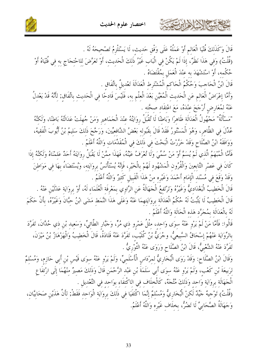



قَالَ وَكَذَلِكَ فُتْيَا الْعَالِمِ أَوْ عَمَلُهُ عَلَى وَفْقِ حَديث، لَا يَسْتَلْزِمُ تَصْحِيحَهُ لَهُ . (قُلْتُ) وَفي هَذَا نَظَرٌ، إذَا لَمْ يَكُنْ في الْبَاب غَيْرُ ذَلكَ الْحَديث، أَوْ تَعَرَّضَ للاحْتجَاج به في فُتْيَاهُ أَوْ حُكْمه، أَوْ اسْتَشْهَدَ به عنْدَ الْعَمَلِ بِمُقْتَضَاهُ . قَالَ ابْنُ الْحَاحِبَ وَحُكْمُ الْحَاكم الْمُشْتَرِط الْعَدَالَةَ تَعْديلٌ بِاتِّفَاقٍ .

كالحشيخ اللازاري

وَأَمَّا إعْرَاضُ الْعَالمِ عَنِ الْحَديثِ الْمُعَيَّنِ بَعْدَ الْعِلْمِ بِهِ، فَلَيْسَ قَادِحًا فِي الْحَديثِ باتِّفَاقِ; لِأَنَّهُ قَدْ يَعْدِلُ عَنْهُ لِمُعَارِضٍ أَرْجَحَ عِنْدَهُ، مَعَ اعْتقَاد صِحَّته .

"مَسْأَلَةٌ" مَجْهُولُ الْعَدَالَة ظَاهرًا وَبَاطْنًا لَا تُقْبَلُ روَايَتُهُ عِنْدَ الْجَمَاهير وَمَنْ جُهلَتْ عَدَالَتُهُ بَاطْنًا، وَلَكَنَّهُ عُدِّلَ فِي الظَّاهِرِ، وَهُوَ الْمَسْتُورُ فَقَدْ قَالَ بِقَبُولِهِ بَعْضُ الشَّافعيِّينَ، وَرَجَّحَ ذَلكَ سَليمُ بْنُ أَيُّوبَ الْفَقيهُ، وَوَافَقَهُ ابْنُ الصَّلَاحِ وَقَدْ حَرَّرْتُ الْبَحْتَ في ذَلكَ في الْمُقَلِّمَات وَاللَّهُ أَعْلَمُ .

فَأَمَّا الْمُبْهَمُ الَّذي لَمْ يُسَمَّ أَوْ مَنْ سُمِّيَ وَلَا تُعْرَفُ عَيْنُهُ، فَهَذَا ممَّنْ لَا يَقْبَلُ روَايَتَهُ أَحَدٌ عَلمْنَاهُ وَلَكَنَّهُ إذَا كَانَ فِي عَصْرِ التَّابِعِينَ وَالْقُرُونِ الْمَشْهُودِ لَهُمْ بِالْخَيْرِ، فَإِنَّهُ يُسْتَأْنَسُ بِرِوَايَتِهِ، وَيُسْتَضَاءُ بِهَا فِي مَوَاطِنَ وَقَدْ وَقَعَ في مُسْنَد الْإمَام أَحْمَدَ وَغَيْره منْ هَذَا الْقَبِيلِ كَثِيرٌ وَاللَّهُ أَعْلَمُ .

قَالَ الْخَطِيبُ الْبَغْدَادِيُّ وَغَيْرُهُ وَتَرْتَفعُ الْجَهَالَةُ عَنِ الرَّاوِي بِمَعْرِفَة الْعُلَمَاءِ لَهُ، أَوْ بروَايَة عَدْلَيْنِ عَنْهُ . قَالَ الْخَطِيبُ لَا يَثْبُتُ لَهُ حُكْمُ الْعَدَالَة بروَايَتهمَا عَنْهُ وَعَلَى هَذَا النَّمَط مَشَى ابْنُ حبَّانَ وَغَيْرُهُ، بِأَنْ حَكَمَ لَهُ بِالْعَدَالَة بِمُجَرَّدٍ هَذِهِ الْحَالَةِ وَاللَّهُ أَعْلَمُ .

قَالُوا: فَأَمَّا مَنْ لَمْ يَرْوِ عَنْهُ سِوَى وَاحِدٍ، مِثْلُ عَمْرِو ذِي مُرٍّ، وَجَبَّارِ الطَّائِيِّ، وَسَعيد بْنِ ذِي حُدَّانَ، تَفَرَّدَ بالرِّوَايَة عَنْهُمْ إسْحَاقُ السَّبِيعيُّ، وجُرَيُّ بْنُ كُلَيْب، تَفَرَّدَ عَنْهُ قَتَادَةُ، قَالَ الْخطيبُ وَالْهَزْهَازُ بْنُ مَيْزَنَ، تَفَرَّدَ عَنْهُ الشَّعْبِيُّ، قَالَ ابْنُ الصَّلَاحِ وَرَوَى عَنْهُ الثَّوْرِيُّ .

وَقَالَ ابْنُ الصَّلَاح: وَقَدْ رَوَى الْبُخَارِيُّ لِمِرْدَاسِ الْأَسْلَمِيِّ، وَلَمْ يَرْوِ عَنْهُ سِوَى قَيْسِ بْنِ أَبِي حَازِمٍ، وَمُسْلِمٌ لرَبيعَةَ بْنِ كَعْبٍ، وَلَمْ يَرْوِ عَنْهُ سوَى أَبي سَلَمَةَ بْنِ عَبْدِ الرَّحْمَنِ قَالَ وَذَلكَ مَصيرٌ منْهُمَا إلَى ارْتفَاعِ الْحَهَالَة بروَايَة وَاحد وَذَلكَ مُتَّجَهٌ، كَالْخلَاف في الاكْتفَاء بوَاحِدٍ في التَّعْدِيلِ . (قُلْتُ) تَوْحِيهٌ حَيِّدٌ لَكنْ الْبُخَارِيُّ وَمُسْلَمٌ إِنَّمَا اكْتَفَيَا في ذَلكَ بروَايَة الْوَاحد فَقَطْ; لأَنَّ هَذَيْن صَحَابيَّان، وَجَهَالَةُ الصَّحَابِيِّ لَا تَضُرُّ، بخلَاف غَيْرِه وَاللَّهُ أَعْلَمُ.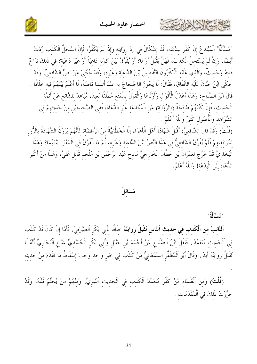

"مَسْأَلَةٌ" الْمُبْتَدِعُ إِنْ كَفَرَ بِبِدْعَتِهِ، فَلَا إِشْكَالَ فِي رَدِّ رِوَايَتِهِ وَإِذَا لَمْ يَكْفُرْ، فَإِنْ اسْتَحَلَّ الْكَذِبَ رُدَّتْ أَيْضًا، وَإِنْ لَمْ يَسْتَحلَّ الْكَذبَ، فَهَلْ يُقْبَلُ أَوْ لَا؟ أَوْ يُفَرَّقُ بَيْنَ كَوْنه دَاعيَةً أَوْ غَيْرَ دَاعيَة؟ في ذَلكَ نزَاغٌ قَديمٌ وَحَديثٌ، وَالَّذي عَلَيْه الْأَكْثَرُونَ التَّفْصيلُ بَيْنَ الدَّاعيَة وَغَيْره، وَقَدْ حُكيَ عَنْ نَصِّ الشَّافعيِّ، وَقَدْ حَكَى ابْنُ حبَّانَ عَلَيْه الاتِّفَاقَ، فَقَالَ: لَا يَجُوزُ الاحْتجَاجُ به عنْدَ أَئمَّتنَا قَاطبَةً، لَا أَعْلَمُ بَيْنَهُمْ فيه حلَافًا . قَالَ ابْنُ الصَّلَاح: وَهَذَا أَعْدَلُ الْأَقْوَال وَأَوْلَاهَا وَالْقَوْلُ بِالْمَنْعِ مُطْلَقًا بَعيدٌ، مُبَاعدٌ للشَّائع عَنْ أَئمَّة الْحَدِيثِ، فَإِنَّ كُتُبَهُمْ طَافِحَةٌ (بالرِّوَايَة) عَنِ الْمُبْتَدَعَةِ غَيْرِ الدُّعَاةِ، فَفِي الصّحيحَيْنِ مِنْ حَديثِهِمْ فِي الشَّوَاهد وَالْأُصُول كَثيرٌ وَاللَّهُ أَعْلَمُ .

(قُلْتُ) وَقَدْ قَالَ الشَّافِعِيُّ: أَقْبَلُ شَهَادَةَ أَهْلِ الْأَهْوَاءِ إِلَّا الْخَطَّابِيَّةَ مِنَ الرَّافضَةِ; لِأَنَّهُمْ يَرَوْنَ الشَّهَادَةَ بِالزُّورِ لمُوَافقيهمْ فَلَمْ يُفَرِّقْ الشَّافعيُّ في هَذَا النَّصِّ بَيْنَ الدَّاعيَة وَغَيْره، ثُمَّ مَا الْفَرْقُ في الْمَعْنَى بَيْنَهُمَا؟ وَهَذَا الْبُخَارِيُّ قَدْ خَرَّجَ لِعِمْرَانَ بْنِ حَطَّانَ الْخَارِجِيِّ مَادِحٍ عَبْدِ الرَّحْمَنِ بْنِ مُلْجم قَاتِلِ عَلِيٍّ، وَهَذَا مِنْ أَكْبَرِ اللُّعَاة إِلَى الْبِدْعَة! وَاللَّهُ أَعْلَمُ.

مَسَائلُ

"مَسْأَلَةٌ"

XXXXXXXXXX

اَلتَّائِبُ مِنَ اَلْكَذِبِ فِي حَدِيثِ اَلنَّاسِ تُقْبَلُ رِوَايَتُهُ حِلَافًا لِأَبِي بَكْرِ اَلصَّيْرَفِيِّ, فَأَمَّا إِنْ كَانَ قَدْ كَذَبَ فِي اَلْحَدِيثِ مُتَعَمِّدًا, فَنَقَلَ إِبْنُ اَلصَّلَاحِ عَنْ أَحْمَدَ بْنِ حَنْبَلٍ وَأَبِي بَكْرٍ الْحُمَيْدِيِّ شَيْخِ اَلْبُخَارِيِّ أَنَّهُ لَا تُقْبَلُ رِوَايَتُهُ أَبَدًا, وَقَالَ أَبُو اَلْمُظَفَّرِ السَّمْعَانِيُّ مَنْ كَذَبَ فِي خَبَرٍ وَاحِدٍ وَجَبَ إِسْقَاطُ مَا تَقَدَّمَ مِنْ حَديثِهِ

(قُلْتُ) وَمنَ اَلْعُلَمَاءِ مَنْ كَفَّرَ مُتَعَمِّدَ اَلْكَذِبِ فِي اَلْحَدِيثِ اَلنَّبَوِيِّ, وَمِنْهُمْ مَنْ يُحَتّمُ قَتْلَهُ، وَقَدْ حَرَّرْتُ ذَلِكَ فِي اَلْمُقَدِّمَاتِ .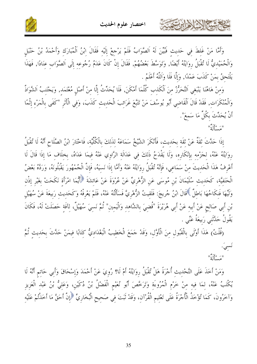



وَأَمَّا مَنْ غَلِطَ فِي حَدِيثٍ فَبُيِّنَ لَهُ اَلصَّوَابُ فَلَمْ يَرْجِعْ إِلَيْهِ فَقَالَ إِبْنُ اَلْمُبَارَكِ وَأَحْمَدُ بْنُ حَنْبَلٍ وَالْحُمَيْدِيُّ لَا تُقْبَلُ رِوَايَتُهُ أَيْضًا, وَتَوَسَّطَ بَعْضُهُمْ, فَقَالَ إِنْ كَانَ عَدَمُ رُجُوعِهِ إِلَى اَلصَّوَابِ عِنَادًا, فَهَذَا يَلْتَحقُ بِمَنْ كَذَبَ عَمْدًا, وَإِلَّا فَلَا وَاَللَّهُ أَعْلَمُ .

وَمِنْ هَاهُنَا يَنْبَغِي اَلتَّحَرُّزُ مِنَ اَلْكَذِبِ كُلَّمَا أَمْكَنَ, فَلَا يُحَدِّثُ إِلَّا مِنْ أَصْلِ مُعْتَمَدِ, وَيَحْتَنِبُ الشَّوَاذَّ وَالْمُنْكَرَاتِ, فَقَدْ قَالَ الْقَاضِي أَبُو يُوسُفَ مَنْ تَتَبَّعَ غَرَائِبَ الْحَدِيثِ كَذَبَ، وَفِي الْأَثَرِ "كَفَى بِالْمَرْءِ إِثْمًا أَنْ يُحَدِّثَ بكُلٍّ مَا سَمعَ".

"مَسأَأَةٌ"

كالحشيخ الأخالين

إِذَا حَدَّثَ ثَقَةٌ عَنْ ثَقَةٍ بِحَدِيثٍ، فَأَنْكَرَ الشَّيْخُ سَمَاعَهُ لِذَلِكَ بِالْكُلِّيَّة، فَاخْتَارَ ابْنُ الصَّلَاحِ أَنَّهُ لَا تُقْبَلُ روَايَتُهُ عَنْهُ، لجَزْمه بإنْكَارِه، وَلَا يَقْدَحُ ذَلكَ في عَدَالَة الرَّاوِي عَنْهُ فيمَا عَدَاهُ، بخلَاف مَا إذَا قَالَ لَا أَعْرِفُ هَذَا الْحَدِيثَ مِنْ سَمَاعِي، فَإِنَّهُ تُقْبَلُ رِوَايَتُهُ عَنْهُ وَأَمَّا إِذَا نَسِيَهُ، فَإِنَّ الْجُمْهُورَ يَقْبَلُونَهُ، وَرَدَّهُ بَعْضُ الْحَنَفِيَّةِ، كَحَدِيثِ سُلَيْمَانَ بْنِ مُوسَى عَنِ الزُّهْرِيِّ عَنْ عُرْوَةَ عَنْ عَائِشَةَ ﴿أَيُّمَا امْرَأَة نَكَحَتْ بغَيْر إذْن وَلَيِّهَا فَنِكَاحُهَا بَاطِلٌ ۚ قَالَ ابْنُ جُريجَ: فَلَقِيتُ الزُّهْرِيَّ فَسَأَلْتُهُ عَنْهُ، فَلَمْ يَعْرفْهُ وَكَحَديث رَبيعَةَ عَنْ سُهَيْل بْنِ أَبِي صَالِحٍ عَنْ أَبِيهِ عَنْ أَبِي هُرَيْرَةَ "قُضِيَ بِالشَّاهِدِ وَالْيَمِينِ" ثُمَّ نَسِيَ سُهَيْلٌ، لِآفَةٍ حَصَلَتْ لَهُ، فَكَانَ يَقُولُ حَلَّتَنى رَبيعَةُ عَنِّي .

(قُلْتُ) هَذَا أَوْلَى بِالْقَبُولِ مِنَ الْأَوَّلِ، وَقَدْ حَمَعَ الْخَطِيبُ الْبَغْدَادِيُّ كِتَابًا فِيمَنْ حَدَّثَ بِحَدِيثِ ثُمَّ

" وَأَلْقَ<sup>"</sup>

وَمَنْ أَخَذَ عَلَى التَّحْدِيثِ أُجْرَةً هَلْ تُقْبَلُ رِوَايَتُهُ أَمْ لَا؟ رُوِيَ عَنْ أَحْمَدَ وَإِسْحَاقَ وَأَبِي حَاتِم أَنَّهُ لَا يُكْتَبُ عَنْهُ، لِمَا فِيهِ مِنْ خَرْمٍ الْمُرُوءَةِ وَتَرَخَّصَ أَبُو نُعَيْمِ الْفَضْلُ بْنُ دُكَيْنِ، وَعَلِيُّ بْنُ عَبْدِ الْعَزِيزِ وَآخَرُونَ، كَمَا تُؤْخَذُ الْأُجْرَةُ عَلَى تَعْلِيمِ الْقُرْآنِ، وَقَدْ ثَبَتَ فِي صَحِيحِ الْبُخَارِيِّ ۚ إِنَّ أَحَقَّ مَا أَخَذْتُمْ عَلَيْهِ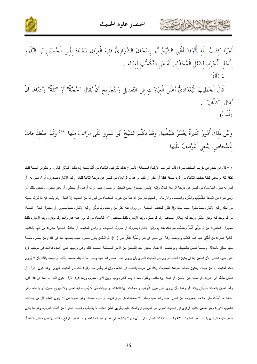



أَجْرًا كتَابُ اللَّه ﴾وَقَدْ أَفْتَى الشَّيْخُ أَبُو إِسْحَاقَ الشِّيرَازِيُّ فَقِيهُ الْعِرَاقِ بِبَغْدَادَ لِأَبِي الْحُسَيْنِ بْنِ النَّقُورِ بِأَخْذِ الْأُجْرَةِ، لِشَغْلِ الْمُحَدِّثِينَ لَهُ عَنِ التَّكَسُّبِ لِعِيَالِهِ . مَبِدِ أَأَوَّ"

قَالَ الْخَطِيبُ الْبَغْدَادِيُّ أَعْلَى الْعبَارَات في التَّعْديلِ وَالتَّجْرِيحِ أَنْ يُقَالَ "حُجَّةٌ" أَوْ "ثقَةٌ" وَأَدْنَاهَا أَنْ يُقَالَ "كَذَّابٌ" . (قُلْتُ)

وَبَيْنَ ذَلكَ أُمُورٌ كَثيرَةٌ يَعْسُرُ ضَبْطُهَا, وَقَدْ تَكَلَّمَ اَلشَّيْخُ أَبُو عَمْرو عَلَى مَرَاتبَ منْهَا ۚ <sup>(١)</sup> وَثَمَّ اصْطلَاحَاتٌ لِأَشْخَاصِ, يَنْبَغي اَلتَّوْقِيفُ عَلَيْهَا .

١ – قال ابن حَجر في تقريب التهذيب ص٤: فأما المراتب، فأولها: الصحابة؛ فأصرح بذلك لشرفهم. الثانية: من أُكِّد مدحه إما بأفعل كأوْثق الناس، أو بتكرير الصفة لفظا كثقة ثقة أو معنى كثقة حافظ. الثالثة: من أفرد بصفة كثقة أو متقن أو ثبّت أو عدل. الرابعة: من قصر عن درجة الثالثة قليلا، وإليه الإشارة بصدوق، أو لا بأس به، أو ليس به بأس. الخامسة: من قصر عن درجة الرابعة قليلا، وإليه الإشارة بصدوق سيئ الحفظ، أو صدوق يَهم، أو الهام، أو يخطئ، أو تغير بأخرة، ويلتحق بذلك من رُمي بنوع من البدعة كالتُّشَيُّع، والقَدَر، والنصب، والإرجاء، والتجهُم مع بيان الداعية من السادسة: من ليس له من الحديث إلا القليل، ولم يثبت فيه ما يُترك حديثه من أجله وإليه الإشارة بلفظ مقبول حيث يُتابع وإلا فليّن الحديث. السابعة: من روى عنه أكثر من واحد، ولم يوثّق، وإليه الإشارة بلفظ مستور، أو مجهول الحال. الثامنة: من لم يوجد فيه توثيق مُعْتَبَر ووجد فيه إطلاق الضعف، ولو لم يفسَّر، وإليه الإشارة بلفظ ضعيف. ٥٢ التاسعة: من لم يرو عنه غير واحد ولم يوثَّق، وإليه الإشارة بلفظ مجهول. العاشرة: من لم يُوَنَّق أَلْبَنَّةَ وضعًف مع ذلك بقادح، وإليه الإشارة بمتروك أو متروك الحديث، أو واهى الحديث، أو ساقط. الحادية عشرة: من اتَّهمَ بالكذب. الثانية عشرة: من أطلْقَ عليه اسم الكذب والوضع. وقال ابن حجر في شرح نُخْبة الفكَر ص (٣٠): ثم الطعن يكون بعشرة أشياء بعضها أشد في القدح من بعض، خمسة منها تتعلق بالعدالة، وخمسة نتعلق بالضبط، ولم يحصل الاعتناء بتمييز أحد القسمين من الآخر لمصلحة اقتضت ذلك وهي نرتيبها على الأشد، فالأشد في موجب الرد على سبيل التنلي؛ لأن الطعن إما أن يكون: لكذب الراوي في الحديث النبوي بأن يروي عنه –صلى الله عليه وسلم– ما لم يقله متعمدا لذلك، أو تهمته بذلك بأن لا يُروي ذلك الحديث إلا من جهته، ويكون مخالفا للقواعد المعلومة، وكذا من عرف بالكذب في كلامه، وإن لم يظهر منه وقوع ذلك في الحديث النبوي، وهذا دون الأول. أو فُحْش غلطه أي: كثرته. أو غفلته عن الإتقان. أو فسقه أي: بالفعل والقول مما لا يبلغ الكفر، وبينه وبين الأول عموم، وإنما أفرد الأول؛ لكون القدح به أشد في هذا الفن، وأما الفسق بالمعتقَد فسيأتي بيانه. أو وَهْمه بأن بروي على سبيل التَّوهُم. أو مخالفته أي: للثقات. أو جهالته بأن لا يُعرف فيه تعديل ولا تجريح معين. أو بدعته، وهي اعتقاد ما أحْدَثَ على خلاف المعروف عن النبـي –صلـي الله عليه وسلم– لا بمعاندة، بل بنوع شبيهة. أو سوء حفظه، وهو عبارة عن ألا يكون غلطه أقل من إصابته. فالسبب الأول: وهو الطعن بكذب الراوي في الحديث النبوي هو الموضوع والحكم عليه بطريق الظَّن الغالب لا بالقطع. والسبب الثاني: من أقسام المردود وهو ما يكون بسبب تهمة الراوي بالكذب هو المتروك. ٥٣ والسبب الثالث: المُنكَر على رأي من لا يشترط في المنكر قيد المخالفة. وكذا السبب الرابع والخامس: فمن فحش غلطه أو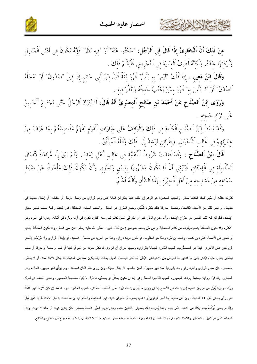



منْ **ذَلكَ أَنَّ الْبُخَارِيَّ إذَا قَالَ في اَلرَّجُل**: "سَكَتُوا عَنْهُ" أَوْ "فيه نَظَرٌ" فَإِنَّهُ يَكُونُ في أَدْنَى اَلْمَنَازل وَأَرْدَتَهَا عِنْدَهُ, وَلَكَنَّهُ لَطِيفُ اَلْعِبَارَة في اَلتَّجْرِيح, فَلْيُعْلَمْ ذَلكَ .

وَقَالَ ابْنُ مَعين : إذَا قُلْتُ "لَيْسَ به بَأْسٌ" فَهُوَ ثَقَةٌ قَالَ ابْنُ أَبِي حَاتِمٍ إذَا قِيلَ "صَدُوقٌ" أَوْ "مَحَلَّهُ اَلصِّدْقُ" أَوْ "لَا بَأْسَ به" فَهُوَ ممَّنْ يَكْتُبُ حَديثَهُ وَيَنْظُرُ فيه .

وَرَوَى إِبْنُ اَلصَّلَاحِ عَنْ أَحْمَدَ بْنِ صَالِحٍ اَلْمِصْرِيِّ أَنَّهُ قَالَ: لَا يُتْرَكُ اَلرَّجُلُ حَتَّى يَجْتَمِعَ اَلْجَمِيعُ عَلَى تَرْك حَديثه .

وَقَدْ بَسَطَ ابْنُ اَلصَّلَاحِ اَلْكَلَامَ في ذَلكَ وَالْوَاقفُ عَلَى عبَارَات اَلْقَوْمِ يَفْهَمُ مَقَاصدَهُمْ بمَا عَرَفَ منْ عِبَارَتهِمْ فِي غَالِبِ اَلْأَحْوَالِ, وَبِقَرَائِنِ تُرْشِدُ إِلَى ذَلِكَ وَاَللَّهُ اَلْمُوَفَّقُ .

قَالَ ابْنُ اَلصَّلَاحٍ : وَقَدْ فُقدَتْ شُرُوطُ اَلْأَهْلِيَّة فِي غَالبِ أَهْلِ زَمَانِنَا, وَلَمْ يَبْقَ إِلَّا مُرَاعَاةُ اتِّصَالِ اَلسِّلْسلَة في اَلْإِسْنَاد, فَيَنْبَغي أَنْ لَا يَكُونَ مَشْهُورًا بفسْقِ وَنَحْوِهِ, وَأَنْ يَكُونَ ذَلِكَ مَأْخُوذًا عَنْ ضَبْطِ سَمَاعه منْ مَشَايخه منْ أَهْلِ اَلْخبْرَة بهَذَا اَلشَّأْنِ وَاَللَّهُ أَعْلَمُ.

.<br>كثرت غفلته أو ظهر فسقه فحديثه منكر. والسبب السادس: هو الوهم إن اطلع عليه بالقرائن الدالة على وهم الراوي من وصل مرسل أو منقطع، أو إدخال حديث في حديث، أو نحو ذلك من الأشياء القادحة، وتحصل معرفة ذلك بكثرة التَتَبَع، وجمع الطرق هو المعلل. والسبب السابع: المخالفة، فإن كانت واقعة بسبب تغيير سياق الإسناد، فالواقع فيه ذلك التغيير هو مُدْرَج الإسناد. وأما مدرج المتن فهو أن يقع في المتن كلام ليس منه، فتارة في أوله وتارة في أثنائه، وتارة في آخره وهو الأكثر ، وقد نكون المخالَّفة بدمج موقوف من كلام الصحابة أو من مَن بعدهم بموضوع من كلام النبي –صلى الله عليه وسلم– من غير فصل. وقد نكون المخالفة بتقديم أو تأخير في الأسماء كمُرة بن كعب، وكعب بن مُرة وهذا هو المقلوب. أو نكون بزيادة راوٍ، وهذا هو المزيد في منصل الأسانيد. أو بإبدال الراوي ولا مُرَجِّح لإحدى الروايتين على الأخرى، فهذا هو المضطَّرب. السبب الثامن: الجهالة بالراوي، وسببها أمران أن الراوي قد نكثر نعوته من اسم أو كنية أو لقب أو صفة أو حرفة أو نسب فيُشتهر بشيء منها، فيُذكر بغير ما اشتهر به لغرض من الأغراض، فيُظن أنه آخر فيحصل الجهل بحاله، وقد يكون مُقلًا من الحديث فلا يكثر الأخذ عنه، أو لا يُسَمَّى اختصارا، فإن سمي الراوي وانفرد راو واحد بالرواية عنه فهو مجهول العين كالمبهم فلا يقبل حديثه، وإن روى عنه اثنان فصاعدا، ولم يوثّق فهو مجهول الحال، وهو المستور، وقد قبل روايته جماعة وردها الجمهور. السبب التاسع: البدعة وهي إما أن نكون بمكفَّر أو بمفسِّق، فالأول لا يَقبل صاحبها الجمهور، والثاني اختُلف في قبوله ورَدّه، وقيل: يُقبل من لم يكن داعية إلى بدعته في الأصح إلا إن روى ما يقوّي بدعته فيُرد على المذهب المختار. السبب العاشر: سوء الحفظ إن كان لازما فهو الشاذّ على رأي بعض أهل ٥٤ الحديث، وإن كان طارئا إما لكبر الراوي أو ذهاب بصره أو احتراق كتبه، فهو المختلط، والحكم فيه أن ما حدث به قبل الاختلاط إذا تَمَيّز قُبلَ وإذا لم يتميز تُوُقِّفَ فيه، وكذا من اشتبه الأمر فيه، وإنما يُعرف ذلك باعتبار الآخذين عنه. ومتى تُوبع السيِّئ الحفظ بمعتبَر، كأن يكون فوقه أو مثله لا دونه، وكذا المختلط الذي لم يتميز، والمستور والإسناد المرسل، وكذا المدلس إذا لم يعرف المحذوف منه صار حديثهم حسنا لا لذاته بل باعتبار المجموع من المتابع والمتابَع.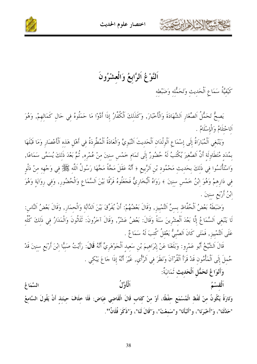



#### اَلنَّوْغُ اَلرَّابعُ وَالْعشْرُونَ

كَيْفِيَّةُ سَمَاعِ اَلْحَدِيثِ وَتَحَمُّلِهِ وَضَبْطِهِ

يَصِحُّ تَحَمُّلُ اَلصِّغَارِ اَلشَّهَادَةَ وَالْأَخْبَارَ, وَكَذَلِكَ اَلْكُفَّارُ إِذَا أَدَّوْا مَا حَمَلُوهُ فِي حَالٍ كَمَالِهِمْ, وَهُوَ اَلِاحْتِلَامُ وَالْإِسْلَامُ .

وَيَنْبَغِي اَلْمُبَارَاةُ إِلَى إِسْمَاعِ اَلْوِلْدَانِ اَلْحَدِيتَ اَلنَّبَويَّ وَالْعَادَةُ اَلْمُطَّرِدَةُ في أَهْلِ هَذه اَلْأَعْصَار وَمَا قَبْلَهَا بِمُدَدِ مُتَطَاوِلَةِ أَنَّ اَلصَّغِيرَ يُكْتَبُ لَهُ حُضُورٌ إِلَى تَمَامٍ خَمْسٍ سنينَ منْ عُمْرِه, ثُمَّ بَعْدَ ذَلكَ يُسَمَّى سَمَاعًا, وَاسْتَأْنَسُوا فِي ذَلِكَ بِحَدِيثٍ مَحْمُودٍ بْنِ اَلرَّبِيعِ ﴿ أَنَّهُ عَقَلَ مَجَّةً مَجَّهَا رَسُولُ اَللّه ﷺ في وَجْهه منْ دَلْو فِي دَارِهِمْ وَهُوَ اِبْنُ خَمْسٍ سِنِينَ ﴾ رَوَاهُ اَلْبُخَارِيٌّ فَجَعَلُوهُ فَرْقًا بَيْنَ اَلسَّمَاعِ وَالْحُضُورِ, وَفِي رِوَايَةِ وَهُوَ ابْنُ أَرْبَعِ سنينَ .

وَضَبَطَهُ بَعْضُ اَلْحُفَّاظ بسنِّ اَلتَّمْييز, وَقَالَ بَعْضُهُمْ: أَنْ يُفَرِّقَ بَيْنَ اَلدَّابَّةِ وَالْحِمَارِ, وَقَالَ بَعْضُ اَلنَّاسِ: لَا يَنْبَغي اَلسَّمَاعُ إِلَّا بَعْدَ اَلْعشْرِينَ سَنَةً وَقَالَ: بَعْضُ عَشْرٌ, وَقَالَ آخَرُونَ: ثَلَاثُونَ وَالْمَدَارُ في ذَلكَ كُلِّه عَلَى اَلتَّمْييز, فَمَتَى كَانَ اَلصَّبِيُّ يَعْقلُ كُتبَ لَهُ سَمَاعٌ .

قَالَ اَلشَّيْخُ أَبُو عَمْرو: وَبَلَغَنَا عَنْ إبْرَاهيمَ بْن سَعيد اَلْجَوْهَريِّ أَنَّهُ **قَالَ**: رَأَيْتُ صَبيًّا ابْنَ أَرْبَع سنينَ قَدْ حُملَ إلَى اَلْمَأْمُون قَدْ قَرَأَ اَلْقُرْآنَ وَنَظَرَ في اَلرَّأْي , غَيْرَ أَنَّهُ إذَا جَاعَ يَبْكي .

وَأَنْوَاعُ تَحَمُّل اَلْحَديث تَمَانيَةٌ: ٱلْأَوَّلُ ٱلْقَسْمُ السَّمَا عُ

وَتَارَةً يَكُونُ منْ لَفْظ الْمُسْمَعِ حفْظًا، أَوْ منْ كتَاب قَالَ الْقَاضي عِيَاض: فَلَا خلَافَ حينَئذ أَنْ يَقُولَ السَّامعُ "حَدَّثَنَا"، وَ"أَحْبَرَنَا"، و"أَنْبَأَنَا" و"سَمعْتُ"، وَ"قَالَ لَنَا"، وَ"ذَكَرَ فُلَانٌ".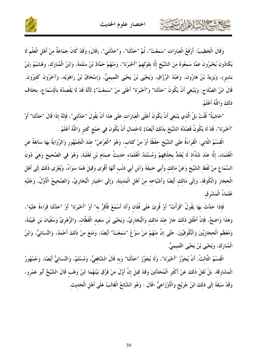حشيهم الجزاهرابربتهمة



وَقَالَ الْخَطِيبُ: أَرْفَعُ الْعبَارَات "سَمعْتُ"، ثُمَّ "حَدَّثَنَا"، و"حَدَّثَني"، (قَالَ) وَقَدْ كَانَ جَمَاعَةٌ منْ أَهْل الْعلْم لَا يَكَادُونَ يُخْبِرُونَ عَمَّا سَمعُوهُ منَ الشَّيْخِ إلَّا بقَوْلهمْ "أَحْبَرَنَا"، وَمنْهُمْ حَمَّادُ بْنُ سَلَمَةَ، وَابْنُ الْمُبَارَك، وهُشَيْمُ (بْنُ بَشير)، وَيَزيدُ بْنُ هَارُونَ، وَعَبْدُ الرَّزَّاق، وَيَحْيَى بْنُ يَحْيَى التَّميميُّ، وَإِسْحَاقُ بْنُ رَاهْوَيْه، وَآخَرُونَ كَثيرُونَ. قَالَ ابْنُ الصَّلَاحِ: وَيَنْبَغي أَنْ يَكُونَ "حَدَّثَنَا" وَ"أَخْبَرَنَا" أَعْلَى منْ "سَمعْتُ"; لأَنَّهُ قَدْ لَا يَقْصدُهُ بالْإسْمَاعِ، بخلَاف ذَلكَ وَاللَّهُ أَعْلَمُ.

"حَاشِيَةٌ" قُلْتُ بَلْ الَّذِي يَنْبَغِي أَنْ يَكُونَ أَعْلَى الْعِبَارَاتِ عَلَى هَذَا أَنْ يَقُولَ "حَدَّثَنِي"، فَإِنَّهُ إِذَا قَالَ "حَدَّثَنَا" أَوْ "أَحْبَرَنَا"، قَدْ لَا يَكُونُ قَصْدُهُ الشَّيْخَ بذَلكَ أَيْضًا; لاحْتمَال أَنْ يَكُونَ في جَمْع كَثير وَاللَّهُ أَعْلَمُ .

الْقِسْمُ الثَّانِي: الْقِرَاءَةُ عَلَى الشَّيْخِ حِفْظًا أَوْ مِنْ كِتَابٍ، وَهُوَ "الْعَرْضُ" عِنْدَ الْجُمْهُورِ وَالرِّوَايَةُ بِهَا سَائِغَةٌ عَنِ الْعُلَمَاء، إلَّا عنْدَ شُذَّاذ لَا يُعْتَدُّ بخلَافهمْ وَمُسْتَنَدُ الْعُلَمَاء حَديثُ ضِمَامٍ بْنِ ثَعْلَبَةَ، وَهُوَ فِي الصَّحِيحِ وَهِيَ دُونَ السَّمَاعِ مِنْ لَفْظِ الشَّيْخِ وَعَنْ مَالِكِ وَأَبِي حَنِيفَةَ وَابْنِ أَبِي ذِنْبِ أَنَّهَا أَقْوَى وَقِيلَ هُمَا سَوَاءٌ، وَيُعْزَى ذَلِكَ إِلَى أَهْلِ الْحجَازِ وَالْكُوفَةِ، وَإِلَى مَالك أَيْضًا وَأَشْيَاخه منْ أَهْلِ الْمَدينَةِ، وَإِلَى اخْتِيَارِ الْبُخَارِيِّ، وَالصَّحِيحُ الْأَوَّلُ، وَعَلَيْه عُلَمَاءُ الْمَشْرِقِ.

فَإِذَا حَدَّثَ بهَا يَقُولُ "قَرَأْتُ" أَوْ قُرئَ عَلَى فُلَان وَأَنَا أَسْمَعُ فَأُقرُّ به" أَوْ "أَحْبَرَنَا" أَوْ "حَدَّثَنَا قَرَاءَةً عَلَيْه"، وَهَذَا وَاضحٌ، فَإِنْ أَطْلَقَ ذَلكَ جَازَ عنْدَ مَالك وَالْبُخَارِيِّ، وَيَحْيَى بْنِ سَعِيدِ الْقَطَّانِ، وَالزُّهْرِيِّ وَسُفْيَانَ بْنِ عُيَيْنَةَ، وَمُعْظَمِ الْحجَازِيِّينَ وَالْكُوفِيِّينَ، حَتَّى إنَّ منْهُمْ مَنْ سَوَّغَ "سَمعْتُ" أَيْضًا، وَمَنَعَ مِنْ ذَلِكَ أَحْمَدُ، وَالنَّسَائِيُّ، وَابْنُ الْمُبَارَكْ، وَيَحْيَى بْنُ يَحْيَى التَّميميُّ.

الْقسْمُ الثَّالثُ: أَنْ يُجَوِّزَ "أَحْبَرَنَا"، وَلَا يُجَوِّزَ "حَدَّثَنَا" وَبه قَالَ الشَّافعيُّ، وَمُسْلمٌ، وَالنَّسَائيُّ أَيْضًا، وَجُمْهُورُ الْمَشَارِقَة، بَلْ نُقلَ ذَلكَ عَنْ أَكْثَر الْمُحَلِّثينَ وَقَدْ قيلَ إنَّ أَوَّلَ مَنْ فَرَّقَ بَيْنَهُمَا ابْنُ وَهْب قَالَ الشَّيْخُ أَبُو عَمْرو، وَقَدْ سَبَقَهُ إِلَى ذَلكَ ابْنُ جُرَيْجٍ وَالْأَوْزَاعيُّ ،قَالَ : وَهُوَ الشَّائعُ الْغَالبُ عَلَى أَهْل الْحَديث.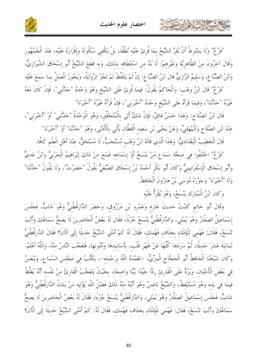

"فَرْعٌ" وَلَا يَشْتَرِطُ أَنْ يُقِرَّ الشَّيْخُ بِمَا قُرِئَ عَلَيْه نُطْقًا، بَلْ يَكْفِي سُكُوتَهُ وَإقْرَارَهُ عَلَيْه، عِنْدَ الْجُمْهُور وَقَالَ آخَرُونَ منَ الظَّاهريَّة وَغَيْرِهمْ: لَا بُدَّ من اسْتنْطَاقه بذَلكَ، وَبه قَطَعَ الشَّيْخُ أَبُو إسْحَاقَ الشِّيرَازيُّ، وَابْنُ الصَّبَّاغِ، وَسَليمٌ الرَّازِيُّ قَالَ ابْنُ الصَّبَّاغِ: إنْ لَمْ يَتَلَفَّظْ لَمْ تَجُزْ الرِّوَايَةُ، وَيَجُوزُ الْعَمَلُ بمَا سَمعَ عَلَيْه

"فَرْعٌ" قَالَ ابْنُ وَهْبٍ: وَالْحَاكِمُ يَقُولُ: فِيمَا قُرِئَ عَلَى الشَّيْخِ وَهُوَ وَحْدَهُ "حَدَّثْنِي"، فَإِنْ كَانَ مَعَهُ غَيْرُهُ "حَدَّثَنَا"، وَفِيمَا قَرَأَهُ عَلَى الشَّيْخِ وَحْدَهُ "أَخْبَرَني"، فَإِنْ قَرَأَهُ غَيْرُهُ "أَخْبَرَنَا"

قَالَ ابْنُ الصَّلَاح: وَهَذَا حَسَنٌ فَائقٌ، فَإِنْ شَكَّ أَتَى بِالْمُتَحَقِّقِ، وَهُوَ الْوَحْدَةُ "حَدَّثَني" أَوْ "أَخْبَرَني"، عنْدَ ابْنِ الصَّلَاحِ وَالْبَيْهَقِيِّ، وَعَنْ يَحْيَى بْنِ سَعِيدِ الْقَطَّانِ يَأْتِي بِالْأَدْنَى، وَهُوَ "حَدَّثَنا" أَوْ "أَخْبَرَنَا"

قَالَ الْخَطِيبُ الْبَغْدَاديُّ: وَهَذَا الَّذي قَالَهُ ابْنُ وَهْب مُسْتَحَبٌّ، لَا مُسْتَحَقٌّ، عنْدَ أهْل الْعلْم كَافَّة.

"فَرْعٌ" احْتَلَفُوا فِي صِحَّة سَمَاعٍ مَنْ يَنْسَخُ أَوْ إِسْمَاعِهِ فَمَنَعَ مِنْ ذَلِكَ إِبْرَاهِيمُ الْحَرْبِيُّ وَابْنُ عَدِيٍّ وَأَبُو إسْحَاقَ الْإِسْفَرَايينيٌّ وَكَانَ أَبُو بَكْرِ أَحْمَدُ بْنُ إِسْحَاقَ الصَّبْغِيُّ يَقُولُ "حَضَرْتُ"، وَلَا يَقُولُ "حَدَّثَنا" وَلَا "أَخْبَرَنَا" وَحَوَّزَهُ مُوسَى بْنُ هَارُونَ الْحَافظُ.

وَكَانَ ابْنُ الْمُبَارَك يَنْسَخُ، وَهُوَ يُقْرَأُ عَلَيْه

كالمشتم الاخلالي المرت

وَقَالَ أَبُو حَاتِمٍ كَتَبْتُ حَدِيتَ عَارِمٍ وَعَمْرِو بْنِ مَرْزُوقٍ، وَحَضَرَ الدَّارَقُطْنِيُّ وَهُوَ شَابٌّ، فَجَلَسَ إِسْمَاعِيلُ الصَفَّارُ وَهُوَ يُمْلِي، وَالدَّارَقُطْنِيُّ يَنْسَخُ جُزْءًا، فَقَالَ لَهُ بَعْضُ الْحَاضِرِينَ لَا يَصحُّ سَمَاعُكَ وَأَنْتَ تَنْسَخُ، فَقَالَ: فَهْمي للْإمْلَاء بخلَاف فَهْمك، فَقَالَ لَهُ كَمْ أَمْلَى الشَّيْخُ حَديثًا إلَى الْآنَ؟ فَقَالَ الدَّارَقُطْنيُّ تَمَانِيَةَ عَشَرَ حَدِيثًا، ثُمَّ سَرَدَهَا كُلُّهَا عَنْ ظَهْرِ قَلْبٍ، بِأَسَانِيدِهَا وَمُتُونِهَا، فَتَعَجَّبَ النَّاسُ مِنْهُ، وَاللَّهُ أَعْلَمُ. وَكَانَ شَيْخُنَا الْحَافِظُ أَبُو الْحَجَّاجِ الْمِزِّيُّ، –تَغَمَّدَهُ اللَّهُ بِرَحْمَتِه–، يَكْتُبُ فِي مَجْلِسِ السَّمَاعِ، وَيَنْعَسُ في بَعْض الْأَحْيَان، وَيَرُدُّ عَلَى الْقَارِئ رَدًّا حَيِّدًا بَيِّنًا وَاضحًا، بحَيْثُ يَتَعَجَّبُ الْقَارئُ منْ نَفْسه أَنَّهُ يُغَلِّطُ فيمَا في يَده وَهُوَ مُسْتَيْقظٌ، وَالشَّيْخُ نَاعسٌ وَهُوَ أَنْبَهُ منْهُ ذَلكَ فَضْلُ اللَّه يُؤْتيه مَنْ يَشَاءُ الدَّارَقُطْنيُّ وَهُوَ شَابٌ، فَجَلَسَ إِسْمَاعِيلُ الصَفَّارُ وَهُوَ يُمْلِي، وَالدَّارَقُطْنِيُّ يَنْسَخُ جُزْءًا، فَقَالَ لَهُ بَعْضُ الْحَاضِرِينَ لَا يَصِحُّ سَمَاعُكَ وَأَنْتَ تَنْسَخُ، فَقَالَ: فَهْمِي لِلْإِمْلَاءِ بِخِلَافٍ فَهْمِكٍ، فَقَالَ لَهُ: كَمْ أَمْلَى الشَّيْخُ حَدِيثًا إِلَى الْآنَ؟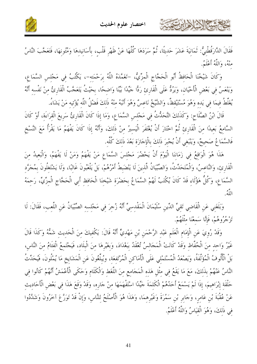كالحشيج الشاهايرت



فَقَالَ الدَّارَقُطْنيُّ: ثَمَانيَةَ عَشَرَ حَدِيثًا، ثُمَّ سَرَدَهَا كُلُّهَا عَنْ ظَهْرِ قَلْبٍ، بِأَسَانِيدِهَا وَمُتُونِهَا، فَتَعَجَّبَ النَّاسُ منْهُ، وَاللَّهُ أَعْلَمُ.

وَكَانَ شَيْخُنَا الْحَافظُ أَبُو الْحَجَّاجِ الْمزِّيُّ، –تَغَمَّدَهُ اللَّهُ برَحْمَته–، يَكْتُبُ في مَجْلس السَّمَاع، وَيَنْعَسُ في بَعْض الْأَحْيَان، وَيَرُدُّ عَلَى الْقَارِئ رَدًّا جَيِّدًا بَيِّنًا وَاضحًا، بحَيْتُ يَتَعَجَّبُ الْقَارِئُ منْ نَفْسه أَنَّهُ يُغَلِّطُ فيمَا في يَده وَهُوَ مُسْتَيْقظٌ، وَالشَّيْخُ نَاعسٌ وَهُوَ أَنْبَهُ منْهُ ذَلكَ فَضْلُ اللَّه يُؤتيه مَنْ يَشَاءُ.

قَالَ ابْنُ الصَّلَاحِ: وَكَذَلِكَ التَّحَدُّثُ فِي مَجْلِسِ السَّمَاعِ، وَمَا إِذَا كَانَ الْقَارِئُ سَرِيعَ الْقرَاءَة، أَوْ كَانَ السَّامعُ بَعيدًا منَ الْقَارئ ثُمَّ اخْتَارَ أَنْ يُغْتَفَرَ الْيَسيرُ منْ ذَلكَ، وَأَنَّهُ إِذَا كَانَ يَفْهَمُ مَا يَقْرَأُ مَعَ النَّسْخِ فَالسَّمَاعُ صَحِيحٌ، وَيَنْبَغِي أَنْ يُجْبِرَ ذَلِكَ بِالْإِجَازَةِ بَعْدَ ذَلِكَ كُلُّه.

هَذَا هُوَ الْوَاقِعُ فِي زَمَانِنَا الْيَوْمَ أَنْ يَحْضُرَ مَجْلِسَ السَّمَاعِ مَنْ يَفْهَمُ وَمَنْ لَا يَفْهَمُ، وَالْبَعيدُ مِنَ الْقَارِئ، وَالنَّاعسُ، وَالْمُتَحَدِّثُ، وَالصِّيِّيَانُ الَّذينَ لَا يَنْضَبطُ أَمْرُهُمْ، بَلْ يَلْعَبُونَ غَالبًا، وَلَا يَشْتَغْلُونَ بمُجَرَّد السَّمَاعِ، وَكُلُّ هَؤُلَاءِ قَدْ كَانَ يُكْتَبُ لَهُمْ السَّمَاعُ بِحَضْرَةٍ شَيْخِنَا الْحَافِظِ أَبِي الْحَجَّاجِ الْمِزِّيِّ، رَحِمَهُ اللَّهُ.

وَبَلَغَنِي عَنِ الْقَاضِي تَقِيِّ الدِّينِ سُلَيْمَانَ الْمَقْدِسِيِّ أَنَّهُ زُجِرَ فِي مَجْلِسِهِ الصِّيْبَانُ عَنِ اللَّعِبِ، فَقَالَ: لَا تَزْجُرُوهُمْ، فَإِنَّا سَمعْنَا مثْلَهُمْ.

وَقَدْ رُويَ عَنِ الْإِمَامِ الْعَلَمِ عَبْدِ الرَّحْمَنِ بْنِ مَهْدِيٍّ أَنَّهُ قَالَ: يَكْفيكَ منَ الْحَديث شَمُّهُ وَكَذَا قَالَ غَيْرُ وَاحِدٍ مِنَ الْحُفَّاظِ وَقَدْ كَانَتْ الْمَجَالِسُ تُعْقَدُ بِبَغْدَادَ، وَبِغَيْرِهَا مِنَ الْبِلَادِ، فَيَجْتَمِعُ الْفَتَامُ مِنَ النَّاسِ، بَلْ الْأُلُوفُ الْمُؤَلَّفَةُ، وَيَصْعَدُ الْمُسْتَمْلي عَلَى الْأَمَاكن الْمُرْتَفعَة، ويُبلّغُونَ عَن الْمَشَايخ مَا يُمْلُونَ، فَيُحَدِّثُ النَّاسُ عَنْهُمْ بذَلكَ، مَعَ مَا يَقَعُ في مثْل هَذه الْمَجَامع منَ اللَّغَط وَالْكَلَام وَحَكَى الْأَعْمَشُ أَنَّهُمْ كَانُوا في حَلْقَة إبْرَاهيمَ، إذَا لَمْ يَسْمَعْ أَحَدُهُمْ الْكَلمَةَ حَيِّدًا اسْتَفْهَمَهَا منْ حَاره، وَقَدْ وَقَعَ هَذَا في بَعْض الْأَحَاديث عَنْ عُقْبَةَ بْنِ عَامِرٍ، وَجَابِرٍ بْنِ سَمُرَةَ وَغَيْرِهِمَا، وَهَذَا هُوَ الْأَصْلَحُ لِلنَّاسِ، وَإِنْ قَدْ تَوَرَّعَ آخَرُونَ وَشَدَّدُوا في ذَلكَ، وَهُوَ الْقيَاسُ وَاللَّهُ أَعْلَمُ.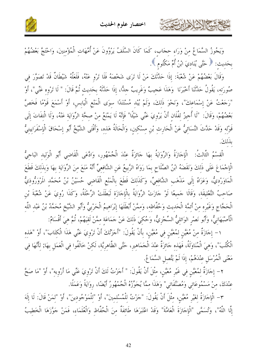كالحشيم الأدارت



وَيَجُوزُ السَّمَاعُ مِنْ وَرَاءِ حِجَابٍ، كَمَا كَانَ السَّلَفُ يَرْوُونَ عَنْ أُمَّهَاتِ الْمُؤْمِنِينَ، وَاحْتَجَّ بَعْضُهُمْ بحَديث: ﴿ حَتَّى يُنَادِيَ ابْنُ أُمِّ مَكْتُومٍ ﴾.

وَقَالَ بَعْضُهُمْ عَنْ شُعْبَةَ: إذَا حَدَّثَكَ مَنْ لَا تَرَى شَخْصَهُ فَلَا تَرْو عَنْهُ، فَلَعَلَّهُ شَيْطَانٌ قَدْ تَصَوَّرَ في صُورَتِهِ، يَقُولُ حَدَّثَنَا أَخْبَرَنَا ۖ وَهَذَا عَجِيبٌ وَغَرِيبٌ جلًّا، إِذَا حَدَّثَهُ بِحَدِيثِ ثُمَّ قَالَ: " لَا تَرْوِهِ عَنِّي"، أَوْ "رَجَعْتُ عَنْ إِسْمَاعِكَ"، وَنَحْوَ ذَلِكَ، وَلَمْ يُبْد مُسْتَنَدًا سوَى الْمَنْعِ الْيَابِسِ، أَوْ أَسْمَعَ قَوْمًا فَخَصَّ بَعْضُهُمْ، وَقَالَ: "لَا أُجِيزُ لِفُلَانِ أَنْ يَرْوِيَ عَنِّي شَيْئًا" فَإِنَّهُ لَا يَمْنَعُ مِنْ صِحَّةِ الرِّوَايَةِ عَنْهُ، وَلَا الْتِفَاتَ إِلَى قَوْلِهِ وَقَدْ حَدَّثَ النَّسَائِيُّ عَنْ الْحَارِثِ بْنِ مِسْكِينِ، وَالْحَالَةُ هَذِه، وَأَفْتَى الشَّيْخُ أَبُو إِسْحَاقَ الْإِسْفَرَايينِيُّ بذَلكَ.

الْقِسْمُ الثَّالِثُ: الْإِجَازَةُ وَالرِّوَايَةُ بِهَا جَائزَةٌ عِنْدَ الْجُمْهُور، وَادَّعَى الْقَاضي أَبُو الْوَليد البَاجيُّ الْإِجْمَاعَ عَلَى ذَلِكَ وَنَقَضَهُ ابْنُ الصَّلَاحِ بِمَا رَوَاهُ الرَّبِيعُ عَنِ الشَّافِعِيِّ أَنَّهُ مَنَعَ مِنَ الرِّوَايَةِ بِهَا وَبِذَلِكَ قَطَعَ الْمَاوَرْديُّ، وَعَزَاهُ إِلَى مَذْهَبِ الشَّافعيِّ، وَكَذَلكَ قَطَعَ بِالْمَنْعِ الْقَاضي حُسَيْنُ بْنُ مُحَمَّد المَرْوَرُّوذيُّ صَاحِبُ التَّعْلِيقَةِ، وَقَالَا حَمِيعًا لَوْ حَازَتْ الرِّوَايَةُ بِالْإِجَازَةِ لَبَطَلَتْ الرِّحْلَةُ، وَكَذَا رُوِيَ عَنْ شُعْبَةَ بْنِ الْحَجَّاجِ وَغَيْرِهِ منْ أَئمَّة الْحَديثِ وَحُفَّاظِهِ، وَممَّنْ أَبْطَلَهَا إِبْرَاهِيمُ الْحَرْبِيُّ وأَبو الشَّيخ مُحَمَّدُ بْنُ عَبْد اللَّه الْأَصْبَهَانِيٌّ، وَأَبُو نَصْرِ الوَائليُّ السِّجْزِيُّ، وَحُكيَ ذَلكَ عَنْ حَمَاعَة ممَّنْ لَقيَهُمْ، ثُمَّ هيَ أَقْسَامٌ:

١- إِجَازَةٌ مِنْ مُعَيَّنٍ لِمُعَيَّنٍ فِي مُعَيَّنٍ، بِأَنْ يَقُولَ: "أَجَزْتُكَ أَنْ تَرْوِيَ عَنِّي هَذَا الْكتَابَ"، أَوْ "هَذه الْكُتُبَ"، وَهيَ الْمُنَاوَلَةُ، فَهَذه حَائزَةٌ عنْدَ الْجَمَاهير، حَتَّى الظَّاهريَّة، لَكِنْ خَالَفُوا فِي الْعَمَلِ بهَا; لِأَنَّهَا فِي مَعْنَى الْمُرْسَلِ عِنْدَهُمْ، إِذَا لَمْ يَتَّصِلِ السَّمَا عُ.

٢- إجَازَةٌ لِمُعَيَّنٍ فِي غَيْرِ مُعَيَّنٍ، مِثْلَ أَنْ يَقُولَ: " أَجَزْتُ لَكَ أَنْ تَرْوِيَ عَنِّي مَا أَرْوِيه"، أَوْ "مَا صَحَّ عنْدَكَ، منْ مَسْمُوعَاتي وَمُصَنَّفَاتي" وَهَذَا ممَّا يُجَوِّزُهُ الْجُمْهُورُ أَيْضًا، روَايَةً وَعَمَلًا.

٣- الْإِجَازَةُ لغَيْرِ مُعَيَّنٍ، مثْلَ أَنْ يَقُولَ: "جَزْتُ للْمُسْلمينَ"، أَوْ "للْمَوْجُودينَ"، أَوْ "لمَنْ قَالَ: لَا إِلَهَ إِلَّا اللَّهُ"، وَتُسَمَّى "الْإِجَازَةَ الْعَامَّةَ" وَقَدْ اعْتَبَرَهَا طَائِفَةٌ مِنَ الْحُفَّاظِ وَالْعُلَمَاءِ، فَمَنْ جَوَّزَهَا الْخَطِيبُ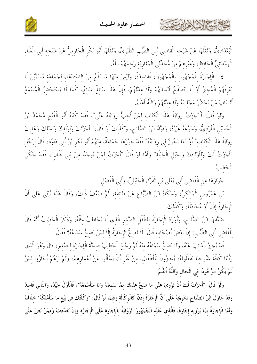

الْبَغْدَادِيُّ، وَنَقَلَهَا عَنْ شَيْخِهِ الْقَاضِي أَبِي الطَّيِّبِ الطَّبَرِيِّ، وَنَقَلَهَا أَبُو بَكْرِ الْحَازِمِيُّ عَنْ شَيْخِهِ أَبِي الْعَلَاءِ الْهَمْدَانِيِّ الْحَافظ، وَغَيْرِهمْ منْ مُحَدِّثي الْمَغَارِبَة رَحمَهُمْ اللَّهُ.

٤– الْإِجَازَةُ لِلْمَجْهُول بِالْمَجْهُولَ، فَفَاسِدَةٌ، وَلَيْسَ منْهَا مَا يَقَعُ منَ الاسْتلْعَاء لجَمَاعَة مُسَمَّيْنَ لَا يَعْرِفُهُمْ الْمُجيزُ أَوْ لَا يَتَصَفَّحُ أَنْسَابَهُمْ وَلَا عِدَّتَهُمْ، فَإِنَّ هَذَا سَائِغٌ شَائِعٌ، كَمَا لَا يَسْتَحْضِرُ الْمُسْمَعُ أَنْسَابَ مَنْ يَحْضُرُ مَجْلسَهُ وَلَا عِدَّتَهُمْ وَاللَّهُ أَعْلَمُ.

وَلَوْ قَالَ: أَ"جَزْتُ رِوَايَةَ هَذَا الْكتَاب لمَنْ أُحبُّ رِوَايَتَهُ عَنِّي"، فَقَدْ كَتَبَهُ أَبُو الْفَتْح مُحَمَّدُ بْنُ الْحُسَيْنِ الْأَزْدِيُّ، وَسَوَّعَهُ غَيْرُهُ، وَقَوَّاهُ ابْنُ الصَّلَاحِ، وَكَذَلكَ لَوْ قَالَ:" أَجَزْتُكَ وَلوَلَدكَ وَنَسْلكَ وَعَقبكَ رِوَايَةَ هَذَا الْكِتَابِ" أَوْ "مَا يَجُوزُ لي رِوَايَتُهُ" فَقَدْ حَوَّزَهَا حَمَاعَةٌ، مِنْهُمْ أَبُو بَكْرِ بْنُ أَبِي دَاوُدَ، قَالَ لِرَجُلِ "أَحَرْتُ لَكَ وَلِأَوْلَادِكَ وَلِحَبَلِ الْحَبَلَةِ" وَأَمَّا لَوْ قَالَ "أَحَرْتُ لِمَنْ يُوجَدُ مِنْ بَنِي فُلَانِ"، فَقَدْ حَكَى الْخَطِيبُ

حَوَازَهَا عَنِ الْقَاضِي أَبِي يَعْلَى بْنِ الْفَرَّاءِ الْحَنْبَلِيِّ، وَأَبِي الْفَضْلِ

حشيها الأحاربت

بْنِ عَمْرُوسِ الْمَالِكِيِّ، وَحَكَاهُ ابْنُ الصَّبَّاغِ عَنْ طَائِفَةِ، ثُمَّ ضَعَّفَ ذَلِكَ، وَقَالَ هَذَا يُبْنى عَلَى أَنَّ الْإِجَازَةَ إِذْنٌ أَوْ مُحَادَثَةٌ، وَكَذَلكَ

ضَعَّفَهَا ابْنُ الصَّلَاحِ، وَأَوْرَدَ الْإِجَازَةَ للطِّفْلِ الصَّغيرِ الَّذي لَا يُخَاطَبُ مثْلُهُ، وَذَكَرَ الْخَطيبُ أَنَّهُ قَالَ لِلْقَاضِي أَبِي الطَّيِّبِ: إنَّ بَعْضَ أَصْحَابِنَا قَالَ: لَا تَصِحُّ الْإِجَازَةُ إِلَّا لِمَنْ يَصحُّ سَمَاعُهُ؟ فَقَالَ:

قَدْ يُجِيزُ الْغَائِبَ عَنْهُ، وَلَا يَصِحُّ سَمَاعُهُ مِنْهُ ثُمَّ رَجَّحَ الْخَطِيبُ صِحَّةَ الْإِجَازَةِ للصَّغيرِ، قَالَ وَهُوَ الَّذِي رَأَيْنَا كَافَّةَ شُيُوخنَا يَفْعَلُونَهُ، يُجيزُونَ للْأَطْفَال، مِنْ غَيْرِ أَنْ يَسْأَلُوا عَنْ أَعْمَارِهِمْ، وَلَمْ نَرَهُمْ أَجَازُوا لِمَنْ لَمْ يَكُنْ مَوْجُودًا في الْحَال وَاللَّهُ أَعْلَمُ.

وَلَوْ قَالَ: "أَجَزْتُ لَكَ أَنْ تَرْوِيَ عَنِّي مَا صَحَّ عِنْدَكَ ممَّا سَمعْتَهُ وَمَا سَأَسْمَعُهُ"، فَالْأَوَّلُ جَيِّدٌ، وَالثَّاني فَاسدٌ وَقَدْ حَاوَلَ ابْنُ الصَّلَاحِ تَخْرِيجَهُ عَلَى أَنَّ الْإِجَازَةَ إِذْنٌ كَالْوِكَالَةِ وَفِيمَا لَوْ قَالَ: "وَكَّلْتُكَ فِي بَيْعِ مَا سَأَمْلِكُهُ" خِلَافٌ وَأَمَّا الْإِجَازَةُ بِمَا يَرْوِيهِ إِجَازَةً، فَالَّذِي عَلَيْهِ الْجُمْهُورُ الرِّوَايَةُ بِالْإِجَازَةِ عَلَى الْإِجَازَةِ وَإِنْ تَعَدَّدَتْ وَمِمَّنْ نَصَّ عَلَى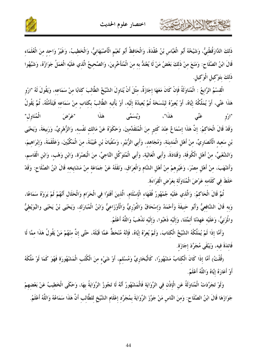

حمشه الخالفان تتفت



ذَلكَ الدَّارَقُطْنيُّ، وَشَيْخُهُ أَبُو الْعَبَّاس بْنُ عُقْدَةَ، وَالْحَافظُ أَبُو نُعَيْم الْأَصْبَهَانيُّ، وَالْخَطيبُ، وَغَيْرُ وَاحد منَ الْعُلَمَاء قَالَ ابْنُ الصَّلَاحِ: وَمَنَعَ منْ ذَلكَ بَعْضُ مَنْ لَا يُعْتَدُّ به منَ الْمُتَأَخِّرِينَ، وَالصَّحيحُ الَّذي عَلَيْه الْعَمَلُ جَوَازُهُ، وَشَبَّهُوا ذَلكَ بتَوْكيلِ الْوَكيلِ.

الْقِسْمُ الرَّابِعُ : الْمُنَاوَلَةُ فَإِنْ كَانَ مَعَهَا إِجَازَةٌ، مِثْلَ أَنْ يُنَاوِلَ الشَّيْخُ الطَّالبَ كتَابًا منْ سَمَاعه، وَيَقُولَ لَهُ "ارْو هَذَا عَنِّي، أَوْ يُمَلِّكُهُ إيَّاهُ، أَوْ يُعِيرُهُ ليَنْسَخهُ ثُمَّ يُعِيدُهُ إلَيْه، أَوْ يَأْتيه الطَّالبُ بكتَاب منْ سَمَاعه فَيَتَأَمَّلُهُ، ثُمَّ يَقُولُ عَنِّي هَذَا"، وَيُسَمَّى هَذَا "عَرْضَ الْمُنَاوِل" "ارْو وَقَدْ قَالَ الْحَاكمُ: إنَّ هَذَا إسْمَاعٌ عنْدَ كَثيرٍ منَ الْمُتَقَدِّمينَ، وَحَكَوْهُ عَنْ مَالك نَفْسه، وَالزُّهْريِّ، وَرَبيعَةَ، وَيَحْيَى بْنِ سَعِيد الْأَنْصَارِيِّ، منْ أَهْلِ الْمَدينَة، وَمُجَاهد، وَأَبِي الزُّبَيْرِ، وَسُفْيَانَ بْنِ عُيَيْنَةَ، منَ الْمَكِّيِّينَ، وَعَلْقَمَةَ، وَإِبْرَاهِيمَ، وَالشَّعْبِيِّ، مِنْ أَهْلِ الْكُوفَةِ، وَقَتَادَةَ، وَأَبِي الْعَالِيَةِ، وَأَبِي الْمُتَوَكِّلِ النَّاجِيِّ، مِنَ الْبَصْرَةِ، وَابْنِ وَهْبٍ، وَابْنِ الْقَاسِمِ، وَأَشْهَبَ، منْ أَهْل مصْرَ، وَغَيْرهمْ منْ أَهْل الشَّام وَالْعرَاق، وَنَقَلَهُ عَنْ جَمَاعَة منْ مَشَايخه قَالَ ابْنُ الصَّلَاح: وَقَدْ خَلَطَ في كَلَامه عَرْضَ الْمُنَاوَلَة بعَرْض الْقرَاءَة.

ثُمَّ قَالَ الْحَاكمُ: وَالَّذي عَلَيْه جُمْهُورُ فُقَهَاء الْإسْلَامِ، الَّذينَ أَفَتَوْا في الْحَرَام وَالْحَلَال أَنْهُمْ لَمْ يَرَوْهُ سَمَاعًا، وَبه قَالَ الشَّافعيُّ وَأَبُو حَنيفَةَ وَأَحْمَدُ وَإسْحَاقُ وَالثَّوْرِيُّ وَالْأَوْزَاعيُّ وَابْنُ الْمُبَارَك، وَيَحْيَى بْنُ يَحْيَى والبُوَيْطيُّ والُمْزَنيُّ، وَعَلَيْه عَهدْنَا أَئمَّتَنَا، وَإلَيْه ذَهَبُوا، وَإلَيْه نَذْهَبُ وَاللَّهُ أَعْلَمُ.

وَأَمَّا إذَا لَمْ يُمَلِّكُهُ الشَّيْخُ الْكتَابَ، وَلَمْ يُعرْهُ إِيَّاهُ، فَإِنَّهُ مُنْحَطٌّ عَمَّا قَبْلَهُ، حَتَّى إنَّ منْهُمْ مَنْ يَقُولُ هَذَا ممَّا لَا فَائدَةَ فيه، وَيَبْقَى مُجَرَّدَ إجَازَة.

(قُلْتُ) أَمَّا إِذَا كَانَ الْكِتَابُ مَشْهُورًا، كَالْبُخَارِيِّ وَمُسْلِمٍ، أَوْ شَيْءِ مِنَ الْكُتُبِ الْمَشْهُورَةِ فَهُوَ كَمَا لَوْ مَلَّكَهُ أَوْ أَعَارَهُ إِيَّاهُ وَاللَّهُ أَعْلَمُ.

وَلَوْ تَجَرَّدَتْ الْمُنَاوَلَةُ عَنِ الْإِذْنِ في الرِّوَايَة فَالْمَشْهُورُ أَنَّهُ لَا تَجُوزُ الرِّوَايَةُ بهَا، وَحَكَى الْخَطيبُ عَنْ بَعْضهمْ جَوَازَهَا قَالَ ابْنُ الصَّلَاح: وَمنَ النَّاس مَنْ جَوَّزَ الرِّوَايَةَ بمُجَرَّد إعْلَام الشَّيْخ للطَّالب أَنَّ هَذَا سَمَاعُهُ وَاللَّهُ أَعْلَمُ.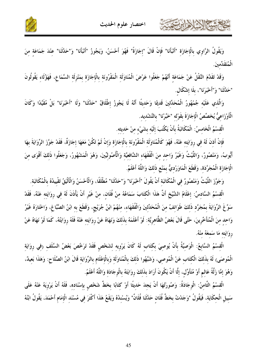



وَيَقُولُ الرَّاوي بالْإجَازَة "أَنْبَأَنَا" فَإِنْ قَالَ "إجَازَةً" فَهُوَ أَحْسَنُ، وَيَجُوزُ "أَنْبَأَنَا" وَ"حَدَّثَنَا" عنْدَ جَمَاعَة منَ الْمُتَقَدِّمينَ.

وَقَدْ تَقَدَّمَ النَّقْلُ عَنْ جَمَاعَة أَنَّهُمْ جَعَلُوا عَرْضَ الْمُنَاوَلَة الْمَقْرُونَة بالْإجَازَة بمَنْزلَة السَّمَاع، فَهَؤُلَاء يَقُولُونَ "حَدَّثَنَا" وَ"أَحْبَرَنَا"، بلَا إشْكَال.

وَالَّذي عَلَيْه جُمْهُورُ الْمُحَدِّثينَ قَديمًا وَحَديثًا أَنَّهُ لَا يَجُوزُ إطْلَاقُ "حَدَّثَنَا" وَلَا "أَحْبَرَنَا" بَلْ مُقَيَّدًا وَكَانَ الْأَوْزَاعيُّ يُخَصِّصُ الْإجَازَةَ بقَوْله "خَبَّرْنَا" بالتَّشْديد.

الْقسْمُ الْخَامسُ: الْمُكَاتَبَةُ بأَنْ يَكْتُبَ إلَيْه بشَيْء منْ حَديثه.

حشاه الأخ لأهابرت

فَإِنْ أَذنَ لَهُ في روَايَته عَنْهُ، فَهُوَ كَالْمُنَاوَلَة الْمَقْرُونَة بالْإجَازَة وَإِنْ لَمْ تَكُنْ مَعَهَا إجَازَةً، فَقَدْ جَوَّزَ الرِّوَايَةَ بهَا أَيُّوبُ، وَمَنْصُورٌ، وَاللَّيْتُ وَغَيْرُ وَاحد منَ الْفُقَهَاء الشَّافعيَّة وَالْأُصُوليِّينَ، وَهُوَ الْمَشْهُورُ، وَجَعَلُوا ذَلكَ أَقْوَى منَ الْإجَازَة الْمُجَرَّدَة، وَقَطَعَ الْمَاوَرْديُّ بمَنْع ذَلكَ وَاللَّهُ أَعْلَمُ.

وَجَوَّزَ اللَّيْتُ وَمَنْصُورٌ في الْمُكَاتَبَة أَنْ يَقُولَ "أَحْبَرَنَا" وَ"حَدَّثَنا" مُطْلَقًا، وَالْأَحْسَنُ وَالْأَلْيَقُ تَقْييدُهُ بالْمُكَاتَبَة. الْقسْمُ السَّادسُ: إعْلَامُ الشَّيْخِ أَنَّ هَذَا الْكتَابَ سَمَاعُهُ منْ فُلَان، منْ غَيْرِ أَنْ يَأْذَنَ لَهُ في روَايَته عَنْهُ، فَقَدْ سَوَّغَ الرِّوَايَةَ بمُجَرَّد ذَلكَ طَوَائفُ منَ الْمُحَدِّثينَ وَالْفُقَهَاء، منْهُمْ ابْنُ جُرَيْج، وَقَطَعَ به ابْنُ الصَّبَّاغ، وَاخْتَارَهُ غَيْرُ وَاحد منَ الْمُتَأَخِّرينَ، حَتَّى قَالَ بَعْضُ الظَّاهريَّة: لَوْ أَعْلَمَهُ بذَلكَ وَنَهَاهُ عَنْ روَايَته عَنْهُ فَلَهُ روَايَتُهُ، كَمَا لَوْ نَهَاهُ عَنْ روَايَته مَا سَمعَهُ منْهُ.

الْقِسْمُ السَّابِعُ: الْوَصِيَّةُ بِأَنْ يُوصِيَ بِكِتَابِ لَهُ كَانَ يَرْوِيهِ لِشَخْصٍ فَقَدْ تَرَخَّصَ بَعْضُ السَّلَفِ (فِي رِوَايَة الْمُوصَى) لَهُ بِذَلِكَ الْكِتَابِ عَنْ الْمُوصِي، وَشَبَّهُوا ذَلِكَ بِالْمُنَاوَلَةِ وَبِالْإِعْلَامِ بِالرِّوَايَةِ قَالَ ابْنُ الصَّلَاحِ: وَهَذَا بَعِيدٌ، وَهُوَ إِمَّا زَلَّةُ عَالمٍ أَوْ مُتَأَوِّلٍ، إلَّا أَنْ يَكُونَ أَرَادَ بذَلكَ روَايَتَهُ بالْوجَادَة وَاللَّهُ أَعْلَمُ.

الْقسْمُ الثَّامنُ: الْوجَادَةُ: وَصُورَتُهَا أَنْ يَجِدَ حَديثًا أَوْ كَتَابًا بخَطٌّ شَخْصٍ بإسْنَاده، فَلَهُ أَنْ يَرْوِيَهُ عَنْهُ عَلَى سَبِيلِ الْحِكَايَةِ، فَيَقُولُ "وَجَدْتُ بِخَطٍّ فُلَانٍ حَدَّثَنَا فُلَانٌ" وَيُسْنِدُهُ وَيَقَعُ هَذَا أَكْثَرَ فِي مُسْنَدِ الْإِمَامِ أَحْمَدَ، يَقُولُ ابْنُهُ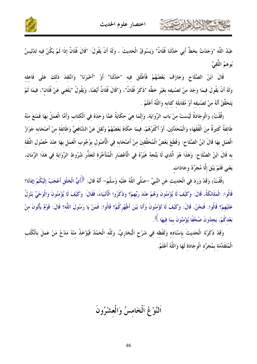شكالا الألاماين



عَبْدُ اللَّه "وَجَدْتُ بخَطٍّ أَبِي حَدَّثَنَا فُلَانٌ" وَيَسُوقُ الْحَديثَ ، وَلَهُ أَنْ يَقُولَ: "قَالَ فُلَانٌ إذَا لَمْ يَكُنْ فيه تَدْليسٌ يُوهمُ اللَّقيَّ.

قَالَ ابْنُ الصَّلَاحِ وَجَازَفَ بَعْضُهُمْ فَأَطْلَقَ فيه "حَدَّثَنَا" أَوْ "أَخْبَرَنَا" وَانْتُقدَ ذَلكَ عَلَى فَاعله وَلَهُ أَنْ يَقُولَ فِيمَا وَجَدَ منْ تَصْنيفه بغَيْر خَطِّه "ذَكَرَ فُلَانٌ"، وَ"قَالَ فُلَانٌ أَيْضًا، وَيَقُولُ "بَلَغَني عَنْ فُلَان"، فيمَا لَمْ يَتَحَقَّقْ أَنَّهُ منْ تَصْنيفه أَوْ مُقَابَلَة كَتَابه وَاللَّهُ أَعْلَمُ .

(قُلْتُ) وَالْوجَادَةُ لَيْسَتْ منْ بَابِ الرِّوَايَةِ، وَإِنَّمَا هِيَ حكَايَةٌ عَمَّا وَجَدَهُ فِي الْكتَاب وَأَمَّا الْعَمَلُ بِهَا فَمَنَعَ منْهُ طَائفَةٌ كَثيرَةٌ منَ الْفُقَهَاء وَالْمُحَدِّثينَ، أَوْ أَكْثَرُهُمْ، فيمَا حَكَاهُ بَعْضُهُمْ وَنُقلَ عَنْ الشَّافعيِّ وَطَائفَة منْ أَصْحَابه جَوَازُ الْعَمَل بهَا قَالَ ابْنُ الصَّلَاح: وَقَطَعَ بَعْضُ الْمُحَقِّقينَ منْ أَصْحَابه في الْأُصُول بوُجُوب الْعَمَل بهَا عنْدَ حُصُول الثِّقَة به قَالَ ابْنُ الصَّلَاح: وَهَذَا هُوَ الَّذي لَا يَتَّجهُ غَيْرُهُ في الْأَعْصَارِ الْمُتَأَخِّرَة لتَعَذُّر شُرُوط الرِّوَايَة في هَذَا الزَّمَان، يَعْني فَلَمْ يَبْقَ إلَّا مُجَرَّدُ وجَادَات.

رقُلْتُ) وَقَدْ وَرَدَ فِي الْحَدِيثِ عَنِ النَّبِيِّ –صَلَّى اللَّهُ عَلَيْه وَسَلَّمَ– أَنَّهُ قَالَ: ﴿أَيُّ الْخَلْق أَعْجَبُ إِلَيْكُمْ إِيَانَا؟ قَالُوا: الْمَلَائكَةُ، قَالَ: وَكَيْفَ لَا يُؤْمِنُونَ وَهُمْ عِنْدَ رَبِّهِمْ؟ وَذَكَرُوا الْأَنْبِيَاءَ، فَقَالَ: وَكَيْفَ لَا يُؤْمِنُونَ وَالْوَحْيُ يَنْزِلُ عَلَيْهِمْ؟ قَالُوا: فَنَحْنُ، قَالَ: وَكَيْفَ لَا تُؤْمِنُونَ وَأَنَا بَيْنَ أَظْهُرِكُمْ؟ قَالُوا: فَمَنْ يَا رَسُولَ اللَّه؟ قَالَ: قَوْمٌ يَأْتُونَ منْ بَعْدكُمْ، يَجدُونَ صُحُفًا يُؤْمِنُونَ بِمَا فِيهَا ﴾.

وَقَدْ ذَكَرْنَا الْحَديثَ بإسْنَاده وَلَفْظه في شَرْحٍ الْبُخَارِيِّ، وَللَّه الْحَمْدُ فَيُؤْخَذُ منْهُ مَدْحُ مَنْ عَملَ بالْكُتُب الْمُتَقَدِّمَة بمُجَرَّد الْوجَادَة لَهَا وَاللَّهُ أَعْلَمُ.

اَلنَّوْغُ اَلْخَامسُ وَالْعشْرُونَ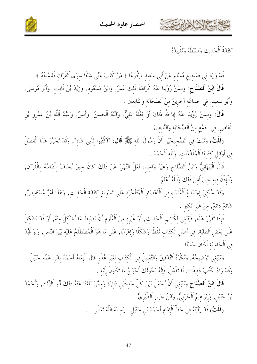





كَتَابَةُ اَلْحَدِيثِ وَضَبْطُهُ وَتَقْيِيدُهُ

قَدْ وَرَدَ فِي صَحِيحٍ مُسْلِمٍ عَنْ أَبِي سَعِيدِ مَرْفُوعًا ﴿ مَنْ كَتَبَ عَنِّي شَيْئًا سوَى اَلْقُرْآن فَلْيَمْحُهُ ﴾ . قَالَ ابْنُ اَلصَّلَاحٍ: وَمِمَّنْ رُوِّينَا عَنْهُ كَرَاهَةُ ذَلِكَ عُمَرُ, وَابْنُ مَسْعُودٍ, وَزَيْدُ بْنُ ثَابِتٍ, وَأَبُو مُوسَى, وَأَبُو سَعِيدٍ, فِي حَمَاعَةٍ آخَرِينَ مِنْ اَلصَّحَابَةِ وَالتَّابِعِينَ .

قَالَ: وَمِمَّنْ رُوِّينَا عَنْهُ إِبَاحَةُ ذَلِكَ أَوْ فِعْلُهُ عَلِيٌّ, وَابْنُهُ اَلْحَسَنُ, وَأَنسُ, وَعَبْدُ اَللَّهِ بْنُ عَمْرِو بْنِ الْعَاصِ, فِي حَمْعِ مِنْ اَلصَّحَابَةِ وَالتَّابِعِينَ .

(قُلْتُ) وَتَبَتَ فِي اَلصَّحِيحَيْنِ أَنَّ رَسُولَ اَللَّهِ ﷺ قَالَ: "اُكْتُبُوا لِأَبِي شَاه", وَقَدْ تَحَرَّرَ هَذَا اَلْفَصْلُ في أَوَائلِ كتَابنَا اَلْمُقَلِّمَات, وَللَّه اَلْحَمْدُ .

قَالَ اَلْبَيْهَقِيُّ وَابْنُ اَلصَّلَاحِ وَغَيْرُ وَاحِدٍ: لَعَلَّ اَلنَّهْيَ عَنْ ذَلِكَ كَانَ حِينَ يُخَافُ الْتِبَاسُهُ بِالْقُرْآنِ, وَالْإِذْنُ فيه حينَ أُمنَ ذَلكَ وَاللَّهُ أَعْلَمُ .

وَقَدْ حُكِيَ إِحْمَاعُ الْعُلَمَاءِ فِي اَلْأَعْصَارِ اَلْمُتَأَخِّرَةِ عَلَى تَسْوِيغِ كِتَابَةِ اَلْحَديثِ, وَهَذَا أَمْرٌ مُسْتَفِيضٌ, شَائعٌ ذَائعٌ, منْ غَيْر نَكير .

فَإِذَا تَقَرَّرَ هَذَا, فَيَنْبَغِي لِكَاتِبِ اَلْحَدِيثِ, أَوْ غَيْرِهِ مِنَ اَلْعُلُومِ أَنْ يَضْبِطَ مَا يُشْكلُ منْهُ, أَوْ قَدْ يُشْكلُ عَلَى بَعْضِ اَلطَّلَبَةِ, فِي أَصْلِ اَلْكِتَابِ نَقْطًا وَشَكْلًا وَإِعْرَابًا, عَلَى مَا هُوَ اَلْمُصْطَلَحُ عَلَيْهِ بَيْنَ اَلنَّاسِ, وَلَوْ قَيَّدَ في اَلْحَاشِيَة لَكَانَ حَسَنًا .

وَيَنْبَغِي تَوْضِيحُهُ, وَيُكْرَهُ اَلتَّدْقِيقُ وَالتَّعْلِيلُ فِي اَلْكِتَابِ لِغَيْرِ عُذْرِ قَالَ اَلْإِمَامُ أَحْمَدُ لِابْنِ عَمِّه حَنْبَلٌ – وَقَدْ رَآهُ يَكْتُبُ دَقيقًا–: لَا تَفْعَلْ, فَإِنَّهُ يَخُونُكَ أَحْوَجُ مَا تَكُونُ إِلَيْه .

قَالَ ابْنُ اَلصَّلَاحِ وَيَنْبَغِي أَنْ يُجْعَلَ بَيْنَ كُلِّ حَديثَيْنِ دَائِرَةٌ وَممَّنْ بَلَغَنَا عَنْهُ ذَلِكَ أَبُو اَلزِّنَادِ, وَأَحْمَدُ بْنُ حَنْبَلِ, وَإِبْرَاهِيمُ اَلْحَرْبِيُّ, وَابْنُ حَرِيرِ اَلطَّبَرِيُّ .

(قُلْتُ) قَدْ رَأَيْتُهُ فِي خَطِّ اَلْإِمَامِ أَحْمَدَ بْنِ حَنْبَلِ –رَحِمَهُ اَللَّهُ تَعَالَى– .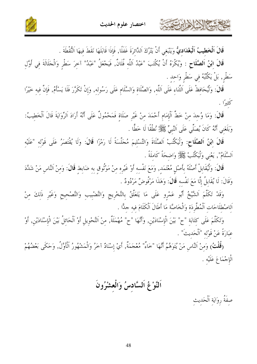



قَالَ اَلْخَطِيبُ اَلْبَغْدَادِيُّ وَيَنْبَغي أَنْ يَتْرُكَ اَلدَّائرَةَ غَفَلًا, فَإِذَا قَابَلَهَا نَقَطَ فيهَا اَلنُّقْطَةَ .

فشكالا الأايرت

قَالَ ابْنُ اَلصَّلَاحِ : وَيُكْرَهُ أَنْ يُكْتَبَ "عَبْدُ اَللَّهِ فُلَانٌ, فَيَجْعَلُ "عَبْدُ" آخِرَ سَطْرٍ وَالْجَلَالَةَ فِي أَوَّلِ سَطْر, بَلْ يَكْتُبُهُ في سَطْرٍ وَاحِدٍ .

قَالَ: وَلْيُحَافِظْ عَلَى اَلتَّنَاءِ عَلَى اَللَّهِ, وَالصَّلَاةِ وَالسَّلَامِ عَلَى رَسُولِهِ, وَإِنْ تَكَرَّرَ فَلَا يَسْأَمُ, فَإِنَّ فِيهِ خَيْرًا

قَالَ: وَمَا وُجِدَ مِنْ خَطٍّ اَلْإِمَامِ أَحْمَدَ مِنْ غَيْرِ صَلَاةٍ فَمَحْمُولٌ عَلَى أَنَّهُ أَرَادَ الرِّوَايَةَ قَالَ اَلْخَطِيبُ: وَبَلَغَني أَنَّهُ كَانَ يُصَلِّي عَلَى اَلنَّبِيِّ ﷺ نُطْقًا لَا خَطًّا .

قَالَ ابْنُ اَلصَّلَاحٍ: وَلْيَكْتُبْ اَلصَّلَاةَ وَالتَّسْلِيمَ مُجَلَّسَةً لَا رَمْزًا قَالَ: وَلَا يُقْتَصَرُ عَلَى قَوْلِه "عَلَيْه اَلسَّلَامُ", يَعْني وَلْيَكْتُبْ ﷺ وَاضحَةً كَاملَةً .

قَالَ: وَلْيُقَابِلْ أَصْلَهُ بأَصْلِ مُعْتَمَد, وَمَعَ نَفْسه أَوْ غَيْرِه مِنْ مَوْثُوقٍ به ضَابِطِ قَالَ: وَمِنْ اَلنَّاسِ مَنْ شَدَّدَ وَقَالَ: لَا يُقَابِلُ إِلَّا مَعَ نَفْسه قَالَ: وَهَذَا مَرْفُوضٌ مَرْدُودٌ .

وَقَدْ تَكَلَّمَ اَلشَّيْخُ أَبُو عَمْرِو عَلَى مَا يَتَعَلَّقُ بِالتَّخْرِيجِ وَالتَّضْبِيبِ وَالتَّصْحِيحِ وَغَيْرِ ذَلِكَ مِنْ اَلاصْطلَاحَات اَلْمُطَّرِدَة وَالْخَاصَّة مَا أَطَالَ اَلْكَلَامَ فيه حدًّا .

وَتَكَلَّمَ عَلَى كِتَابَةِ "ح" بَيْنَ الْإِسْنَادَيْنِ, وَأَنَّهَا "ح" مُهْمَلَةٌ, مِنْ اَلتَّحْوِيلِ أَوْ اَلْحَائِلُ بَيْنَ الْإِسْنَادَيْنِ, أَوْ عَبَارَةً عَنْ قَوْلُه "اَلْحَديثَ" .

(قُلْتُ) وَمِنْ اَلنَّاسِ مَنْ يُتَوَهَّمُ أَنَّهَا "خَاءْ" مُعْجَمَةٌ, أَيْ إِسْنَادٌ آخَرُ وَالْمَشْهُورُ اَلْأَوَّلُ, وَحَكَى بَعْضُهُمْ الْإِجْمَاعَ عَلَيْه .

اَلنَّوْغُ اَلسَّادسُ وَالْعشْرُونَ

صفَةُ رِوَايَةِ اَلْحَدِيثِ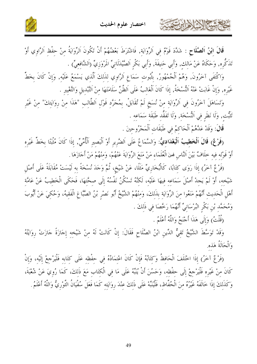

قَالَ ابْنُ اَلصَّلَاحٍ : شَدَّدَ قَوْمٌ فِي اَلرِّوَايَةِ, فَاشْتَرَطَ بَعْضُهُمْ أَنْ تَكُونَ اَلرِّوَايَةُ مِنْ حفْظِ اَلرَّاوِي أَوْ تَذَكُّره, وَحَكَاهُ عَنْ مَالك, وَأَبي حَنيفَةَ, وَأَبي بَكْرِ اَلصَّيْدَلَانيِّ المَرْوَزِيِّ (اَلشَّافعيِّ) .

وَاكْتَفَى آخَرُونَ, وَهُمْ اَلْجُمْهُورُ, بُثُبُوت سَمَاع اَلرَّاوِي لذَلكَ اَلَّذِي يَسْمَعُ عَلَيْهِ, وَإِنْ كَانَ بِخَطِّ غَيْره, وَإِنْ غَابَتْ عَنْهُ النُّسْخَةُ, إذَا كَانَ اَلْغَالبُ عَلَى اَلظَّنِّ سَلَامَتَهَا منْ التَّبْديل وَالتَّغْيير .

وَتَسَاهَلَ آخَرُونَ فِي اَلرِّوَايَةِ مِنْ نُسَخٍ لَمْ تُقَابَلْ, بِمُجَرَّدٍ قَوْلِ اَلطَّالِبِ "هَذَا مِنْ رِوَايَتك" مِنْ غَيْر تَثَبُّت ٖ وَلَا نَظَرٍ فِي اَلنُّسْخَةِ ۚ وَلَا تَفَقُّدِ طَبَقَةِ سَمَاعِهِ .

قَالَ: وَقَدْ عَدَّهُمْ اَلْحَاكِمُ في طَبَقَات اَلْمَجْرُوحينَ .

كالحشيخ الأخالين

(فَوْعٌ) قَالَ اَلْخَطِيبُ اَلْبَعْدَاديُّ: وَالسَّمَاعُ عَلَى اَلضَّرير أَوْ اَلْبَصير اَلْأُمِّيِّ, إذَا كَانَ مُثْبَتًا بخطِّ غَيْره أَوْ قَوْله فيه حلَافٌ بَيْنَ النَّاس فَمِنَ الْعُلَمَاء مَنْ مَنَعَ الرِّوَايَةَ عَنْهُمْ، وَمنْهُمْ مَنْ أَجَازَهَا .

(فَرْعٌ آخَرُ) إِذَا رَوَى كِتَابًا، كَالْبُخَارِيِّ مَثَلًا، عَنْ شَيْخٍ، ثُمَّ وَجَدَ نُسْخَةً بِه لَيْسَتْ مُقَابَلَةً عَلَى أَصْلِ شَيْخه، أَوْ لَمْ يَجدْ أَصْلَ سَمَاعه فيهَا عَلَيْه، لَكنَّهُ تَسْكُنُ نَفْسُهُ إِلَى صحَّتهَا، فَحَكَى الْخَطيبُ عَنْ عَامَّة أَهْلِ الْحَدِيثِ أَنَّهُمْ مَنَعُوا مِنَ الرِّوَايَةِ بِذَلِكَ، وَمِنْهُمْ الشَّيْخُ أَبُو نَصْرِ بْنُ الصَّبّاغِ الْفَقِيهُ، وَحُكِيَ عَنْ أَيُّوبَ وَمُحَمَّد بْنِ بَكْرِ البُرْسَانِيِّ أَنَّهُمَا رَخَّصَا فِي ذَلكَ .

(قُلْتُ) وَإِلَى هَذَا أَحْنَحُ وَاللَّهُ أَعْلَمُ .

وَقَدْ تَوَسَّطَ الشَّيْخُ تَقِيٌّ الدِّينِ ابْنُ الصَّلَاحِ فَقَالَ: إِنْ كَانَتْ لَهُ مِنْ شَيْخِهِ إِجَازَةً جَازَتْ رِوَايَتُهُ وَالْحَالَةُ هَذِهِ.

(فَرْعٌ آخَرُ) إِذَا اخْتَلَفَ الْحَافِظُ وَكِتَابُهُ فَإِنْ كَانَ اعْتمَادُهُ في حفْظه عَلَى كتَابه فَلْيَرْجعْ إلَيْه، وَإِنْ كَانَ مِنْ غَيْرِهِ فَلْيَرْجِعْ إِلَى حِفْظِهِ، وَحَسُنَ أَنْ يُنَبِّهُ عَلَى مَا فِي الْكِتَابِ مَعَ ذَلِكَ، كَمَا رُوِيَ عَنْ شُعْبَةَ، وَكَذَلكَ إِذَا خَالَفَهُ غَيْرُهُ مِنَ الْحُفَّاظِ، فَلْيُنَبِّهْ عَلَى ذَلِكَ عِنْدَ رِوَايَتِهِ كَمَا فَعَلَ سُفْيَانُ الثَّوْرِيُّ وَاللَّهُ أَعْلَمُ <sub>.</sub>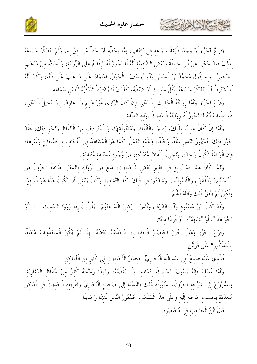

(فَرْعٌ آخَرُ) لَوْ وَجَدَ طَبَقَةَ سَمَاعِهِ فِي كِتَابٍ، إِمَّا بِخَطِّهِ أَوْ خَطٍّ مَنْ يَثِقُ بِهِ، وَلَمْ يَتَذَكَّرْ سَمَاعَهُ لذَلكَ فَقَدْ حُكيَ عَنْ أَبي حَنيفَةَ وَبَعْض الشَّافعيَّة أَنَّهُ لَا يَجُوزُ لَهُ الْإِقْدَامُ عَلَى الرِّوَايَة، وَالْجَادَّةُ منْ مَذْهَب الشَّافعيِّ– وَبه يَقُولُ مُحَمَّدُ بْنُ الْحَسَن وَأَبُو يُوسُفَ– الْجَوَازُ، اعْتمَادًا عَلَى مَا غَلَبَ عَلَى ظَنِّه، وَكَمَا أَنَّهُ لَا يُشْتَرَطُ أَنْ يَتَذَكَّرَ سَمَاعَهُ لكُلِّ حَديث أَوْ ضَبْطَهُ، كَذَلكَ لَا يُشْتَرَطُ تَذَكَّرُهُ لأَصْل سَمَاعه .

(فَرْعٌ آخَرُ) ۚ وَأَمَّا رِوَايَتُهُ الْحَديثَ بِالْمَعْنَى فَإِنْ كَانَ الرَّاوِي غَيْرَ عَالـم وَلَا عَارِف بمَا يُحيلُ الْمَعْنَى، فَلَا حلَافَ أَنَّهُ لَا تَجُوزُ لَهُ روَايَتُهُ الْحَديثَ بهَذه الصِّفَة .

وَأَمَّا إِنْ كَانَ عَالمًا بِذَلكَ، بَصِيرًا بِالْأَلْفَاظِ وَمَدْلُولَاتهَا، وَبِالْمُتَرَادف منَ الْأَلْفَاظِ وَنَحْو ذَلكَ، فَقَدْ جَوَّزَ ذَلكَ جُمْهُورُ النَّاسِ سَلَفًا وَخَلَفًا، وَعَلَيْهِ الْعَمَلُ، كَمَا هُوَ الْمُشَاهَدُ فِي الْأَحَاديث الصِّحَاح وَغَيْرِهَا، فَإِنَّ الْوَاقِعَةَ تَكُونُ وَاحِدَةً، وَتَجِيءُ بِأَلْفَاظِ مُتَعَدِّدَةٍ، مِنْ وُجُوهِ مُخْتَلِفَة مُتَبَاينَة

وَلَمَّا كَانَ هَذَا قَدْ يُوقِعَ فِي تَغْيِيرِ بَعْضِ الْأَحَادِيثِ، مَنَعَ مِنَ الرِّوَايَةِ بِالْمَعْنَى طَائِفَةٌ آخَرُونَ مِنَ الْمُحَدِّثينَ وَالْفُقَهَاء وَالْأُصُوليِّينَ، وَشَدَّدُوا فِي ذَلكَ آكَدَ التَّشْديد وَكَانَ يَنْبَغِي أَنْ يَكُونَ هَذَا هُوَ الْوَاقِعُ، وَلَكنْ لَمْ يَتَّفقْ ذَلكَ وَاللَّهُ أَعْلَمُ .

وَقَدْ كَانَ ابْنُ مَسْعُودٍ وَأَبُو الدَّرْدَاءِ وَأَنَسٌ –رَضِيَ اللَّهُ عَنْهُمْ– يَقُولُونَ إِذَا رَوَوْا الْحَديثَ ـــ: "أَوْ نَحْوَ هَذَا"، أَوْ "شَبَهَهْ"، "أَوْ قَرِيبًا منْهُ".

(فَرْعٌ آخَرُ) وَهَلْ يَجُوزُ اخْتِصَارُ الْحَدِيثِ، فَيُحْذَفُ بَعْضُهُ، إِذَا لَمْ يَكُنْ الْمَحْذُوفُ مُتَعَلِّقًا بِالْمَذْكُورِ؟ عَلَى قَوْلَيْنِ.

فَالَّذِي عَلَيْهِ صَنِيعُ أَبِي عَبْدِ اللَّه الْبُخَارِيِّ اخْتصَارُ الْأَحَاديث في كَثير منَ الْأَمَاكن .

وَأَمَّا مُسْلِمٌ فَإِنَّهُ يَسُوقُ الْحَدِيثَ بِتَمَامِهِ، وَلَا يَقْطَعُهُ، وَلِهَذَا رَجَّحَهُ كَثيرٌ مِنْ حُفَّاظِ الْمَغَارِبَةِ، وَاسْتَرْوَحَ إِلَى شَرْحِهِ آخَرُونَ، لِسُهُولَةِ ذَلِكَ بِالنِّسْبَةِ إِلَى صَحِيحِ الْبُخَارِيِّ وَتَفْرِيقه الْحَدِيثَ فِي أَمَاكِنَ مُتَعَلِّدَة بحَسَب حَاجَته إلَيْه وَعَلَى هَذَا الْمَذْهَب جُمْهُورُ النَّاس قَديمًا وَحَديثًا <sub>.</sub>

قَالَ ابْنُ الْحَاجبِ في مُخْتَصَرِه.

EN NATION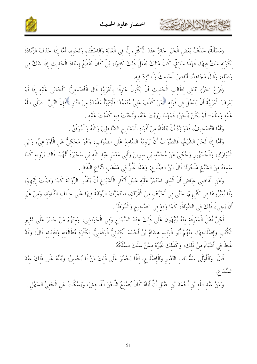



(مَسْأَلَةٌ) حَذْفُ بَعْضِ الْخَبَرِ حَائِزٌ عِنْدَ الْأَكْثَرِ، إِلَّا فِي الْغَايَةِ وَالِاسْتِثْنَاءِ وَنَحْوِهِ، أَمَّا إِذَا حَذَفَ الزِّيَادَةَ لكَوْنه شَكَّ فيهَا، فَهَذَا سَائغٌ، كَانَ مَالكٌ يَفْعَلُ ذَلكَ كَثيرًا، بَلْ كَانَ يَقْطَعُ إِسْنَادَ الْحَدِيثِ إِذَا شَكَّ فِي وَصْله، وَقَالَ مُجَاهِدٌ: أَنْقصْ الْحَديثَ وَلَا تَزِدْ فيه.

(فَرْعٌ آخَرُ) يَنْبَغي لطَالب الْحَديث أَنْ يَكُونَ عَارِفًا بِالْعَرَبِيَّة قَالَ الْأَصْمَعيُّ: "أَخْشَى عَلَيْه إذَا لَمْ يَعْرِفْ الْعَرَبِيَّةَ أَنْ يَدْخُلَ في قَوْله ﴿ مَنْ كَذَبَ عَليٍّ مُتَعَمِّدًا فَلْيَتَبَوَّأُ مَقْعَدَهُ منَ النَّارِ ﴾فَإنَّ النَّبيَّ –صَلَّى اللَّهُ عَلَيْه وَسَلَّمَ– لَمْ يَكُنْ يَلْحَنُ، فَمَهْمَا رَوَيْتَ عَنْهُ، وَلَحَنْتَ فيه كَذَبْتَ عَلَيْه

وَأَمَّا التَّصْحِيفُ، فَدَوَاؤُهُ أَنْ يَتَلَقَّاهُ مِنْ أَفْوَاهِ الْمَشَايِخِ الضَّابِطِينَ وَاللَّهُ وَالْمُوَفَّقُ .

كالحشيم الأخالات

وَأَمَّا إِذَا لَحَنَ الشَّيْخُ، فَالصَّوَابُ أَنْ يَرْوِيَهُ السَّامِعُ عَلَى الصَّوَابِ، وَهُوَ مَحْكِيٌّ عَنِ الْأَوْزَاعِيِّ، وَابْنِ الْمُبَارَكِ، وَالْجُمْهُورِ وَحُكِيَ عَنْ مُحَمَّدِ بْنِ سِيرِينَ وَأَبِي مَعْمَرِ عَبْدِ اللَّهِ بْنِ سَخْبَرَةَ أَنَّهُمَا قَالَا: يَرْوِيهِ كَمَا سَمعَهُ منَ الشَّيْخِ مَلْحُونًا قَالَ ابْنُ الصَّلَاحِ: وَهَذَا غُلُوٌّ في مَذْهَب اتِّبَاعِ اللَّفْظ

وَعَنِ الْقَاضِي عِيَاضٍ أَنَّ الَّذِي اسْتَمَرَّ عَلَيْه عَمَلُ أَكْثَرِ الْأَشْيَاخِ أَنْ يَنْقُلُوا الرِّوَايَةَ كَمَا وَصَلَتْ إِلَيْهِمْ، وَلَا يُغَيِّرُوهَا فِي كُتُبِهِمْ، حَتَّى فِي أَحْرُفِ مِنَ الْقُرْآنِ، اسْتَمَرَّتْ الرِّوَايَةُ فِيهَا عَلَى حِلَافِ التِّلَاوَةِ، وَمِنْ غَيْرِ أَنْ يَجيءَ ذَلكَ في الشَّوَاذِّ، كَمَا وَقَعَ في الصَّحيح وَالْمُوَطَّأ .

لَكِنَّ أَهْلَ الْمَعْرِفَةِ مِنْهُ يُنَبِّهُونَ عَلَى ذَلِكَ عِنْدَ السَّمَاعِ وَفِي الْحَوَاشِي، وَمِنْهُمْ مَنْ حَسَرَ عَلَى تَغْيير الْكُتُب وَإصْلَاحهَا، منْهُمْ أَبُو الْوَليد هشَامُ بْنُ أَحْمَدَ الْكنَانيُّ الْوَقْشيُّ، لكَثْرَة مُطَالَعَته وَافْتنَانه قَالَ: وَقَدْ غَلطَ في أَشْيَاءَ منْ ذَلكَ، وَكَذَلكَ غَيْرُهُ ممَّنْ سَلَكَ مَسْلَكَهُ .

قَالَ: وَالْأَوْلَى سَكُّ بَابِ التَّغْيِيرِ وَالْإِصْلَاحِ، لِئَلَّا يَجْسُرَ عَلَى ذَلِكَ مَنْ لَا يُحْسِنُ، وَيُنَبِّهَ عَلَى ذَلِكَ عِنْدَ السَّمَا ع.

وَعَنْ عَبْدِ اللَّهِ بْنِ أَحْمَدَ بْنِ حَنْبَلٍ أَنَّ أَبَاهُ كَانَ يُصْلِحُ اللَّحْنَ الْفَاحِشَ، وَيَسْكُتُ عَنِ الْخَفِيِّ السَّهْلِ .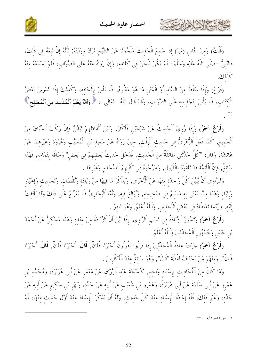

حشا الأخلاءاين



(قُلْتُ) وَمِنْ النَّاسِ (مَنْ) إِذَا سَمِعَ الْحَدِيثَ مَلْحُونًا عَنْ الشَّيْخِ تَرَكَ رِوَايَتَهُ; لِأَنَّهُ إِنْ تَبِعَهُ فِي ذَلِكَ، فَالنَّبِيُّ –صَلَّى اللَّهُ عَلَيْهِ وَسَلَّمَ– لَمْ يَكُنْ يَلْحَنُ فِي كَلَامِهِ، وَإِنْ رَوَاهُ عَنْهُ عَلَى الصَّوَابِ، فَلَمْ يَسْمَعْهُ مِنْهُ كَذَلِكَ.

(فَرْعٌ) وَإِذَا سَقَطَ مِنَ السَّنَدِ أَوْ الْمَتْنِ مَا هُوَ مَعْلُومٌ، فَلَا بَأْسَ بِإِلْحَاقِهِ، وَكَذَلكَ إذَا انْدَرَسَ بَعْضُ الْكِتَابِ، فَلَا بَأْسَ بِتَجْدِيدِهِ عَلَى الصَّوَابِ، وَقَدْ قَالَ اللَّهُ -تَعَالَى-: ﴿ وَٱللَّهُ يَعْلَمُ ٱلْمُفْسِدَ مِنَ ٱلْمُصْلح؟

(فَوْعٌ آخَرُ) وَإِذَا رُوِيَ اَلْحَدِيتُ عَنْ شَيْخَيْنِ فَأَكْثَرَ, وَبَيْنَ أَلْفَاظهمْ تَبَايُنٌ فَإِنْ رَكَّبَ اَلسَّيَاقَ منَ اَلْجَميع, كَمَا فَعَلَ اَلزُّهْرِيُّ في حَديث اَلْإِفْك, حينَ رَوَاهُ عَنْ سَعيد بْنِ اَلْمُسَيَّب وَعُرْوَةَ وَغَيْرهمَا عَنْ عَائشَةَ, وَقَالَ: "كُلُّ حَدَّثَني طَائفَةٌ مِنَ اَلْحَديثِ, فَدَخَلَ حَدِيثُ بَعْضِهِمْ فِي بَعْضٍ" وَسَاقَهُ بِتَمَامِهِ, فَهَذَا سَائغٌ, فَإِنَّ ٱلْأَئمَّةَ قَدْ تَلَقَّوْهُ بِالْقَبُولِ, وَخَرَّجُوهُ فِي كُتُبِهِمْ اَلصِّحَاحِ وَغَيْرِهَا .

وَلِلرَّاوِي أَنْ يُبَيِّنَ كُلَّ وَاحِدَةٍ مِنْهَا عَنْ اَلْأُخْرَى, وَيَذْكُرَ مَا فِيهَا مِنْ زِيَادَةٍ وَنُقْصَانِ, وَتَحْدِيثِ وَإِخْبَارِ وَإِنْبَاءِ وَهَذَا مِمَّا يُعْنَى بِهِ مُسْلِمٌ فِي صَحِيحِهِ, وَيُبَالِغُ فِيهِ, وَأَمَّا اَلْبُخَارِيٌّ فَلَا يُعَرِّجُ عَلَى ذَلِكَ وَلَا يَلْتَفِتُ إِلَيْهِ, وَرُبَّمَا تَعَاطَاهُ فِي بَعْضِ اَلْأَحَابِينِ, وَاَللَّهُ أَعْلَمُ, وَهُوَ نَادرٌ .

(فَوْعٌ آخَوُ) وَتَجُوزُ اَلزَّيَادَةُ فِي نَسَبِ اَلرَّاوِي, إِذَا بَيَّنَ أَنَّ الزِّيَادَةَ مِنْ عِنْدهِ وَهَذَا مَحْكِيٌّ عَنْ أَحْمَدَ بْنِ حَنْبَلٍ وَجُمْهُورٍ اَلْمُحَدِّثينَ وَاللَّهُ أَعْلَمُ .

(فَوْعٌ آخَرُ) حَرَتْ عَادَةُ اَلْمُحَدِّثينَ إذَا قَرَءُوا يَقُولُونَ أَخْبَرَنَا فُلَانٌ, قَالَ: أَخْبَرَنَا فُلَانٌ, قَالَ: أَخْبَرَنَا فُلَانٌ", وَمنْهُمْ مَنْ يَحْذفُ لَفْظَةَ "قَالَ", وَهُوَ سَائِغٌ عنْدَ اَلْأَكْثَرِينَ .

وَمَا كَانَ مِنَ اَلْأَحَادِيثِ بِإِسْنَادِ وَاحِدٍ, كُنُسْخَة عَبْدِ اَلرَّزَّاقِ عَنْ مَعْمَرٍ عَنْ أَبي هُرَيْرَةَ، وَمُحَمَّد بْنِ عَمْرِو عَنْ أَبِي سَلَمَةَ عَنْ أَبِي هُرَيْرَةَ، وَعَمْرِو بْنِ شُعَيْبِ عَنْ أَبِيه عَنْ جَلِّهِ، وَبَهْزِ بْنِ حَكيم عَنْ أَبِيه عَنْ جَدِّهِ، وَغَيْرِ ذَلِكَ، فَلَهُ إِعَادَةُ الْإِسْنَادِ عِنْدَ كُلِّ حَدِيثٍ، وَلَهُ أَنْ يَذْكُرَ الْإِسْنَادَ عِنْدَ أَوَّلِ حَدِيثٍ مِنْهَا، ثُمَّ

١ – سورة البقرة أية : ٢٢٠.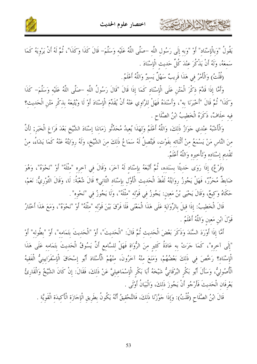

يَقُولُ "وَبِالْإِسْنَادِ" أَوْ "وَبِهِ إِلَى رَسُولِ اللَّهِ –صَلَّى اللَّهُ عَلَيْهِ وَسَلَّمَ– قَالَ كَذَا وَكَذَا"، ثُمَّ لَهُ أَنْ يَرْوِيَهُ كَمَا سَمعَهُ، وَلَهُ أَنْ يَذْكُرَ عنْدَ كُلِّ حَديث الْإِسْنَادَ .

(قُلْتُ) وَالْأَمْرُ فِي هَذَا قَرِيبٌ سَهْلٌ يَسيرٌ وَاللَّهُ أَعْلَمُ .

كالحشيم الشاهاين عث

وَأَمَّا إِذَا قَدَّمَ ذِكْرَ الْمَتْنِ عَلَى الْإِسْنَادِ كَمَا إِذَا قَالَ "قَالَ رَسُولُ اللَّه –صَلَّى اللَّهُ عَلَيْه وَسَلَّمَ– كَذَا وَكَذَا" ثُمَّ قَالَ "أَخْبَرَنَا بِه"، وَأَسْنَدَهُ فَهَلْ لِلرَّاوِي عَنْهُ أَنْ يُقَدِّمَ الْإِسْنَادَ أَوْ لَا وَيُتْبِعَهُ بِذِكْرِ مَتْنِ الْحَدِيثِ؟ فيه خلَافٌ، ذَكَرَهُ الْخَطيبُ ابْنُ الصَّلَاحِ .

وَالْأَشْبَهُ عنْدي حَوَازُ ذَلكَ، وَاللَّهُ أَعْلَمُ وَلِهَذَا يُعِيدُ مُحَدِّثُو زَمَانِنَا إِسْنَادَ الشَّيْخِ بَعْدَ فَرَاغِ الْخَبَرِ; لِأَنَّ مِنَ النَّاسِ مَنْ يَسْمَعُ مِنْ أَثْنَائِهِ بِفَوْتٍ، فَيَتَّصِلُ لَهُ سَمَاعُ ذَلِكَ مِنَ الشَّيْخِ، وَلَهُ رِوَايَتُهُ عَنْهُ كَمَا يَشَاءُ، مِنْ تَقْديم إسْنَاده وَتَأْخيره وَاللَّهُ أَعْلَمُ.

(فَرْعٌ) إذَا رَوَى حَديثًا بسَنَده، ثُمَّ أَتْبَعَهُ بِإِسْنَادِ لَهُ آخَرَ، وَقَالَ فِي آخِرِهِ "مِثْلَهُ" أَوْ "نَحْوَهُ"، وَهُوَ ضَابِطٌ مُحَرِّرٌ، فَهَلْ يَجُوزُ رِوَايَتُهُ لَفْظَ الْحَدِيثِ الْأَوَّلِ بِإِسْنَادِ الثَّانِي؟ قَالَ شُعْبَةُ: لَا، وَقَالَ الثَّوْرِيُّ: نَعَمْ، حَكَاهُ وَكِيعٌ، وَقَالَ يَحْيَى بْنُ مَعِينٍ: يَجُوزُ فِي قَوْلِهِ "مِثْلَهُ"، وَلَا يَجُوزُ فِي "نَحْوِهِ" .

قَالَ الْخَطيبُ: إذَا قيلَ بالرِّوَايَة عَلَى هَذَا الْمَعْنَى فَلَا فَرْقَ بَيْنَ قَوْله "مثْلَهُ" أَوْ "نَحْوَهُ"، وَمَعَ هَذَا أَخْتَارُ قَوْلَ ابْنِ مَعين وَاللَّهُ أَعْلَمُ .

أَمَّا إذَا أَوْرَدَ السَّنَدَ وَذَكَرَ بَعْضَ الْحَديث ثُمَّ قَالَ: "الْحَديثَ"، أَوْ "الْحَديثَ بتَمَامه"، أَوْ "بطُوله" أَوْ "إِلَى آخِرِه"، كَمَا جَرَتْ بِهِ عَادَةُ كَثِيرٍ مِنَ الرُّوَاةِ فَهَلْ لِلسَّامِعِ أَنَّ يَسُوقُ الْحَدِيثَ بتَمَامِهِ عَلَى هَذَا الْإِسْنَادِ؟ رَخَّصَ فِي ذَلِكَ بَعْضُهُمْ، وَمَنَعَ مِنْهُ آخَرُونَ، منْهُمْ الْأُسْتَاذ أَبُو إِسْحَاقَ الْإسْفَرَايينيُّ الْفَقيهُ الْأُصُولِيُّ، وَسَأَلَ أَبُو بَكْرِ البُرْقَانِيُّ شَيْخَهُ أَبَا بَكْرِ الْإِسْمَاعِيلِيَّ عَنْ ذَلكَ، فَقَالَ: إِنْ كَانَ الشَّيْخُ وَالْقَارِئُ يَعْرِفَانِ الْحَديثَ فَأَرْجُو أَنْ يَجُوزَ ذَلكَ، وَالْبَيَانُ أَوْلَى .

قَالَ ابْنُ الصَّلَاحِ (قُلْتُ): وَإِذَا حَوَّزْنَا ذَلِكَ، فَالتَّحْقِيقُ أَنَّهُ يَكُونُ بِطَرِيقِ الْإِجَازَةِ الْأَكِيدَةِ الْقَوِيَّةِ .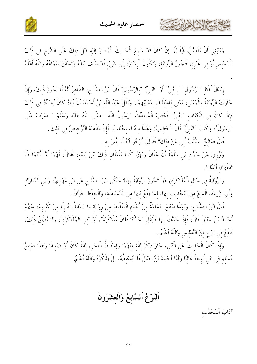



وَيَنْبَغِي أَنْ يُفَصَّلَ، فَيُقَالُ: إِنْ كَانَ قَدْ سَمِعَ الْحَدِيثَ الْمُشَارَ إِلَيْهِ قَبْلَ ذَلِكَ عَلَى الشَّيْخِ فِي ذَلِكَ الْمَجْلِسِ أَوْ فِي غَيْرِهِ، فَتَجُوزُ الرِّوَايَةِ، وَتَكُونُ الْإِشَارَةُ إِلَى شَيْءٍ قَدْ سَلَفَ بَيَانُهُ وَتَحَقَّقَ سَمَاعُهُ وَاللَّهُ أَعْلَمُ

إِبْدَالُ لَفْظِ "الرَّسُولِ" "بِالنَّبِيِّ" أَوْ "النَّبِيِّ" "بِالرَّسُولِ" قَالَ ابْنُ الصَّلَاحِ: الظَّاهِرُ أَنَّهُ لَا يَجُوزُ ذَلِكَ، وَإِنْ جَازَتْ الرِّوَايَةُ بِالْمَعْنَى، يَعْني لِاخْتلَاف مَعْنَيَيْهِمَا، وَنَقَلَ عَبْدُ اللَّه بْنُ أَحْمَدَ أَنَّ أَبَاهُ كَانَ يُشَدِّدُ في ذَلكَ فَإِذَا كَانَ في الْكتَابِ "النَّبِيِّ" فَكَتَبَ الْمُحَدِّثُ "رَسُولُ اللَّه –صَلَّى اللَّهُ عَلَيْه وَسَلَّمَ–" ضَرَبَ عَلَى "رَسُولُ"، وَكَتَبَ "النَّبِيُّ" قَالَ الْخَطيبُ: وَهَذَا منْهُ اسْتحْبَابٌ، فَإِنَّ مَذْهَبَهُ التَّرْخيصُ في ذَلكَ ـ

قَالَ صَالحٌ: سَأَلْتُ أَبِي عَنْ ذَلكَ؟ فَقَالَ: أَرْجُو أَنَّهُ لَا بَأْسَ به .

كالحمشة الشاهايرت

وَرُوِيَ عَنْ حَمَّاد بْنِ سَلَمَةَ أَنَّ عَفَّانَ وَبَهْزًا كَانَا يَفْعَلَان ذَلكَ بَيْنَ يَدَيْه، فَقَالَ: لَهُمَا أَمَّا أَنْتُمَا فَلَا تَفْقَهَان أَبَدًا!!.

(الرِّوَايَةُ فِي حَالِ الْمُذَاكَرَةِ) هَلْ تَجُوزُ الرِّوَايَةُ بِهَا؟ حَكَى ابْنُ الصَّلَاحِ عَنِ ابْنِ مَهْديٍّ، وَابْنِ الْمُبَارَك وَأَبِي زُرْعَةَ، الْمَنْعَ مِنَ التَّحْديث بهَا، لِمَا يَقَعُ فِيهَا مِنَ الْمُسَاهَلَةِ، وَالْحِفْظُ خَوَّانٌ

قَالَ ابْنُ الصَّلَاحِ: وَلهَذَا امْتَنَعَ حَمَاعَةٌ منْ أَعْلَام الْحُفَّاظ منْ روَايَة مَا يَحْفَظُونَهُ إلَّا منْ كُتُبهمْ، منْهُمْ أَحْمَدُ بْنُ حَنْبَلَ قَالَ: فَإِذَا حَدَّثَ بِهَا فَلْيَقُلْ "حَدَّثَنَا فُلَانٌ مُذَاكَرَةً"، أَوْ "في الْمُذَاكَرَة"، وَلَا يُطْلقُ ذَلكَ، فَيَقَعُ في نَوْعٍ منَ التَّدْليس وَاللَّهُ أَعْلَمُ .

وَإِذَا كَانَ الْحَدِيثُ عَنِ اثْنَيْنِ، حَازَ ذِكْرُ ثَقَة مِنْهُمَا وَإِسْقَاطُ الْآخَرِ، ثِقَةً كَانَ أَوْ ضَعِيفًا وَهَذَا صَنِيعُ مُسْلم في ابْنِ لَهيعَةَ غَالبًا وَأَمَّا أَحْمَدُ بْنُ حَنْبَلَ فَلَا يُسْقطُهُ، بَلْ يَذْكُرُهُ وَاللَّهُ أَعْلَمُ

اَلنَّوْغُ اَلسَّابعُ وَالْعشْرُونَ

آدَابُ اَلْمُحَدِّث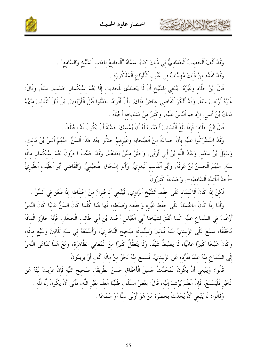



وَقَدْ أَلَّفَ اَلْخَطِيبُ اَلْبَغْدَاديُّ في ذَلكَ كتَابًا سَمَّاهُ "اَلْجَامعُ لآدَاب اَلشَّيْخِ وَالسَّامع" . وَقَدْ تَقَلَّمَ منْ ذَلكَ مُهمَّاتٌ في عُيُون اَلْأَنْوَاعِ اَلْمَذْكُورَة .

قَالَ ابْنُ خَلَّاد وَغَيْرُهُ: يَنْبَغي للشَّيْخِ أَنْ لَا يَتَصَدَّى للْحَديث إلَّا بَعْدَ اسْتكْمَال خَمْسينَ سَنَةً, وَقَالَ: غَيْرُهُ أَرْبَعينَ سَنَةً, وَقَدْ أَنْكَرَ اَلْقَاضي عيَاضٌ ذَلكَ, بأَنَّ أَقْوَامًا حَدَّثُوا قَبْلَ اَلْأَرْبَعينَ, بَلْ قَبْلَ اَلثَّلَاثينَ منْهُمْ مَالِكُ بْنُ أَنَسٍ, إِزْدَحَمَ اَلنَّاسُ عَلَيْهِ, وَكَثيرٌ منْ مَشَايخه أَحْيَاءٌ .

قَالَ ابْنُ حَلَّاد: فَإِذَا بَلَغَ اَلثَّمَانينَ أَحْبَبْتَ لَهُ أَنْ يُمْسكَ خَشْيَةَ أَنْ يَكُونَ قَدْ اخْتَلَطَ .

وَقَدْ اسْتَدْرَكُوا عَلَيْه بأَنْ جَمَاعَةً منْ اَلصَّحَابَة وَغَيْرِهمْ حَدَّثُوا بَعْدَ هَذَا اَلسّنّ, منْهُمْ أَنسُ بْنُ مَالك, وَسَهْلُ بْنُ سَعْدِ, وَعَبْدُ اللَّهِ بْنُ أَبِي أَوْفَى, وَخَلْقٌ ممَّنْ بَعْدَهُمْ, وَقَدْ حَدَّثَ آخَرُونَ بَعْدَ اسْتكْمَال مائَة سَنَة, منْهُمْ اَلْحَسَنُ بْنُ عَرَفَةَ, وَأَبُو اَلْقَاسم اَلْبَغَويُّ, وَأَبُو إسْحَاقَ الْهُجَيْميُّ, وَالْقَاضي أَبُو اَلطَّيّب اَلطَّبَريُّ –أَحَدُ اَلْأَئمَّة اَلشَّافعيَّة–, وَجَمَاعَةٌ كَثيرُونَ .

لَكِنْ إِذَا كَانَ اَلِاعْتِمَادِ عَلَى حِفْظِ اَلشَّيْخِ اَلرَّاوِي, فَيَنْبَغِي اَلِاحْتِرَازُ مِنْ اخْتلَاطه إذا طَعَنَ فِي اَلسِّنِّ .

وَأَمَّا إذَا كَانَ الاعْتمَادُ عَلَى حفْظ غَيْره وَحفْظه وَضَبْطه، فَهَا هُنَا كُلَّمَا كَانَ السِّنُّ عَاليًا كَانَ النَّاسُ أَرْغَبَ فِي السَّمَاعِ عَلَيْهِ كَمَا اتَّفَقَ لِشَيْخِنَا أَبِي الْعَبَّاسِ أَحْمَدَ بْنِ أَبِي طَالِبِ الْحَجَّارِ، فَإِنَّهُ حَاوَزَ الْمِائَةَ مُحَقَّقًا، سَمَّعَ عَلَى الزَّبيديِّ سَنَةَ ثَلَاثينَ وَستِّمائَة صَحيحَ الْبُخَارِيِّ، وَأَسْمَعَهُ في سَنَة ثَلَاثينَ وَسَبْع مائَة، وَكَانَ شَيْخًا كَبِيرًا عَامِّيًّا، لَا يَضْبطُ شَيْئًا، وَلَا يَتَعَقَّلُ كَثيرًا منَ الْمَعَاني الظَّاهرَة، وَمَعَ هَذَا تَدَاعَى النَّاسُ إِلَى السَّمَاعِ منْهُ عنْدَ تَفَرُّده عَنِ الزَّبيديِّ، فَسَمعَ منْهُ نَحْوٌ منْ مائَة أَلْف أَوْ يَزيدُونَ .

قَالُوا: وَيَنْبَغي أَنْ يَكُونَ الْمُحَدِّثُ حَميلَ الْأَخْلَاق حَسنَ الطَّريقَة، صَحيحَ النِّيَّة فَإنْ عَزَبَتْ نَيَّتُهُ عَن الْخَيْرِ فَلْيَسْمَعْ، فَإِنَّ الْعِلْمَ يُرْشِدُ إِلَيْهِ، قَالَ: بَعْضُ السَّلَفِ طَلَبْنَا الْعلْمَ لغَيْر اللَّه، فَأَبَى أَنْ يَكُونَ إِلَّا للَّه . وَقَالُوا: لَا يَنْبَغِي أَنْ يُحَدِّثَ بِحَضْرَةٍ مَنْ هُوَ أَوْلَى سِنًّا أَوْ سَمَاعًا .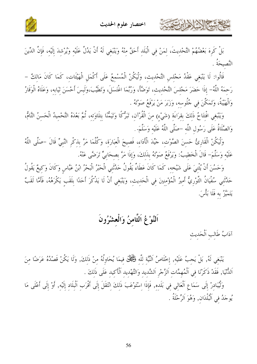

بَلْ كَرِهَ بَعْضُهُمْ التَّحْدِيثَ، لِمَنْ فِي الْبَلَدِ أَحَقَّ مِنْهُ وَيَنْبَغِي لَهُ أَنْ يَدُلَّ عَلَيْهِ وَيُرْشِدَ إِلَيْهِ، فَإِنَّ الدِّينَ النَّصيحَةُ

قَالُوا: لَا يَنْبَغي عَقْدُ مَجْلس التَّحْديث، وَلْيَكُنْ الْمُسْمعُ عَلَى أَكْمَلِ الْهَيْئَات، كَمَا كَانَ مَالكْ – رَحِمَهُ اللَّهُ- إِذَا حَضَرَ مَجْلِسَ التَّحْدِيثِ، تَوَضَّأَ، وَرُبَّمَا اغْتَسَلَ، وَتَطَيَّبَ،وَلَبسَ أَحْسَنَ ثِيَابِهِ، وَعَلَاهُ الْوَقَارُ وَالْهَيْبَةُ، وَتَمَكَّنَ في جُلُوسه، وَزَبَرَ مَنْ يَرْفَعُ صَوْتَهُ .

وَيَنْبَغِي افْتِتَاحُ ذَلِكَ بقِرَاءَةِ (شَيْءٍ) مِنَ الْقُرْآنِ، تَبَرُّكًا وَتَيَمُّنًا بِتلَاوَتِهِ، ثُمَّ بَعْدَهُ التَّحْمِيدُ الْحَسنُ التَّامُّ، وَالصَّلَاةُ عَلَى رَسُولِ اللَّه –صَلَّى اللَّهُ عَلَيْه وَسَلَّمَ- .

وَلْيَكُنْ الْقَارِئُ حَسنَ الصَّوْت، حَيِّدَ الْأَدَاء، فَصيحَ الْعبَارَة، وَكُلَّمَا مَرَّ بذكْرِ النَّبِيِّ قَالَ –صَلَّى اللَّهُ عَلَيْه وَسَلَّمَ- قَالَ الْخَطِيبُ: وَيَرْفَعُ صَوْتَهُ بِذَلكَ، وَإِذَا مَرَّ بِصِحَابِيٍّ تَرَضَّى عَنْهُ.

وَحَسُنَ أَنْ يُثْنيَ عَلَى شَيْخه، كَمَا كَانَ عَطَاءٌ يَقُولُ حَدَّثَني الْحَبْرُ الْبَحْرُ ابْنُ عَبَّاس وَكَانَ وَكيعٌ يَقُولُ حَدَّثَنِي سُفْيَانُ الثَّوْرِيُّ أَمِيرُ الْمُؤْمِنِينَ فِي الْحَدِيثِ، وَيَنْبَغِي أَنْ لَا يَذْكُرَ أَحَدًا بلَقَب يَكْرَهُهُ، فَأَمَّا لَقَبٌ يَتَمَيَّزُ به فَلَا بَأْسَ.

#### اَلنَّوْغُ اَلثَّامنُ وَالْعشْرُونَ

آذابُ طَالِبِ اَلْحَديث

CHANNELLER

يَنْبَغِي لَهُ, بَلْ يَجِبُ عَلَيْهِ, إِخْلَاصُ اَلنَّيَّة لِلَّهِ فَكَجُلٌّ فِيمَا يُحَاوِلُهُ مِنْ ذَلكَ, وَلَا يَكُنْ قَصْدُهُ عَرَضًا مِنَ اَلدُّنْيَا, فَقَدْ ذَكَرْنَا فِي اَلْمُهِمَّاتِ اَلزَّجْرِ اَلشَّدِيدِ وَالتَّهْدِيدِ اَلْأَكِيدِ عَلَى ذَلِكَ .

وَلْيُبَادِرْ إِلَى سَمَاعِ الْعَالِي فِي بَلَدِهِ, فَإِذَا اِسْتَوْعَبَ ذَلِكَ اِنْتَقَلَ إِلَى أَقْرَب اَلْبِلَادِ إِلَيْهِ, أَوْ إِلَى أَعْلَى مَا يُوجَدُ فِي اَلْبُلْدَان, وَهُوَ اَلرِّحْلَةُ .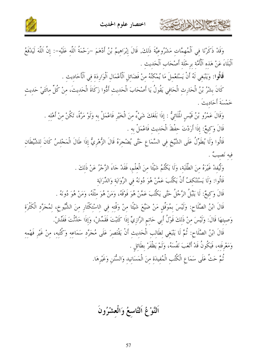

وَقَدْ ذَكَرْنَا فِي اَلْمُهِمَّاتِ مَشْرُوعِيَّةَ ذَلِكَ, قَالَ إِبْرَاهِيمُ بْنُ أَدْهَمَ –رَحْمَةُ اَللَّهِ عَلَيْهِ–: إِنَّ اَللَّهَ لَيَدْفَعُ اَلْبَلَاءَ عَنْ هَذه اَلْأُمَّة برحْلَة أَصْحَاب اَلْحَديث .

قَالُوا: وَيَنْبَغي لَهُ أَنْ يَسْتَعْملَ مَا يُمْكُنُهُ منْ فَضَائلِ اَلْأَعْمَالِ اَلْوَارِدَة فِي اَلْأَحَادِيثِ .

كالحشيم الأخالات

كَانَ بِشْرُ بْنُ الْحَارِثِ الْحَافِي يَقُولُ يَا أَصْحَابَ الْحَدِيثِ أَذُّوا زَكَاةَ الْحَدِيثَ، مِنْ كُلِّ مائتَيْ حَدِيثِ خَمْسَةَ أَحَاديتَ .

وَقَالَ عَمْرُو بْنُ قَيْسٍ الْمَلَائِيُّ : إِذَا بَلَغَكَ شَيْءٌ مِنَ الْخَيْرِ فَاعْمَلْ بِهِ وَلَوْ مَرَّةً، تَكُنْ منْ أَهْله . قَالَ وَكيعٌ: إذَا أَرَدْتَ حفْظَ الْحَديث فَاعْمَلْ به .

قَالُوا وَلَا يُطَوِّلُ عَلَى الشَّيْخِ فِي السَّمَاعِ حَتَّى يُضْجِرَهُ قَالَ الزُّهْرِيُّ إِذَا طَالَ الْمَجْلِسُ كَانَ لِلشَّيْطَانِ فيه نَصيبٌ .

> وَلْيُفدْ غَيْرَهُ منَ الطَّلَبَة، وَلَا يَكْتُمُ شَيْئًا منَ الْعلْم، فَقَدْ جَاءَ الزَّجْرُ عَنْ ذَلكَ . قَالُوا: وَلَا يَسْتَنْكَفُ أَنْ يَكْتُبَ عَمَّنْ هُوَ دُونَهُ في الرِّوَايَة وَالدِّرَايَة

قَالَ وَكيعٌ: لَا يَنْبُلُ الرَّجُلُ حَتَّى يَكْتُبَ عَمَّنْ هُوَ فَوْقَهُ، وَمَنْ هُوَ مثْلَهُ، وَمَنْ هُوَ دُونَهُ .

قَالَ ابْنُ الصَّلَاحِ: وَلَيْسَ بِمُوَفَّقٍ مَنْ ضَيَّعَ شَيْئًا منْ وَقْته في الاسْتكْثَارِ منَ الشُّيوخ، لمُحَرَّد الْكَثْرَة وَصِيتهَا قَالَ: وَلَيْسَ مِنْ ذَلِكَ قَوْلُ أَبِي حَاتِمِ الرَّازِيِّ إذَا كَتَبْتَ فَقَمِّشْ، وَإذَا حَدَّثْتَ فَفَتِّشْ.

قَالَ ابْنُ الصَّلَاح: ثُمَّ لَا يَنْبَغي لطَالب الْحَدِيث أَنْ يَقْتَصِرَ عَلَى مُجَرَّد سَمَاعِه وَكُتُبه، منْ غَيْر فَهْمه وَمَعْرِفَته، فَيَكُونُ قَدْ أَتْعَبَ نَفْسَهُ، وَلَمْ يَظْفَرْ بطَائل .

ثُمَّ حَتَّ عَلَى سَمَاعِ الْكُتُبِ الْمُفِيدَةِ مِنَ الْمَسَانِيدِ وَالسُّنَنِ وَغَيْرِهَا.

اَلنَّوْعُ اَلتَّاسعُ وَالْعشْرُونَ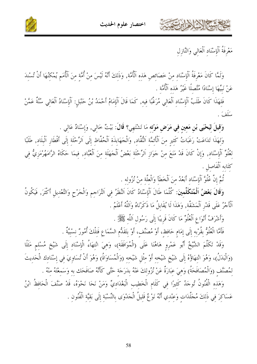



مَعْرِفَةُ اَلْإِسْنَادِ اَلْعَالِي وَالنَّازِلِ

حشيهم الأثراء تبتي

وَلَمَّا كَانَ مَعْرِفَةُ اَلْإِسْنَادِ مِنْ خَصَائِصٍ هَذِهِ اَلْأُمَّةِ, وَذَلِكَ أَنَّهُ لَيْسَ مِنْ أُمَّةٍ مِنَ اَلْأُمَمِ يُمْكِنُهَا أَنْ تُسْنِدَ عَنْ نَبِيِّهَا إِسْنَادًا مُتَّصِلًا غَيْرُ هَذِهِ ٱلْأُمَّةِ .

فَلِهَذَا كَانَ طَلَبُ اَلْإِسْنَادِ اَلْعَالِي مُرَغَّبًا فِيهِ, كَمَا قَالَ اَلْإِمَامُ أَحْمَدُ بْنُ حَنْبَلٍ: اَلْإِسْنَادُ اَلْعَالِي سُنَّةٌ عَمَّنْ سَلَفَ

وَقِيلَ لِيَحْيَى بْنِ مَعِينٍ فِي مَرَضٍ مَوْتِهِ مَا تَشْتَهِي؟ قَالَ: بَيْتُ خَالِي, وَإِسْنَادٌ عَالِي .

وَلِهَذَا تَدَاعَتْ رَغَبَاتُ كَثِيرٍ منَ اَلْأَئِمَّةِ اَلنُّقَّادِ, وَالْجَهَابِذَةِ اَلْحُفَّاظِ إِلَى اَلرِّحْلَةِ إِلَى أَقْطَارِ اَلْبِلَادِ, طَلَبًا لِعُلُوِّ اَلْإِسْنَادِ, وَإِنْ كَانَ قَدْ مَنَعَ مِنْ جَوَازِ اَلرِّحْلَةِ بَعْضُ اَلْجَهَلَةِ مِنَ اَلْعُبَّادِ, فِيمَا حَكَاهُ الرَّامَهُرْمَزِيُّ فِي كتَابه اَلْفَاصل .

تُمَّ إِنَّ عُلُوَّ اَلْإِسْنَادِ أَبَعْدُ منَ اَلْخَطَأَ وَالْعلَّة منْ نُزُوله .

وَقَالَ بَعْضُ اَلْمُتَكَلِّمينَ: كُلَّمَا طَالَ اَلْإِسْنَادُ كَانَ النَّظَرُ فِي التَّرَاجِمِ وَالْخَرْحِ وَالتَّعْدِيلِ أَكْثَرَ, فَيَكُونُ اَلْأَجْرُ عَلَى قَدْرِ اَلْمَشَقَّة, وَهَذَا لَا يُقَابِلُ مَا ذَكَرْنَاهُ وَاَللَّهُ أَعْلَمُ .

وَأَشْرَفُ أَنْوَاعِ اَلْعُلُوِّ مَا كَانَ قَرِيبًا إِلَى رَسُولِ اَللَّهِ ﷺ.

فَأَمَّا الْعُلُوُّ بِقُرْبِهِ إِلَى إِمَامِ حَافِظٍ، أَوْ مُصَنِّفٍ، أَوْ بِتَقَلُّمِ السَّمَاعِ فَتِلْكَ أُمُورٌ نِسْبِيَّةٌ .

وَقَدْ تَكَلَّمَ الشَّيْخُ أَبُو عَمْرِوٍ هَاهُنَا عَلَى (الْمُوَافَقَةِ)، وَهِيَ انْتِهَاءُ الْإِسْنَادِ إِلَى شَيْخ مُسْلِمٍ مَثَلًا (وَالْبَدَلُ)، وَهُوَ انْتهَاؤُهُ إِلَى شَيْخِ شَيْخِهِ أَوْ مِثْلِ شَيْخِهِ (وَالْمُسَاوَاةُ) وَهُوَ أَنْ تُسَاوِيَ فِي إِسْنَادِك الْحَديثَ لِمُصَنَّفٍ (وَالْمُصَافَحَةُ) وَهِيَ عِبَارَةٌ عَنْ نُزُولِكَ عَنْهُ بِدَرَجَةٍ حَتَّى كَأَنَّهُ صَافَحَك به وَسَمعْتَهُ منْهُ .

وَهَذِهِ الْفُنُونُ تُوحَدُ كَثيرًا فِي كَلَامِ الْخَطِيبِ الْبَغْدَادِيِّ وَمَنْ نَحَا نَحْوَهُ، قَدْ صَنَّفَ الْحَافظُ ابْنُ عَسَاكِرَ فِي ذَلِكَ مُجَلَّدَاتِ وَعِنْدِي أَنَّهُ نَوْعٌ قَلِيلُ الْجَدْوَى بِالنِّسْبَةِ إِلَى بَقِيَّةِ الْفُنُونِ .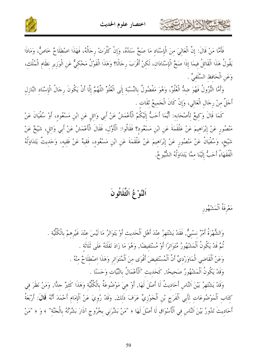



فَأَمَّا مَنْ قَالَ: إِنَّ الْعَالِيَ مِنَ الْإِسْنَادِ مَا صَحَّ سَنَدُهُ، وَإِنْ كَثُرَتْ رِجَالُهُ، فَهَذَا اصْطلَاحٌ خَاصٌّ، وَمَاذَا يَقُولُ هَذَا الْقَائِلُ فِيمَا إِذَا صَحَّ الْإِسْنَادَانِ، لَكِنْ أَقْرَبَ رِجَالًا؟ وَهَذَا الْقَوْلُ مَحْكِيٌّ عَنِ الْوَزِيرِ نِظَامِ الْمُلْكِ، وَعَنِ الْحَافظ السَّلَفِيِّ .

وَأَمَّا النُّزُولُ فَهُوَ ضِدُّ الْعُلُوِّ، وَهُوَ مَفْضُولٌ بِالنِّسْبَةِ إِلَى الْعُلُوِّ اللَّهُمَّ إِلَّا أَنْ يَكُونَ رِحَالُ الْإِسْنَادِ النَّازِلِ أَجَلَّ منْ رجَال الْعَالي، وَإِنْ كَانَ الْجَميعُ ثقَات .

كَمَا قَالَ وَكيعٌ لأَصْحَابه: أَيُّمَا أَحَبُّ إِلَيْكُمْ الْأَعْمَشُ عَنْ أَبي وَائل عَن ابْن مَسْعُود، أَوْ سُفْيَانَ عَنْ مَنْصُورِ عَنْ إِبْرَاهِيمَ عَنْ عَلْقَمَةَ عَنِ ابْنِ مَسْعُودٍ؟ فَقَالُوا: الْأَوَّلِ، فَقَالَ الْأَعْمَشُ عَنْ أَبِي وَائلِ، شَيْخٌ عَنْ شَيْخِ، وَسُفْيَانُ عَنْ مَنْصُورِ عَنْ إِبْرَاهِيمَ عَنْ عَلْقَمَةَ عَنِ ابْنِ مَسْعُودٍ، فَقِيهٌ عَنْ فَقِيهِ، وَحَدِيثٌ يَتَدَاوَلُهُ الْفُقَهَاءُ أَحَبُّ إِلَيْنَا ممَّا يَتَدَاوَلُهُ الشُّيوخُ.

اَلنَّوْ عُ اَلثَّلَاثُونَ

مَعْرفَةُ اَلْمَشْهُور

حمشاه الخالها المرت

وَالشُّهْرَةُ أَمْرٌ نِسْبِيٌّ, فَقَدْ يَشْتَهِرُ عِنْدَ أَهْلِ اَلْحَديث أَوْ يَتَوَاتَرُ مَا لَيْسَ عنْدَ غَيْرهمْ بالْكُلِّيَّة . نْمٌ قَدْ يَكُونُ ٱلْمَشْهُورُ مُتَوَاتِرًا أَوْ مُسْتَفيضًا, وَهُوَ مَا زَادَ نَقَلَتَهُ عَلَى ثَلَاثَة . وَعَنْ اَلْقَاضي الْمَاوَرْديِّ أَنَّ اَلْمُسْتَفيضَ أَقْوَى مِنَ اَلْمُتَوَاتِرِ وَهَذَا اصْطِلَاحٌ مِنْهُ . وَقَدْ يَكُونُ اَلْمَشْهُورُ صَحيحًا, كَحَديث "اَلْأَعْمَالُ بالنِّيَّات وَحَسَنًا .

وَقَدْ يَشْتَهِرُ بَيْنَ النَّاسِ أَحَاديتُ لَا أَصْلَ لَهَا, أَوْ هيَ مَوْضُوعَةٌ بِالْكُلِّيَّة وَهَذَا كَثيرٌ جلَّا, وَمَنْ نَظَرَ في كِتَابِ اَلْمَوْضُوعَاتِ لِأَبِي اَلْفَرَجِ بْنِ اَلْجَوْزِيِّ عَرَفَ ذَلِكَ, وَقَدْ رُوِيَ عَنْ اَلْإِمَام أَحْمَدَ أَنَّهُ قَالَ: أَرْبَعَةُ أَحَاديثَ تَدُورُ بَيْنَ اَلنَّاسِ في اَلْأَسْوَاق لَا أَصْلَ لَهَا ﴿ "مَنْ بَشَّرَنِي بِخُرُوجِ آذَارَ بَشَّرْتُهُ بِالْجَنَّةِ" ﴾ وَ ﴿ "مَنْ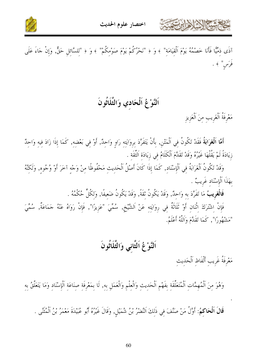





آذَى ذمِّيًّا فَأَنَا خَصْمُهُ يَوْمَ اَلْقِيَامَة" ﴾ وَ ﴿ "نَحْرُكُمْ يَوْمَ صَوْمِكُمْ" ﴾ وَ ﴿ "لِلسَّائِلِ حَقٌّ, وَإِنْ جَاءَ عَلَى فَرَس" ﴾ .

### اَلنَّوْغُ اَلْحَادي وَالثَّلَاثُونَ

مَعْرِفَةُ اَلْغَرِيبِ مِنَ اَلْعَزِيزِ

أَهَّا اَلْعَوَابَةُ فَقَدْ تَكُونُ فِي اَلْمَتْنِ, بِأَنْ يَتَفَرَّدَ بِرِوَايَتِهِ رَاوٍ وَاحِدٌ, أَوْ فِي بَعْضِهِ, كَمَا إِذَا زَادَ فِيهِ وَاحِدٌ زِيَادَةً لَمْ يَقُلْهَا غَيْرُهُ وَقَدْ تَقَدَّمَ اَلْكَلَامُ في زِيَادَة اَلثَّقَة .

وَقَدْ تَكُونُ اَلْغَرَابَةُ فِي اَلْإِسْنَادِ, كَمَا إِذَا كَانَ أَصْلُ اَلْحَدِيثِ مَحْفُوظًا مِنْ وَجْهِ آخَرَ أَوْ وُجُوه, وَلَكِنَّهُ بهَذَا اَلْإِسْنَادِ غَرِيبٌ .

**فَالْغَرِيبُ** مَا تَفَرَّدَ بِهِ وَاحِدٌ, وَقَدْ يَكُونُ ثقَةً, وَقَدْ يَكُونُ ضَعيفًا, وَلكُلٍّ حُكْمُهُ .

فَإِنْ اِشْتَرَكَ اثْنَانِ أَوْ ثَلَاثَةٌ فِي رِوَايَتِهِ عَنْ اَلشَّيْخِ, سُمِّيَ "عَزِيزًا", فَإِنْ رَوَاهُ عَنْهُ جَمَاعَةٌ, سُمِّيَ "مَشْهُورًا", كَمَا تَقَلَّمَ وَاَللَّهُ أَعْلَمُ.

# اَلنَّوْعُ اَلثَّانِي وَالثَّلَاثُونَ

مَعْرِفَةُ غَرِيبِ أَلْفَاظِ اَلْحَديثِ

وَهُوَ مِنَ اَلْمُهِمَّاتِ اَلْمُتَعَلِّقَةِ بِفَهْمِ اَلْحَدِيثِ وَالْعِلْمِ وَالْعَمَلِ بِهِ, لَا بِمَعْرِفَةِ صِنَاعَةِ اَلْإِسْنَادِ وَمَا يَتَعَلَّقُ بِهِ

قَالَ اَلْحَاكِمُ: أَوَّلُ مَنْ صَنَّفَ فِي ذَلِكَ اَلنَّضْرُ بْنُ شُمَيْلٍ, وَقَالَ غَيْرُهُ أَبُو عُبَيْدَةَ مَعْمَرُ بْنُ اَلْمُثَنّى .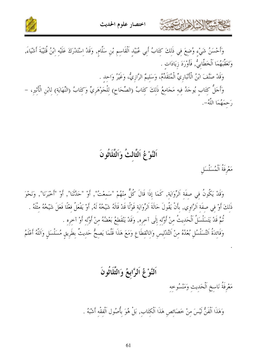



وَأَحْسَنُ شَيْءٍ وُضِعَ فِي ذَلِكَ كِتَابُ أَبِي عُبَيْدِ اَلْقَاسِمِ بْنِ سَلَّامٍ, وَقَدْ اِسْتَدْرَكَ عَلَيْهِ ابْنُ قُتَيْبَةَ أَشْيَاءَ, وَتَعَقَّبَهُمَا اَلْخَطَّابِيُّ, فَأَوْرَدَ زِيَادَات .

وَقَدْ صَنَّفَ ابْنُ الْأَنْبَارِيِّ الْمُتَقَلِّمُ، وَسَليمٌ الرَّازِيُّ، وَغَيْرُ وَاحد .

وَأَحَلُّ كِتَابٍ يُوحَدُ فِيهِ مَحَامِعُ ذَلِكَ كِتَابُ (الصِّحَاحِ) لِلْحَوْهَرِيِّ وَكِتَابُ (النِّهَايَةِ) لِابْنِ الْأَثِيرِ، – رَحمَهُمَا اللَّهُ-.

#### اَلنَّوْعُ اَلثَّالتُ وَاَلثَّلَاثُونَ

مَعْرِفَةُ اَلْمُسَلْسَل

وَقَدْ يَكُونُ في صفَة اَلرِّوَايَة, كَمَا إذَا قَالَ كُلٌّ منْهُمْ "سَمعْتُ", أَوْ "حَدَّثَنا", أَوْ "أخبَرَنا", وَنَحْوَ ذَلكَ أَوْ في صفَة اَلرَّاوي, بأَنْ يَقُولَ حَالَةَ اَلرِّوَايَة قَوْلًا قَدْ قَالَهُ شَيْخُهُ لَهُ, أَوْ يَفْعَلُ فعْلًا فَعَلَ شَيْخُهُ مثْلَهُ . ثُمَّ قَدْ يَتَسَلْسَلُ اَلْحَدِيثُ مِنْ أَوَّلِهِ إِلَى آخِرِهِ, وَقَدْ يَنْقَطِعُ بَعْضُهُ مِنْ أَوَّلِهِ أَوْ آخِرِهِ . وَفَائِدَةُ اَلتَّسَلْسُلِ بُعْدُهُ مِنْ اَلتَّدْلِيسِ وَالِانْقِطَاعِ وَمَعَ هَذَا قَلَّمَا يَصِحُّ حَدِيثٌ بِطَرِيقٍ مُسَلْسَلٍ وَاَللَّهُ أَعْلَمُ

### اَلنَّوْعُ اَلرَّابِعُ وَالثَّلَاثُونَ

مَعْرِفَةُ نَاسخِ اَلْحَدِيثِ وَمَنْسُوخِهِ

وَهَذَا اَلْفَنُّ لَيْسَ مِنْ خَصَائِصٍ هَذَا اَلْكِتَاب, بَلْ هُوَ بِأَصُولِ اَلْفقْه أَشْبَهُ .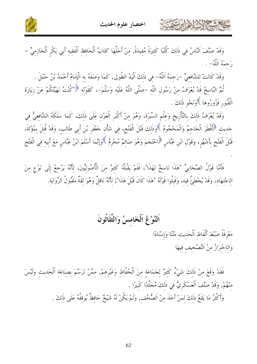

وَقَدْ صَنَّفَ اَلنَّاسُ فِي ذَلِكَ كُتُبًا كَثِيرَةً مُفِيدَةً, مِنْ أَجَلَّهَا كِتَابُ اَلْحَافِظِ اَلْفَقِيهِ أَبِي بَكْرٍ اَلْحَازِمِيٍّ – رَحِمَهُ اَللَّهُ- .

وَقَدْ كَانَتْ لِلشَّافِعِيِّ –رَحِمَهُ اَللَّهُ– فِي ذَلِكَ اَلْيَدُ الطُولى, كَمَا وَصَفَهُ به الْإمَامُ أَحْمَدُ بْنُ حَنْبَلَ . نُمَّ النَّاسِخُ قَدْ يُعْرَفُ مِنْ رَسُولِ اللَّهِ –صَلَّى اللَّهُ عَلَيْهِ وَسَلَّمَ–، كَقَوْلِهِ ۞"كُنْتُ نَهَيْتُكُمْ عَنْ زِيَارَةِ الْقُبُور فَزُورُوهَا ﴾وَنَحْو ذَلكَ .

وَقَدْ يُعْرَفُ ذَلِكَ بِالتَّأْرِيخِ وَعِلْمِ السِّيرَةِ، وَهُوَ مِنْ أَكْبَرِ الْعَوْنِ عَلَى ذَلِكَ، كَمَا سَلَكَهُ الشَّافِعِيُّ فِي حَديثِ ۚ أَفْطَرَ الْحَاجِمُ وَالْمَحْجُومُ ۚ وَذَلِكَ قَبْلَ الْفَتْحِ، فِي شَأْنِ حَعْفَرِ بْنِ أَبِي طَالِب، وَقَدْ قُتِلَ بِمُؤْتَةَ،<br>قَبْلَ الْفَتْحِ بِأَشْهُرٍ، وَقَوْلِ ابْنِ عَبَّاسٍ ۚ احْتَجَمَ وَهُوَ صَائِمٌ مُح

فَأَمَّا قَوْلُ الصَّحَابِيِّ "هَذَا نَاسِخٌ لِهَذَا"، فَلَمْ يَقْبَلْهُ كَثِيرٌ مِنَ الْأُصُولِيِّينَ، لِأَنَّهُ يَرْجِعُ إِلَى نَوْعٍ مِنَ الِاجْتِهَادِ، وَقَدْ يُخْطِئُ فِيهِ، وَقَبِلُوا قَوْلَهُ "هَذَا كَانَ قَبْلَ هَذَا"; لِأَنَّهُ نَاقِلٌ وَهُوَ ثَقَةٌ مَقْبُولُ الرِّوَايَةِ.

اَلنَّوْعُ اَلْخَامسُ وَالثَّلَاثُونَ

مَعْرِفَةُ ضَبْط أَلْفَاظ اَلْحَديث مَتْنًا وَإِسْنَادًا وَالِاحْتِرَازُ مِنْ اَلتَّصْحِيفِ فِيهَا

حمشيهم اللح للهابرت

فَقَدْ وَقَعَ مِنْ ذَلِكَ شَيْءٌ كَثِيرٌ لِجَمَاعَةٍ مِنَ اَلْحُفَّاظِ وَغَيْرِهِمْ, مِمَّنْ تَرَسَّمَ بِصنَاعَةِ اَلْحَدِيثِ وَلَيْسَ مِنْهُمْ, وَقَدْ صَنَّفَ اَلْعَسْكَرِيُّ فِي ذَلكَ مُجَلَّدًا كَبِيرًا . وَأَكْثَرُ مَا يَقَعُ ذَلِكَ لِمَنْ أَخَذَ مِنْ اَلصُّحُف وكَمْ يَكُنْ لَهُ شَيْخٌ حَافِظٌ يُوقِفُهُ عَلَى ذَلِكَ .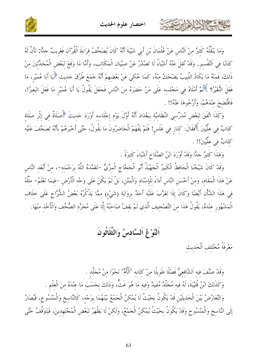

وَمَا يَنْقُلُهُ كَثِيرٌ مِنْ اَلنَّاسِ عَنْ عُثْمَانَ بْنِ أَبِي شَيْبَةَ أَنَّهُ كَانَ يُصَحِّفُ قِرَاءَةَ الْقُرْآنِ فَغَرِيبٌ حِلَّا; لِأَنَّ لَهُ كِتَابًا فِي اَلتَّفْسِيرِ, وَقَدْ نُقِلَ عَنْهُ أَشْيَاءُ لَا تَصْدُرُ عَنْ صِبْيَانِ الْمَكَاتِبِ، وَأَمَّا مَا وَقَعَ لِبَعْضِ الْمُحَدِّثِينَ مِنْ ذَلِكَ، فَمِنْهُ مَا يَكَادُ اللَّبِيبُ يَضْحَكُ مِنْهُ، كَمَا حُكِيَ عَنْ بَعْضِهِمْ أَنَّهُ حَمَعَ طُرُقَ حَديث ﴿يَا أَبَا عُمَيْرٍ، مَا فَعَلَ النُّغيرُ؟ ﴾ ثُمَّ أَمْلَاهُ فِي مَجْلِسِهِ عَلَى مَنْ حَضَرَهُ مِنَ النَّاسِ فَجَعَلَ يَقُولُ يَا أَبَا عُمَيْرٍ مَا فَعَلَ البَعِيرُ!، فَافْتُضِحَ عِنْدَهُمْ، وَأَرَّخُوهَا عَنْهُ!! .

وَكَذَا اتَّفَقَ لِبَعْضِ مُدَرِّسِي النِّظَامِيَّةِ بِبَغْدَادَ أَنَّهُ أَوَّلَ يَوْمِ إِجْلَاسِهِ أَوْرَدَ حَدِيثَ ﴿صَلَاةٌ فِي إِثْرِ صَلَاة كِتَابٌ فِي عِلِّيِّينَ ۚ فَقَالَ: كِنَازٍ فِي غَلَسٍ! فَلَمْ يَفْهَمْ الْحَاضِرُونَ مَا يَقُولُ، حَتَّى أَحْبَرَهُمْ بِأَنَّهُ تَصَحَّفَ عَلَيْهِ كتَابٌ في علِّيِّينَ!! .

وَهَذَا كَثيرٌ حلًّا وَقَدْ أَوْرَدَ ابْنُ الصَّلَاحِ أَشْيَاءَ كَثيرَةً .

كاحمشهم الذاهرابرت

وَقَدْ كَانَ شَيْخُنَا الْحَافِظُ الْكَبِيرُ الْجَهْبَذُ أَبُو الْحَجَّاجِ الْمِزِّيُّ –تَغَمَّدَهُ اللَّهُ بِرَحْمَتِه–، مِنْ أَبْعَدِ النَّاسِ عَنْ هَذَا الْمَقَامِ، وَمِنْ أَحْسَنِ النَّاسِ أَدَاءً لِلْإِسْنَادِ وَالْمَتْنِ، بَلْ لَمْ يَكُنْ عَلَى وَجْه الْأَرْضِ –فيمَا نَعْلَمُ– مثْلُهُ فِي هَذَا الشَّأْنِ أَيْضًا وَكَانَ إِذَا تَغَرَّبَ عَلَيْهِ أَحَدٌ بِرِوَايَةِ (شَيْءٍ) مِمَّا يَذْكُرُهُ بَعْضُ الشُّرَّاحِ عَلَى خِلَافٍ الْمَشْهُورِ عِنْدَهُ، يَقُولُ هَذَا مِنَ التَّصْحِيفِ الَّذِي لَمْ يَقِفْ صَاحِبُهُ إِلَّا عَلَى مُحَرَّدِ الصُّحُف وَالْأَحْذ منْهَا.

#### اَلنَّوْغُ اَلسَّادسُ وَالثَّلَاثُونَ

مَعْرِفَةُ مُخْتَلِفِ اَلْحَدِيتِ

وَقَدْ صَنَّفَ فِيهِ اَلشَّافِعِيُّ فَصْلًا طَوِيلًا مِنْ كِتَابِهِ "اَلْأُمِّ" نَحْوًا مِنْ مُجَلَّدِ . وَكَذَلكَ ابْنُ قُتَيْبَةَ، لَهُ فيه مُجَلَّدٌ مُفيدٌ وَفيه مَا هُوَ غَتٌّ، وَذَلِكَ بِحَسَبِ مَا عِنْدَهُ مِنَ الْعِلْمِ . وَالتَّعَارُضُ بَيْنَ الْحَدِيثَيْنِ قَدْ يَكُونُ بِحَيْثُ لَا يُمْكِنُ الْجَمْعُ بَيْنَهُمَا بِوَجْه، كَالنَّاسخ وَالْمَنْسُوخ، فَيُصَارُ إِلَى النَّاسِخِ وَالْمَنْسُوخِ وَقَدْ يَكُونُ بِحَيْثُ يُمْكِنُ الْجَمْعُ، وَلَكِنْ لَا يَظْهَرُ لِبَعْضِ الْمُجْتَهِدِينَ، فَيَتَوَقَّفُ حَتَّى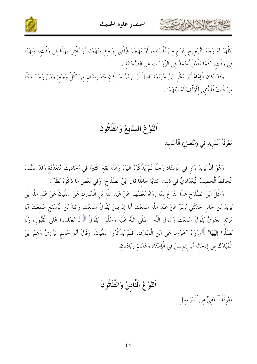



يَظْهَرَ لَهُ وَجْهُ التَّرْجِيحِ بِنَوْعٍ مِنْ أَقْسَامِهِ، أَوْ يَهْجُمُ فَيُفْتِي بِوَاحِدٍ مِنْهُمَا، أَوْ يُفْتِي بِهَذَا فِي وَقْتٍ، وَبِهَذَا في وَقْت، كَمَا يَفْعَلُ أَحْمَدُ في الرِّوَايَات عَنِ الصَّحَابَة .

وَقَدْ كَانَ الْإِمَامُ أَبُو بَكْرِ ابْنُ خُزَيْمَةَ يَقُولُ لَيْسَ ثَمَّ حَدِيثَانِ مُتَعَارِضَانِ مِنْ كُلّ وَجْهِ; وَمَنْ وَجَدَ شَيْئًا منْ ذَلكَ فَلْيَأْتني لِأُوَّلِّفَ لَهُ بَيْنَهُمَا .

#### اَلنَّوْعُ اَلسَّابِعُ وَالثَّلَاثُونَ

مَعْرِفَةُ اَلْمَزِيدِ فِي (مُتَّصِلِ) اَلْأَسَانيد

حشيهم الأخرابرت

وَهُوَ أَنْ يَزِيدَ رَاوٍ في اَلْإِسْنَادِ رَجُلًا لَمْ يَذْكُرُهُ غَيْرُهُ وَهَذَا يَقَعُ كَثيرًا في أَحَاديثَ مُتَعَدِّدَة وَقَدْ صَنَّفَ اَلْحَافظُ اَلْخَطيبُ اَلْبَغْدَاديُّ في ذَلكَ كتَابًا حَافلًا قَالَ ابْنُ اَلصَّلَاح: وَفي بَعْض مَا ذَكَرَهُ نَظَرٌ .

وَمَثَّلَ ابْنُ الصَّلَاحِ هَذَا النَّوْعَ بِمَا رَوَاهُ بَعْضُهُمْ عَنْ عَبْد اللَّه بْنِ الْمُبَارَك عَنْ سُفْيَانَ عَنْ عَبْد اللَّه بْن يَزِيدَ بْنِ حَابِرٍ حَدَّثَنِي بُسْرٌ عَنْ عَبْدِ اللَّهِ سَمِعْتَ أَبَا إِدْرِيسَ يَقُولُ سَمِعْتُ وَاثِلَةَ بْنَ الْأَسْقَعِ سَمِعْتَ أَبَا مَرْثَدِ الْغَنَوِيَّ يَقُولُ سَمِعْتَ رَسُولَ اللَّهِ –صَلَّى اللَّهُ عَلَيْه وَسَلَّمَ– يَقُولُ ۞"لَا تَجْلسُوا عَلَى الْقُبُور، وَلَا تُصَلُّوا إِلَيْهَا" ﴾وَرَوَاهُ آخَرُونَ عَنِ ابْنِ الْمُبَارَكِ، فَلَمْ يَذْكُرُوا سُفْيَانَ، وَقَالَ أَبُو حَاتِمِ الرَّازِيُّ وَهِمَ ابْنُ الْمُبَارَك في إدْخَالِهِ أَبَا إِدْرِيسَ فِي الْإِسْنَادِ وَهَاتَانِ زِيَادَتَانِ

اَلنَّوْغُ اَلثَّامنُ وَالثَّلَاثُونَ

مَعْرِفَةُ اَلْخَفِيِّ مِنَ اَلْمَرَاسِيلِ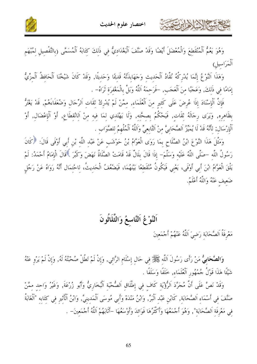



وَهُوَ يَعُمُّ اَلْمُنْقَطِعَ وَالْمُعْضَلَ أَيْضًا وَقَدْ صَنَّفَ اَلْبَغْدَادِيٌّ فِي ذَلِكَ كِتَابَهُ اَلْمُسَمَّى (بِالتَّفْصِيلِ لِمُبْهَمِ أَلْمَرَاسيلِ)

وَهَذَا اَلنَّوْعُ إِنَّمَا يُدْرِكُهُ نُقَّادُ اَلْحَديث وَجَهَابذَتُهُ قَديمًا وَحَديثًا, وَقَدْ كَانَ شَيْخُنَا اَلْحَافظُ اَلْمزِّيُّ إمَامًا في ذَلكَ, وَعَجَبًا منَ اَلْعَجَب, -فَرَحمَهُ اَللَّهُ وَبَلَّ بِالْمَغْفِرَة ثَرَاهُ- .

فَإِنَّ ٱلْإِسْنَادَ إِذَا عُرِضَ عَلَى كَثِيرِ مِنَ ٱلْعُلَمَاءِ, ممَّنْ لَمْ يُدْرِكْ ثَقَات اَلرِّجَال وَضُعَفَاءَهُمْ, قَدْ يَغْتَرُّ بظَاهِرِه, وَيَرَى رِجَالَهُ ثَقَاتٍ, فَيَحْكُمُ بِصحَّتِهِ, وَلَا يَهْتَدِي لِمَا فِيهِ مِنْ اَلانْقطَاعِ, أَوْ اَلْإعْضَالِ, أَوْ اَلْإِرْسَالِ; لأَنَّهُ قَدْ لَا يُمَيِّزُ اَلصَّحَابِيَّ منْ اَلتَّابِعِيِّ وَاَللَّهُ اَلْمُلْهِمُ للصَّوَاب

وَمَثَّلَ هَذَا النَّوْعَ ابْنُ الصَّلَاحِ بِمَا رَوَى الْعَوَّامُ بْنُ حَوْشَبٍ عَنْ عَبْدِ اللَّهِ بْنِ أَبِي أَوْفَى قَالَ: ﴿كَانَ رَسُولُ اللَّهِ –صَلَّى اللَّهُ عَلَيْهِ وَسَلَّمَ– إذَا قَالَ بِلَالٌ قَدْ قَامَتْ الصَّلَاةُ نَهَضَ وَكَبَّرَ ۚ قَالَ الْإِمَامُ أَحْمَدُ: لَمْ يَلْقَ الْعَوَّامُ ابْنَ أَبِي أَوْفَى، يَعْني فَيَكُونُ مُنْقَطعًا بَيْنَهُمَا، فَيَضْعُفُ الْحَديثُ، لاحْتمَال أَنَّهُ رَوَاهُ عَنْ رَجُل ضَعيف عَنْهُ وَاللَّهُ أَعْلَمُ.

# اَلنَّوْ عُ اَلتَّاسعُ وَالثَّلَاثُونَ مَعْرِفَةُ اَلصَّحَابَة رَضيَ اَللَّهُ عَنْهُمْ أَجْمَعينَ

كالحشيم الذلاذ ابرت

وَالصَّحَابِيُّ مَنْ رَأَى رَسُولَ اَللَّهِ ﷺ فِي حَالِ إِسْلَامِ الرَّائِي, وَإِنْ لَمْ تَطُلْ صُحْبَتُهُ لَهُ, وَإِنْ لَمْ يَرْوِ عَنْهُ شَيْئًا هَذَا قَوْلُ جُمْهُور الْعُلَمَاءِ, خَلَفًا وَسَلَفًا .

وَقَدْ نَصَّ عَلَى أَنَّ مُجَرَّدَ اَلرُّؤْيَة كَاف في إطْلَاق اَلصُّحْبَة اَلْبُخَارِيُّ وَأَبُو زُرْعَةَ, وَغَيْرُ وَاحد ممَّنْ صَنَّفَ فِي أَسْمَاءِ اَلصَّحَابَةِ, كَابْنِ عَبْدِ اَلْبَرِّ, وَابْنُ مَنْدَهْ وَأَبِي مُوسَى اَلْمَدينيِّ, وَابْنُ اَلْأَثيرِ فِي كتَابه "اَلْغَابَةُ فِي مَعْرِفَةِ اَلصَّحَابَةِ", وَهُوَ أَجْمَعُهَا وَأَكْثَرُهَا فَوَائِدَ وَأَوْسَعُهَا –أَثَابَهُمْ اَللّهُ أَجْمَعِينَ– .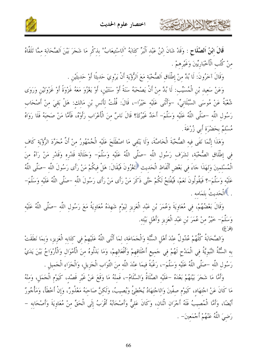

قَالَ ابْنُ اَلصَّلَاحٍ : وَقَدْ شَانَ ابْنُ عَبْدِ اَلْبَرِّ كِتَابَهُ "اَلِاسْتِيعَابُ" بذكْرٍ مَا شَجَرَ بَيْنَ اَلصَّحَابَة مِمَّا تَلَقَّاهُ منْ كُتُب الْأَخْبَارِيِّينَ وَغَيْرِهِمْ .

وَقَالَ آخَرُونَ: لَا بُدَّ منْ إطْلَاق اَلصُّحْبَة مَعَ اَلرُّؤْيَة أَنْ يَرْوِيَ حَديثًا أَوْ حَديثَين .

احتسابها الأوابرت

وَعَنْ سَعيد بْنِ الْمُسَيِّبِ: لَا بُدَّ مِنْ أَنْ يَصْحَبَهُ سَنَةً أَوْ سَنَتَيْنِ، أَوْ يَعْزُوَ مَعَهُ غَزْوَةً أَوْ غَزْوَتَيْنِ وَرَوَى شُعْبَةُ عَنْ مُوسَى السَّبْلَانِيِّ، –وَأَتْنَى عَلَيْه خَيْرًا–، قَالَ: قُلْتُ لِأَنَسِ بْنِ مَالك: هَلْ بَقِيَ مِنْ أَصْحَاب رَسُولِ اللَّهِ –صَلَّى اللَّهُ عَلَيْهِ وَسَلَّمَ– أَحَدٌ غَيْرُكَ؟ قَالَ نَاسٌ مِنَ الْأَعْرَابِ رَأَوْهُ، فَأَمَّا مَنْ صَحِبَهُ فَلَا رَوَاهُ مُسْلَمٌ بحَضْرَة أَبى زُرْعَةَ ِ

وَهَذَا إِنَّمَا نَفَى فِيهِ الصُّحْبَةَ الْخَاصَّةَ، وَلَا يَنْفِي مَا اصْطَلَحَ عَلَيْهِ الْجُمْهُورُ مِنْ أَنَّ مُجَرَّدَ الرُّؤْيَةِ كَاف في إطْلَاق الصُّحْبَة، لشَرَف رَسُول اللَّه –صَلَّى اللَّهُ عَلَيْه وَسَلَّمَ– وَجَلَالَة قَدْره وَقَدْر مَنْ رَآهُ منَ الْمُسْلمينَ وَلهَذَا جَاءَ في بَعْض أَلْفَاظ الْحَديث ﴿تَغْزُونَ فَيُقَالَ: هَلْ فيكُمْ مَنْ رَأَى رَسُولَ اللَّه –صَلَّى اللَّهُ عَلَيْه وَسَلَّمَ-؟ فَيَقُولُونَ نَعَمْ، فَيُفْتَحُ لَكُمْ حَتَّى ذَكَرَ مَنْ رَأَى مَنْ رَأَى رَسُولَ اللَّه –صَلَّى اللَّهُ عَلَيْه وَسَلَّمَ– . ﴾الْحَديثُ بتَمَامه .

وَقَالَ بَعْضُهُمْ، فِي مُعَاوِيَةَ وَعُمَرَ بْنِ عَبْدِ الْعَزِيزِ لِيَوْمٍ شَهِدَهُ مُعَاوِيَةُ مَعَ رَسُولِ اللَّهِ –صَلَّى اللَّهُ عَلَيْهِ وَسَلَّمَ– خَيْرٌ مِنْ عُمَرَ بْنِ عَبْدِ الْعَزِيزِ وَأَهْلِ بَيْتِهِ.

وَالصَّحَابَةُ كُلُّهُمْ عُدُولٌ عنْدَ أَهْلِ السُّنَّة وَالْحَمَاعَة، لمَا أَثْنَى اللَّهُ عَلَيْهِمْ فِي كِتَابِهِ الْعَزِيزِ، وَبِمَا نَطَقَتْ بِهِ السُّنَّةُ النَّبَوِيَّةُ فِي الْمَدْحِ لَهُمْ فِي حَمِيعِ أَخْلَاقِهِمْ وَأَفْعَالِهِمْ، وَمَا بَذَلُوهُ منَ الْأَمْوَال وَالْأَرْوَاحُ بَيْنَ يَدَيْ رَسُولِ اللَّهِ –صَلَّى اللَّهُ عَلَيْهِ وَسَلَّمَ–، رَغْبَةً فِيمَا عِنْدَ اللَّهِ مِنَ التَّوَابِ الْجَزِيلِ، وَالْجَزَاءِ الْجَمِيلِ .

وَأَمَّا مَا شَجَرَ بَيْنَهُمْ بَعْدَهُ –عَلَيْهِ الصَّلَاةُ وَالسَّلَامُ–، فَمنْهُ مَا وَقَعَ عَنْ غَيْرِ قَصْد، كَيَوْمِ الْجَمَلِ، وَمنْهُ مَا كَانَ عَنْ اجْتِهَادٍ، كَيَوْمٍ صفِّينَ وَاللحْتِهَادُ يُخْطِئُ وَيُصِيبُ، وَلَكِنَّ صَاحِبَهُ مَعْذُورٌ، وَإِنْ أَخْطَأَ، وَمَأْجُورٌ أَيْضًا، وَأَمَّا الْمُصِيبُ فَلَهُ أَجْرَانِ اتّْنَانِ، وَكَانَ عَلِيٌّ وَأَصْحَابُهُ أَقْرَبُ إِلَى الْحَقِّ مِنْ مُعَاوِيَةَ وَأَصْحَابِهِ – رَضِيَ اللَّهُ عَنْهُمْ أَجْمَعِينَ- .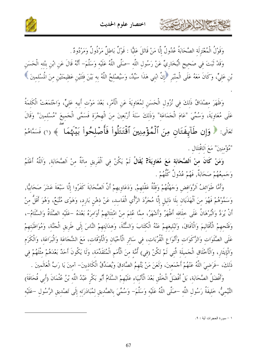



وَقَوْلُ الْمُعْتَزِلَة الصَّحَابَةُ عُدُولٌ إِلَّا مَنْ قَاتَلَ عَليًّا : قَوْلٌ بَاطلٌ مَرْذُولٌ وَمَرْدُودٌ

حمشا الأزادارت

وَقَدْ ثَبَتَ فِي صَحِيحِ الْبُخَارِيِّ عَنْ رَسُولِ اللَّهِ –صَلَّى اللَّهُ عَلَيْهِ وَسَلَّمَ– أَنَّهُ قَالَ عَنِ ابْنِ بنْته الْحَسَنِ بْنِ عَلِيٍّ، وَكَانَ مَعَهُ عَلَى الْمِنْبَرِ ۚ إِنَّ ابْنِي هَذَا سَيِّدٌ، وَسَيُصْلِحُ اللَّهُ بِهِ بَيْنَ فئَتَيْنِ عَظِيمَتَيْنِ مِنَ الْمُسْلِمِينَ

وَظَهَرَ مِصْدَاقُ ذَلِكَ فِي نُزُولِ الْحَسَنِ لِمُعَاوِيَةَ عَنِ الْأَمْرِ، بَعْدَ مَوْتِ أَبِيهِ عَلِيٍّ، وَاجْتَمَعَتْ الْكَلِمَةُ عَلَى مُعَاوِيَةَ، وَسُمِّيَ "عَامَ الْجَمَاعَةِ" وَذَلِكَ سَنَةَ أَرْبَعِينَ مِنَ الْهِجْرَةِ فَسَمَّى الْجَمِيعَ "مُسْلِمِينَ" وَقَالَ تَعَالَى: ﴿ وَإِن طَآبِهَتَانٍ مِنَ ٱلْمُؤْمِنِينَ ٱقْتَتَلُواْ فَأَصْلِحُواْ بَيْنَهُمَا ﴾ (١) فَسَمَّاهُمْ "مُؤْمنينَ" مَعَ اَللقْتَال .

وَمَنْ كَانَ مِنْ اَلصَّحَابَةِ مَعَ مُعَاوِيَةَ? يُقَالُ لَمْ يَكُنْ فِي اَلْفَرِيقِ مِائَةٌ مِنْ اَلصَّحَابَةِ, وَاَللَّهُ أَعْلَمُ وَجَميعُهُمْ صَحَابَةٌ, فَهُمْ عُدُولٌ كُلُّهُمْ .

وَأَمَّا طَوَائِفُ اَلرَّوَافِضِ وَجَهْلُهُمْ وَقِلَّةُ عَقْلِهِمْ, وَدَعَاوِيهِمْ أَنَّ الصَّحَابَةَ كَفَرُوا إِلَّا سَبْعَةَ عَشَرَ صَحَابِيًّا, وَسَمَّوْهُمْ فَهُوَ منَ اَلْهَذَيَان بلَا دَليلٍ إلَّا مُجَرَّدَ الرَّأْيِ الْفَاسِدِ، عَنْ ذِهْنِ بَارِدٍ، وَهَوَى مُتَّبَعٌ، وَهُوَ أَقَلُّ مِنْ أَنْ يُرَدَّ وَالْبُرْهَانُ عَلَى حلَافه أَظْهَرُ وَأَشْهَرُ، ممَّا عُلمَ منْ امْتِثَالهمْ أَوَامرَهُ بَعْدَهُ –عَلَيْه الصَّلَاةُ وَالسَّلَامُ–، وَفَتْحهمْ الْأَقَالِيمَ وَالْآفَاقَ، وَتَبْليغهمْ عَنْهُ الْكتَابَ وَالسُّنَّةَ، وَهدَايَتهمْ النَّاسَ إِلَى طَرِيقِ الْجَنَّةِ، وَمُوَاظَبَتهمْ عَلَى الصَّلَوَاتِ وَالزَّكَوَاتِ وَأَنْوَاعِ الْقُرُبَاتِ، في سَائرِ الْأَحْيَانِ وَالْأَوْقَاتِ، مَعَ الشَّجَاعَة وَالْبَرَاعَة، وَالْكَرَم وَالْإِيثَارِ، وَالْأَخْلَاقِ الْجَمِيلَةِ الَّتِي لَمْ تَكُنْ (فِي) أُمَّةٍ مِنَ الْأُمَمِ الْمُتَقَدِّمَةِ، وَلَا يَكُونَ أَحَدٌ بَعْدَهُمْ مثْلَهُمْ في ذَلكَ، –فَرَضيَ اللَّهُ عَنْهُمْ أَجْمَعينَ، وَلَعَنَ مَنْ يَتَّهِمُ الصَّادقَ وَيُصَدِّقُ الْكَاذِبينَ– آمينَ يَا رَبَّ الْعَالَمينَ . وَأَفْضَلُ الصَّحَابَةِ، بَلْ أَفْضَلُ الْخَلْقِ بَعْدَ الْأَنْبِيَاءِ عَلَيْهِمْ السَّلَامُ أَبُو بَكْرِ عَبْدُ اللَّه بْنُ عُثْمَانَ (أَبِي قُحَافَةَ)

التَّيْميُّ، خَليفَةُ رَسُولِ اللَّه –صَلَّى اللَّهُ عَلَيْهِ وَسَلَّمَ– وَسُمِّيَ بِالصَّدِيقِ لِمُبَادَرَتِهِ إِلَى تَصْدِيقِ الرَّسُولِ –عَلَيْهِ

١ - سورة الحجرات أية : ٩.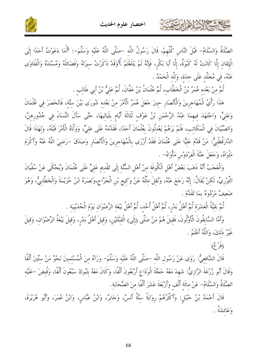



الصَّلَاةُ وَالسَّلَامُ– قَبْلَ النَّاسِ كُلِّهمْ، قَالَ رَسُولُ اللَّه –صَلَّى اللَّهُ عَلَيْه وَسَلَّمَ–: ﴿مَا دَعَوْتُ أَحَدًا إِلَى الْإِيمَان إِلَّا كَانَتْ لَهُ كَبْوَةٌ، إِلَّا أَبَا بَكْرٍ، فَإِنَّهُ لَمْ يَتَلَعْثَمْ ۚ وَقَلْ ذَكَرْتُ سيرَتَهُ وَفَضَائلَهُ وَمُسْنَدَهُ وَالْفَتَاوَى عَنْهُ، في مُجَلَّد عَلَى حدَة، وَللَّه الْحَمْدُ .

تُمَّ مِنْ بَعْدِهِ عُمَرُ بْنُ الْخَطَّابِ، ثُمَّ عُثْمَانُ بْنُ عَفَّانَ، ثُمَّ عَلِيُّ بْنُ أَبِي طَالِبِ .

كالمشتم الشاه ابرشمته

هَذَا رَأْيُ الْمُهَاجِرِينَ وَالْأَنْصَارِ حِينَ حَعَلَ عُمَرُ الْأَمْرَ مِنْ بَعْدِه شُورَى بَيْنَ ستَّة، فَانْحَصَرَ فِي عُثْمَانَ وَعَلِيٍّ، وَاحْتَهَدَ فِيهِمَا عَبْدُ الرَّحْمَنِ بْنُ عَوْفٍ ثَلَاثَةَ أَيَّامٍ بِلَيَالِيهَا، حَتَّى سَأَلَ النِّسَاءَ فِي خُدُورِهِنَّ، وَالصِّبْيَانَ في الْمَكَاتب، فَلَمْ يَرَهُمْ يَعْدُلُونَ بِعُثْمَانَ أَحَدًا، فَقَلَّمَهُ عَلَى عَلِيٍّ، وَوَلَّاهُ الْأَمْرَ قَبْلَهُ، وَلهَذَا قَالَ الدَّارَقُطْنيُّ: مَنْ قَدَّمَ عَليًّا عَلَى عُثْمَانَ فَقَدْ أَزْرَى بِالْمُهَاجرِينَ وَالْأَنْصَارِ وَصَدَقَ –رَضِيَ اللَّهُ عَنْهُ وَأَكْرَمَ مَتْوَاهُ، وَجَعَلَ جَنَّةَ الْفرْدَوْس مَأْوَاهُ- .

وَالْعَجَبُ أَنَّهُ ذَهَبَ بَعْضُ أَهْلِ الْكُوفَةِ مِنْ أَهْلِ السُّنَّةِ إِلَى تَقْدِيمِ عَلِيٍّ عَلَى عُثْمَانَ وَيُحْكَى عَنْ سُفْيَانَ التَّوْرِيِّ، لَكنْ يُقَالُ: إنَّهُ رَجَعَ عَنْهُ، وَنُقِلَ مِثْلُهُ عَنْ وَكِيعِ بْنِ الْجَرَّاحِ،وَنَصَرَهُ ابْنُ خُزَيْمَةَ وَالْخَطَّابِيُّ، وَهُوَ ضَعيفٌ مَرْدُودٌ بمَا تَقَلَّمَ .

تُمَّ بَقِيَّةُ الْعَشَرَةِ ثُمَّ أَهْلُ بَدْرٍ، ثُمَّ أَهْلُ أُحُدٍ، ثُمَّ أَهْلُ بَيْعَةِ الرِّضْوَانِ يَوْمَ الْحُدَيْبِيَةِ .

وَأَمَّا السَّابِقُونَ الْأَوَّلُونَ، فَقِيلَ هُمْ مَنْ صَلَّى (إِلَى) الْقِبْلَتَيْنِ، وَقِيلَ أَهْلُ بَدْرِ، وَقِيلَ بَيْعَةُ الرِّضْوَانِ، وَقِيلَ غَيْرُ ذَلكَ، وَاللَّهُ أَعْلَمُ .

(فَوْعٌ)

قَالَ الشَّافعيُّ: رَوَى عَنْ رَسُول اللَّه –صَلَّى اللَّهُ عَلَيْه وَسَلَّمَ– وَرَآهُ منَ الْمُسْلمينَ نَحْوُ مَنْ ستِّينَ أَلْفًا وَقَالَ أَبُو زُرْعَةَ الرَّازِيُّ: شَهِدَ مَعَهُ حَجَّةَ الْوَدَاعِ أَرْبَعُونَ أَلْفًا، وَكَانَ مَعَهُ بتَبُوكَ سَبْعُونَ أَلْفًا، وَقُبضَ –عَلَيْه الصَّلَاةُ وَالسَّلَامُ- عَنْ مائَة أَلْف وَأَرْبَعَةَ عَشَرَ أَلْفًا منَ الصَّحَابَة.

قَالَ أَحْمَدُ بْنُ حَنْبَلِ: وَأَكْثَرُهُمْ رِوَايَةً سِتَّةٌ أَنَسٌ، وَجَابِرٌ، وَابْنُ عَبَّاسٍ، وَابْنُ عُمَرَ، وَأَبُو هُرَيْرَةَ، وَعَائشَةُ .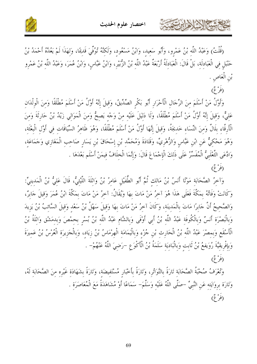



(قُلْتُ) وَعَبْدُ اللَّهِ بْنُ عَمْرِو، وَأَبُو سَعِيدٍ، وَابْنُ مَسْعُودٍ، وَلَكِنَّهُ تُوُفِّيَ قَدِيمًا، وَلِهَذَا لَمْ يَعُدَّهُ أَحْمَدُ بْنُ حَنْبَل في الْعَبَادلَة، بَلْ قَالَ: الْعَبَادِلَةُ أَرْبَعَةٌ عَبْدُ اللَّهِ بْنُ الزُّبَيْرِ، وَابْنُ عَبَّاسٍ، وَابْنُ عُمَرَ، وَعَبْدُ اللَّهِ بْنُ عَمْرِو بْنِ الْعَاصِ .

(فَرْعٌ)

باحمشة الأزلاذارت

وَأَوَّلُ مَنْ أَسْلَمَ منَ الرِّجَالِ الْأَحْرَارِ أَبُو بَكْرِ الصِّدِّيقُ، وَقيلَ إنَّهُ أَوَّلُ مَنْ أَسْلَمَ مُطْلَقًا وَمنَ الْولْدَان عَلِيٌّ، وَقِيلَ إِنَّهُ أَوَّلُ مَنْ أَسْلَمَ مُطْلَقًا، وَلَا دَليَلَ عَلَيْه مِنْ وَجْه يَصِحُّ وَمِنَ الْمَوَالِي زَيْدُ بْنُ حَارِثَةَ وَمِنَ الْأَرقَّاء بلَالٌ وَمنَ النِّسَاء خَديجَةُ، وَقيلَ إنَّهَا أَوَّلُ مَنْ أَسْلَمَ مُطْلَقًا، وَهُوَ ظَاهرُ السِّيَاقَات في أَوَّل الْبعْثَة، وَهُوَ مَحْكِيٌّ عَنِ ابْنِ عَبَّاسٍ وَالزُّهْرِيِّ، وَقَتَادَةَ وَمُحَمَّدِ بْنِ إِسْحَاقَ بْنِ يَسَارِ صَاحِبِ الْمَغَازِي وَجَمَاعَةِ، وَادَّعَى الثَّعْلَبِيُّ الْمُفَسِّرُ عَلَى ذَلِكَ الْإِجْمَاعَ قَالَ: وَإِنَّمَا الْخِلَافُ فِيمَنْ أَسْلَم بَعْدَهَا . (فب<sup>° می</sup>)

وَآخِرُ الصَّحَابَةِ مَوْتًا أَنَسُ بْنُ مَالِكٍ ثُمَّ أَبُو الطُّفَيْلِ عَامِرُ بْنُ وَاتْلَةَ اللَّيْثِيُّ، قَالَ عَليُّ بْنُ الْمَدينيِّ: وَكَانَتْ وَفَاتُهُ بِمَكَّةَ فَعَلَى هَذَا هُوَ آخِرُ مَنْ مَاتَ بِهَا وَيُقَالُ: آخِرُ مَنْ مَاتَ بِمَكَّةَ ابْنُ عُمَرَ وَقِيلَ جَابِرٌ، وَالصَّحيحُ أَنَّ جَابِرًا مَاتَ بِالْمَدينَة، وَكَانَ آخرُ مَنْ مَاتَ بِهَا وَقِيلَ سَهْلُ بْنُ سَعْدِ وَقِيلَ السَّائِبُ بْنُ يَزِيدَ وَبِالْبَصْرَةِ أَنَسٌ وَبِالْكُوفَةِ عَبْدُ اللَّهِ بْنُ أَبِي أَوْفَى وَبِالشَّامِ عَبْدُ اللَّهِ بْنُ بُسْرِ بحمْصَ وَبِدِمَشْقٍ وَاتْلَةُ بْنُ الْأَسْقَعِ وَبِمِصْرَ عَبْدُ اللَّهِ بْنُ الْحَارِثِ بْنِ جُزْءِ وَبِالْيَمَامَةِ الْهِرْمَاسُ بْنُ زِيَاد، وَبالْجَزِيرَةِ الْعُرْسُ بْنُ عَمِيرَةَ وَبِإِفْرِيقِيَّةَ رُوَيفعُ بْنُ ثَابِتٍ وَبِالْبَادِيَةِ سَلَمَةُ بْنُ الْأَكْوَعِ –رَضِيَ اللَّهُ عَنْهُمْ– . (فب<sup>° می</sup>)

وَتُعْرَفُ صُحْبَةُ الصَّحَابَةِ تَارَةً بِالتَّوَاتُرِ، وَتَارَةً بِأَحْبَارٍ مُسْتَفِيضَةٍ، وَتَارَةً بِشَهَادَةِ غَيْرِهِ مِنَ الصَّحَابَةِ لَهُ، وَتَارَة بروَايَته عَن النَّبيِّ –صَلَّى اللَّهُ عَلَيْه وَسَلَّمَ– سَمَاعًا أَوْ مُشَاهَدَةً مَعَ الْمُعَاصَرَة . دُوْعُ)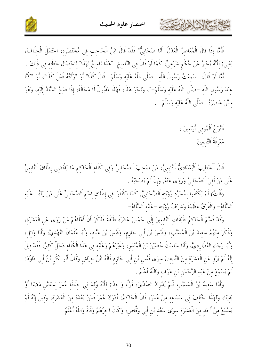



فَأَمَّا إِذَا قَالَ الْمُعَاصِرُ الْعَدْلُ "أَنَا صَحَابِيٌّ" فَقَدْ قَالَ ابْنُ الْحَاجِبِ فِي مُخْتَصَرِه: احْتَمَلَ الْخِلَافَ، يَعْنِي; لِأَنَّهُ يُخْبِرُ عَنْ حُكْمٍ شَرْعِيٍّ، كَمَا لَوْ قَالَ فِي النَّاسِخ: "هَذَا نَاسِخٌ لِهَذَا" لِاحْتمَال خَطَئِه فِي ذَلِكَ . أَمَّا لَوْ قَالَ: "سَمعْتُ رَسُولَ اللَّه –صَلَّى اللَّهُ عَلَيْه وَسَلَّمَ– قَالَ كَذَا" أَوْ "رَأيتُهُ فَعَلَ كَذَا"، أَوْ "كُنَّا عنْدَ رَسُول اللَّه –صَلَّى اللَّهُ عَلَيْه وَسَلَّمَ–"، وَنَحْوَ هَذَا، فَهَذَا مَقْبُولٌ لَا مَحَالَةَ، إذَا صَحَّ السَّنَدُ إلَيْه، وَهُوَ ممَّنْ عَاصَرَهُ -صَلَّى اللَّهُ عَلَيْه وَسَلَّمَ- .

> اَلنَّوْعُ اَلْمُوفى أَرْبَعينَ : مَعْرِفَةُ اَلتَّابِعِينَ

كالحمشة الأثارها يرتبى

قَالَ اَلْخَطِيبُ اَلْبَغْدَادِيُّ اَلتَّابِعِيٌّ: مَنْ صَحِبَ اَلصَّحَابِيَّ وَفِي كَلَامِ اَلْحَاكِمِ مَا يَقْتَضِي إِطْلَاقَ اَلتَّابِعِيٍّ عَلَى مَنْ لَقيَ اَلصَّحَابِيَّ وَرَوَى عَنْهُ, وَإِنْ لَمْ يَصْحَبْهُ .

(قُلْتُ) لَمْ يَكْتَفُوا بِمُجَرَّدٍ رُؤْيَتِهِ اَلصَّحَابِيَّ, كَمَا اِكْتَفَوْا فِي إِطْلَاقِ اِسْمِ اَلصَّحَابِيِّ عَلَى مَنْ رَآهُ –عَلَيْهِ اَلسَّلَامُ- وَالْفَرْقُ عَظَمَةُ وَشَرَفُ رُؤْيَته حعَلَيْه اَلسَّلَامُ- .

وَقَدْ قَسَّمَ اَلْحَاكِمُ طَبَقَاتِ اَلتَّابِعِينَ إِلَى خَمْسَ عَشْرَةَ طَبَقَةً فَذَكَرَ أَنَّ أَعْلَاهُمْ مَنْ رَوَى عَنِ الْعَشَرَة، وَذَكَرَ مِنْهُمْ سَعِيدَ بْنَ الْمُسَيَّبِ، وَقَيْسَ بْنَ أَبِي حَازِمٍ، وَقَيْسَ بْنَ عَبَّادٍ، وَأَبَا عُثْمَانَ النَّهْدِيَّ، وَأَبَا وَائِلِ، وَأَبَا رَجَاءِ العُطَارِدِيَّ، وَأَبَا سَاسَانَ حُضَيْنَ بْنَ الْمُنْذِرِ، وَغَيْرَهُمْ وَعَلَيْهِ فِي هَذَا الْكَلَامِ دَخَلٌ كَثيرٌ، فَقَدْ قيلَ إِنَّهُ لَمْ يَرْوِ عَنِ الْعَشَرَةِ مِنَ التَّابِعِينَ سِوَى قَيْسٍ بْنِ أَبِي حَازِمٍ قَالَهُ ابْنُ خِرَاشٍ وَقَالَ أَبُو بَكْرٍ بْنُ أَبِي دَاوُدَ: لَمْ يَسْمَعْ مِنْ عَبْدِ الرَّحْمَنِ بْنِ عَوْفٍ وَاللَّهُ أَعْلَمُ .

وَأَمَّا سَعِيدُ بْنُ الْمُسَيَّبِ فَلَمْ يُدْرِكْ الصِّدِّيقَ، قَوْلًا وَاحِدًا; لِأَنَّهُ وُلدَ فِي خِلَافَة عُمَرَ لِسَنَتَيْنِ مَضَتَا أَوْ بَقِيَتَا، وَلِهَذَا اخْتُلِفَ فِي سَمَاعِهِ مِنْ عُمَرَ، قَالَ الْحَاكِمُ: أَدْرَكَ عُمَرَ فَمَنْ بَعْدَهُ منَ الْعَشَرَة، وَقيلَ إنَّهُ لَمْ يَسْمَعْ مِنْ أَحَدٍ مِنَ الْعَشَرَةِ سِوَى سَعْدِ بْنِ أَبِي وَقَّاصٍ، وَكَانَ آخِرُهُمْ وَفَاةً وَاللَّهُ أَعْلَمُ .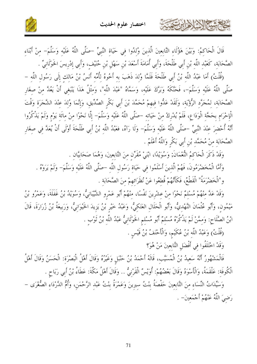

قَالَ الْحَاكِمُ: وَبَيْنَ هَؤُلَاءِ التَّابِعِينَ الَّذِينَ وُلِدُوا فِي حَيَاةِ النَّبِيِّ –صَلَّى اللَّهُ عَلَيْهِ وَسَلَّمَ– مِنْ أَبْنَاءِ الصَّحَابَة، كَعَبْد اللَّه بْن أَبي طَلْحَةَ، وَأَبي أُمَامَةَ أَسْعَدَ بْن سَهْل بْن حُنَيْف، وَأَبي إدْريسَ الخَوْلَانيِّ .

(قُلْتُ) أَمَا عَبْدُ اللَّه بْنُ أَبِي طَلْحَةَ فَلَمَّا وُلدَ ذَهَبَ به أَخُوهُ لأُمِّه أَنَسُ بْنُ مَالك إلَى رَسُول اللَّه – صَلَّى اللَّهُ عَلَيْه وَسَلَّمَ-، فَحَنَّكُهُ وَبَرَّكَ عَلَيْه، وَسَمَّاهُ "عَبْدَ اللَّه"، وَمثْلُ هَذَا يَنْبَغي أَنْ يَعُدَّ منْ صغَار الصَّحَابَة، لمُجَرَّد الرُّؤْيَة، وَلَقَدْ عَدُّوا فيهمْ مُحَمَّدَ بْنَ أَبِي بَكْرِ الصِّدِّيقِ، وَإِنَّمَا وُلِدَ عِنْدَ الشَّجَرَةِ وَقْتَ الْإِحْرَامِ بِحَجَّة الْوَدَاعِ، فَلَمْ يُدْرِكْ مِنْ حَيَاتِهِ –صَلَّى اللَّهُ عَلَيْهِ وَسَلَّمَ– إِلَّا نَحْوًا منْ مائَة يَوْم وَلَمْ يَذْكُرُوا أَنَّهُ أُحْضِرَ عِنْدَ النَّبِيِّ –صَلَّى اللَّهُ عَلَيْهِ وَسَلَّمَ– وَلَا رَآهُ، فعَبْدُ اللَّه بْنُ أَبِي طَلْحَةَ أَوْلَى أَنْ يُعَدَّ فِي صِغَارِ الصَّحَابَة منْ مُحَمَّد بْنِ أَبِي بَكْرِ وَاللَّهُ أَعْلَمُ .

وَقَدْ ذَكَرَ الْحَاكمُ النُّعْمَانَ; وَسُوَيْدًا، ابْنَيْ مُقَرِّنٍ مِنَ التَّابِعِينَ، وَهُمَا صَحَابِيَّانِ

وَأَمَّا الْمُخَضْرَمُونَ، فَهُمْ الَّذينَ أَسْلَمُوا في حَيَاة رَسُول اللَّه –صَلَّى اللَّهُ عَلَيْه وَسَلَّمَ– وَلَمْ يَرَوْهُ . و"الْخَضْرَمَةُ" الْقَطْعُ، فَكَأَنَّهُمْ قُطعُوا عَنْ نُظَرَائِهِمْ مِنَ الصَّحَابَةِ .

وَقَدْ عَدَّ منْهُمْ مُسْلَمٌ نَحْوًا منْ عشْرينَ نَفْسًا، منْهُمْ أَبُو عَمْرو الشَّيْبَانيُّ، وَسُوَيْدُ بْنُ غَفَلَةَ، وَعَمْرُو بْنُ مَيْمُون، وَأَبُو عُثْمَانَ النَّهْديُّ، وَأَبُو الْحَلَال العَتَكيُّ، وَعَبْدُ خَيْر بْنُ يَزيدَ الخَيْوَانيُّ، وَرَبيعَةُ بْنُ زُرَارَةَ، قَالَ ابْنُ الصَّلَاحِ: وَمِمَّنْ لَمْ يَذْكُرُهُ مُسْلِمٌ أَبُو مُسْلِمِ الخَوْلَانِيُّ عَبْدُ اللَّهِ بْنُ ثَوْبٍ .

(قُلْتُ) وَعَبْدُ اللَّه بْنُ عُكَيْم، وَالْأَحْنَفُ بْنُ قَيْسٍ .

وَقَدْ اخْتَلَفُوا في أَفْضَلِ التَّابِعينَ مَنْ هُوَ؟

كالحشيم الأدابرت

فَالْمَشْهُورُ أَنَّهُ سَعِيدُ بْنُ الْمُسَيَّبِ، قَالَهُ أَحْمَدُ بْنُ حَنْبَلِ وَغَيْرُهُ وَقَالَ أَهْلُ الْبَصْرَة: الْحَسَنُ وَقَالَ أَهْلُ الْكُوفَة: عَلْقَمَةُ، وَالْأَسْوَدُ وَقَالَ بَعْضُهُمْ: أُوَيْسٌ الْقَرْنِيُّ .. وَقَالَ أَهْلُ مَكَّةَ: عَطَاءُ بْنُ أَبِي رَبَاحٍ .

وَسَيِّدَاتُ النِّسَاءِ مِنَ التَّابِعِينَ حَفْصَةُ بِنْتُ سِيرِينَ وَعَمْرَةُ بِنْتُ عَبْدِ الرَّحْمَنِ، وَأُمُّ الدَّرْدَاءِ الصُّغْرَى – رَضيَ اللَّهُ عَنْهُمْ أَجْمَعينَ– .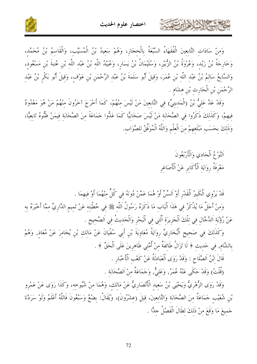

وَمِنْ سَادَاتِ التَّابِعِينَ الْفُقَهَاءُ السَّبْعَةُ بِالْحِجَازِ، وَهُمْ سَعِيدُ بْنُ الْمُسَيَّبِ، وَالْقَاسِمُ بْنُ مُحَمَّدٍ، وَحَارِجَةُ بْنُ زَيْدٍ، وَعُرُوَةُ بْنُ الزُّبَيْرِ، وَسُلَيْمَانُ بْنُ يَسَارٍ، وَعُبَيْدُ اللَّهِ بْنُ عَبْدِ اللَّهِ بْنِ عُتبةَ بْنِ مَسْعُودٍ، وَالسَّابِعُ سَالِمُ بْنُ عَبْدِ اللَّهِ بْنِ عُمَرَ، وَقِيلَ أَبُو سَلَمَةَ بْنُ عَبْدِ الرَّحْمَنِ بْنِ عَوْفٍ، وَقِيلَ أَبُو بَكْرٍ بْنُ عَبْدِ الرَّحْمَنِ بْنِ الْحَارِثِ بْنِ هِشَامِ .

وَقَدْ عَلَّ عَلِيُّ بْنُ (الْمَدِينِيِّ) فِي التَّابِعِينَ مَنْ لَيْسَ مِنْهُمْ، كَمَا أَخْرَجَ آخَرُونَ مِنْهُمْ مَنْ هُوَ مَعْدُودٌ فِيهِمْ، وَكَذَلِكَ ذَكَرُوا فِي الصَّحَابَةِ مَنْ لَيْسَ صَحَابِيًّا كَمَا عَلُّوا جَمَاعَةً مِنَ الصَّحَابَة فيمَنْ ظَنُّوهُ تَابِعِيًّا، وَذَلِكَ بِحَسَبِ مَبْلَغِهِمْ مِنَ الْعِلْمِ وَاللَّهُ الْمُوَفِّقُ للصَّوَاب.

> اَلنَّوْعُ اَلْحَادي وَالْأَرْبَعُونَ مَعْرِفَةُ رِوَايَة اَلْأَكَابِرِ عَنْ اَلْأَصَاغِرِ

حاجمشة الاخراءات

قَدْ يَرْوِي اَلْكَبِيرُ اَلْقَدْرِ أَوْ اَلسِّنِّ أَوْ هُمَا عَمَّنْ دُونَهُ في كُلِّ منْهُمَا أَوْ فيهمَا .

وَمنْ أَجَلِّ مَا يُذْكَرُ في هَذَا اَلْبَابِ مَا ذَكَرَهُ رَسُولُ اَللَّهِ ﷺ فِي خُطْبَتِهِ عَنْ تَمِيمِ الدَّارِيِّ مِمَّا أَخْبَرَهُ بِهِ عَنْ رُؤْيَةِ اَلدَّجَّالِ فِي تِلْكَ اَلْجَزِيرَةِ اَلَّتِي فِي اَلْبَحْرِ وَالْحَدِيثُ فِي اَلصَّحِيحِ .

وَكَذَلِكَ فِي صَحِيحٍ اَلْبُخَارِيٍّ رِوَايَةُ مُعَاوِيَةَ بْنِ أَبِي سُفْيَانَ عَنْ مَالِكٍ بْنِ يُخَامِرَ عَنْ مُعَاذِ, وَهُمْ بِالشَّامِ, فِي حَدِيثِ ﴿ لَا تَزَالُ طَائِفَةٌ مِنْ أُمَّتِي ظَاهِرِينَ عَلَى اَلْحَقِّ ﴾ . قَالَ ابْنُ اَلصَّلَاحٍ : وَقَدْ رَوَى اَلْعَبَادلَةُ عَنْ كَعْبِ اَلْأَحْبَارِ .

(قُلْتُ) وَقَدْ حَكَى عَنْهُ عُمَرُ, وَعَلِيٌّ, وَجَمَاعَةٌ مِنْ اَلصَّحَابَةِ .

وَقَدْ رَوَى الزُّهْرِيُّ وَيَحْيَى بْنُ سَعِيد الْأَنْصَارِيُّ عَنْ مَالكِ، وَهُمَا مِنْ شُيُوخِهِ، وَكَذَا رَوَى عَنْ عَمْرِو بْنِ شُعَيْبِ حَمَاعَةٌ مِنَ الصَّحَابَةِ وَالتَّابِعِينَ، قِيلَ (عِشْرُونَ)، وَيُقَالُ: بِضْعٌ وَسَبْعُونَ فَاللَّهُ أَعْلَمُ وَلَوْ سَرَدْنَا جَميعَ مَا وَقَعَ منْ ذَلكَ لطَالَ الْفَصْلُ حِدًّا .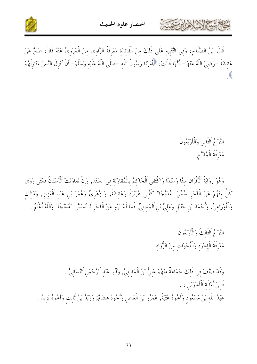



قَالَ ابْنُ الصَّلَاحِ: وَفِي التَّنْبِيهِ عَلَى ذَلِكَ مِنَ الْفَائِدَةِ مَعْرِفَةُ الرَّاوِي مِنَ الْمَرْوِيّ عَنْهُ قَالَ: صَحَّ عَنْ عَائِشَةَ –رَضِيَ اللَّهُ عَنْهَا– أَنَّهَا قَالَتْ: ﴿أَمَرَنَا رَسُولُ اللَّهِ –صَلَّى اللَّهُ عَلَيْهِ وَسَلَّمَ– أَنْ نُنْزِلَ النَّاسَ مَنَازِلَهُمْ

اَلنَّوْعُ اَلثَّاني وَالْأَرْبَعُونَ مَعْرِفَةُ اَلْمُدَبَّجِ

وَهُوَ رِوَايَةُ ٱلْأَقْرَانِ سنًّا وَسَنَدًا وَاكْتَفَى اَلْحَاكِمُ بِالْمُقَارَنَةِ فِي السَنَدِ, وَإِنْ تَفَاوَتَتْ اَلْأَسْنَانُ فَمَتَى رَوَى كُلٌّ مِنْهُمْ عَنْ اَلْآخَرِ سُمِّيَ "مُدَبَّجًا" كَأَبِي هُرَيْرَةَ وَعَائِشَةَ, وَالزُّهْرِيِّ وَعُمَرَ بْنِ عَبْدِ اَلْعَزِيزِ, وَمَالِكِ وَالْأَوْزَاعِيِّ, وَأَحْمَدَ بْنِ حَنْبَلٍ وَعَلِيٍّ بْنِ اَلْمَدِينِيٍّ, فَمَا لَمْ يَرْوِ عَنْ اَلْآخَرِ لَا يُسَمَّى "مُدَبَّجًا" وَاَللَّهُ أَعْلَمُ .

> اَلنَّوْعُ اَلثَّالتُ وَالْأَرْبَعُونَ مَعْرِفَةُ اَلْإِحْوَةِ وَالْأَخَوَاتِ مِنْ اَلزُّوَاة

وَقَدْ صَنَّفَ فِي ذَلِكَ حَمَاعَةٌ مِنْهُمْ عَلِيٌّ بْنُ اَلْمَدِينِيِّ, وَأَبُو عَبْدِ اَلرَّحْمَنِ اَلنَّسَائيُّ . فَمنْ أَمْثَلَة اَلْأَخَوَيْن : . عَبْدُ اللَّهِ بْنُ مَسْعُودٍ وَأَخُوهُ عُتْبَةُ, عَمْرُو بْنُ الْعَاصِ وَأَخُوهُ هِشَامٌ; وَزَيْدُ بْنُ ثَابِتٍ وَأَخُوهُ يَزِيدُ .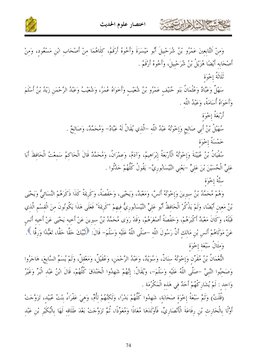



وَمنْ اَلتَّابِعِينَ عَمْرُو بْنُ شُرَحْبِيلَ أَبُو مَيْسَرَةَ وَأَخُوهُ أَرْقَمُ، كِلَاهُمَا مِنْ أَصْحَابِ ابْنِ مَسْعُودٍ، وَمِنْ أَصْحَابه أَيْضًا هُزَيْلُ بْنُ شُرَحْبيلَ، وَأَخُوهُ أَرْقَمُ .

ثَلَاثَةُ إِخْوَة

كالعشيم الأوابرت

سَهْلٌ وَعَبَّادٌ وَعُثْمَانُ بَنَو حُنَيْفٍ عَمْرُو بْنُ شُعَيْبٍ وَأَخَوَاهُ مُمَرٌ، وَشُعَيْبُ وَعَبْدُ الرَّحْمَنِ زَيْدُ بْنُ أَسْلَمَ وَأَخَوَاهُ أُسَامَةٌ، وَعَبْدُ اللَّه .

> أَرْبَعَةُ إِخْوَة سُهَيْلُ بْنُ أَبِي صَالِحٍ وَإِحْوَتُهُ عَبْدُ اللَّهِ –الَّذي يُقَالُ لَهُ عَبَّادٌ– وَمُحَمَّدٌ، وَصَالِحٌ . خَمْسَةُ إِخْوَة

سُفْيَانُ بْنُ عُيَيْنَةَ وَإِخْوَتُهُ الْأَرْبَعَةُ إِبْرَاهِيمُ، وَآدَمُ، وَعمْرَانُ، وَمُحَمَّدٌ قَالَ الْحَاكمُ سَمعْتُ الْحَافظَ أَبَا عَلِيٍّ الْحُسَيْنَ بْنَ عَلِيٍّ –يَعْنِي النَّيْسَابُورِيَّ– يَقُولُ كُلُّهُمْ حَدَّثُوا .

ستَّةُ إِخْوَة

وَهُمْ مُحَمَّدُ بْنُ سِيرِينَ وَإِخْوَتُهُ أَنَسٌ، وَمَعْبَدٌ، وَيَحْيَى، وَحَفْصَةُ، وَكَرِيمَةُ كَذَا ذَكَرَهُمْ النَّسَائيُّ وَيَحْيَى بْنُ مَعِينِ أَيْضًا، وَلَمْ يَذْكُرْ الْحَافِظُ أَبُو عَلِيٍّ النَّيْسَابُورِيُّ فِيهِمْ "كَرِيمَةَ" فَعَلَى هَذَا يَكُونُونَ منَ الْقسْم الَّذي قَبْلَهُ، وَكَانَ مَعْبَدٌ أَكْبَرَهُمْ، وَحَفْصَةُ أَصْغَرَهُمْ، وَقَدْ رَوَى مُحَمَّدُ بْنُ سيرينَ عَنْ أَخيه يَحْيَى عَنْ أخيه أَنَس عَنْ مَوْلَاهُمْ أَنَس بْن مَالك أَنَّ رَسُولَ اللَّه –صَلَّى اللَّهُ عَلَيْه وَسَلَّمَ– قَالَ: ﴿لَبَّيْكَ حَقًّا حَقًّا، تَعَبُّدًا وَرقًا ﴾. وَمثَالُ سَبْعَة إخْوَة

النُّعْمَانُ بْنُ مُقَرِّنٍ وَإِخْوَتُهُ سِنَانٌ، وَسُوَيْدٌ، وَعَبْدُ الرَّحْمَنِ، وَعُقَيْلٌ، وَمَعْقلٌ، وَلَمْ يُسَمِّ السَّابعَ، هَاجَرُوا وَصَحْبُوا النَّبيَّ -صَلَّى اللَّهُ عَلَيْه وَسَلَّمَ-، وَيُقَالُ: إِنَّهُمْ شَهِدُوا الْخَنْدَقَ كُلُّهُمْ، قَالَ ابْنُ عَبْدِ الْبَرِّ وَغَيْرُ وَاحد : لَمْ يُشَارِكْهُمْ أَحَدٌ في هَذه الْمَكْرُمَة .

(قُلْتُ) وَثَمَّ سَبْعَةُ إِحْوَةٍ صَحَابَةٍ، شَهِدُوا كُلُّهُمْ بَدْرًا، وَلَكَنَّهُمْ لِأُمٍّ، وَهِيَ عَفْرَاءُ بِنْتُ عُبَيْد، تَزَوَّجَتْ أَوَّلًا بِالْحَارِثِ بْنِ رِفَاعَةَ الْأَنْصَارِيِّ، فَأَوْلَدَهَا مُعَاذًا وَمُعَوِّذًا، ثُمَّ تَزَوَّجَتْ بَعْدَ طَلَاقِه لَهَا بِالْبُكَيْرِ بْنِ عَبْد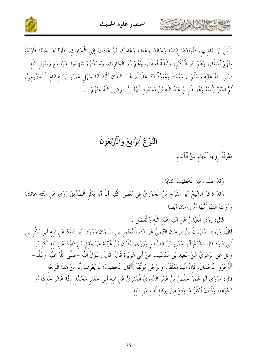



يَالَيْلَ بْنِ نَاشِبٍ، فَأَوْلَدَهَا إِيَاسًا وَخَالِدًا وَعَاقِلًا وَعَامِرًا، ثُمَّ عَادَتْ إِلَى الْحَارِثِ، فَأَوْلَدَهَا عَوْنًا فَأَرْبَعَةٌ مِنْهُمْ أَشِقَّاءُ، وَهُمْ بَنُو الْبُكَيْرِ، وَثَلَاثَةٌ أَشِقَّاءُ، وَهُمْ بَنُو الْحَارِثِ، وَسَبْعَتُهُمْ شَهدُوا بَدْرًا مَعَ رَسُول اللّه – صَلَّى اللَّهُ عَلَيْه وَسَلَّمَ–، وَمُعَاذٌ وَمُعَوِّذٌ ابْنَا عَفْرَاءَ، هُمَا اللَّذَانِ أَثْبَتَا أَبَا حَهْلٍ عَمْرَو بْنَ هِشَامٍ الْمَخْزُومِيَّ، ثُمَّ احْتَزَّ رَأْسَهُ وَهُوَ طَرِيحٌ عَبْدُ اللَّهِ بْنُ مَسْعُودِ الْهُذَلِيُّ –رَضِيَ اللَّهُ عَنْهُمْ– .

اَلنَّوْعُ اَلرَّابعُ وَالْأَرْبَعُونَ

مَعْرِفَةُ رِوَايَة اَلْآبَاء عَنْ اَلْأَبْنَاء

كالمشتر الأوارت

وَقَدْ صَنَّفَ فيه اَلْخَطِيبُ كَتَابًا .

وَقَدْ ذَكَرَ اَلشَّيْخُ أَبُو اَلْفَرَجِ بْنُ اَلْجَوْزِيِّ فِي بَعْضِ كُتُبِهِ أَنَّ أَبَا بَكْرِ اَلصِّدِّيقَ رَوَى عَنِ ابْنَتِه عَائِشَةَ وَرَوَتْ عَنْهَا أُمُّهَا أَمُّ رُومَان أَيْضًا .

قَالَ: رَوَى اَلْعَبَّاسُ عَنِ ابْنَيْه عَبْد اللَّه وَالْفَضْلِ .

قَالَ: وَرَوَى سُلَيْمَانُ بْنُ طَرْخَانَ التَّيْميُّ عَن ابْنه اَلْمُعْتَمر بْن سُلَيْمَانَ وَرَوَى أَبُو دَاوُدَ عَنِ ابْنه أَبِي بَكْرِ بْنِ أَبِي دَاوُدَ قَالَ اَلشَّيْخُ أَبُو عَمْرو بْنُ اَلصَّلَاحٍ وَرَوَى سُفْيَانُ بْنُ عُيَيْنَةَ عَنْ وَائل بْن دَاوُدَ عَنِ ابْنه بَكْر بْن وَائِلٍ عَنِ الزُّهْرِيِّ عَنْ سَعِيدِ بْنِ الْمُسَيَّبِ عَنْ أَبِي هُرَيْرَةَ قَالَ: قَالَ رَسُولُ اللَّه –صَلَّى اللَّهُ عَلَيْه وَسَلَّمَ– : \* أَخَّرُوا الْأَحْمَالَ، فَإِنَّ الْيَدَ مُغْلَقَةٌ، وَالرِّجْلَ مُوَثَّقَةٌ \* قَالَ الْخَطيبُ: لَا يُعْرَفُ إلَّا منْ هَذَا الْوَجْهَ . قَالَ: وَرَوَى أَبُو عُمَرَ حَفْصٌ بْنُ عُمَرَ الدُّورِيُّ الْمُقْرِئُ عَنِ ابْنِهِ أَبِي حَعْفَرِ مُحَمَّدِ ستَّةَ عَشَرَ حَدِيثًا أَوْ نَحْوَهَا، وَذَلكَ أَكْثَرُ مَا وَقَعَ مِنْ رِوَايَةِ أَبِ عَنِ ابْنِهِ .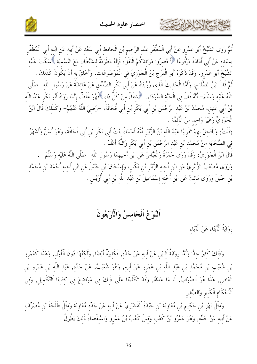

ثُمَّ رَوَى الشَّيْخُ أَبُو عَمْرِو عَنْ أَبِي الْمُظَّفَرِ عَبْدِ الرَّحِيمِ بْنِ الْحَافِظِ أَبِي سَعْدِ عَنْ أَبِيهِ عَنِ ابْنِهِ أَبِي الْمُظَفَّرِ بسَنَده عَنْ أَبِي أُمَامَةَ مَرْفُوعًا ﴿أَحْضرُوا مَوَائدَكُمْ الْبَقْلَ، فَإِنَّهُ مَطْرَدَةٌ لِلشَّيْطَانِ مَعَ التَّسْمِيَةِ ﴾سَكَتَ عَلَيْهِ الشَّيْخُ أَبُو عَمْرِو، وَقَدْ ذَكَرَهُ أَبُو الْفَرَج بْنُ الْجَوْزِيِّ فِي الْمَوْضُوعَاتِ، وَأَحْلقْ به أَنْ يَكُونَ كَذَلِكَ . ثُمَّ قَالَ ابْنُ الصَّلَاح: وَأَمَّا الْحَدِيثُ الَّذِي رُوِّينَاهُ عَنْ أَبِي بَكْرِ الصِّدِّيقِ عَنْ عَائشَةَ عَنْ رَسُولِ اللَّهِ –صَلَّى اللَّهُ عَلَيْهِ وَسَلَّمَ– أَنَّهُ قَالَ فِي الْحَبَّةِ السَّوْدَاءِ: ﴿ شَفَاءٌ مِنْ كُلِّ دَاءِ ﴾فَهُوَ غَلَطْ، إِنَّمَا رَوَاهُ أَبُو بَكْرِ عَبْدُ اللَّهِ بْنُ أَبِي عَتِيقٍ، مُحَمَّدُ بْنُ عَبْدِ الرَّحْمَنِ بْنِ أَبِي بَكْرِ بْنِ أَبِي قُحَافَةَ، –رَضِيَ اللَّهُ عَنْهُمْ– وَكَذَلكَ قَالَ ابْنُ الْجَوْزِيِّ وَغَيْرُ وَاحد منَ الْأَئمَّة . (قُلْتُ) وَيَلْتَحِقُ بِهِمْ تَقْرِيبًا عَبْدُ اللَّهِ بْنُ الزُّبَيْرِ أُمُّهُ أَسْمَاءُ بِنْتُ أَبِي بَكْرِ بْنِ أَبِي قُحَافَةَ، وَهُوَ أَسَنٌّ وَأَشْهَرُ فِي الصَّحَابَةِ مِنْ مُحَمَّدِ بْنِ عَبْدِ الرَّحْمَنِ بْنِ أَبِي بَكْرِ وَاللَّهُ أَعْلَمُ .

قَالَ ابْنُ الْجَوْزِيِّ: وَقَدْ رَوَى حَمْزَةُ وَالْعَبَّاسُ عَنِ ابْنِ أَخِيهِمَا رَسُولِ اللَّهِ –صَلَّى اللَّهُ عَلَيْهِ وَسَلَّمَ– . وَرَوَى مُصْعَبٌ الزُّبَيْرِيُّ عَنِ ابْنِ أَحِيهِ الزُّبَيْرِ بْنِ بَكَّارٍ، وَإِسْحَاقَ بْنِ حَنْبَلَ عَنِ ابْنِ أخيهِ أَحْمَدَ بْنِ مُحَمَّد بْنِ حَنْبَلَ وَرَوَى مَالِكٌ عَنِ ابْنِ أُخْتِهِ إِسْمَاعِيلَ بْنِ عَبْدِ اللَّهِ بْنِ أَبِي أُوَيْسِ .

اَلنَّوْغُ اَلْخَامسُ وَالْأَرْبَعُونَ

رِوَايَةُ اَلْأَبْنَاءِ عَنْ اَلْآبَاءِ

حشيها الأوابرت

وَذَلِكَ كَثِيرٌ حِلًّا وَأَمًّا رِوَايَةُ اَلِابْنِ عَنْ أَبِيهِ عَنْ حَلِّهِ, فَكَثِيرَةٌ أَيْضًا, وَلَكِنَّهَا دُونَ اَلْأَوَّلِ, وَهَذَا كَعَمْرِو بْنِ شُعَيْبٍ بْنِ مُحَمَّدٍ بْنِ عَبْدِ اللَّهِ بْنِ عَمْرٍو عَنْ أَبِيهِ, وَهُوَ شُعَيْبٌ, عَنْ حَدِّهِ, عَبْدِ اللَّهِ بْنِ عَمْرِو بْنِ الْعَاصِ, هَذَا هُوَ اَلصَّوَابُ, لَا مَا عَدَاهُ, وَقَدْ تَكَلَّمْنَا عَلَى ذَلِكَ فِي مَوَاضِعَ فِي كِتَابِنَا اَلتَّكْمِيلِ, وَفِي ٱلْأَحْكَامِ ٱلْكَبِيرِ وَالصَّغيرِ .

وَمِثْلُ بَهْزِ بْنِ حَكِيمٍ بْنِ مُعَاوِيَةَ بْنِ حَيْدَةَ اَلْقُشَيْرِيِّ عَنْ أَبِيهِ عَنْ جَلِّهِ مُعَاوِيَةَ وَمِثْلُ طَلْحَةَ بْنِ مُصَرِّف عَنْ أَبِيهِ عَنْ جَلِّهِ, وَهُوَ عَمْرُو بْنُ كَعْبٍ وَقِيلَ كَعْبُ بْنُ عَمْرِو وَاسْتِقْصَاءُ ذَلِكَ يَطُولُ .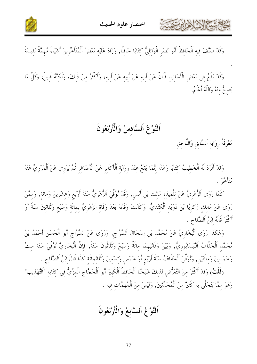





وَقَدْ يَقَعُ فِي بَعْضِ الْأَسَانِيدِ فُلَانٌ عَنْ أَبِيهِ عَنْ أَبِيهِ عَنْ أَبِيهِ، وَأَكْثَرُ مِنْ ذَلِكَ، وَلَكِنَّهُ قَلِيلٌ، وَقَلَّ مَا يَصحُّ منْهُ وَاللَّهُ أَعْلَمُ.

# اَلنَّوْغُ اَلسَّادسُ وَالْأَرْبَعُونَ

مَعْرِفَةُ رِوَايَةِ اَلسَّابِقِ وَاللَّاحِقِ

وَقَدْ أَفْرَدَ لَهُ اَلْخَطِيبُ كِتَابًا وَهَذَا إِنَّمَا يَقَعُ عِنْدَ رِوَايَةِ اَلْأَكَابِرِ عَنْ اَلْأَصَاغِرِ ثُمَّ يَرْوِي عَنْ اَلْمَرْوِيِّ عَنْهُ ،<br>متأخر به .

كَمَا رَوَى اَلزُّهْرِيُّ عَنْ تِلْمِيذِهِ مَالِكِ بْنِ أَنَسٍ, وَقَدْ تُوُفِّيَ اَلزُّهْرِيُّ سَنَةَ أَرْبَعِ وَعِشْرِينَ وَمِائَةٍ, وَمِمَّنْ رَوَى عَنْ مَالِكٍ زَكَرِيًّا بْنُ دُوَيْدٍ اَلْكِنْدِيُّ, وَكَانَتْ وَفَاتُهُ بَعْدَ وَفَاةِ اَلزُّهْرِيِّ بِمِائَةٍ وَسَبْعٍ وَثَلَاثِينَ سَنَةً أَوْ أَكْثَرَ قَالَهُ ابْنُ اَلصَّلَاحِ .

وَهَكَذَا رَوَى اَلْبُخَارِيُّ عَنْ مُحَمَّدِ بْنِ إِسْحَاقَ اَلسَّرَّاجِ, وَرَوَى عَنْ اَلسَّرَّاجِ أَبُو اَلْحَسَنِ أَحْمَدُ بْنُ مُحَمَّد اَلْخَفَّافُ اَلنَّيْسَابُوريُّ, وَبَيْنَ وَفَاتَيْهِمَا مائَةٌ وَسَبْعٌ وَثَلَاثُونَ سَنَةً, فَإِنَّ اَلْبُخَارِيَّ تُوُفِّيَ سَنَةَ ستٍّ وَخَمْسِينَ وَمِاتَتَيْنِ, وَتُوُفِّيَ اَلْخَفَّافُ سَنَةَ أَرْبَعِ أَوْ خَمْسٍ وَتِسْعِينَ وَتَلَاثِمِائَةِ كَذَا قَالَ اِبْنُ اَلصَّلَاحِ .

(قُلْتُ) وَقَدْ أَكْثَرَ مِنْ اَلتَّعَرُّضِ لِلذَلِكَ شَيْخُنَا اَلْحَافِظُ اَلْكَبِيرُ أَبُو اَلْحَجَّاج اَلْمزِّيُّ فِي كِتَابِهِ "اَلتَّهْذِيب" وَهُوَ مِمَّا يَتَحَلَّى بِهِ كَثِيرٌ مِنَ اَلْمُحَدِّثِينَ, وَلَيْسَ مِنَ اَلْمُهِمَّات فيه .

# اَلنَّوْعُ اَلسَّابِعُ وَالْأَرْبَعُونَ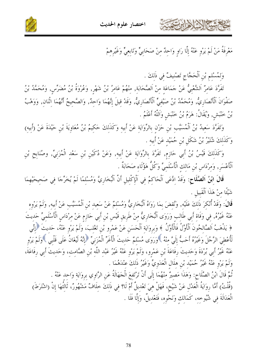

وَكَذَلِكَ شُتَيْرُ بْنُ شَكَلٍ بْنِ حُمَيْدٍ عَنْ أَبِيهِ . وَكَذَلِكَ قَيْسُ بْنُ أَبِي حَازِمٍ, تَفَرَّدَ بِالرِّوَايَةِ عَنْ أَبِيهِ, وَعَنْ دُكَيْنِ بْنِ سَعْدِ الْمُزَنِيِّ, وصُنَابِح بْنِ ٱلْأَعْسَرِ, وَمرْدَاس بْنِ مَالك الْأَسْلَميِّ وَكُلُّ هَؤُلَاءِ صَحَابَةٌ .

قَالَ ابْنُ اَلصَّلَاحٍ: وَقَدْ ادَّعَى اَلْحَاكِمُ فِي اَلْإِكْلِيلِ أَنَّ اَلْبُخَارِيَّ وَمُسْلِمًا لَمْ يُخَرِّجَا فِي صَحِيحَيْهِمَا

تَفَرَّدَ عَامِرٌ اَلشَّعْبِيُّ عَنْ حَمَاعَةٍ مِنْ اَلصَّحَابَةٍ, مِنْهُمْ عَامِرُ بْنُ شَهْرٍ, وَعُروةُ بْنُ مُضَرّسٍ, وَمُحَمَّدُ بْنُ صَفْوَانَ اَلْأَنْصَارِيُّ, وَمُحَمَّدُ بْنُ صَيْفِيٍّ اَلْأَنْصَارِيُّ, وَقَدْ قِيلَ إِنَّهُمَا وَاحِدْ, وَالصَّحِيحُ أَنَّهُمَا اِثْنَانِ, وَوَهْبُ بْنُ خَنْبَشِ, وَيُقَالُ: هَرَمُ بْنُ خَنْبَشٍ وَاَللَّهُ أَعْلَمُ . وَتَفَرَّدَ سَعِيدُ بْنُ اَلْمُسَيَّبِ بْنِ حَرْنِ بِالرِّوَايَةِ عَنْ أَبِيهِ وَكَذَلِكَ حَكِيمُ بْنُ مُعَاوِيَةَ بْنِ حَيْدَةَ عَنْ (أَبِيهِ)

وَلمُسْلم بْنِ الْحَجَّاجِ تَصْنيفٌ في ذَلكَ .

اختصار علوم الحديث

مَعْرِفَةُ مَنْ لَمْ يَرْوِ عَنْهُ إِلَّا رَاوِ وَاحِدٌ مِنْ صَحَابِيٍّ وَتَابِعِيٍّ وَغَيْرِهِمْ



شَيْئًا منْ هَذَا اَلْقَبِيلِ .

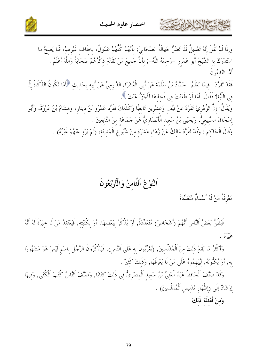





فَقَدْ تَفَرَّدَ –فِيمَا نَعْلَمُ– حَمَّادُ بْنُ سَلَمَةَ عَنْ أَبِي الْعُشَرَاءِ الدَّارِمِيِّ عَنْ أَبِيه بحَديث ﴿أَمَا تَكُونُ الذَّكَاةُ إِلَّا في اللَّبَّة؟ فَقَالَ: أَمَا لَوْ طَعَنْتَ في فَخذهَا لَأَجْزَأَ عَنْكَ ﴾.

وَيُقَالُ: إِنَّ الزُّهْرِيَّ تَفَرَّدَ عَنْ نَيِّف وَعِشْرِينَ تَابِعيًّا وَكَذَلكَ تَفَرَّدَ عَمْرُو بْنُ دينَار، وَهشَامُ بْنُ عُرْوَةَ، وَأَبُو إسْحَاقَ السَّبِيعيُّ، وَيَحْيي بْنُ سَعيد الْأَنْصَارِيُّ عَنْ حَمَاعَة منَ التَّابعينَ .

وَقَالَ الْحَاكِمُ : وَقَدْ تَفَرَّدَ مَالِكٌ عَنْ زُهَاءِ عَشَرَةٍ مِنْ شُيُوخِ الْمَدِينَةِ، (لَمْ يَرْوِ عَنْهُمْ غَيْرُهُ) .

# اَلنَّوْغُ اَلثَّامنُ وَالْأَرْبَعُونَ

مَعْرِفَةُ مَنْ لَهُ أَسْمَاءٌ مُتَعَلِّدَةٌ

حمشا الألاطارت

فَيَظُنُّ بَعْضُ النَّاسِ أَنَّهُمْ (أَشْخَاصٌ) مُتَعَدِّدَةٌ, أَوْ يُذْكَرُ بِبَعْضِهَا, أَوْ بِكُنْيَتِهِ, فَيَعْتَقِدُ مَنْ لَا خِبْرَةَ لَهُ أَنَّهُ بره وو<br>غيره په

وَأَكْثَرُ مَا يَقَعُ ذَلِكَ مِنَ اَلْمُدَلِّسِينَ, (يُغَرِّبُونَ به عَلَى اَلنَّاس), فَيَذْكُرُونَ اَلرَّجُلَ باسْم لَيْسَ هُوَ مَشْهُورًا به, أَوْ يُكَنُّونَهُ, لِيُبْهِمُوهُ عَلَى مَنْ لَا يَعْرِفُهَا, وَذَلِكَ كَثيرٌ .

وَقَدْ صَنَّفَ اَلْحَافِظُ عَبْدُ اَلْغَنِيِّ بْنُ سَعِيدِ اَلْمِصْرِيُّ فِي ذَلكَ كتَابًا, وَصَنَّفَ اَلنَّاسُ كُتُبَ اَلْكُنَى, وَفيهَا إِرْشَادٌ إِلَى (إِظْهَارِ تَدْلِيسِ اَلْمُدَلِّسِينَ) . وَمنْ أَمْثِلَة ذَلكَ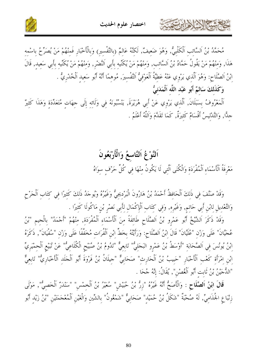



مُحَمَّدُ بْنُ اَلسَّائِبِ اَلْكَلْبِيُّ, وَهُوَ ضَعِيفٌ, لَكِنَّهُ عَالِمٌ (بِالتَّفْسِيرِ) وَبِالْأَخْبَارِ فَمِنْهُمْ مَنْ يُصَرِّحُ بِاسْمِهِ هَذَا, وَمنْهُمْ مَنْ يَقُولُ حَمَّادُ بْنُ اَلسَّائب, وَمِنْهُمْ مَنْ يُكَنِّيهِ بِأَبِي اَلنَّضْرِ, وَمِنْهُمْ مَنْ يُكَنِّيهِ بِأَبِي سَعِيدٍ, قَالَ ابْنُ اَلصَّلَاح: وَهُوَ اَلَّذي يَرْوي عَنْهُ عَطيَّةُ اَلْعَوْفيُّ التَّفْسيرَ, مُوهمًا أَنَّهُ أَبُو سَعيد الْخُدْريُّ . وَكَذَلكَ سَالمٌ أَبُو عَبْد اللَّه اَلْمَدَنيُّ

ٱلْمَعْرُوفُ بِسَبَلَانَ, اَلَّذي يَرْوِي عَنْ أَبِي هُرَيْرَةَ, يَنْسُبُونَهُ فِي وَلَائِهِ إِلَى جهَاتِ مُتَعَدِّدَةٍ وَهَذَا كَثِيرٌ حِدًّا, وَالتَّدْلِيسُ أَقْسَامٌ كَثِيرَةٌ, كَمَا تَقَدَّمَ وَاَللَّهُ أَعْلَمُ .

#### اَلنَّوْغُ اَلتَّاسعُ وَالْأَرْبَعُونَ

مَعْرِفَةُ ٱلْأَسْمَاءِ ٱلْمُفْرَدَةِ وَالْكُنَى الَّتِي لَا يَكُونُ مِنْهَا فِي كُلِّ حَرْفٍ سِوَاهُ

بحاحمته الازلالة المرتعقة

وَقَدْ صَنَّفَ في ذَلكَ اَلْحَافظُ أَحْمَدُ بْنُ هَارُونَ الْبَرْديجيُّ وَغَيْرُهُ وَيُوحَدُ ذَلكَ كَثيرًا في كتَاب اَلْجَرْح وَالتَّعْدِيلِ لِابْنِ أَبِي حَاتِمٍ, وَغَيْرِهِ, وَفِي كِتَابِ اَلْإِكْمَالِ لِأَبِي نَصْرِ بْنِ مَاكُولَا كَثيرًا .

وَقَدْ ذَكَرَ اَلشَّيْخُ أَبُو عَمْرِو بْنُ اَلصَّلَاحِ طَائِفَةً مِنَ اَلْأَسْمَاءِ اَلْمُفْرَدَة, مِنْهُمْ "أَجْمَدُ" بِالْجِمِ "بْنُ عُجَّيَّانَ" عَلَى وَزْنِ "عُلَيَّانَ" قَالَ ابْنُ اَلصَّلَاحٍ: وَرَأَيْتُهُ بِخَطٍّ ابْنِ اَلْفُرَاتِ مُخَفَّفًا عَلَى وَزْنِ "سُفْيَانَ", ذَكَرَهُ ابْنُ يُونُسَ في اَلصَّحَابَة "أَوْسَطُ بْنُ عَمْرو البَجَليُّ" تَابعيٌّ "تَدُومُ بْنُ صُبَيْحِ الْكُلَاعيُّ" عَنْ تُبَيْع الْحمْيَريِّ ابْنِ امْرَأَةِ كَعْبِ اَلْأَحْبَارِ "حَبِيبُ بْنُ اَلْحَارِثِ" صَحَابِيٌّ "جِيلَانُ بْنُ فَرْوَةَ أَبُو اَلْجَلَدِ اَلْأَخْبَارِيٌّ" تَابِعِيٌّ "الدُّجَيْنُ بْنُ ثَابت أَبُو اَلْغُصْنِ", يُقَالُ: إِنَّهُ جُحَا .

قَالَ ابْنُ اَلصَّلَاحٍ : وَالْأَصَحُّ أَنَّهُ غَيْرُهُ "زِرْ بْنُ حُبَيْشٍ" سُعَيْرُ بْنُ اَلْخِمْسِ" "سَنْدَرٌ اَلْخَصِيُّ", مَوْلَى زِنْبَاعِ الْجُذَامِيِّ, لَهُ صُحْبَةٌ "شَكَلُ بْنُ حُمَيْد" صَحَابِيٌّ "شَمْعُونُ" بِالشِّينِ وَالْغَيْنِ اَلْمُعْجَمَتَيْنِ "بْنُ زَيْد أَبُو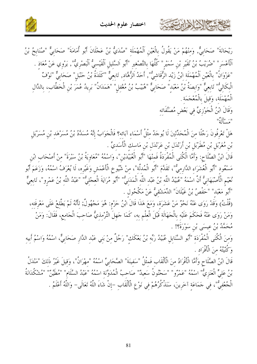

شكالا الألفاين



رَيْحَانَةَ" صَحَابِيٌّ, وَمِنْهُمْ مَنْ يَقُولُ بِالْعَيْنِ اَلْمُهْمَلَةِ "صُدَيٌّ بْنُ عَجْلَانَ أَبُو أُمَامَةَ" صَحَابِيٌّ "صُنَابِحُ بْنُ اَلْأَعْسَر" "ضُرَيْبُ بْنُ نُقَيْر بْن سُمَيْر" كُلّْهَا بالتَّصْغير "أَبُو اَلسَّليل اَلْقَيْسيُّ اَلْبَصْريّ", يَرْوي عَنْ مُعَاذ . "عَزْوَانُ" بِالْعَيْنِ اَلْمُهْمَلَة ابْنُ زَيْد الرُّقَاشيّْ", أَحَدُ اَلزُّهَّاد, تَابعيٌّ "كَلَدَةُ بْنُ حَنْبَل" صَحَابيٌّ "نَوْفٌ الْبِكَالِيُّ" تَابِعيٌّ "وَابِصَةُ بْنُ مَعْبَد" صَحَابيٌّ "هُبَيْبُ بْنُ مُغْفِلِ" "هَمَدَانُ" بَرِيدُ عُمَرَ بْنِ الْخَطَّابِ، بِالدَّالِ الْمُهْمَلَة، وَقِيلَ بِالْمُعْجَمَة ِ وَقَالَ ابْنُ الْجَوْزِيِّ في بَعْض مُصَنَّفَاته  $\lim_{\lambda\to 0} \frac{1}{\lambda}$ هَلْ تَعْرِفُونَ رَجُلًا منَ الْمُحَدِّثِينَ لَا يُوحَدُ مِثْلُ أَسْمَاء آبَائِه؟ فَالْحَوَابُ إِنَّهُ مُسَدَّدُ بْنُ مُسَرْهَد بْنِ مُسَرْبَلِ

بْنِ مُغَرْبَلِ بْنِ مُطَرْبَلِ بْنِ أَرَنْدَلِ بْنِ عَرَنْدَلِ بْنِ مَاسِكِ الْأَسَدِيِّ . قَالَ ابْنُ الصَّلَاح: وَأَمَّا الْكُنَى الْمُفْرَدَةُ فَمنْهَا "أَبُو الْعُبَيْدَيْن"، وَاسْمُهُ "مُعَاوِيَةُ بْنُ سَبْرَة" منْ أَصْحَاب ابْن مَسْعُودِ "أَبُو الْعُشَرَاءِ الدَّارِمِيُّ"، تَقَلَّمَ "أَبُو الْمُدلَّة"، مِنْ شُيُوخِ الْأَعْمَشِ وَغَيْرِه، لَا يُعْرَفُ اسْمُهُ، وَزَعَمَ أَبُو نُعَيْمِ الْأَصْبَهَانِيُّ أَنَّ اسْمَهُ "عُبَيْدُ اللَّهِ بْنُ عَبْد اللَّه الْمَدَنِيٌّ" "أَبُو مُرَايَةَ الْعجْليُّ" "عَبْدُ اللَّه بْنُ عَمْرو"، تَابعيٌّ "أَبُو مَعْبَد" "حَفْصُ بْنُ غَيْلَانَ" الدِّمَشْقَيُّ عَنْ مَكْحُول .

(قُلْتُ) وَقَدْ رَوَى عَنْهُ نَحْوٌ مَنْ عَشَرَة، وَمَعَ هَذَا قَالَ ابْنُ حَرْم: هُوَ مَجْهُولٌ; لأَنَّهُ لَمْ يَطَّلعْ عَلَى مَعْرفَته، وَمَنْ رَوَى عَنْهُ فَحَكَمَ عَلَيْه بِالْحَهَالَةِ قَبْلَ الْعِلْمِ بِهِ، كَمَا حَهِلَ التِّرْمِذِيُّ صَاحِبَ الْحَامِعِ، فَقَالَ: وَمَنْ مُحَمَّدُ بْنُ عيسَى بْنِ سَوْرَةً؟! .

وَمِنَ الْكُنَى الْمُفْرَدَةِ "أَبُو السَّنَابِلِ عُبَيْدُ رَبِّهِ بْنُ بَعْكَكٍ" رَجُلٌ مِنْ بَنِي عَبْدِ الدَّارِ صَحَابِيٌّ، اسْمُهُ وَاسْمُ أَبِيهِ وَكُنْيَتُهُ منَ الْأَفْرَاد .

قَالَ ابْنُ الصَّلَاحِ وَأَمَّا الْأَفْرَادُ مِنَ الْأَلْقَابِ فَمثْلُ "سَفينَةَ" الصَّحَابيِّ اسْمُهُ "مهْرَانُ"، وَقيلَ غَيْرُ ذَلكَ "مَنْدَلُ بْنُ عَلِيٍّ الْعَنَزِيِّ" اسْمَهْ "عَمْرُو" "سَحْنُونُ سَعِيدٌ" صَاحِبُ الْمُدَوَّنَةِ اسْمُهُ "عَبْدُ السَّلَامِ" "مُطَيّن "مُشْكُدَانَةُ الْجُعْفِيُّ"، فِي حَمَاعَةِ آخَرِينَ، سَنَذْكُرُهُمْ فِي نَوْعِ الْأَلْقَابِ –إِنْ شَاءَ اللَّهُ تَعَالَى– وَاللَّهُ أَعْلَمُ .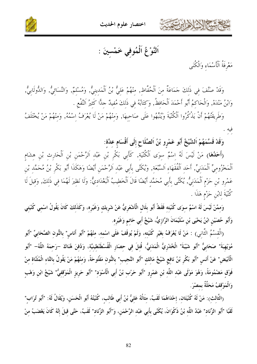

اختصار علوم الحديث



اَلنَّوْغُ اَلْمُوفي خَمْسينَ :

مَعْرِفَةُ اَلْأَسْمَاء وَالْكُنَى

وَقَدْ صَنَّفَ في ذَلكَ جَمَاعَةٌ منَ اَلْحُفَّاظ, منْهُمْ عَليُّ بْنُ اَلْمَدينيُّ, وَمُسْلمٌ, وَالنَّسَائيُّ, وَالدُّولَابيُّ, وَابْنُ مَنْدَهْ, وَالْحَاكمُ أَبُو أَحْمَدَ اَلْحَافظُ, وَكَتَابُهُ في ذَلكَ مُفيدٌ جلًّا كَثيرُ اَلنَّفْع .

وَطَرِيقَتُهُمْ أَنْ يَذْكُرُوا اَلْكُنْيَةَ وَيُنَبِّهُوا عَلَى صَاحِبِهَا, وَمِنْهُمْ مَنْ لَا يُعْرَفُ اِسْمُهُ, وَمِنْهُمْ مَنْ يُخْتَلَفُ

وَقَدْ قَسَّمَهُمْ اَلشَّيْخُ أَبُو عَمْرو بْنُ اَلصَّلَاحِ إلَى أَقْسَام عدَّة:

(أَحَلُهَا) مَنْ لَيْسَ لَهُ اسْمٌ سِوَى الْكُنْيَةِ, كَأَبِي بَكْرِ بْنِ عَبْدِ اَلرَّحْمَنِ بْنِ اَلْحَارِثِ بْنِ هشَامِ اَلْمَخْزُوميِّ اَلْمَدَنيِّ, أَحَد اَلْفُقَهَاء اَلسَّبْعَة, وَيُكَنَّى بأَبي عَبْد اَلرَّحْمَن أَيْضًا وَهَكَذا أَبُو بَكْر بْنُ مُحَمَّد بْن عَمْرو بْن حَزْم الْمَدَنيُّ, يُكَنَّى بأَبي مُحَمَّد أَيْضًا قَالَ الْخطيبُ الْبَغْدَاديُّ: وَلَا نَظيرَ لَهُمَا في ذَلكَ, وَقيلَ لَا كُنْيَةَ لِابْنِ حَزْمٍ هَذَا .

وَمِمَّنْ لَيْسَ لَهُ اسْمٌ سوَى كُنْيَتِهِ فَقَطْ أَبُو بِلَالٍ الْأَشْعَرِيُّ عَنْ شَرِيكِ وَغَيْرِهِ، وَكَذَلِكَ كَانَ يَقُولُ اسْمِي كُنْيَتِي وَأَبُو حُصَيْنِ ابْنُ يَحْيَى بْنِ سُلَيْمَانَ الرَّازِيُّ، شَيْخُ أَبِي حَاتمٍ وَغَيْرِه.

(الْقِسْمُ الثَّانِي) : مَنْ لَا يُعْرَفُ بِغَيْرِ كُنْيَتِهِ، وَلَمْ يُوقَفْ عَلَى اسْمِهِ، مِنْهُمْ "أَبُو أَناسٍ" بِالنُّونِ الصَّحَابِيِّ "أَبُو مُوَيْهِبَةَ" صَحَابيٌّ "أَبُو شَيْبَةَ" الْخُدْرِيُّ الْمَدَنيُّ، قُتلَ في حصَار الْقُسْطَنْطينيَّة، وَدُفنَ هُنَاكَ –رَحمَهُ اللَّهُ– "أَبُو الْأَبْيَضِ" عَنْ أَنَسِ "أَبُو بَكْرٍ بْنُ نَافِعٍ شَيْخُ مَالِكِ "أَبُو النَّجِيبِ" بِالنُّونِ مَفْتُوحَةً، وَمِنْهُمْ مَنْ يَقُولُ بِالتَّاءِ الْمُثَنَّاةِ مِنْ فَوْقٍ مَضْمُومَةً، وَهُوَ مَوْلَى عَبْدِ اللَّهِ بْنِ عَمْرٍو "أَبُو حَرْبِ بْنُ أَبِي الْأَسْوَدِ" "أَبُو حَرِيزٍ الْمَوْقِفِيُّ" شَيْخُ ابْنِ وَهْبِ وَالْمَوْقفُ مَحَلَّةٌ بمصْرَ.

(الثَّالِثِ): مَنْ لَهُ كُنْيَتَانِ، إِحْدَاهُمَا لَقَبٌ، مِثَالُهُ عَلِيُّ بْنُ أَبِي طَالِبٍ، كُنْيَتُهُ أَبُو الْحَسَنِ، وَيُقَالُ لَهُ: "أَبُو تُرَاب" لَقَبًا "أَبُو الزِّنَاد" عَبْدُ اللَّه بْنُ ذَكْوَانَ، يُكَنَّى بأَبي عَبْد الرَّحْمَنِ، وَ"أَبُو الزِّنَاد" لَقَبٌ، حَتَّى قيلَ إنَّهُ كَانَ يَغْضَبُ منْ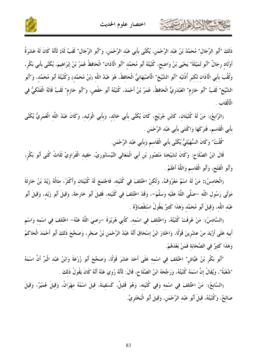

ذَلكَ "أَبُو الرِّجَال" مُحَمَّدُ بْنُ عَبْد الرَّحْمَنِ، يُكَنَّى بأَبي عَبْد الرَّحْمَنِ، وَ"أَبُو الرِّجَال" لَقَبّْ لَهُ; لأَنَّهُ كَانَ لَهُ عَشَرَةُ أَوْلَاد رجَالٌ "أَبُو تُمَيْلَةَ" يَحْيَى بْنُ وَاضح، كُنْيَتُهُ أَبُو مُحَمَّد "أَبُو الْآذَان" الْحَافظُ عُمَرُ بْنُ إبْرَاهيمَ، يُكَنَّى بأَبي بَكْر، وَلُقِّبَ بِأَبِي الْآذَانِ لِكَبَرِ أُذُنَيْهِ "أَبُو الشَّيْخِ" الْأَصْبَهَانِيُّ الْحَافِظُ، هُوَ عَبْدُ اللَّه (بْنُ مُحَمَّدٍ) وَكُنْيَتُهُ أَبُو مُحَمَّدٍ، وَ"أَبُو الشَّيْخ" لَقَبٌ "أَبُو حَازِم" العَبْدَرِيُّ الْحَافظُ، عُمَرُ بْنُ أَحْمَدَ، كُنْيَتُهُ أَبُو حَفْصٍ، وَ"أَبُو حَازِم" لَقَبٌ قَالَهُ الْفَلَكِيُّ فِي الْأَلْقَابِ .

(الرَّابِعُ): مَنْ لَهُ كُنْيَتَانِ، كَابْنِ جُرَيْجٍ، كَانَ يُكَنَّى بِأَبِي خَالِدٍ، وَبِأَبِي الْوَلِيدِ، وَكَانَ عَبْدُ اللَّهِ الْعُمَرِيُّ يُكَنَّى بأَبي الْقَاسم، فَتَرَكَهَا وَاكْتَنَى بأَبي عَبْد الرَّحْمَن .

"قُلْتُ" وَكَانَ السُّهَيْليُّ يُكَنَّى بأَبي الْقَاسم وَبأَبي عَبْد الرَّحْمَن.

شكالا وابرت

قَالَ ابْنُ الصَّلَاح: وَكَانَ لشَيْخنَا مَنْصُور بْن أَبي الْمَعَالي النَّيْسَابُوريِّ، حَفيد الْفَرَاويِّ ثَلَاثُ كُنَى أَبُو بَكْر، وَأَبُو الْفَتْحِ، وَأَبُو الْقَاسم وَاللَّهُ أَعْلَمُ .

(الْخَامسُ): مَنْ لَهُ اسْمٌ مَعْرُوفٌ، وَلَكنْ اخْتُلفَ في كُنْيَته، فَاجْتَمَعَ لَهُ كُنْيَتَان وَأَكْثَرُ، مثَالُهُ زَيْدُ بْنُ حَارِثَةَ مَوْلَى رَسُول اللَّه –صَلَّى اللَّهُ عَلَيْه وَسَلَّمَ–، وَقَدْ اخْتُلفَ في كُنْيَته، فَقيلَ أَبُو خَارجَةَ، وَقيلَ أَبُو زَيْد، وَقيلَ أَبُو عَبْد اللَّه، وَقِيلَ أَبُو مُحَمَّد وَهَذَا كَثِيرٌ يَطُولُ اسْتقْصَاؤُهُ .

(السَّادسُ): مَنْ عُرفَتْ كُنْيَتُهُ، وَاخْتُلفَ في اسْمه، كَأَبي هُرَيْرَةَ –رَضيَ اللَّهُ عَنْهُ– اخْتُلفَ في اسْمه وَاسْم أبيه عَلَى أَرْيَدَ منْ عشْرينَ قَوْلًا، وَاخْتَارَ ابْنُ إسْحَاقَ أَنَّهُ عَبْدُ الرَّحْمَنِ بْنُ صَخْرٍ، وَصَحَّحَ ذَلكَ أَبُو أَحْمَدَ الْحَاكمُ وَهَلَاا كَثيرٌ في الصَّحَابَة فَمَنْ بَعْدَهُمْ.

"أَبُو بَكْرٍ بْنُ عَيَّاش" اخْتُلفَ في اسْمه عَلَى أَحَدَ عَشَرَ قَوْلًا، وَصَحَّحَ أَبُو زُرْعَةَ وَابْنُ عَبْد الْبَرِّ أَنَّ اسْمَهُ "شُعْبَةُ"، وَيُقَالُ إنَّ اسْمَهُ كُنْيَتُهُ، وَرَجَّحَهُ ابْنُ الصَّلَاحِ، قَالَ: لأَلَّهُ رُويَ عَنْهُ أَلّهُ كَانَ يَقُولُ ذَلكَ .

(السَّابعُ): مَنْ اخْتُلفَ في اسْمه وَفي كُنْيَته، وَهُوَ قَليلٌ، كَسَفينَةَ، قيلَ اسْمُهُ مهْرَانُ، وَقيلَ عُمَيْرٌ، وَقيلَ صَالِحٌ، وَكُنْيَتُهُ، قِيلَ أَبُو عَبْدِ الرَّحْمَنِ، وَقِيلَ أَبُو الْبَخْتَرِيِّ.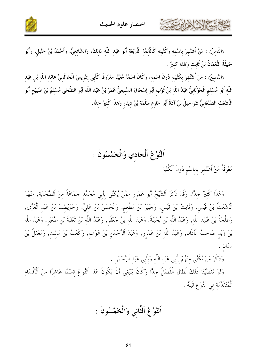

(الثَّامنُ) : مَنْ اُشْتُهِرَ باسْمه وَكُنْيَته كَالْأَنَمَّةِ الْأَرْبَعَةِ أَبُو عَبْدِ اللَّهِ مَالِكٌ، وَالشّافِعِيُّ، وَأَحْمَدُ بْنُ حَنْبَلٍ، وَأَبُو حَنيفَةَ النُّعْمَانُ بْنُ ثَابت وَهَذَا كَثيرٌ .

(التَّاسعُ) : مَنْ اُشْتُهِرَ بكُنْيَته دُونَ اسْمه، وَكَانَ اسْمُهُ مُعَيَّنًا مَعْرُوفًا كَأبي إدْريسَ الْخَوْلَانيِّ عَائذ اللَّه بْن عَبْد اللَّهِ أَبُو مُسْلِمٍ الْخَوْلَانِيُّ عَبْدُ اللَّهِ بْنُ ثَوْبٍ أَبُو إِسْحَاقَ السَّبِيعِيُّ عُمَرُ بْنُ عَبْدِ اللَّهِ أَبُو الضُّحَى مُسْلِمُ بْنُ صُبَيْحٍ أَبُو الْأَشْعَثِ الصَّنْعَانِيُّ شَرَاحِيلُ بْنُ آدَةَ أَبُو حَازِمٍ سَلَمَةُ بْنُ دِينَارٍ وَهَذَا كَثِيرٌ جِلًّا.

> اَلنَّوْعُ اَلْحَادي وَالْخَمْسُونَ : مَعْرِفَةُ مَنْ اُشْتُهِرَ باللسْم دُونَ اَلْكُنْيَة

حمشة الأدارت

وَهَذَا كَثيرٌ حلًّا, وَقَدْ ذَكَرَ اَلشَّيْخُ أَبُو عَمْرو ممَّنْ يُكَنَّى بأَبي مُحَمَّد جَمَاعَةً منْ اَلصَّحَابَة, منْهُمْ اَلْأَشْعَتُ بْنُ قَيْسٍ, وَثَابِتُ بْنُ قَيْسٍ, وَجُبَيرُ بْنُ مُطْعِمٍ, وَالْحَسَنُ بْنُ عَلِيٍّ, وَحُوَيْطِبُ بْنُ عَبْدِ اَلْعُزَّى, وَطَلْحَةُ بْنُ عُبَيْدِ اَللَّهِ, وَعَبْدُ اللَّهِ بْنُ بُحَيْنَةَ, وَعَبْدُ اللَّهِ بْنُ حَعْفَرٍ, وَعَبْدُ اللَّهِ بْنُ تَعْلَبَةَ بْنِ صُعَيْرٍ, وَعَبْدُ اللَّهِ بْنُ زَيْدٍ صَاحِبُ اَلْأَذَانِ, وَعَبْدُ اللَّهِ بْنُ عَمْرٍو, وَعَبْدُ اَلرَّحْمَنِ بْنُ عَوْفٍ, وَكَعْبُ بْنُ مَالِكٍ, وَمَعْقِلُ بْنُ سنَان

وَذَكَرَ مَنْ يُكَنَّى مِنْهُمْ بِأَبِي عَبْدِ اللَّهِ وَبِأَبِي عَبْدِ الرَّحْمَنِ .

وَلَوْ تَقَصَّيْنَا ذَلِكَ لَطَالَ اَلْفَصْلُ حِلًّا وَكَانَ يَنْبَغِي أَنْ يَكُونَ هَذَا اَلنَّوْعُ قسْمًا عَاشرًا منَ اَلْأَقْسَام اَلْمُتَقَلِّمَة في اَلنَّوْ عِ قَبْلَهُ .

اَلنَّوْعُ اَلثَّاني وَالْخَمْسُونَ :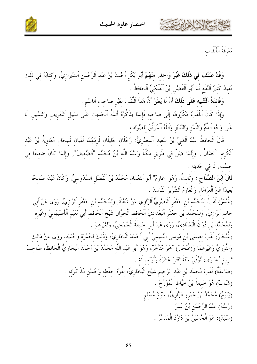



 $\mathbb{N}$ 

مَعْرِفَةُ اَلْأَلْقَاب

وَقَدْ صَنَّفَ فِي ذَلكَ غَيْرُ وَاحِد, مِنْهُمْ أَبُو بَكْرِ أَحْمَدُ بْنُ عَبْدِ اَلرَّحْمَنِ اَلشّيرَازِيُّ, وَكِتَابُهُ فِي ذَلِكَ مُفيدٌ كَثيرُ اَلنَّفْعِ ثُمَّ أَبُو اَلْفَضْلِ ابْنُ اَلْفَلَكِيِّ اَلْحَافظُ .

وَفَائِدَةُ اَلتَّنْبِيه عَلَى ذَلِكَ أَنْ لَا يُظَنَّ أَنَّ هَذَا اَللَّقَبَ لغَيْرِ صَاحب اَلاسْم .

وَإِذَا كَانَ اَللَّقَبُ مَكْرُوهًا إِلَى صَاحِبِهِ فَإِنَّمَا يَذْكُرُهُ أَئِمَّةُ اَلْحَدِيثِ عَلَى سَبِيلِ اَلتَّعْرِيفِ وَالتَّمْيِيزِ, لَا عَلَى وَجْه اَلذَّمِّ وَاللَّمْزِ وَالتَّنَابُزِ وَاَللَّهُ اَلْمُوَفَّقُ للصَّوَابِ .

قَالَ اَلْحَافِظُ عَبْدُ اَلْغَنِيِّ بْنُ سَعِيد اَلْمصْرِيُّ: رَجُلَانِ جَلِيلَانِ لَزِمَهُمَا لَقَبَانِ قَبيحَانِ مُعَاوِيَةُ بْنُ عَبْد اَلْكَرِيمِ "اَلضَّالٌ", وَإِنَّمَا ضَلَّ فِي طَرِيقِ مَكَّةَ وَعَبْدُ اللَّهِ بْنُ مُحَمَّدٍ "اَلضَّعِيفُ", وَإِنَّمَا كَانَ ضَعِيفًا فِي جسْمه, لَا في حَديثه .

قَالَ ابْنُ اَلصَّلَاحِ : وَثَالِثٌ, وَهُوَ "عَارِمٌ" أَبُو اَلنُّعْمَانِ مُحَمَّدُ بْنُ اَلْفَضْلِ السَّدُوسِيُّ, وَكَانَ عَبْدًا صَالِحًا بَعِيدًا عَنْ اَلْعِرَامَةِ, وَالْعَارِمُ اَلشَّرِّيرُ اَلْفَاسلُه .

(عُنْدَنٌ) لَقَبٌ لِمُحَمَّد بْنِ حَعْفَرِ اَلْبَصْرِيِّ اَلرَّاوِي عَنْ شُعْبَةَ, وَلِمُحَمَّد بْنِ حَعْفَرِ اَلرَّازِيِّ, رَوَى عَنْ أَبِي حَاتم اَلرَّازِيِّ, وَلِمُحَمَّدِ بْنِ حَعْفَرِ اَلْبَغْدَادِيِّ اَلْحَافِظِ اَلْجَوَّالِ شَيْخِ اَلْحَافِظِ أَبِي نُعَيْمٍ اَلْأَصْبَهَانِيٍّ وَغَيْرِهِ وَلمُحَمَّد بْنِ دُرَانَ الْبَغْدَاديِّ، رَوَى عَنْ أَبِي خَليفَةَ الْجُمَحيِّ، وَلغَيْرِهمْ .

(غُنْجَارٌ) لَقَبٌ لِعِيسَى بْنِ مُوسَى التَّمِيمِيِّ أَبِي أَحْمَدَ الْبُخَارِيِّ، وَذَلِكَ لِحُمْرَةِ وَحْنَتَيْه، رَوَى عَنْ مَالك وَالتَّوْرِيِّ وَغَيْرِهِمَا وَ(غُنْجَارٌ) آخَرُ مُتَأَخَّرٌ، وَهُوَ أَبُو عَبْدِ اللَّهِ مُحَمَّدُ بْنُ أَحْمَدَ الْبُخَارِيُّ الْحَافِظُ، صَاحِبُ تَارِيخ بُخَارَى، تُوُفِّيَ سَنَةَ تْنْتَيْ عَشْرَةَ وَأَرْبَعمائَة .

> (صَاعِقَةٌ) لَقَبُ مُحَمَّد بْنِ عَبْدِ الرَّحِيمِ شَيْخِ الْبُخَارِيِّ، لِقُوَّةِ حفْظِهِ وَحُسْنِ مُذَاكَرَتِهِ . (شَبَابٌ) هُوَ خَليفَةُ بْنُ خَيَّاطِ الْمُؤَرِّخُ . (زُنَيْجٌ) مُحَمَّدُ بْنُ عَمْرو الرَّازِيُّ، شَيْخُ مُسْلم . (رُسْتَهْ) عَبْدُ الرَّحْمَنِ بْنُ عُمَرَ .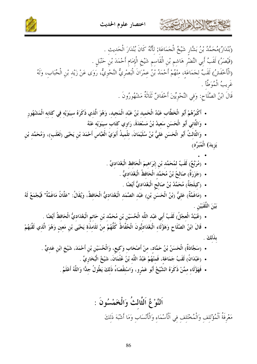

(بُنْدَارٌ)مُحَمَّدُ بْنُ بَشَّارِ شَيْخُ الْجَمَاعَة; لأَنَّهُ كَانَ بُنْدَارَ الْحَديث . (قَيْصَرُ) لَقَبُ أَبِي النَّضْرِ هَاشم بْنِ الْقَاسم شَيْخِ الْإِمَامِ أَحْمَدَ بْنِ حَنْبَلٍ . (الْأَخْفَشُ) لَقَبٌ لِجَمَاعَةِ، مِنْهُمْ أَحْمَدُ بْنُ عِمْرَانَ الْبَصْرِيُّ النَّحْوِيُّ، رَوَى عَنْ زَيْدِ بْنِ الْحُبَابِ، وَلَهُ غَرِيبُ الْمُوَطَّأُ . قَالَ ابْنُ الصَّلَاحِ: وَفي النَّحْويِّينَ أَخْفَاشٌ ثَلَاثَةٌ مَشْهُورُونَ .

- أَكْبَرُهُمْ أَبُو الْخَطَّاب عَبْدُ الْحَميد بْنُ عَبْد الْمَجيد، وَهُوَ الَّذي ذَكَرَهُ سيبَوَيْه في كتَابه الْمَشْهُور
	- وَالثَّاني أَبُو الْحَسَن سَعيدُ بْنُ مَسْعَدَةَ، رَاوِي كتَاب سيبَوَيْه عَنْهُ

• وَالثَّالثُ أَبُو الْحَسَنِ عَلِيُّ بْنُ سُلَيْمَانَ، تِلْمِيذُ أَبَوَيْ الْعَبَّاسِ أَحْمَدَ بْنِ يَحْيَى (ثَعْلَبِ)، وَمُحَمَّدِ بْنِ يَزِيدَ) الْمُبَرِّدِ)

- (مُرَبَّعٌ) لَقَبٌ لمُحَمَّد بْنِ إبْرَاهِيمَ الْحَافظ الْبَغْدَاديِّ .
	- (جَزَرَةٌ) صَالحُ بْنُ مُحَمَّد الْحَافظُ الْبَغْدَاديُّ .
		- (كيلَجَةٌ) مُحَمَّدُ بْنُ صَالَحِ الْبَغْدَاديُّ أَيْضًا .

• (مَاغَمَّةٌ) عَلِيُّ (بْنُ الْحَسَنِ بْنِ) عَبْدِ الصَّمَدِ الْبَغْدَادِيُّ الْحَافِظُ، وَيُقَالُ: "عَلَّانُ مَاغَمَّةٌ" فَيُجْمَعُ لَهُ بَيْنَ اللَّقَبَيْنِ

• (عُبَيْدٌ الْعجْلُ) لَقَبُ أَبي عَبْد اللَّه الْحُسَيْن بْن مُحَمَّد بْن حَاتم الْبَغْدَاديُّ الْحَافظُ أَيْضًا .

• قَالَ ابْنُ الصَّلَاحِ وَهَؤُلَاءِ الْبَغْدَادِيُّونَ الْحُفَّاظُ كُلُّهُمْ مِنْ تَلَامِذَةٍ يَحْيَى بْنِ مَعِينٍ وَهُوَ الَّذِي لَقَّبَهُمْ بذلكَ

- (سَجَّادَةٌ) الْحَسَنُ بْنُ حَمَّادٍ، مِنْ أَصْحَابٍ وَكِيعٍ، وَالْحُسَيْنِ بْنِ أَحْمَدَ، شَيْخِ ابْنِ عَديٍّ . • (عَبْدَانُ) لَقَبُ جَمَاعَة، فَمنْهُمْ عَبْدُ اللَّه بْنُ عُثْمَانَ، شَيْخُ الْبُخَارِيِّ .
	- فَهَؤُلَاءِ مِمَّنْ ذَكَرَهُ الشَّيْخُ أَبُو عَمْرِو، وَاسْتِقْصَاءُ ذَلِكَ يَطُولُ جِدًّا وَاللَّهُ أَعْلَمُ

اَلنَّوْ عُ اَلثَّالتُ وَالْخَمْسُونَ : مَعْرِفَةُ اَلْمُؤْتَلف وَالْمُخْتَلف في اَلْأَسْمَاء وَالْأَنْسَاب وَمَا أَشْبَهَ ذَلكَ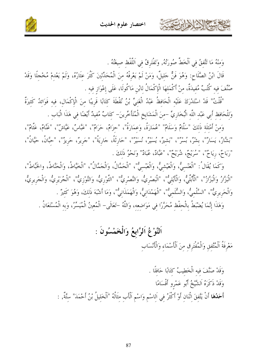اختصار علوم الحديث



وَمنْهُ مَا تَّتَّفقُ في اَلْخَطِّ صُورَتُهُ, وَتَفْتَرقُ في اَللَّفْظ صيغَتُهُ .

قَالَ ابْنُ الصَّلَاح: وَهُوَ فَنٌّ حَليلٌ، وَمَنْ لَمْ يَعْرِفْهُ منَ الْمُحَدِّثينَ كَثُرَ عِثَارُهُ، وَلَمْ يَعْدمْ مُخْجلًا وَقَدْ صُنِّفَ فِيه كُتُبٌ مُفِيدَةٌ، مِنْ أَكْمَلِهَا الْإِكْمَالُ لِابْنِ مَاكُولَا، عَلَى إعْوَازِ فِيهِ .

"قُلْتُ" قَدْ اسْتَدْرَكَ عَلَيْه الْحَافظُ عَبْدُ الْغَنيِّ بْنُ نُقْطَةَ كتَابًا قَرِيبًا منَ الْإكْمَال، فيه فَوَائدُ كَثيرَةٌ وَلِلْحَافِظِ أَبِي عَبْدِ اللَّهِ الْبُخَارِيِّ –مِنَ الْمَشَايِخِ الْمُتَأَخِّرِينَ– كِتَابٌ مُفيدٌ أَيْضًا فِي هَذَا الْبَابِ .

وَمنْ أَمْثِلَة ذَلكَ "سَلَّامٌ وَسَلَامٌ" "عُمَارَةُ، وَعمَارَةٌ"، "حزَامٌ، حَرَامٌ"، "عَبَّاسٌ، عَيَّاشٌ"، "غَنَّامٌ، عَثَّامٌ"، "بَشَّارٌ، يَسَارٌ"، بشرٌ، به معه السَّيرٌ، يُسَيرٌ، نُسَيرٌ"، "حَارِثَةٌ، جَارِيَةٌ"، "جَرِيرٌ، حَرِيزٌ"، "حبَّانُ"، حَيَّانُ"، "رَبَاحٌ، رِيَاحٌ"، "سُرَيْجٌ، شُرَيْحٌ"، "عَبَّادٌ، عُبَادٌ" وَنَحْوُ ذَلِكَ .

وَكَمَا يُقَالُ: "الْعَنْسيُّ، وَالْعَيْشيُّ، وَالْعَبْسيُّ"، "الْحَمَّالُ، وَالْجَمَّالُ"، "الْخَيَّاطُ، وَالْحَنّاطُ، والخَبّاطُ"، "الْبَزَّارُ وَالْبَزَّازُ"، "الْأُبُلِّيُّ، وَالْأَيْلِيُّ"، "الْبَصْرِيُّ، وَالنَّصْرِيُّ"، "الثَّوْرِيُّ، وَالتَّوْزِيُّ"، "الْجُرَيْرِيُّ، وَالْجَرِيرِيُّ، وَالْحَرِيرِيُّ"، "السَّلْميُّ، وَالسُّلَميُّ"، "الْهَمْدَانيُّ، وَالْهَمَذَانيُّ"، وَمَا أَشْبَهَ ذَلكَ، وَهُوَ كَثيرٌ .

وَهَذَا إِنَّمَا يُضْبَطُ بِالْحِفْظِ مُحَرَّرًا فِي مَوَاضِعِهِ، وَاللَّهُ –تَعَالَى– الْمُعينُ الْمُيَسِّرُ، وَبه الْمُسْتَعَانُ .

#### اَلنَّوْعُ اَلرَّابعُ وَالْخَمْسُونَ :

مَعْرِفَةُ اَلْمُتَّفقِ وَالْمُفْتَرِقِ مِنَ اَلْأَسْمَاءِ وَالْأَنْسَابِ

وَقَدْ صَنَّفَ فيه الْخَطِيبُ كَتَابًا حَافلًا . وَقَدْ ذَكَرَهُ اَلشَّيْخُ أَبُو عَمْرو أَقْسَامًا أَحَدُهَا أَنْ يَتَّفِقَ اثْنَانِ أَوْ أَكْثَرُ فِي اَلِاسْمِ وَاسْمِ اَلْأَبِ مِثَالُهُ "اَلْخَلِيلُ بْنُ أَحْمَدَ" سِتَّةٌ, :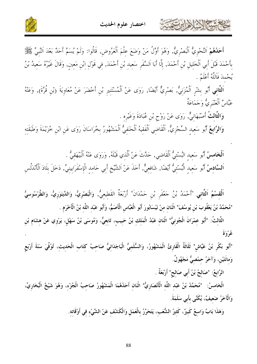



أَحَلُهُمْ النَّحْوِيُّ اَلْبَصْرِيُّ, وَهُوَ أَوَّلُ مَنْ وَضَعَ عِلْمَ اَلْعَرُوضِ, قَالُوا: وَلَمْ يُسَمَّ أحَدٌ بَعْدَ اَلنَّبِيّ ﷺ بِأَحْمَدَ قَبْلَ أَبِي اَلْخَلِيلِ بْنِ أَحْمَدَ, إِلَّا أَبَا اَلسَّفَرِ سَعِيدِ بْنِ أَحْمَدَ, فِي قَوْلِ ابْنِ مَعِينٍ, وَقَالَ غَيْرُهُ سَعِيدُ بْنُ يُحْمدَ فَاَللَّهُ أَعْلَمُ .

اَلثَّانِي أَبُو بِشْرٍ اَلْمُزَنِيُّ, بَصْرِيٌّ أَيْضًا, رَوَى عَنْ اَلْمُسْتَنِيرِ بْنِ أَحْضَرَ عَنْ مُعَاوِيَةَ (بْنِ قُرَّةَ), وَعَنْهُ عَبَّاسٌ اَلْعَنْبَرِيٌّ وَجَمَاعَةٌ

وَالظَّالثُ أَصْبَهَانِيٌّ, رَوَى عَنْ رَوْحٍ بْنِ عُبَادَةَ وَغَيْرِهِ .

حشا الأحارب

**وَالرَّابِعُ** أَبُو سَعِيدِ السِّجْزِيُّ, اَلْقَاضِي اَلْفَقِيهُ اَلْحَنَفِيُّ اَلْمَشْهُورُ بِخُرَاسَانَ رَوَى عَنِ ابْنِ خُزَيْمَةَ وَطَبَقَتِهِ

اَ**لْخَامسُ** أَبُو سَعِيدِ البُسْتِيُّ اَلْقَاضِي, حَدَّتْ عَنْ اَلَّذِي قَبْلَهُ, وَرَوَى عَنْهُ اَلْبَيْهَق<sub>ِي</sub>ُّ . اَلسَّادِسُ أَبُو سَعِيدِ الْبُسْتِيُّ أَيْضًا, شَافِعِيٌّ, أَخَذَ عَنْ اَلشَّيْخِ أَبِي حَامدِ الْإِسْفَرَايينِيٍّ, دَخَلَ بِلَادَ اَلْأَنْدَلُسِ

اَلْقِسْمُ اَلثَّانِي "أَحْمَدُ بْنُ حَعْفَرِ بْنِ حَمْدَانَ" أَرْبَعَةٌ القَطِيعِيُّ, وَالْبَصْرِيُّ، وَالدِّينَوَرِيُّ، وَالطَّرْسُوسيُّ "مُحَمَّدُ بْنُ يَعْقُوبَ بْنِ يُوسُفَ" اثْنَان منْ نَيْسَابُورَ أَبُو الْعَبَّاس الْأَصَمُّ، وَأَبُو عَبْد اللّه بْنُ الْأَخْرَم .

الثَّالِثُ: "أَبُو عِمْرَانَ الْجُونِيُّ" اثْنَانِ عَبْدُ الْمَلِكِ بْنُ حَبِيبٍ، تَابِعِيٌّ، وَمُوسَى بْنُ سَهْلٍ، يَرْوِي عَنْ هِشَامِ بْنِ عُهْ وَفَ

"أَبُو بَكْرٍ بْنُ عَيَّاشٍ" ثَلَاثَةٌ الْقَارِئُ الْمَشْهُورُ، وَالسُّلَمِيُّ الْبَاجَدَائِيُّ صَاحِبُ كَتَاب الْحَديثِ، تُوُفِّيَ سَنَةَ أَرْبَعِ وَمانَتَيْنِ، وَآخَرُ حمْصيٌّ مَجْهُولٌ.

الرَّابعُ: "صَالِحُ بْنُ أَبِي صَالِحٍ" أَرْبَعَةٌ .

الْخَامِسُ: "مُحَمَّدُ بْنُ عَبْدِ اللَّهِ الْأَنْصَارِيُّ" اثْنَان أَحَدُهُمَا الْمَشْهُورُ صَاحِبُ الْجُزْءِ، وَهُوَ شَيْخُ الْبُخَارِيِّ، وَالْآخَرُ ضَعِيفٌ، يُكَنَّى بأَبي سَلَمَةَ.

وَهَذَا بَابٌ وَاسِعٌ كَبِيرٌ، كَثِيرُ الشُّعَبِ، يَتَحَرَّرُ بِالْعَمَلِ وَالْكَشْفِ عَنْ الشَّيْءِ فِي أَوْقَاتِهِ.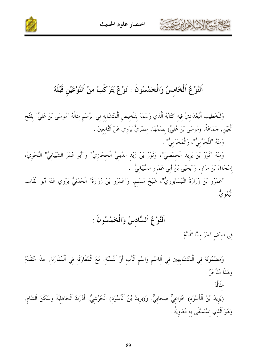

اختصار علوم الحديث



اَلنَّوْعُ اَلْخَامسُ وَالْخَمْسُونَ : نَوْعٌ يَتَرَكَّبُ منْ اَلنَّوْعَيْنِ قَبْلَهُ

وَللْخَطِيبِ اَلْبَغْدَادِيٍّ فِيهِ كِتَابُهُ اَلَّذِي وَسَمَهُ بِتَلْخِيصِ اَلْمُتَشَابِهِ فِي اَلرَّسْمِ مِثَالُهُ "مُوسَى بْنُ عَلِيٍّ" بِفَتْحِ ٱلْعَيْنِ, حَمَاعَةٌ, (مُوسَى بْنُ عُلَيٍّ) بِضَمِّهَا, مِصْرِيٌّ يَرْوِي عَنْ اَلتَّابِعِينَ . وَمِنْهُ "الْمُحَرَّمِيُّ"، وَالْمَخْرَمِيُّ" . وَمِنْهُ "تُورْ بْنُ يَزِيدَ الْحِمْصِيُّ"، وَتُورْ بْنُ زَيْدِ الدِّيلِيُّ الْحِجَازِيُّ" وَ"أَبُو عُمَرَ الشَّيْبَانِيُّ" النَّحْوِيُّ،

إسْحَاقُ بْنُ مرَارٍ، وَ"يَحْيَى بْنُ أَبِي عَمْرِو السَّيْبَانِيُّ" .

"عَمْرُو بْنُ زُرَارَةَ النَّيْسَابُورِيٌّ"، شَيْخُ مُسْلِمٍ، وَ"عَمْرُو بْنُ زُرَارَةَ" الْحَدَثِيُّ يَرْوِي عَنْهُ أَبُو الْقَاسِمِ الْبَغَوِيٌّ .

#### اَلنَّوْغُ اَلسَّادسُ وَالْخَمْسُونَ :

في صِنْفِ آخَرَ مِمَّا تَقَلَّمَ

وَمَضْمُونُهُ فِي اَلْمُتَشَابِهِينَ فِي اَلِاسْمِ وَاسْمِ اَلْأَبِ أَوْ اَلنِّسْبَةِ, مَعَ اَلْمُفَارَقَةِ فِي اَلْمُقَارَنَةِ, هَذَا مُتَقَلِّمٌ وَهَلْهَا مُتَأْخِرٌ .

مثَالُهُ

(يَزِيدُ بْنُ اَلْأَسْوَدِ) خُزَاعِيٌّ صَحَابِيٌّ, وَ(يَزِيدُ بْنُ اَلْأَسْوَدِ) الْجُرْشِيُّ, أَدْرَكَ اَلْحَاهِلِيَّةَ وَسَكَنَ اَلشَّامِ, وَهُوَ اَلَّذي اسْتَسْقَى به مُعَاوِيَةُ .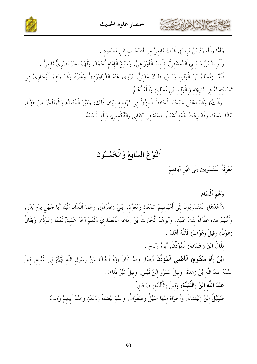

وَأَمَّا (اَلْأَسْوَدُ بْنُ يَزِيدَ), فَذَاكَ تَابعيٌّ منْ أَصْحَاب ابْن مَسْعُود . (اَلْوَليدُ بْنُ مُسْلمٍ) اَلدِّمَشْقيُّ, تلْميذُ اَلْأَوْزَاعيِّ, وَشَيْخُ اَلْإِمَام أَحْمَدَ, وَلَهُمْ آخَرُ بَصْريٌّ تَابعيٌّ . فَأَمَّا (مُسْلمُ بْنُ اَلْوَليد رَبَاحٌ) فَذَاكَ مَدَنيٌّ, يَرْوي عَنْهُ الدَّرَاوَرْديُّ وَغَيْرُهُ وَقَدْ وَهمَ اَلْبُخاريُّ في تَسْمِيَتِهِ لَهُ فِي تَارِيخِهِ (بِالْوَلِيدِ بْنِ مُسْلِمٍ) وَاَللَّهُ أَعْلَمُ .

(قُلْتُ) وَقَدْ اعْتَنَى شَيْخُنَا الْحَافظُ الْمزِّيُّ في تَهْذيبِهِ بِبَيَانِ ذَلِكَ، وَمَيَّزَ الْمُتَقَدِّمَ وَالْمُتَأَخَّرَ مِنْ هَؤُلَاءِ بَيَانًا حَسَنًا، وَقَدْ زِدْتُ عَلَيْه أَشْيَاءَ حَسَنَةً فِي كِتَابِي (التَّكْمِيلِ) وَلِلَّهِ الْحَمْدُ .

#### اَلنَّوْغُ اَلسَّابِعُ وَالْخَمْسُونَ

مَعْرِفَةُ اَلْمَنْسُوبينَ إِلَى غَيْرِ آبَائهمْ

STAN NEWS

#### وَهُمْ أَقْسَام

(أَحَدُهَا) اَلْمَنْسُوبُونَ إِلَى أُمَّهَاتِهِمْ كَمُعَاذِ وَمُعَوِّذٍ, ابْنَيْ (عَفْرَاءَ), وَهُمَا اَللَّذَان أَثْبَتَا أَبَا جَهْلٍ يَوْمَ بَدْرٍ, وَأُمُّهُمْ هَذِهِ عَفْرَاءُ بِنْتُ عُبَيْدٍ, وَأَبُوهُمْ اَلْحَارِثُ بْنُ رِفَاعَةَ اَلْأَنْصَارِيٌّ وَلَهُمْ آخَرُ شَقِيقٌ لَهُمَا (عَوْذٌ), وَيُقَالُ (عَوْنٌ) وَقَيلَ (عَوْفٌ) فَاَللَّهُ أَعْلَمُ .

بِلَالُ ابْنُ (حَمَامَةَ) اَلْمُؤَذِّنُ, أَبُوهُ رَبَاحٌ .

ابْنُ (أُمِّ مَكْتُومِ) اَلْأَعْمَى اَلْمُؤَذِّنُ أَيْضًا, وَقَدْ كَانَ يَؤُمُّ أَحْيَانًا عَنْ رَسُولِ اَللّه ﷺ في غَيْبَته, قِيلَ اسْمُهُ عَبْدُ اللَّهِ بْنُ زَائِدَةَ, وَقِيلَ عَمْرُو ابْنُ قَيْسٍ, وَقِيلَ غَيْرُ ذَلِكَ .

عَبْدُ اللَّه ابْنُ (اللُّتَبِيِّة) وَقِيلَ (الْأُتْبِيَّة) صَحَابِيٌّ .

سُهَيْلُ ابْنُ (بَيْضَاءَ) وَأَخَوَاهُ منْهَا سَهْلٌ وَصَفْوَانُ, وَاسْمُ بَيْضَاءَ (دَعْلٌ) وَاسْمُ أبيهمْ وَهْبٌ .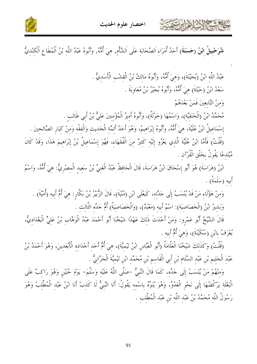



شُرَحْبِيلُ ابْنُ (حَسَنَةَ) أَحَدُ أُمَرَاءِ اَلصَّحَابَةِ عَلَى اَلشَّأْم, هِيَ أُمُّهُ, وَأَبُوهُ عَبْدُ اللّهِ بْنُ اَلْمُطَاعِ اَلْكِنْدِيُّ

عَبْدُ اللَّه ابْنُ (بُحَيْنَةَ)، وَهيَ أُمُّهُ، وَأَبُوهُ مَالكُ بْنُ الْقشْبِ الْأَسَديُّ . سَعْدُ ابْنُ (حَبَّتَةَ) هِيَ أُمُّهُ، وَأَبُوهُ بُجَيْرٌ بْنُ مُعَاوِيَةَ .

وَمنْ التَّابِعينَ فَمَنْ بَعْدَهُمْ

كالحمشة الأخ لأدائرت

مُحَمَّدُ ابْنُ (الْحَنَفيَّة)، وَاسْمُهَا (حَوْلَةُ)، وَأَبُوهُ أَميرُ الْمُؤْمِنِينَ عَلِيُّ بْنُ أَبِي طَالب

إِسْمَاعِيلُ ابْنُ عُلَيَّةَ، هيَ أُمُّهُ، وَأَبُوهُ إبْرَاهِيمُ، وَهُوَ أَحَدُ أَئمَّة الْحَدِيثِ وَالْفقْهِ وَمِنْ كِبَارِ الصَّالِحِينَ .

(قُلْتُ) فَأَمَّا ابْنُ عُلَيَّةَ الَّذِي يَعْزُو إِلَيْهِ كَثِيرٌ مِنَ الْفُقَهَاءِ، فَهُوَ إِسْمَاعِيلُ بْنُ إبْرَاهِيمَ هَذَا، وَقَدْ كَانَ مُبْتَدعًا يَقُولُ بخلْقِ الْقُرْآنِ .

ابْنُ (هَرَاسَةَ) هُوَ أَبُو إِسْحَاقَ ابْنُ هَرَاسَةَ، قَالَ الْحَافِظُ عَبْدُ الْغَنِيِّ بْنُ سَعِيدِ الْمصْرِيُّ: هِيَ أُمُّهُ، وَاسْمُ أبيه (سَلَمَةٌ) .

وَمِنْ هَؤُلَاءِ مَنْ قَدْ يُنْسَبُ إِلَى حَدَّتِهِ، كَيَعْلَى ابْنِ (مُنْيَةَ)، قَالَ الزُّبيرُ بْنُ بَكَّارٍ: هِيَ أُمُّ أَبيه (أُمَيَّةَ) . وَبَشِيرُ ابْنُ (الْخَصَاصِيَةِ): اسْمُ أَبِيهِ (مَعْبَدٌ)، (وَالْخَصَاصِيَةُ) أُمُّ حَلِّه الثَّالث .

قَالَ الشَّيْخُ أَبُو عَمْرِو: وَمَنْ أَحْدَثَ ذَلِكَ عَهْدًا شَيْخُنَا أَبُو أَحْمَدَ عَبْدُ الْوَهَّاب بْنُ عَلِيٍّ الْبَغْدَادِيُّ، يُعْرَفُ بابْنِ (سُكَيْنَةَ)، وَهيَ أُمُّ أَبِيهِ .

(قُلْتُ) وَكَذَلِكَ شَيْخُنَا الْعَلَّامَةُ (أَبُو الْعَبَّاسِ ابْنُ تَيْميَّةَ)، هِيَ أُمُّ أَحَد أَجْدَاده الْأَبْعَدينَ، وَهُوَ أَحْمَدُ بْنُ عَبْدِ الْحَلِيمِ بْنِ عَبْدِ السَّلَامِ بْنِ أَبِي الْقَاسِمِ بْنِ مُحَمَّد ابْنِ تَيْمِيَّةَ الْحَرَّانِيُّ .

وَمنْهُمْ مَنْ يُنْسَبُ إِلَى حَلِّه، كَمَا قَالَ النَّبيُّ –صَلَّى اللَّهُ عَلَيْه وَسَلَّمَ– يَوْمَ حُنَيْن وَهُوَ رَاكبٌ عَلَى الْبَغْلَة يَرْكُضُهَا إِلَى نَحْوِ الْعَدُوِّ، وَهُوَ يُنَوِّهُ باسْمه يَقُولُ: أَنَا النَّبِيُّ لَا كَذبْ أَنَا ابْنُ عَبْد الْمُطَّلبْ وَهُوَ رَسُولُ اللَّه مُحَمَّدُ بْنُ عَبْدِ اللَّه بْنِ عَبْدِ الْمُطَّلبِ .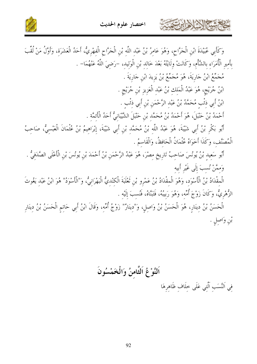

كالحمشة الخالة الخابرت



وَكَأَبِي عُبَيْدَةَ ابْنِ الْجَرَّاحِ، وَهُوَ عَامِرُ بْنُ عَبْدِ اللَّهِ بْنِ الْجَرَّاحِ الْفِهْرِيُّ، أَحَدُ الْعَشَرَةِ، وَأَوَّلُ مَنْ لُقَّبَ بأَمير الْأُمَرَاء بالشَّأْم، وَكَانَتْ ولَايَتُهُ بَعْدَ خَالد بْنِ الْوَليد، –رَضيَ اللَّهُ عَنْهُمَا– . مُحَمَّعُ ابْنُ حَارِيَةَ، هُوَ مُحَمَّعُ بْنُ يَزِيدَ ابْنِ حَارِيَةَ . ابْنُ جُرَيْجٍ، هُوَ عَبْدُ الْمَلِكِ بْنُ عَبْدِ الْعَزِيزِ بْنِ جُرَيْجٍ . ابْنُ أَبِي ذَنَّبِ مُحَمَّدُ بْنُ عَبْدِ الرَّحْمَنِ بْنِ أَبِي ذَنْبٍ . أَحْمَدُ بْنُ حَنْبَلَ، هُوَ أَحْمَدُ بْنُ مُحَمَّد بْنِ حَنْبَلَ الشَّيْبَانِيُّ أَحَدُ الْأَئمَّة . أَبُو بَكْرٍ بْنُ أَبِي شَيْبَةَ، هُوَ عَبْدُ اللَّه بْنُ مُحَمَّد بْنِ أَبِي شَيْبَةَ، إبْرَاهيمُ بْنُ عُثْمَانَ الْعَبْسيُّ، صَاحبُ الْمُصَنَّف، وَكَذَا أَخَوَاهُ عُثْمَانُ الْحَافظُ، وَالْقَاسمُ . أَبُو سَعِيدِ بْنُ يُونُسَ صَاحِبُ تَارِيخِ مِصْرَ، هُوَ عَبْدُ الرَّحْمَنِ بْنُ أَحْمَدَ بْنِ يُونُسَ بْن الْأَعْلَى الصَّدَفيُّ . وَممَّنْ نُسبَ إِلَى غَيْرِ أَبِيه الْمِقْدَادُ بْنُ الْأَسْوَدِ، وَهُوَ الْمِقْدَادُ بْنُ عَمْرِو بْنِ تَعْلَبَةَ الْكِنْدِيُّ الْبَهْرَانِيُّ، وَ"الْأَسْوَدُ" هُوَ ابْنُ عَبْد يَغُوثَ الزُّهْرِيُّ، وَكَانَ زَوْجَ أُمِّه، وَهُوَ رَبِيبُهُ، فَتَبَنَّاهُ، فَنُسبَ إِلَيْهِ . الْحَسَنُ بْنُ دِينَارٍ، هُوَ الْحَسَنُ بْنُ وَاصِلِ، وَ"دِينَارٌ" زَوْجُ أُمِّهِ، وَقَالَ ابْنُ أَبِي حَاتِمِ الْحَسَنُ بْنُ دِينَارِ ْبْنِ وَاصِلٍ .

اَلنَّوْ عُ اَلثَّامنُ وَالْخَمْسُونَ في اَلنَّسَب اَلَّتي عَلَى خلَاف ظَاهرهَا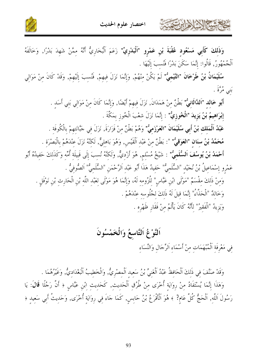

وَذَلكَ كَأَبِي مَسْعُودٍ عُقْبَةَ بْنِ عَمْرِو "اَلْبَدْرِيٍّ" زَعَمَ اَلْبُخَارِيُّ أَنَّهُ مِمَّنْ شَهِدَ بَدْرًا, وَخَالَفَهُ ٱلْحُمْهُورُ, قَالُوا: إِنَّمَا سَكَنَ بَدْرًا فَنُسبَ إِلَيْهَا .

سُلَيْمَانُ بْنُ طَرْخَانَ "التَّيْمِيُّ" لَمْ يَكُنْ مِنْهُمْ, وَإِنَّمَا نَزَلَ فِيهِمْ, فَنُسِبَ إِلَيْهِمْ, وَقَدْ كَانَ مِنْ مَوَالِي به موسىً<br>بنبي مرة .

أَبُو خَالِدِ "اَلذَّالَانِيٌّ" بَطْنٌ مِنْ هَمَدَانَ, نَزَلَ فِيهِمْ أَيْضًا, وَإِنَّمَا كَانَ مِنْ مَوَالِي بَنِي أَسَدِ . إِبْرَاهِيمُ بْنُ يَزِيدَ "الْخُوزِيُّ" : إِنَّمَا نَزَلَ شِعْبَ الْخُوزِ بِمَكَّةَ . عَبْدُ اَلْمَلك بْنُ أَبِي سُلَيْمَانَ "العَرْزَميُّ" وَهُمْ بَطْنٌ منْ فَزَارَةَ, نَزَلَ في جَبَّانَتهمْ بالْكُوفَة . مُحَمَّدُ بْنُ سنَانِ "العَوَقِيُّ" ": بَطْنٌ مِنْ عَبْدِ اَلْقَيْسِ, وَهُوَ بَاهِلِيٌّ, لَكِنَّهُ نَزَلَ عنْدَهُمْ بِالْبَصْرَةِ . أَحْمَلُ بْنُ يُوسُفَ اَلسُّلَميٌّ" : شَيْخُ مُسْلم, هُوَ أَرْديٌّ, وَلَكنَّهُ نُسبَ إلَى قَبيلَة أُمِّه وَكَذَلكَ حَفيدُهُ أَبُو عَمْرو إسْمَاعيلُ بْنُ نُجَيْد "السُّلَميُّ" حَفيدُ هَذَا أَبُو عَبْد اَلرَّحْمَنِ "السُّلَميُّ" اَلصُّوفيُّ . وَمِنْ ذَلِكَ مقْسَمٌ "مَوْلَى ابْنِ عَبَّاسٍ" لِلْزُومِه لَهُ، وَإِنَّمَا هُوَ مَوْلَى لِعَبْدِ اللَّهِ بْنِ الْحَارِثِ بْنِ نَوْفَلِ . وَخَالِدٌ "الْحَذَّاءُ" إِنَّمَا قِيلَ لَهُ ذَلكَ لجُلُوسه عنْدَهُمْ . وَيَزِيدُ "الْفَقِيرُ" لِأَنَّهُ كَانَ يَأْلَمُ مِنْ فَقَارِ ظَهْرِهِ .

### اَلنَّوْغُ اَلتَّاسعُ وَالْخَمْسُونَ

فِي مَعْرِفَةِ اَلْمُبْهَمَاتِ مِنْ أَسْمَاءِ اَلرِّجَالِ وَالنِّسَاء

الاشكالا الأارتقى

وَقَدْ صَنَّفَ في ذَلكَ اَلْحَافظُ عَبْدُ اَلْغَنيِّ بْنُ سَعيد اَلْمصْريُّ, وَالْخَطيبُ اَلْبَغْدَاديُّ, وَغَيْرُهُمَا . وَهَذَا إِنَّمَا يُسْتَفَادُ منْ روَايَة أُخْرَى منْ طُرُق اَلْحَديث, كَحَديث ابْن عَبَّاس ﴿ أَنَّ رَجُلًا قَالَ: يَا رَسُولَ اَللَّهِ, اَلْحَجُّ كُلَّ عَامٍ? ﴾ هُوَ اَلْأَقْرَعُ بْنُ حَابِسٍ, كَمَا جَاءَ فِي رِوَايَةٍ أُخْرَى, وَحَدِيثُ أَبِي سَعِيدٍ ﴿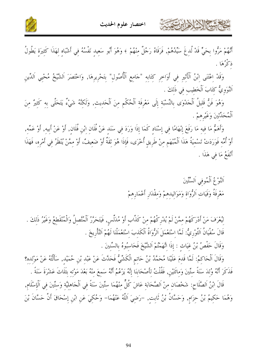



أَنَّهُمْ مَرُّوا بِحَيٍّ قَدْ لُدِغَ سَيِّدُهُمْ, فَرَقَاهُ رَجُلٌ مِنْهُمْ ﴾ وَهُوَ أَبُو سَعِيدِ نَفْسُهُ فِي أَشْبَاهٍ لِهَذَا كَثِيرَةٍ يَطُولُ ذكْرُهَا .

وَقَدْ اِعْتَنَى ابْنُ اَلْأَثِيرِ فِي أَوَاخِرِ كِتَابِهِ "جَامِعِ اَلْأُصُولِ" بِتَحْرِيرِهَا, وَاخْتَصَرَ اَلشَّيْخُ مُحْيِي اَلدِّينِ اَلنَّوَويُّ كتَابَ اَلْخَطِيبِ في ذَلكَ .

وَهُوَ فَنُّ قَلِيلُ اَلْجَدْوَى بِالنِّسْبَةِ إِلَى مَعْرِفَةِ اَلْحُكْمِ مِنَ اَلْحَدِيثِ, وَلَكِنَّهُ شَيْءٌ يَتَحَلَّى بِهِ كَثِيرٌ مِنَ اَلْمُحَدِّثِينَ وَغَيْرِهِمْ .

وَأَهَمُّ مَا فِيهِ مَا رَفَعَ إِبْهَامًا فِي إِسْنَادٍ كَمَا إِذَا وَرَدَ فِي سَنَدِ عَنْ فُلَانِ ابْنِ فُلَان, أَوْ عَنْ أبيه, أَوْ عَمِّه, أَوْ أُمِّهِ فَوَرَدَتْ تَسْمِيَةُ هَذَا اَلْمُبْهَمِ مِنْ طَرِيقِ أُخْرَى، فَإِذَا هُوَ ثِقَةٌ أَوْ ضَعِيفٌ، أَوْ مِمَّنْ يُنْظَرُ فِي أَمْرِهِ، فَهَذَا أَنْفَعُ مَا في هَذَا .

> اَلنَّوْعُ اَلْمُوفى اَلسِّتِّينَ مَعْرِفَةُ وَفَيَاتِ اَلرُّوَاةِ وَمَوَالِيدِهِمْ وَمِقْدَارِ أَعْمَارِهِمْ

كالحشم الأزلاء تتمتع

لِيُعْرَفَ مَنْ أَدْرَكَهُمْ مِمَّنْ لَمْ يُدْرِكْهُمْ مِنْ كَذَّابٍ أَوْ مُدَلِّسٍ, فَيَتَحَرَّرُ اَلْمُتَّصِلُ وَالْمُنْقَطِعُ وَغَيْرُ ذَلِكَ . قَالَ سُفْيَانُ اَلتَّوْرِيُّ: لَمَّا اِسْتَعْمَلَ اَلرُّوَاةُ اَلْكَذبَ اسْتَعْمَلْنَا لَهُمْ اَلتَّأْرِيخَ . وَقَالَ حَفْصُ بْنُ غيَات : إذَا اتَّهَمْتُمْ اَلشَّيْخَ فَحَاسِبُوهُ بالسِّنينَ .

وَقَالَ اَلْحَاكِمُ: لَمَّا قَدِمَ عَلَيْنَا مُحَمَّدُ بْنُ حَاتِمِ الْكَشِّيُّ فَحَدَّثَ عَنْ عَبْدِ بْنِ حُمَيْدِ, سَأَلْتُهُ عَنْ مَوْلِده؟ فَذَكَرَ أَنَّهُ وُلدَ سَنَةً ستِّينَ وَماتَتَيْنِ, فَقُلْتُ لِأَصْحَابِنَا إِنَّهُ يَزْعُمُ أَنَّهُ سَمعَ منْهُ بَعْدَ مَوْتِه بِثَلَاثَ عَشْرَةَ سَنَةً .

قَالَ ابْنُ اَلصَّلَاحٍ: شَخْصَان منْ اَلصَّحَابَة عَاشَ كُلٌّ منْهُمَا ستِّينَ سَنَةً في اَلْجَاهليَّة وَستّينَ في اَلْإسْلَام, وَهُمَا حَكِيمُ بْنُ حِزَامٍ, وَحَسَّانُ بْنُ ثَابِتٍ, –رَضِيَ اَللَّهُ عَنْهُمَا– وَحُكِيَ عَنِ ابْنِ إسْحَاقَ أَنَّ حَسَّانَ بْنَ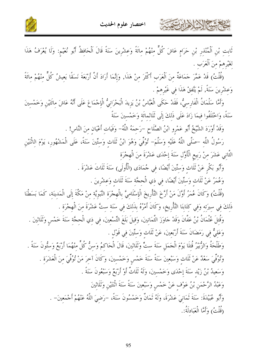

كالحمشة الأخ لأدائرت



تَابِتِ بْنِ اَلْمُنْذِرِ بْنِ حَرَامٍ عَاشَ كُلٌّ مِنْهُمْ مِائَةً وَعِشْرِينَ سَنَةً قَالَ اَلْحَافِظُ أَبُو نُعَيْمٍ: وَلَا يُعْرَفُ هَذَا لغَيْرهمْ منَ اَلْعَرَب .

(قُلْتُ) قَدْ عَمَّرَ حَمَاعَةٌ مِنَ اَلْعَرَبِ أَكْثَرَ مِنْ هَذَا, وَإِنَّمَا أَرَادَ أَنَّ أَرْبَعَةَ نَسَقًا يَعِيشُ كُلٌّ مِنْهُمْ مِائَةً وَعشْرِينَ سَنَةً, لَمْ يَتَّفقْ هَذَا فِي غَيْرِهِمْ .

وَأَمَّا سَلْمَانُ الْفَارسيُّ، فَقَدْ حَكَى الْعَبَّاسُ بْنُ يَزِيدَ الْبَحْرَانِيُّ الْإِجْمَاعَ عَلَى أَنَّهُ عَاشَ مِائَتَيْنِ وَخَمْسِينَ سَنَةً، وَاحْتَلَفُوا فِيمَا زَادَ عَلَى ذَلِكَ إِلَى ثَلَاثِمائَة وَخَمْسينَ سَنَةً

وَقَدْ أَوْرَدَ الشَّيْخُ أَبُو عَمْرو ابْنُ الصَّلَاحِ –رَحمَهُ اللَّهُ– وَفَيَات أَعْيَان منَ النَّاس! .

رَسُولُ اللَّه –صَلَّى اللَّهُ عَلَيْهِ وَسَلَّمَ– تُوُفِّيَ وَهُوَ ابْنُ ثَلَاثٍ وَستِّينَ سَنَةً، عَلَى الْمَشْهُورِ، يَوْمَ الاثْنَيْنِ الثَّانِي عَشَرَ مِنْ رَبِيعِ الْأَوَّلِ سَنَةَ إِحْدَى عَشْرَةَ مِنَ الْهِجْرَةِ

> وَأَبُو بَكْرٍ عَنْ ثَلَاثٍ وَستِّينَ أَيْضًا، في جُمَادَى (الْأُولَى) سَنَةَ ثَلَاثَ عَشْرَةَ . وَعُمَرُ عَنْ ثَلَاثٍ وَسَتِّينَ أَيْضًا، في ذي الْحجَّة سَنَةَ ثَلَاثٍ وَعشْرِينَ .

(قُلْتُ) وَكَانَ عُمَرُ أَوَّلَ مَنْ أَرَّخَ التَّأْرِيخَ الْإِسْلَاميَّ بِالْهِجْرَة النَّبَويَّة منْ مَكَّةَ إلَى الْمَدينَة، كَمَا بَسَطْنَا ذَلكَ في سيرَته وَفي كتَابنَا التَّأْريخ، وَكَانَ أَمْرُهُ بذَلكَ في سَنَة ستَّ عَشْرَةَ منَ الْهجْرَة .

وَقُتلَ عُثْمَانُ بْنُ عَفَّانَ وَقَدْ حَاوَزَ الثَّمَانينَ، وَقيلَ بَلَغَ التِّسْعِينَ، فِي ذِي الْحِجَّةِ سَنَةَ خَمْسٍ وَثَلَاثِينَ . وَعَلَيٌّ في رَمَضَانَ سَنَةَ أَرْبَعينَ، عَنْ ثَلَاث وَستِّينَ في قَوْل .

وَطَلْحَةُ وَالزُّبَيْرُ قُتِلَا يَوْمَ الْجَمَلِ سَنَةَ سِتٍّ وَثَلَاثِينَ، قَالَ الْحَاكِمُ وَسِنُّ كُلِّ مِنْهُمَا أَرْبَعُ وَستُّونَ سَنَةً . وَتُوُفِّيَ سَعْلٌ عَنْ ثَلَاثٍ وَسَبْعِينَ سَنَةً سَنَةَ خَمْسٍ وَخَمْسِينَ، وَكَانَ آخِرَ مَنْ تُوُفِّيَ مِنَ الْعَشَرَةِ . وَسَعِيدُ بْنُ زَيْدِ سَنَةَ إِحْدَى وَخَمْسِينَ، وَلَهُ ثَلَاتٌ أَوْ أَرْبَعٌ وَسَبْعُونَ سَنَةً . وَعَبْدُ الرَّحْمَنِ بْنُ عَوْفٍ عَنْ خَمْسٍ وَسَبْعِينَ سَنَةً سَنَةَ اتْنَتَيْنِ وَثَلَاثِينَ وَأَبُو عُبَيْدَةَ: سَنَةَ ثَمَانيَ عَشْرَةَ، وَلَهُ ثَمَانٌ وَخَمْسُونَ سَنَةً، -رَضيَ اللَّهُ عَنْهُمْ أَجْمَعينَ- . (قُلْتُ) وَأَمَّا الْعَبَادَلَةُ:.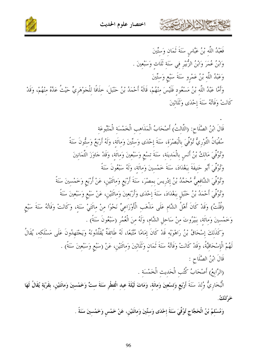



وَأَمَّا عَبْدُ اللَّه بْنُ مَسْعُود فَلَيْسَ مِنْهُمْ، قَالَهُ أَحْمَدُ بْنُ حَنْبَلَ، حِلَافًا لِلْجَوْهَرِيّ حَيْثُ عَدَّهُ مِنْهُمْ، وَقَدْ كَانَتْ وَفَاتُهُ سَنَةَ إحْدَى وَثَلَاثِينَ

قَالَ ابْنُ الصَّلَاح: (الثَّالثُ) أَصْحَابُ الْمَذَاهب الْخَمْسَة الْمَتْبُوعَة سُفْيَانُ التَّوْرِيُّ تُوُفِّيَ بِالْبَصْرَة، سَنَةَ إِحْدَى وَستِّينَ وَمائَة، وَلَهُ أَرْبَعٌ وَستُّونَ سَنَةً وَتُوُفِّيَ مَالِكُ بْنُ أَنَسٍ بِالْمَدِينَةِ، سَنَةَ تِسْعِ وَسَبْعِينَ وَمِائَةٍ، وَقَدْ حَاوَزَ التَّمَانِينَ وَتُوْفِّيَ أَبُو حَنِيفَةَ بَبَغْدَادَ، سَنَةَ خَمْسينَ وَمائَة، وَلَهُ سَبْعُونَ سَنَةً وتُوْفِّيَ الشَّافِعِيُّ مُحَمَّدُ بْنُ إِدْرِيسَ بِمصْرَ، سَنَةَ أَرْبَعٍ وَمائَتَيْنِ، عَنْ أَرْبَعٍ وَخَمْسينَ سَنَةً وْتُوْفِّيَ أَحْمَدُ بْنُ حَنْبَلِ بِبَغْدَادَ، سَنَةَ إِحْدَى وَأَرْبَعِينَ وَمائَتَيْنِ، عَنْ سَبْع وَسَبْعينَ سَنَةً (قُلْتُ) وَقَدْ كَانَ أَهْلُ الشَّام عَلَى مَذْهَب الْأَوْزَاعيِّ نَحْوًا منْ مائَتَيْ سَنَة، وَكَانَتْ وَفَاتُهُ سَنَةَ سَبْع وَخَمْسينَ وَمائَة، بَبَيْرُوتَ منْ سَاحلِ الشَّامِ، وَلَهُ منَ الْعُمُرِ (سَبْعُونَ سَنَةً) .

وَكَذَلِكَ إِسْحَاقُ بْنُ رَاهْوَيْهِ قَدْ كَانَ إِمَامًا مُتَّبَعًا، لَهُ طَائفَةٌ يُقَلِّدُونَهُ وَيَجْتَهدُونَ عَلَى مَسْلَكه، يُقَالُ لَهُمْ الْإِسْحَاقِيَّةُ، وَقَدْ كَانَتْ وَفَاتُهُ سَنَةَ ثَمَانٍ وَثَلَاثِينَ وَمِائَتَيْنِ، عَنْ (سَبْع وَسَبْعينَ سَنَةً) .

قَالَ ابْنُ الصَّلَاحِ :

(الرَّابعُ) أَصْحَابُ كُتُب الْحَديث الْخَمْسَة .

الْبُخَارِيُّ وُلِدَ سَنَةَ أَرْبَعٍ وَتِسْعِينَ وَمِائَةٍ، وَمَاتَ لَيْلَةَ عِيدِ الْفِطْرِ سَنَةَ سِتٍّ وَخَمْسِينَ وَمِائَتَيْنِ، بِقَرْيَةٍ يُقَالُ لَهَا خَرْتَنْكُ.

وَمُسْلمُ بْنُ الْحَجَّاجِ تُوُفِّيَ سَنَةَ إحْلَى وَستِّينَ وَمائَتَيْن، عَنْ خَمْس وَخَمْسينَ سَنَةً .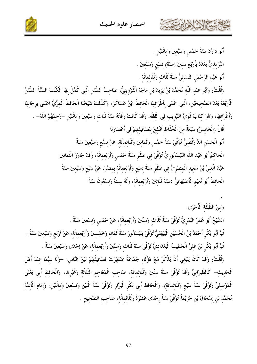



$$
s_{1} \ldots s_{n} \qquad s_{n} \qquad s_{n} \qquad s_{n} \qquad s_{n} \qquad s_{n} \qquad s_{n} \qquad s_{n} \qquad s_{n} \qquad s_{n} \qquad s_{n} \qquad s_{n} \qquad s_{n} \qquad s_{n} \qquad s_{n} \qquad s_{n} \qquad s_{n} \qquad s_{n} \qquad s_{n} \qquad s_{n} \qquad s_{n} \qquad s_{n} \qquad s_{n} \qquad s_{n} \qquad s_{n} \qquad s_{n} \qquad s_{n} \qquad s_{n} \qquad s_{n} \qquad s_{n} \qquad s_{n} \qquad s_{n} \qquad s_{n} \qquad s_{n} \qquad s_{n} \qquad s_{n} \qquad s_{n} \qquad s_{n} \qquad s_{n} \qquad s_{n} \qquad s_{n} \qquad s_{n} \qquad s_{n} \qquad s_{n} \qquad s_{n} \qquad s_{n} \qquad s_{n} \qquad s_{n} \qquad s_{n} \qquad s_{n} \qquad s_{n} \qquad s_{n} \qquad s_{n} \qquad s_{n} \qquad s_{n} \qquad s_{n} \qquad s_{n} \qquad s_{n} \qquad s_{n} \qquad s_{n} \qquad s_{n} \qquad s_{n} \qquad s_{n} \qquad s_{n} \qquad s_{n} \qquad s_{n} \qquad s_{n} \qquad s_{n} \qquad s_{n} \qquad s_{n} \qquad s_{n} \qquad s_{n} \qquad s_{n} \qquad s_{n} \qquad s_{n} \qquad s_{n} \qquad s_{n} \qquad s_{n} \qquad s_{n} \qquad s_{n} \qquad s_{n} \qquad s_{n} \qquad s_{n} \qquad s_{n} \qquad s_{n} \qquad s_{n} \qquad s_{n} \qquad s_{n} \qquad s_{n} \qquad s_{n} \qquad s_{n} \qquad s_{n} \qquad s_{n} \qquad s_{n} \qquad s_{n} \qquad s_{n} \qquad s_{n} \qquad s_{n} \qquad s_{n} \qquad s_{n} \qquad s_{n} \qquad s_{n} \qquad s_{n} \qquad s_{n} \qquad s_{n} \qquad s_{n} \qquad s_{n} \qquad s_{n
$$

فشكالا الأليان

أَبُو دَاوُدَ سَنَةَ خَمْسٍ وَسَبْعِينَ وَمِائَتَيْنِ . التِّرْمليُّ بَعْدَهُ بأَرْبَع سنينَ (سَنَةَ) تسْع وَسَبْعينَ . أَبُو عَبْد الرَّحْمَنِ النَّسَائيُّ سَنَةَ ثَلَاث وَثَلَاثمائَة .

(قُلْتُ) وَأَبُو عَبْد اللَّه مُحَمَّدُ بْنُ يَزِيدَ بْنِ مَاجَهْ الْقَرْوِينيُّ، صَاحبُ السُّنَنِ الَّتي كَمَّلَ بهَا الْكُتُبَ السَّنَّةَ السُّنَنُ الْأَرْبَعَةُ بَعْدَ الصَّحيحَيْنِ، الَّتي اعْتَنَى بأطْرَافهَا الْحَافظُ ابْنُ عَسَاكرَ، وَكَذَلكَ شَيْخْنَا الْحَافظُ الْمزِّيُّ اعْتَنَى برجَالهَا وَأَطْرَافهَا، وَهُوَ كتَابٌ قَويُّ التَّبْويب في الْفقْه، وَقَدْ كَانَتْ وَفَاتُهُ سَنَةَ ثَلَاث وَسَبْعينَ وَمائَتَيْن –رَحمَهُمْ اللَّهُ– . قَالَ (الْخَامسُ) سَبْعَةٌ منَ الْحُفَّاظ اُنْتُفعَ بتَصَانيفهمْ في أَعْصَارِنَا أَبُو الْحَسَنِ الدَّارَقُطْنِيُّ تُوُفِّيَ سَنَةَ خَمْسٍ وَثَمَانِينَ وَثَلَاثمائَة، عَنْ تِسْعِ وَسَبْعِينَ سَنَةً الْحَاكمُ أَبُو عَبْد اللَّه النَّيْسَابُورِيُّ تُوُفِّيَ فِي صَفَرِ سَنَةَ خَمْسٍ وَأَرْبَعِمائَةٍ، وَقَدْ جَاوَزَ الثَّمَانِينَ عَبْدُ الْغَنيِّ بْنُ سَعيد الْمصْرِيُّ في صَفَر سَنَةَ تسْع وَأَرْبَعمائَة بمصْرَ، عَنْ سَبْع وَسَبْعينَ سَنَةً الْحَافظُ أَبُو نُعَيْمِ الْأَصْبَهَانِيُّ :سَنَةَ ثَلَاثِينَ وَأَرْبَعِمائَة، وَلَهُ ستٌّ وَتسْعُونَ سَنَةً

وَمنْ الطَّبَقَة الْأُخْرَى:

الشَّيْخُ أَبُو عُمَرَ النَّمْرِيُّ تُوُفِّيَ سَنَةَ ثَلَاث وَستِّينَ وَأَرْبَعمائَة، عَنْ خَمْس وَتسْعينَ سَنَةً . ثُمَّ أَبُو بَكْر أَحْمَدُ بْنُ الْحُسَيْنِ الْبَيْهَقيُّ تُوُفِّيَ بنَيْسَابُورَ سَنَةَ ثَمَان وَخَمْسينَ وَأَرْبَعمائَة، عَنْ أَرْبَع وَسَبْعينَ سَنَةً . ثُمَّ أَبُو بَكْر بْنُ عَليٍّ الْخَطيبُ الْبَغْدَاديُّ تُوُفِّيَ سَنَةَ ثَلَاث وَستِّينَ وَأَرْبَعمائَة، عَنْ إحْدَى وَسَبْعينَ سَنَةً .

(قُلْتُ) وَقَدْ كَانَ يَنْبَغي أَنْ يَذْكُرَ مَعَ هَؤُلَاء جَمَاعَةً اشْتَهَرَتْ تَصَانيفُهُمْ بَيْنَ النَّاس، –وَلَا سيَّمَا عنْدَ أَهْل الْحَديث— كَالطَّبَرَانيٍّ وَقَدْ تُوُفِّيَ سَنَةَ ستِّينَ وَثَلَاثمائَة، صَاحب الْمَعَاجم الثَّلَاثَة وَغَيْرهَا، وَالْحَافظ أَبي يَعْلَى الْمَوْصليِّ (تُوُفِّيَ سَنَةَ سَبْع وَثَلَاثمائَة)، وَالْحَافظ أَبي بَكْر الْبَزَّار (تُوُفِّيَ سَنَةَ اثْنَيْن وَتسْعينَ وَماتَتَيْن) وَإِمَام الْأَنْمَّة مُحَمَّد بْنِ إسْحَاقَ بْنِ خُرَيْمَةَ تُوُفِّيَ سَنَةَ إِحْدَى عَشْرَةَ وَثَلَاثمائَة، صَاحب الصَّحِيح .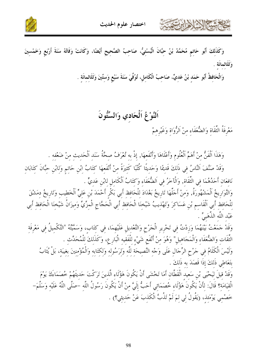





وَالْحَافِظُ أَبُو حَمَدٍ بْنُ عَدِيٍّ، صَاحِبُ الْكَامِلِ، تُوُفِّيَ سَنَةَ سَبْعٍ وَستِّينَ وَثَلَاثمائَة .

# اَلنَّوْغُ اَلْحَادي وَالسِّتُّونَ

مَعْرِفَةُ الثِّقَاةِ وَالضُّعَفَاءِ مِنْ اَلرُّوَاةِ وَغَيْرِهِمْ

وَهَذَا اَلْفَنُّ مِنْ أَهَمِّ اَلْعُلُومِ وَأَعْلَاهَا وَأَنْفَعِهَا, إِذْ بِهِ تُعْرَفُ صِحَّةُ سَنَدِ اَلْحَدِيثِ مِنْ ضَعْفِهِ .

وَقَدْ صَنَّفَ النَّاسُ في ذَلكَ قَديمًا وَحَديثًا كُتُبًا كَثيرَةً منْ أَنْفَعهَا كتَابُ ابْن حَاتم وَلابْن حبَّانَ كتَابَان نَافعَان أَحَدُهُمَا في الثِّقَاة, وَالْآخَرُ في اَلضُّعَفَاء وَكتَابُ اَلْكَاملِ لابْنِ عَديٍّ .

وَالتَّوَارِيخُ اَلْمَشْهُورَةُ, وَمِنْ أَجَلُّهَا تَارِيخُ بَغْدَادَ لِلْحَافِظِ أَبِي بَكْرِ أَحْمَدَ بْنِ عَلِيٍّ اَلْخَطِيبِ وَتَارِيخُ دِمَشْقَ لِلْحَافِظِ أَبِي اَلْقَاسِمِ بْنِ عَسَاكِرَ وَتَهْذِيبُ شَيْخِنَا الْحَافِظِ أَبِي الْحَجَّاجِ الْمِزِّيِّ وَمِيزَانُ شَيْخِنَا الْحَافِظِ أَبِي عَبْد اللَّه الذَّهَبِيِّ .

وَقَدْ حَمَعْتُ بَيْنَهُمَا وَزِدْتُ فِي تَحْرِيرِ الْجَرْحِ وَالتَّعْدِيلِ عَلَيْهِمَا، فِي كتَاب، وَسَمَّيْتُهُ "التَّكْميلُ في مَعْرفَة الثِّقَاتِ وَالضُّعَفَاءِ وَالْمَجَاهِيلِ" وَهُوَ مِنْ أَنْفَعِ شَيْءِ للْفَقيهِ الْبَارِعِ، وَكَذَلكَ للْمُحَدِّث . وَلَيْسَ الْكَلَامُ فِي حَرْحِ الرِّجَالِ عَلَى وَحْهِ النَّصِيحَةِ لِلَّهِ وَلِرَسُولِهِ وَلِكِتَابِهِ وَالْمُؤْمِنِينَ بغِيبَة، بَلْ يُثَابُ بتَعَاطي ذَلكَ إذَا قَصَدَ به ذَلكَ .

وَقَدْ قيلَ ليَحْيَى بْنِ سَعيد الْقَطَّانِ أَمَا تَخْشَى أَنْ يَكُونَ هَؤُلَاء الَّذينَ تَرَكْتَ حَديثَهُمْ خُصَمَاءَكَ يَوْمَ الْقيَامَة؟ قَالَ: لأَنْ يَكُونَ هَؤُلَاء خُصَمَائي أَحَبُّ إلَيَّ منْ أَنْ يَكُونَ رَسُولُ اللَّه –صَلَّى اللَّهُ عَلَيْه وَسَلَّمَ– خَصْمِي يَوْمَئِذ، (يَقُولُ لِي لِمَ لَمْ تَذُبَّ الْكَذِبَ عَنْ حَدِيثِي؟) .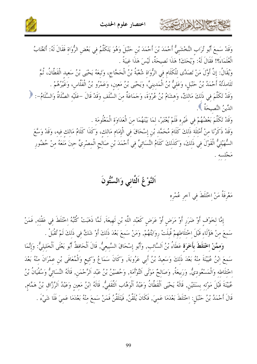



وَقَدْ سَمعَ أَبُو تُرَابِ النَّخْشَبِيُّ أَحْمَدَ بْنَ أَحْمَدَ بْنِ حَنْبَلَ وَهُوَ يَتَكَلَّمُ فِي بَعْضِ الرُّوَاةِ فَقَالَ لَهُ: أَتَغْتَابُ الْعُلَمَاءَ؟! فَقَالَ لَهُ: وَيْحَكَ! هَذَا نَصِيحَةٌ، لَيْسَ هَذَا غيبَةً . وَيُقَالُ: إِنَّ أَوَّلَ مَنْ تَصَدَّى لِلْكَلَامِ فِي الرُّوَاةِ شُعْبَةُ بْنُ الْحَجَّاجِ، وَتَبعَهُ يَحْيَى بْنُ سَعيد الْقَطَّانُ، ثُمَّ تَلَامِذَتُهُ أَحْمَدُ بْنُ حَنْبَلِ، وَعَلِيُّ بْنُ الْمَدِينِيِّ، وَيَحْيَى بْنُ مَعِينِ، وَعَمْرُو بْنُ الْفَلَاسِ، وَغَيْرُهُمْ . وَقَدْ تَكَلَّمَ فِي ذَلِكَ مَالِكٌ، وَهِشَامُ بْنُ عُرْوَةَ، وَجَمَاعَةٌ مِنَ السَّلَفِ وَقَدْ قَالَ –عَلَيْهِ الصَّلَاةُ وَالسَّلَامُ–: ﴿ الدِّينُ النَّصيحَةُ ﴾. وَقَدْ تَكَلَّمَ بَعْضُهُمْ في غَيْره فَلَمْ يُعْتَبَرْ، لمَا بَيْنَهُمَا منَ الْعَدَاوَة الْمَعْلُومَة . وَقَدْ ذَكَرْنَا مِنْ أَمْثِلَةِ ذَلِكَ كَلَامَ مُحَمَّدٍ بْنِ إِسْحَاقَ فِي الْإِمَامِ مَالِكٍ، وَكَذَا كَلَامُ مَالِكِ فِيهِ، وَقَدْ وَسَّعَ السُّهَيْلِيُّ الْقَوْلَ فِي ذَلِكَ، وَكَذَلِكَ كَلَامُ النَّسَائِيِّ فِي أَحْمَدَ بْنِ صَالِحٍ الْمِصْرِيِّ حِينَ مَنَعَهُ مِنْ حُضُورِ مَجْلسه .

اَلنَّوْعُ اَلثَّاني وَالسِّتُّونَ

مَعْرِفَةُ مَنْ اِحْتَلَطَ فِي آخرِ عُمْرِهِ

أشباح الأوابرت

إِمَّا لِخَوْفٍ أَوْ ضَرَرٍ أَوْ مَرَضٍ أَوْ عَرَضٍ كَعَبْدِ اللَّهِ بْنِ لَهِيعَةَ, لَمَّا ذَهَبَتْ كُتُبُهُ اخْتَلَطَ في عَقْله, فَمَنْ سَمِعَ مِنْ هَؤُلَاءِ قَبْلَ اخْتِلَاطِهِمْ قُبِلَتْ رِوَايَتُهُمْ, وَمَنْ سَمِعَ بَعْدَ ذَلِكَ أَوْ شَكَّ فِي ذَلِكَ لَمْ تُقْبَلْ .

وَمِمَّنْ اِخْتَلَطَ بِأَخَرَةٍ عَطَاءُ بْنُ اَلسَّائِبِ, وَأَبُو إِسْحَاقَ السَّبِيعيُّ, قَالَ اَلْحَافظُ أَبُو يَعْلَى اَلْخَليليُّ: وَإِنَّمَا سَمِعَ ابْنُ عُيَيْنَةَ مِنْهُ بَعْدَ ذَلِكَ وَسَعِيدُ بْنُ أَبِي عَرُوبَةَ, وَكَانَ سَمَاعُ وَكِيعِ وَالْمُعَافَى بْنِ عِمْرَانَ مِنْهُ بَعْدَ اخْتلَاطه وَالْمَسْعُوديُّ, وَرَبيعَةُ, وَصَالحٌ مَوْلَى اَلتَّوْأَمَة, وَحُصَيْنُ بْنُ عَبْد اَلرَّحْمَن, قَالَهُ النَّسَائيُّ وَسُفْيَانُ بْنُ عُيَيْنَةَ قَبْلَ مَوْته بسَنَتَيْن, قَالَهُ يَحْيَى اَلْقَطَّانُ وَعَبْدُ اَلْوَهَّاب اَلتَّقَفيُّ, قَالَهُ ابْنُ مَعين وَعَبْدُ اَلرَّزّاق بْنُ هَمَّام, قَالَ أَحْمَدُ بْنُ حَنْبَلٍ: اخْتَلَطَ بَعْدَمَا عَمِيَ, فَكَانَ يُلَقَّنُ, فَيَتَلَقَّنُ فَمَنْ سَمِعَ منْهُ بَعْدَمَا عَمِيَ فَلَا شَيْءَ .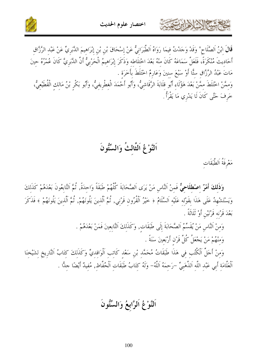



اَلنَّوْغُ اَلثَّالتُٰ وَالسِّتُّونَ

مَعْرِفَةُ اَلطَّبَقَات

كالحشيم الذلاذ ابرتهمته

وَ**ذَلكَ أَمْرٌ اصْطلَاحيٌّ** فَمنْ اَلنَّاس مَنْ يَرَى اَلصَّحَابَةَ كُلَّهُمْ طَبَقَةً وَاحدَةً, ثُمَّ اَلتَّابعُونَ بَعْدَهُمْ كَذَلكَ وَيَسْتَشْهِدُ عَلَى هَذَا بِقَوْلِهِ عَلَيْهِ اَلسَّلَامُ ﴿ خَيْرُ اَلْقُرُونِ قَرْنِي, ثُمَّ اَلَّذِينَ يَلُونَهُمْ ﴾ فَذَكَرَ بَعْدَ قَرْنه قَرْنَيْنِ أَوْ ثَلَاثَةً .

> وَمِنْ النَّاسِ مَنْ يُقَسِّمُ اَلصَّحَابَةَ إِلَى طَبَقَاتٍ, وَكَذَلِكَ التَّابِعِينَ فَمَنْ بَعْدَهُمْ . وَمنْهُمْ مَنْ يَجْعَلُ كُلَّ قَرْن أَرْبَعينَ سَنَةً .

وَمِنْ أَجَلِّ اَلْكُتُبِ فِي هَذَا طَبَقَاتُ مُحَمَّدِ بْنِ سَعْدِ كَاتِبِ اَلْوَاقِدِيٍّ وَكَذَلِكَ كِتَابُ اَلتَّارِيخ لشَيْخنَا اَلْعَلَّامَةِ أَبِي عَبْدِ اللَّهِ اَلذَّهَبِيِّ –رَحِمَهُ اَللَّهُ– وَلَهُ كِتَابُ طَبَقَاتِ اَلْحُفَّاظِ, مُفيدٌ أَيْضًا جلًّا .

اَلنَّوْغُ اَلرَّابِعُ وَالسِّتُّونَ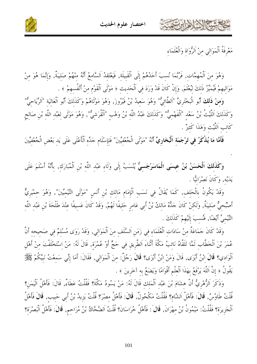





مَعْرِفَةُ اَلْمَوَالِي مِنْ اَلرُّوَاةِ وَالْعُلَمَاءِ

وَهُوَ مِنَ اَلْمُهِمَّاتِ, فَرُبَّمَا نُسِبَ أَحَدُهُمْ إِلَى اَلْقَبِيلَةِ, فَيَعْتَقَدُ اَلسَّامِعُ أَنَّهُ منْهُمْ صَليبَةٌ, وَإِنَّمَا هُوَ منْ مَوَاليهمْ فَيُمَيِّرُ ذَلكَ لِيُعْلَمَ, وَإِنْ كَانَ قَدْ وَرَدَ فِي اَلْحَدِيثِ ﴿ مَوْلَى اَلْقَوْمِ مِنْ أَنْفُسِهِمْ ﴾ .

وَمنْ ذَلكَ أَبُو الْبَخْتَرِيِّ "اَلطَّائيُّ" وَهُوَ سَعيدُ بْنُ فَيْرُوزَ, وَهُوَ مَوْلَاهُمْ وَكَذَلكَ أَبُو اَلْعَاليَة "اَلرِّيَاحيُّ" وَكَذَلِكَ اَللَّيْتُ بْنُ سَعْدِ "اَلْفَهْمِيٌّ" وَكَذَلِكَ عَبْدُ اللَّهِ بْنُ وَهْبِ "اَلْقُرَشِيُّ", وَهُوَ مَوْلَى لِعَبْدِ اللَّهِ بْنِ صَالِحِ كَاتب اَللَّيْتْ وَهَذَا كَثيرٌ .

فَأَمَّا مَا يُذْكَرُ فِي تَرْجَمَةِ اَلْبُخَارِيِّ أَنَّهُ "مَوْلَى الْجُعْفِيِّينَ" فَلِإِسْلَامِ جَدِّهِ اَلْأَعْلَى عَلَى يَدِ بَعْضِ الْجُعْفِيِّينَ

وَكَذَلِكَ اَلْحَسَنُ بْنُ عِيسَى الْمَاسَرْجَسِيُّ يُنْسَبُ إِلَى وَلَاءِ عَبْدِ اللَّهِ بْنِ اَلْمُبَارَكِ, بأَنَّهُ أَسْلَمَ عَلَى يَدَيْه, وَكَانَ نَصْرَانيًّا .

وَقَدْ يَكُونُ بِالْحَلِفِ, كَمَا يُقَالُ فِي نَسَبِ اَلْإِمَامِ مَالِكِ بْنِ أَنَسِ "مَوْلَى التَّيْمِيِّينَ", وَهُوَ حمْيَرِيٌّ أَصْبُحِيٌّ صَلِيبَةٌ, وَلَكِنْ كَانَ حَلُّهُ مَالِكُ بْنُ أَبِي عَامِرٍ حَلِيفًا لَهُمْ, وَقَدْ كَانَ عَسيفًا عِنْدَ طَلْحَةَ بْنِ عَبْدِ اللَّهِ التَّيْميِّ أَيْضًا, فَنُسبَ إِلَيْهِمْ كَذَلكَ .

وَقَدْ كَانَ حَمَاعَةٌ مِنْ سَادَاتِ اَلْعُلَمَاءِ فِي زَمَنِ اَلسَّلَفِ مِنَ اَلْمَوَالِي, وَقَدْ رَوَى مُسْلمٌ فِي صَحِيحِه أَنَّ عُمَرَ بْنَ اَلْخَطَّابِ لَمَّا تَلَقَّاهُ نَائِبُ مَكَّةَ أَتْنَاءَ اَلطَّرِيقِ فِي حَجٍّ أَوْ عُمْرَةٍ, قَالَ لَهُ: مَنْ إسْتَخْلَفْتَ مِنْ أَهْلِ اَلْوَادي؟ قَالَ ابْنُ أَبْزَى, قَالَ وَمَنْ ابْنُ أَبْزَى؟ قَالَ رَجُلٌ: مِنَ اَلْمَوَالِي, فَقَالَ: أَمَا إِنِّي سَمِعْتُ نَبِيَّكُمْ ﷺ يَقُولُ ﴿ إِنَّ اَللَّهَ يَرْفَعُ بِهَذَا اَلْعِلْمِ أَقْوَامًا وَيَضَعُ بِه آخَرِينَ ﴾ .

وَذَكَرَ الزُّهْرِيُّ أَنَّ هشَامَ بْنَ عَبْد اَلْمَلك قَالَ لَهُ: مَنْ يَسُودُ مَكَّةَ؟ فَقُلْتُ عَطَاءُ, قَالَ: فَأَهْلُ اَلْيَمَنِ؟ قُلْتُ طَاوُسٌ, قَالَ: فَأَهْلُ اَلشَّامِ؟ فَقُلْتُ مَكْحُولٌ, قَالَ: فَأَهْلُ مِصْرَ؟ قُلْتُ يَزِيدُ بْنُ أَبِي حَبِيبِ, قَالَ فَأَهْلُ اَلْحَزِيرَةِ؟ فَقُلْتُ: مَيْمُونُ بْنُ مِهْرَانَ, قَالَ : فَأَهْلُ خُرَاسَانَ؟ قُلْتُ اَلضَّحَّاكُ بْنُ مُزَاحِمٍ, قَالَ: فَأَهْلُ اَلْبَصْرَةِ؟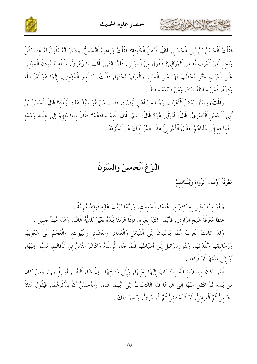

فَقُلْتُ اَلْحَسَنُ بْنُ أَبِي اَلْحَسَنِ, قَالَ: فَأَهْلُ اَلْكُوفَة؟ فَقُلْتُ إِبْرَاهِيمُ اَلنَّخَعِيُّ, وَذَكَرَ أَنَّهُ يَقُولُ لَهُ عِنْدَ كُلِّ وَاحد أَمنَ اَلْعَرَب أَمْ منَ اَلْمَوَالي؟ فَيَقُولُ منَ اَلْمَوَالي, فَلَمَّا انْتَهَى قَالَ: يَا زُهْريُّ, وَاللّه لتَسُودَنَّ اَلْمَوَالي عَلَى اَلْعَرَبِ حَتَّى يُخْطَبَ لَهَا عَلَى اَلْمَنَابِرِ وَالْعَرَبُ تَحْتَهَا, فَقُلْتُ: يَا أَمِيرَ اَلْمُؤْمِنِينَ, إِنَّمَا هُوَ أَمْرُ اَللَّهِ وَدينُهُ, فَمَنْ حَفظَهُ سَادَ, وَمَنْ ضَيَّعَهُ سَقَطَ .

(قُلْتُ) وَسَأَلَ بَعْضُ الْأَعْرَابِ رَجُلًا منْ أَهْلِ اَلْبَصْرَة, فَقَالَ: مَنْ هُوَ سَيِّدُ هَذه اَلْبَلْدَة؟ قَالَ اَلْحَسَنُ بْنُ أَبِي اَلْحَسَنِ اَلْبَصْرِيُّ, قَالَ: أَمَوْلَى هُوَ؟ قَالَ: نَعَمْ, قَالَ: فَبِمَ سَادَهُمْ؟ فَقَالَ بحَاجَتِهِمْ إِلَى عِلْمهِ وَعَدَمِ احْتيَاجه إِلَى دُنْيَاهُمْ, فَقَالَ اَلْأَعْرَابِيُّ هَذَا لَعَمْرُ أَبِيكَ هُوَ اَلسُّؤْدُدُ .

# اَلنَّوْغُ اَلْخَامسُ وَالسِّتُّونَ

مَعْرِفَةُ أَوْطَانِ اَلرُّوَاةِ وَبُلْدَانِهِمْ

كالحشيم الأداءت

وَهُوَ مِمَّا يَعْتَنِي بِهِ كَثِيرٌ مِنْ عُلَمَاءِ اَلْحَديث, وَرُبَّمَا تَرَتَّبَ عَلَيْه فَوَائِدُ مُهِمَّةُ .

منْهَا مَعْرفَةُ شَيْخِ اَلرَّاوي, فَرُبَّمَا اشْتَبَهَ بغَيْره, فَإِذَا عَرَفْنَا بَلَدَهُ تَعَيَّنَ بَلَديُّهُ غَالبًا, وَهَذَا مُهمٌّ حَليلٌ . وَقَدْ كَانَتْ الْعَرَبُ إِنَّمَا يُنْسَبُونَ إِلَى اَلْقَبَائِلِ وَالْعَمَائِرِ وَالْعَشَائِرِ وَالْبُيوتِ, وَالْعَجَمُ إِلَى شُعُوبِهَا وَرَسَاتِيقِهَا وَبُلْدَانِهَا, وَبَنُو إِسْرَائِيلَ إِلَى أَسْبَاطِهَا فَلَمَّا جَاءَ اَلْإِسْلَامُ وَانْتَشَرَ النَّاسُ فِي اَلْأَقَالِيم, نُسبُوا إِلَيْهَا, أَوْ إِلَى مُدُنهَا أَوْ قُرَاهَا .

فَمَنْ كَانَ مِنْ قَرْيَةِ فَلَهُ اَلِانْتِسَابُ إِلَيْهَا بِعَيْنِهَا, وَإِلَى مَدِينَتِهَا –إِنْ شَاءَ اَللَّهُ–, أَوْ إِقْلِيمِهَا, وَمَنْ كَانَ مِنْ بَلْدَة ثُمَّ انْتَقَلَ مِنْهَا إِلَى غَيْرِهَا فَلَهُ اَلِانْتِسَابُ إِلَى أَيِّهِمَا شَاءَ, وَالْأَحْسَنُ أَنْ يَذْكُرَهُمَا, فَيَقُولَ مَثَلاً اَلشَّامِيُّ نُمَّ اَلْعِرَاقِيُّ, أَوْ اَلدِّمَشْقِيُّ نُمَّ اَلْمِصْرِيُّ, وَنَحْوَ ذَلكَ .